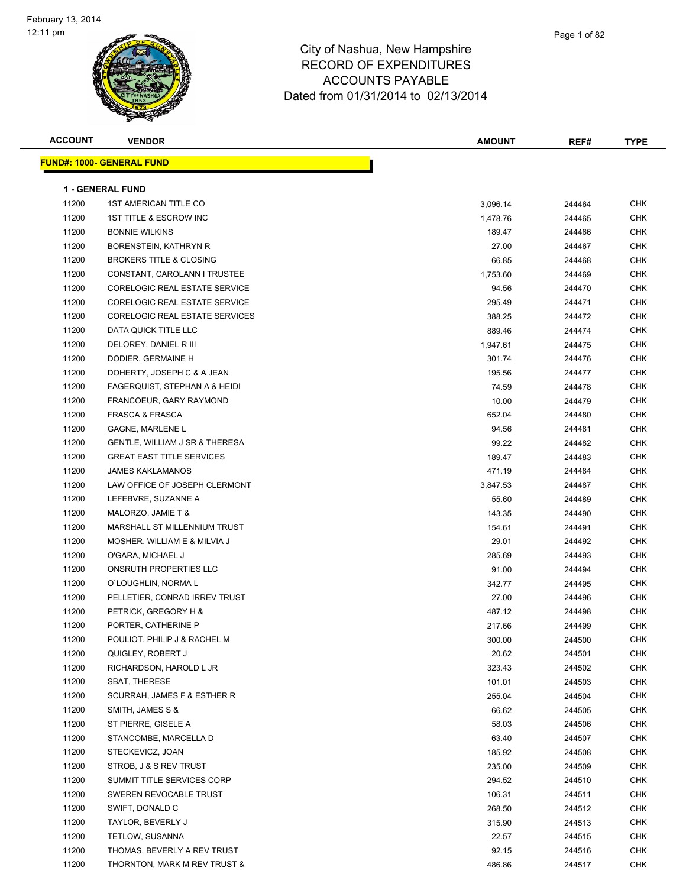| <b>ACCOUNT</b> | <b>VENDOR</b>                      | <b>AMOUNT</b> | REF#   | TYPE       |
|----------------|------------------------------------|---------------|--------|------------|
|                | <u> FUND#: 1000- GENERAL FUND</u>  |               |        |            |
|                |                                    |               |        |            |
|                | <b>1 - GENERAL FUND</b>            |               |        |            |
| 11200          | <b>1ST AMERICAN TITLE CO</b>       | 3,096.14      | 244464 | <b>CHK</b> |
| 11200          | 1ST TITLE & ESCROW INC             | 1,478.76      | 244465 | CHK        |
| 11200          | <b>BONNIE WILKINS</b>              | 189.47        | 244466 | <b>CHK</b> |
| 11200          | BORENSTEIN, KATHRYN R              | 27.00         | 244467 | CHK        |
| 11200          | <b>BROKERS TITLE &amp; CLOSING</b> | 66.85         | 244468 | <b>CHK</b> |
| 11200          | CONSTANT, CAROLANN I TRUSTEE       | 1,753.60      | 244469 | <b>CHK</b> |
| 11200          | CORELOGIC REAL ESTATE SERVICE      | 94.56         | 244470 | <b>CHK</b> |
| 11200          | CORELOGIC REAL ESTATE SERVICE      | 295.49        | 244471 | <b>CHK</b> |
| 11200          | CORELOGIC REAL ESTATE SERVICES     | 388.25        | 244472 | <b>CHK</b> |
| 11200          | DATA QUICK TITLE LLC               | 889.46        | 244474 | CHK        |
| 11200          | DELOREY, DANIEL R III              | 1,947.61      | 244475 | CHK        |
| 11200          | DODIER, GERMAINE H                 | 301.74        | 244476 | CHK        |
| 11200          | DOHERTY, JOSEPH C & A JEAN         | 195.56        | 244477 | CHK        |
| 11200          | FAGERQUIST, STEPHAN A & HEIDI      | 74.59         | 244478 | CHK        |
| 11200          | FRANCOEUR, GARY RAYMOND            | 10.00         | 244479 | CHK        |
| 11200          | <b>FRASCA &amp; FRASCA</b>         | 652.04        | 244480 | CHK        |
| 11200          | <b>GAGNE, MARLENE L</b>            | 94.56         | 244481 | <b>CHK</b> |
| 11200          | GENTLE, WILLIAM J SR & THERESA     | 99.22         | 244482 | <b>CHK</b> |
| 11200          | <b>GREAT EAST TITLE SERVICES</b>   | 189.47        | 244483 | <b>CHK</b> |
| 11200          | <b>JAMES KAKLAMANOS</b>            | 471.19        | 244484 | CHK        |
| 11200          | LAW OFFICE OF JOSEPH CLERMONT      | 3,847.53      | 244487 | CHK        |
| 11200          | LEFEBVRE, SUZANNE A                | 55.60         | 244489 | <b>CHK</b> |
| 11200          | MALORZO, JAMIE T &                 | 143.35        | 244490 | CHK        |
| 11200          | MARSHALL ST MILLENNIUM TRUST       | 154.61        | 244491 | <b>CHK</b> |
| 11200          | MOSHER, WILLIAM E & MILVIA J       | 29.01         | 244492 | CHK        |
| 11200          | O'GARA, MICHAEL J                  | 285.69        | 244493 | CHK        |
| 11200          | ONSRUTH PROPERTIES LLC             | 91.00         | 244494 | <b>CHK</b> |
| 11200          | O'LOUGHLIN, NORMA L                | 342.77        | 244495 | <b>CHK</b> |
| 11200          | PELLETIER, CONRAD IRREV TRUST      | 27.00         | 244496 | <b>CHK</b> |
| 11200          | PETRICK, GREGORY H &               | 487.12        | 244498 | CHK        |
| 11200          | PORTER, CATHERINE P                | 217.66        | 244499 | CHK        |
| 11200          | POULIOT, PHILIP J & RACHEL M       | 300.00        | 244500 | CHK        |
| 11200          | QUIGLEY, ROBERT J                  | 20.62         | 244501 | <b>CHK</b> |
| 11200          | RICHARDSON, HAROLD L JR            | 323.43        | 244502 | <b>CHK</b> |
| 11200          | <b>SBAT, THERESE</b>               | 101.01        | 244503 | <b>CHK</b> |
| 11200          | SCURRAH, JAMES F & ESTHER R        | 255.04        | 244504 | CHK        |
| 11200          | SMITH, JAMES S &                   | 66.62         | 244505 | CHK        |
| 11200          | ST PIERRE, GISELE A                | 58.03         | 244506 | CHK        |
| 11200          | STANCOMBE, MARCELLA D              | 63.40         | 244507 | CHK        |
| 11200          | STECKEVICZ, JOAN                   | 185.92        | 244508 | CHK        |
| 11200          | STROB, J & S REV TRUST             | 235.00        | 244509 | CHK        |
| 11200          | SUMMIT TITLE SERVICES CORP         | 294.52        | 244510 | CHK        |
| 11200          | SWEREN REVOCABLE TRUST             | 106.31        | 244511 | CHK        |
| 11200          | SWIFT, DONALD C                    | 268.50        | 244512 | <b>CHK</b> |
| 11200          | TAYLOR, BEVERLY J                  | 315.90        | 244513 | CHK        |
| 11200          | TETLOW, SUSANNA                    | 22.57         | 244515 | CHK        |
| 11200          | THOMAS, BEVERLY A REV TRUST        | 92.15         | 244516 | CHK        |
| 11200          | THORNTON, MARK M REV TRUST &       | 486.86        | 244517 | CHK        |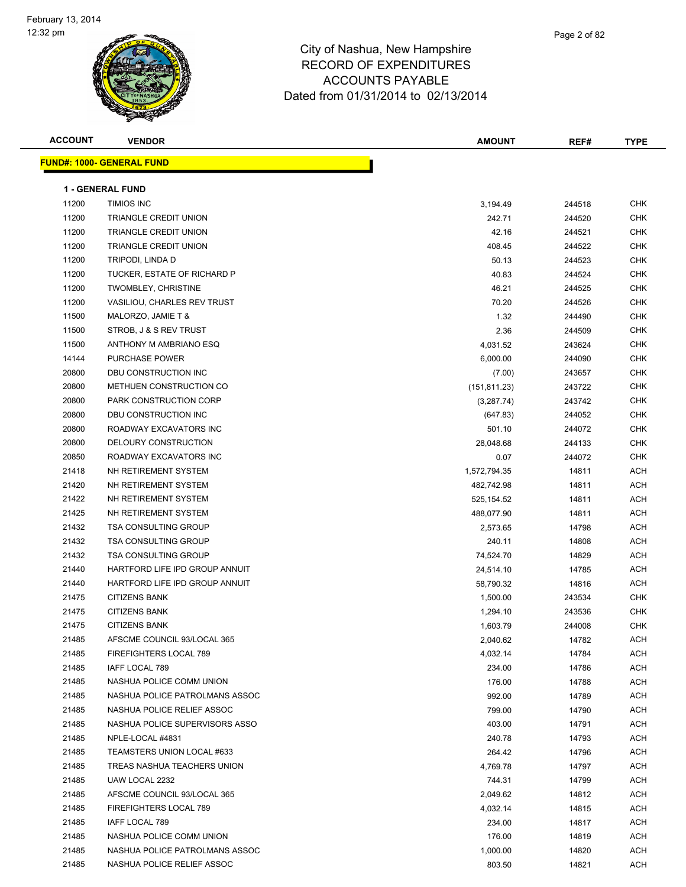| <b>ACCOUNT</b> | <b>VENDOR</b>                    | AMOUNT        | REF#   | <b>TYPE</b> |
|----------------|----------------------------------|---------------|--------|-------------|
|                | <b>FUND#: 1000- GENERAL FUND</b> |               |        |             |
|                |                                  |               |        |             |
|                | <b>1 - GENERAL FUND</b>          |               |        |             |
| 11200          | <b>TIMIOS INC</b>                | 3,194.49      | 244518 | <b>CHK</b>  |
| 11200          | TRIANGLE CREDIT UNION            | 242.71        | 244520 | CHK         |
| 11200          | TRIANGLE CREDIT UNION            | 42.16         | 244521 | CHK         |
| 11200          | TRIANGLE CREDIT UNION            | 408.45        | 244522 | CHK         |
| 11200          | TRIPODI, LINDA D                 | 50.13         | 244523 | CHK         |
| 11200          | TUCKER, ESTATE OF RICHARD P      | 40.83         | 244524 | <b>CHK</b>  |
| 11200          | <b>TWOMBLEY, CHRISTINE</b>       | 46.21         | 244525 | <b>CHK</b>  |
| 11200          | VASILIOU, CHARLES REV TRUST      | 70.20         | 244526 | CHK         |
| 11500          | MALORZO, JAMIE T &               | 1.32          | 244490 | CHK         |
| 11500          | STROB, J & S REV TRUST           | 2.36          | 244509 | CHK         |
| 11500          | ANTHONY M AMBRIANO ESQ           | 4,031.52      | 243624 | CHK         |
| 14144          | <b>PURCHASE POWER</b>            | 6,000.00      | 244090 | CHK         |
| 20800          | DBU CONSTRUCTION INC             | (7.00)        | 243657 | CHK         |
| 20800          | METHUEN CONSTRUCTION CO          | (151, 811.23) | 243722 | CHK         |
| 20800          | PARK CONSTRUCTION CORP           | (3,287.74)    | 243742 | CHK         |
| 20800          | DBU CONSTRUCTION INC             | (647.83)      | 244052 | CHK         |
| 20800          | ROADWAY EXCAVATORS INC           | 501.10        | 244072 | CHK         |
| 20800          | DELOURY CONSTRUCTION             | 28,048.68     | 244133 | <b>CHK</b>  |
| 20850          | ROADWAY EXCAVATORS INC           | 0.07          | 244072 | CHK         |
| 21418          | NH RETIREMENT SYSTEM             | 1,572,794.35  | 14811  | ACH         |
| 21420          | NH RETIREMENT SYSTEM             | 482,742.98    | 14811  | ACH         |
| 21422          | NH RETIREMENT SYSTEM             |               | 14811  | ACH         |
| 21425          | NH RETIREMENT SYSTEM             | 525, 154.52   |        | ACH         |
| 21432          | <b>TSA CONSULTING GROUP</b>      | 488,077.90    | 14811  |             |
|                |                                  | 2,573.65      | 14798  | <b>ACH</b>  |
| 21432          | <b>TSA CONSULTING GROUP</b>      | 240.11        | 14808  | <b>ACH</b>  |
| 21432          | <b>TSA CONSULTING GROUP</b>      | 74,524.70     | 14829  | <b>ACH</b>  |
| 21440          | HARTFORD LIFE IPD GROUP ANNUIT   | 24,514.10     | 14785  | ACH         |
| 21440          | HARTFORD LIFE IPD GROUP ANNUIT   | 58,790.32     | 14816  | ACH         |
| 21475          | <b>CITIZENS BANK</b>             | 1,500.00      | 243534 | CHK         |
| 21475          | <b>CITIZENS BANK</b>             | 1,294.10      | 243536 | CHK         |
| 21475          | <b>CITIZENS BANK</b>             | 1,603.79      | 244008 | <b>CHK</b>  |
| 21485          | AFSCME COUNCIL 93/LOCAL 365      | 2,040.62      | 14782  | ACH         |
| 21485          | FIREFIGHTERS LOCAL 789           | 4,032.14      | 14784  | ACH         |
| 21485          | IAFF LOCAL 789                   | 234.00        | 14786  | ACH         |
| 21485          | NASHUA POLICE COMM UNION         | 176.00        | 14788  | ACH         |
| 21485          | NASHUA POLICE PATROLMANS ASSOC   | 992.00        | 14789  | ACH         |
| 21485          | NASHUA POLICE RELIEF ASSOC       | 799.00        | 14790  | <b>ACH</b>  |
| 21485          | NASHUA POLICE SUPERVISORS ASSO   | 403.00        | 14791  | ACH         |
| 21485          | NPLE-LOCAL #4831                 | 240.78        | 14793  | ACH         |
| 21485          | TEAMSTERS UNION LOCAL #633       | 264.42        | 14796  | ACH         |
| 21485          | TREAS NASHUA TEACHERS UNION      | 4,769.78      | 14797  | ACH         |
| 21485          | UAW LOCAL 2232                   | 744.31        | 14799  | ACH         |
| 21485          | AFSCME COUNCIL 93/LOCAL 365      | 2,049.62      | 14812  | ACH         |
| 21485          | FIREFIGHTERS LOCAL 789           | 4,032.14      | 14815  | ACH         |
| 21485          | IAFF LOCAL 789                   | 234.00        | 14817  | ACH         |
| 21485          | NASHUA POLICE COMM UNION         | 176.00        | 14819  | ACH         |
| 21485          | NASHUA POLICE PATROLMANS ASSOC   | 1,000.00      | 14820  | ACH         |
| 21485          | NASHUA POLICE RELIEF ASSOC       | 803.50        | 14821  | ACH         |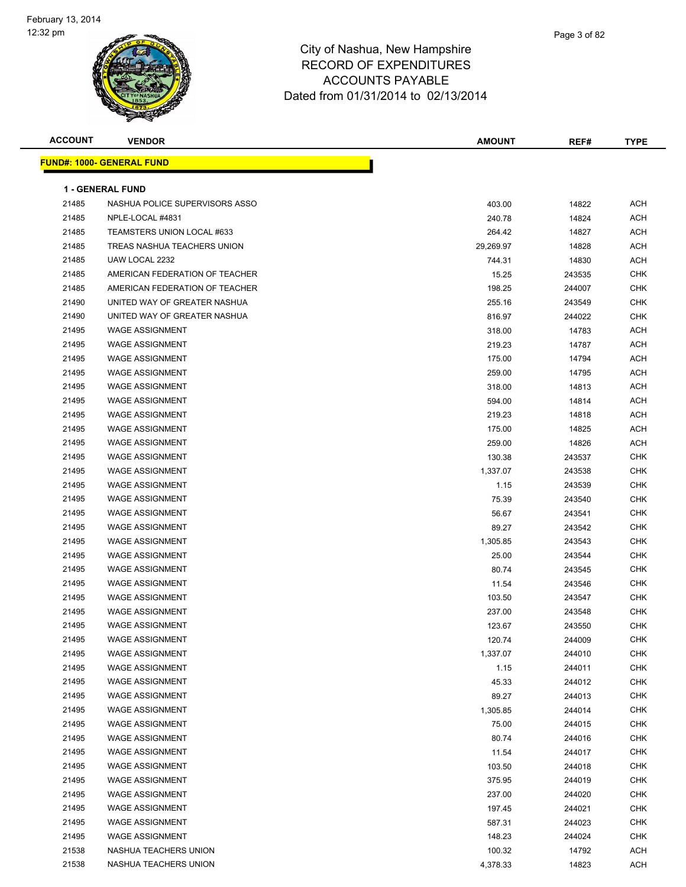

| <b>ACCOUNT</b> | <b>VENDOR</b>                     | <b>AMOUNT</b> | REF#   | <b>TYPE</b> |
|----------------|-----------------------------------|---------------|--------|-------------|
|                | <u> FUND#: 1000- GENERAL FUND</u> |               |        |             |
|                |                                   |               |        |             |
|                | <b>1 - GENERAL FUND</b>           |               |        |             |
| 21485          | NASHUA POLICE SUPERVISORS ASSO    | 403.00        | 14822  | ACH         |
| 21485          | NPLE-LOCAL #4831                  | 240.78        | 14824  | ACH         |
| 21485          | TEAMSTERS UNION LOCAL #633        | 264.42        | 14827  | ACH         |
| 21485          | TREAS NASHUA TEACHERS UNION       | 29,269.97     | 14828  | ACH         |
| 21485          | UAW LOCAL 2232                    | 744.31        | 14830  | <b>ACH</b>  |
| 21485          | AMERICAN FEDERATION OF TEACHER    | 15.25         | 243535 | CHK         |
| 21485          | AMERICAN FEDERATION OF TEACHER    | 198.25        | 244007 | CHK         |
| 21490          | UNITED WAY OF GREATER NASHUA      | 255.16        | 243549 | <b>CHK</b>  |
| 21490          | UNITED WAY OF GREATER NASHUA      | 816.97        | 244022 | CHK         |
| 21495          | <b>WAGE ASSIGNMENT</b>            | 318.00        | 14783  | ACH         |
| 21495          | <b>WAGE ASSIGNMENT</b>            | 219.23        | 14787  | ACH         |
| 21495          | <b>WAGE ASSIGNMENT</b>            | 175.00        | 14794  | ACH         |
| 21495          | <b>WAGE ASSIGNMENT</b>            | 259.00        | 14795  | ACH         |
| 21495          | <b>WAGE ASSIGNMENT</b>            | 318.00        | 14813  | ACH         |
| 21495          | <b>WAGE ASSIGNMENT</b>            | 594.00        | 14814  | ACH         |
| 21495          | <b>WAGE ASSIGNMENT</b>            | 219.23        | 14818  | ACH         |
| 21495          | <b>WAGE ASSIGNMENT</b>            | 175.00        | 14825  | ACH         |
| 21495          | <b>WAGE ASSIGNMENT</b>            | 259.00        | 14826  | ACH         |
| 21495          | <b>WAGE ASSIGNMENT</b>            | 130.38        | 243537 | <b>CHK</b>  |
| 21495          | <b>WAGE ASSIGNMENT</b>            | 1,337.07      | 243538 | CHK         |
| 21495          | <b>WAGE ASSIGNMENT</b>            | 1.15          | 243539 | CHK         |
| 21495          | <b>WAGE ASSIGNMENT</b>            | 75.39         | 243540 | CHK         |
| 21495          | <b>WAGE ASSIGNMENT</b>            | 56.67         | 243541 | CHK         |
| 21495          | <b>WAGE ASSIGNMENT</b>            | 89.27         | 243542 | CHK         |
| 21495          | <b>WAGE ASSIGNMENT</b>            | 1,305.85      | 243543 | CHK         |
| 21495          | <b>WAGE ASSIGNMENT</b>            | 25.00         | 243544 | CHK         |
| 21495          | <b>WAGE ASSIGNMENT</b>            | 80.74         | 243545 | <b>CHK</b>  |
| 21495          | <b>WAGE ASSIGNMENT</b>            | 11.54         | 243546 | CHK         |
| 21495          | <b>WAGE ASSIGNMENT</b>            | 103.50        | 243547 | CHK         |
| 21495          | <b>WAGE ASSIGNMENT</b>            | 237.00        | 243548 | CHK         |
| 21495          | <b>WAGE ASSIGNMENT</b>            | 123.67        | 243550 | CHK         |
| 21495          | <b>WAGE ASSIGNMENT</b>            | 120.74        | 244009 | <b>CHK</b>  |
| 21495          | <b>WAGE ASSIGNMENT</b>            | 1,337.07      | 244010 | <b>CHK</b>  |
| 21495          | <b>WAGE ASSIGNMENT</b>            | 1.15          | 244011 | <b>CHK</b>  |
| 21495          | <b>WAGE ASSIGNMENT</b>            | 45.33         | 244012 | <b>CHK</b>  |
| 21495          | <b>WAGE ASSIGNMENT</b>            | 89.27         | 244013 | <b>CHK</b>  |
| 21495          | <b>WAGE ASSIGNMENT</b>            | 1,305.85      | 244014 | <b>CHK</b>  |
| 21495          | <b>WAGE ASSIGNMENT</b>            | 75.00         | 244015 | <b>CHK</b>  |
| 21495          | <b>WAGE ASSIGNMENT</b>            | 80.74         | 244016 | <b>CHK</b>  |
| 21495          | <b>WAGE ASSIGNMENT</b>            | 11.54         | 244017 | <b>CHK</b>  |
| 21495          | <b>WAGE ASSIGNMENT</b>            | 103.50        | 244018 | <b>CHK</b>  |
| 21495          | <b>WAGE ASSIGNMENT</b>            | 375.95        | 244019 | <b>CHK</b>  |
| 21495          | <b>WAGE ASSIGNMENT</b>            | 237.00        | 244020 | <b>CHK</b>  |
| 21495          | <b>WAGE ASSIGNMENT</b>            | 197.45        | 244021 | <b>CHK</b>  |
| 21495          | <b>WAGE ASSIGNMENT</b>            | 587.31        | 244023 | <b>CHK</b>  |
| 21495          | <b>WAGE ASSIGNMENT</b>            | 148.23        | 244024 | <b>CHK</b>  |
| 21538          | NASHUA TEACHERS UNION             | 100.32        | 14792  | ACH         |
| 21538          | NASHUA TEACHERS UNION             | 4,378.33      | 14823  | <b>ACH</b>  |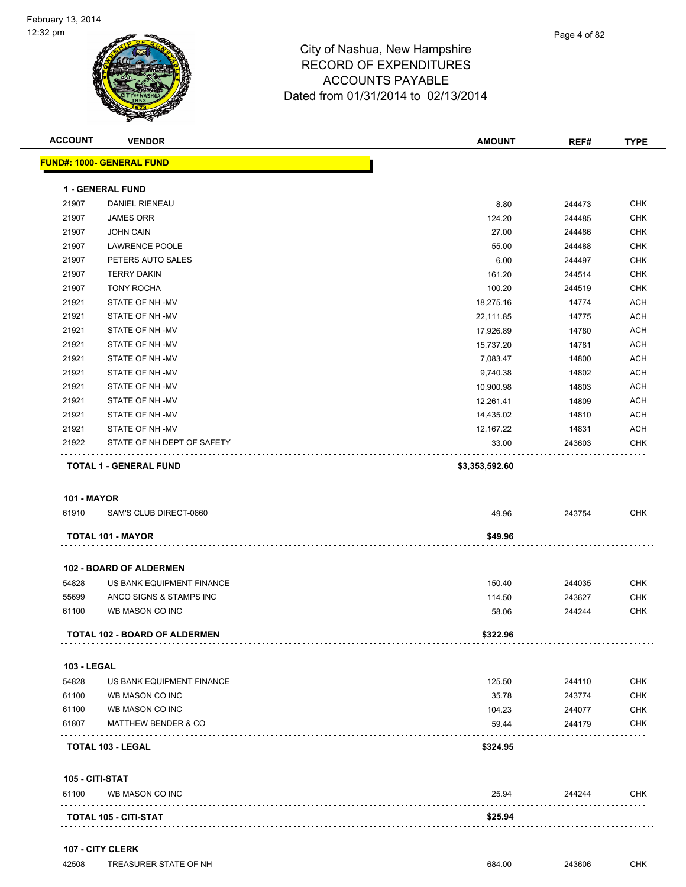| <b>ACCOUNT</b>     | <b>VENDOR</b>                    | <b>AMOUNT</b>  | REF#   | <b>TYPE</b> |
|--------------------|----------------------------------|----------------|--------|-------------|
|                    | <b>FUND#: 1000- GENERAL FUND</b> |                |        |             |
|                    | 1 - GENERAL FUND                 |                |        |             |
| 21907              | <b>DANIEL RIENEAU</b>            | 8.80           | 244473 | <b>CHK</b>  |
| 21907              | <b>JAMES ORR</b>                 | 124.20         | 244485 | <b>CHK</b>  |
| 21907              | <b>JOHN CAIN</b>                 | 27.00          | 244486 | <b>CHK</b>  |
| 21907              | <b>LAWRENCE POOLE</b>            | 55.00          | 244488 | <b>CHK</b>  |
| 21907              | PETERS AUTO SALES                | 6.00           | 244497 | <b>CHK</b>  |
| 21907              | <b>TERRY DAKIN</b>               | 161.20         | 244514 | <b>CHK</b>  |
| 21907              | <b>TONY ROCHA</b>                | 100.20         | 244519 | <b>CHK</b>  |
| 21921              | STATE OF NH-MV                   | 18,275.16      | 14774  | <b>ACH</b>  |
| 21921              | STATE OF NH-MV                   | 22,111.85      | 14775  | <b>ACH</b>  |
| 21921              | STATE OF NH-MV                   | 17,926.89      | 14780  | <b>ACH</b>  |
| 21921              | STATE OF NH-MV                   | 15,737.20      | 14781  | <b>ACH</b>  |
| 21921              | STATE OF NH-MV                   | 7,083.47       | 14800  | <b>ACH</b>  |
| 21921              | STATE OF NH-MV                   | 9,740.38       | 14802  | <b>ACH</b>  |
| 21921              | STATE OF NH-MV                   | 10,900.98      | 14803  | <b>ACH</b>  |
| 21921              | STATE OF NH-MV                   | 12,261.41      | 14809  | <b>ACH</b>  |
| 21921              | STATE OF NH-MV                   | 14,435.02      | 14810  | <b>ACH</b>  |
| 21921              | STATE OF NH-MV                   | 12,167.22      | 14831  | <b>ACH</b>  |
| 21922              | STATE OF NH DEPT OF SAFETY       | 33.00          | 243603 | <b>CHK</b>  |
|                    | <b>TOTAL 1 - GENERAL FUND</b>    | \$3,353,592.60 |        |             |
| <b>101 - MAYOR</b> |                                  |                |        |             |
| 61910              | SAM'S CLUB DIRECT-0860           | 49.96          | 243754 | <b>CHK</b>  |
|                    | TOTAL 101 - MAYOR                | \$49.96        |        |             |
|                    | <b>102 - BOARD OF ALDERMEN</b>   |                |        |             |
| 54828              | US BANK EQUIPMENT FINANCE        | 150.40         | 244035 | <b>CHK</b>  |
| 55699              | ANCO SIGNS & STAMPS INC          | 114.50         | 243627 | <b>CHK</b>  |
| 61100              | WB MASON CO INC                  | 58.06          | 244244 | CHK         |
|                    | TOTAL 102 - BOARD OF ALDERMEN    | \$322.96       |        |             |
| <b>103 - LEGAL</b> |                                  |                |        |             |
| 54828              | US BANK EQUIPMENT FINANCE        | 125.50         | 244110 | <b>CHK</b>  |
| 61100              | WB MASON CO INC                  | 35.78          | 243774 | <b>CHK</b>  |
| 61100              | WB MASON CO INC                  | 104.23         | 244077 | CHK         |
| 61807              | <b>MATTHEW BENDER &amp; CO</b>   | 59.44          | 244179 | CHK         |
|                    | <b>TOTAL 103 - LEGAL</b>         | \$324.95       |        |             |
| 105 - CITI-STAT    |                                  |                |        |             |
| 61100              | WB MASON CO INC                  | 25.94          | 244244 | CHK         |
|                    | <b>TOTAL 105 - CITI-STAT</b>     | \$25.94        |        |             |
|                    |                                  |                |        |             |

### **107 - CITY CLERK**

| TREASURER STATE OF NH<br>42508 | 684.00 | 243606 | СНК |
|--------------------------------|--------|--------|-----|
|--------------------------------|--------|--------|-----|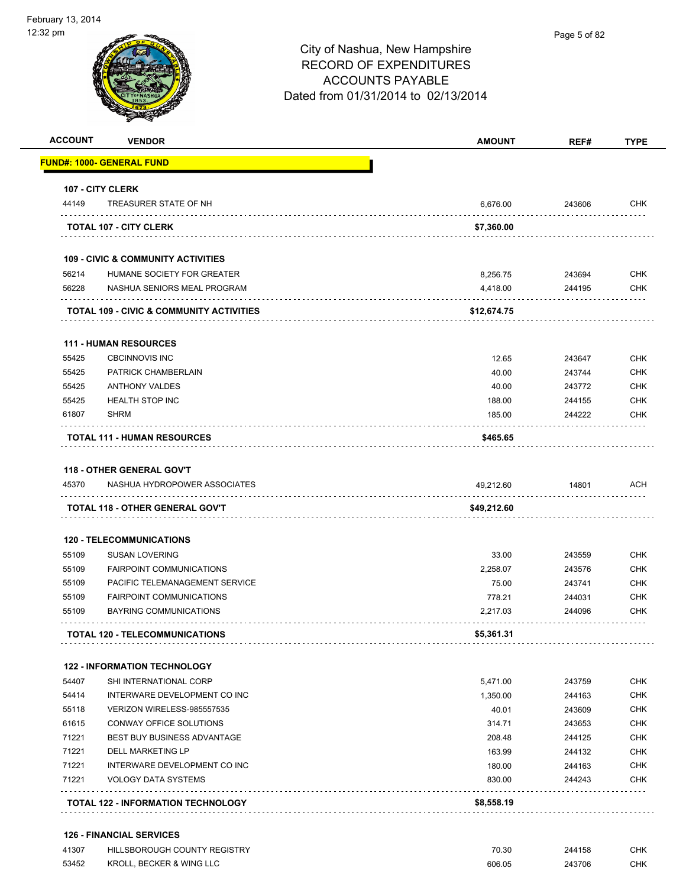

| <b>ACCOUNT</b> | <b>VENDOR</b>                                 | <b>AMOUNT</b> | REF#   | <b>TYPE</b> |
|----------------|-----------------------------------------------|---------------|--------|-------------|
|                | <u> FUND#: 1000- GENERAL FUND</u>             |               |        |             |
|                | 107 - CITY CLERK                              |               |        |             |
| 44149          | TREASURER STATE OF NH                         | 6,676.00      | 243606 | <b>CHK</b>  |
|                | <b>TOTAL 107 - CITY CLERK</b>                 | \$7,360.00    |        |             |
|                | <b>109 - CIVIC &amp; COMMUNITY ACTIVITIES</b> |               |        |             |
| 56214          | HUMANE SOCIETY FOR GREATER                    | 8,256.75      | 243694 | <b>CHK</b>  |
| 56228          | NASHUA SENIORS MEAL PROGRAM                   | 4,418.00      | 244195 | CHK         |
|                | TOTAL 109 - CIVIC & COMMUNITY ACTIVITIES      | \$12,674.75   |        |             |
|                | <b>111 - HUMAN RESOURCES</b>                  |               |        |             |
| 55425          | <b>CBCINNOVIS INC</b>                         | 12.65         | 243647 | <b>CHK</b>  |
| 55425          | PATRICK CHAMBERLAIN                           | 40.00         | 243744 | <b>CHK</b>  |
| 55425          | <b>ANTHONY VALDES</b>                         | 40.00         | 243772 | <b>CHK</b>  |
| 55425          | <b>HEALTH STOP INC</b>                        | 188.00        | 244155 | <b>CHK</b>  |
| 61807          | <b>SHRM</b>                                   | 185.00        | 244222 | <b>CHK</b>  |
|                | <b>TOTAL 111 - HUMAN RESOURCES</b>            | \$465.65      |        |             |
|                | <b>118 - OTHER GENERAL GOV'T</b>              |               |        |             |
| 45370          | NASHUA HYDROPOWER ASSOCIATES                  | 49,212.60     | 14801  | ACH         |
|                |                                               |               |        |             |
|                | TOTAL 118 - OTHER GENERAL GOV'T               | \$49,212.60   |        |             |
|                | <b>120 - TELECOMMUNICATIONS</b>               |               |        |             |
| 55109          | <b>SUSAN LOVERING</b>                         | 33.00         | 243559 | <b>CHK</b>  |
| 55109          | <b>FAIRPOINT COMMUNICATIONS</b>               | 2,258.07      | 243576 | <b>CHK</b>  |
| 55109          | PACIFIC TELEMANAGEMENT SERVICE                | 75.00         | 243741 | <b>CHK</b>  |
| 55109          | <b>FAIRPOINT COMMUNICATIONS</b>               | 778.21        | 244031 | <b>CHK</b>  |
| 55109          | BAYRING COMMUNICATIONS                        | 2,217.03      | 244096 | CHK         |
|                | <b>TOTAL 120 - TELECOMMUNICATIONS</b>         | \$5,361.31    |        |             |
|                | <b>122 - INFORMATION TECHNOLOGY</b>           |               |        |             |
| 54407          | SHI INTERNATIONAL CORP                        | 5,471.00      | 243759 | <b>CHK</b>  |
| 54414          | INTERWARE DEVELOPMENT CO INC                  | 1,350.00      | 244163 | <b>CHK</b>  |
| 55118          | VERIZON WIRELESS-985557535                    | 40.01         | 243609 | <b>CHK</b>  |
| 61615          | CONWAY OFFICE SOLUTIONS                       | 314.71        | 243653 | <b>CHK</b>  |
| 71221          | BEST BUY BUSINESS ADVANTAGE                   | 208.48        | 244125 | CHK         |
| 71221          | <b>DELL MARKETING LP</b>                      | 163.99        | 244132 | <b>CHK</b>  |
| 71221          | INTERWARE DEVELOPMENT CO INC                  | 180.00        | 244163 | <b>CHK</b>  |
| 71221          | <b>VOLOGY DATA SYSTEMS</b>                    | 830.00        | 244243 | CHK         |
|                | <b>TOTAL 122 - INFORMATION TECHNOLOGY</b>     | \$8,558.19    |        |             |
|                | <b>126 - FINANCIAL SERVICES</b>               |               |        |             |
| 41307          | HILLSBOROUGH COUNTY REGISTRY                  | 70.30         | 244158 | <b>CHK</b>  |

53452 KROLL, BECKER & WING LLC 606.05 243706 CHK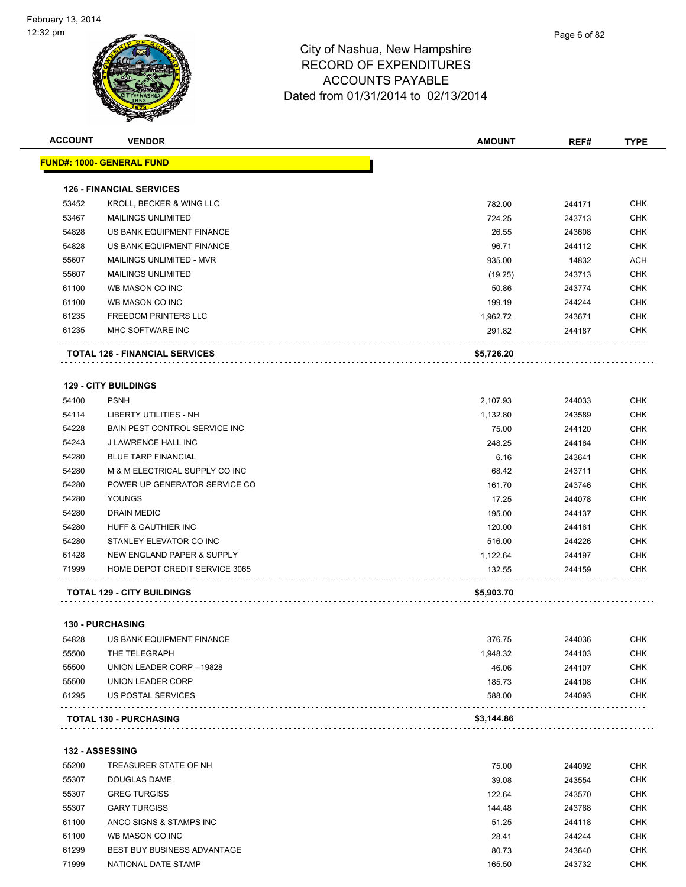| <b>ACCOUNT</b> | <b>VENDOR</b>                        | <b>AMOUNT</b> | REF#   | <b>TYPE</b> |
|----------------|--------------------------------------|---------------|--------|-------------|
|                | <u> FUND#: 1000- GENERAL FUND</u>    |               |        |             |
|                | <b>126 - FINANCIAL SERVICES</b>      |               |        |             |
| 53452          | KROLL, BECKER & WING LLC             | 782.00        | 244171 | <b>CHK</b>  |
| 53467          | <b>MAILINGS UNLIMITED</b>            | 724.25        | 243713 | <b>CHK</b>  |
| 54828          | US BANK EQUIPMENT FINANCE            | 26.55         | 243608 | <b>CHK</b>  |
| 54828          | US BANK EQUIPMENT FINANCE            | 96.71         | 244112 | <b>CHK</b>  |
| 55607          | <b>MAILINGS UNLIMITED - MVR</b>      | 935.00        | 14832  | <b>ACH</b>  |
| 55607          | <b>MAILINGS UNLIMITED</b>            | (19.25)       | 243713 | <b>CHK</b>  |
| 61100          | WB MASON CO INC                      | 50.86         | 243774 | CHK         |
| 61100          | WB MASON CO INC                      | 199.19        | 244244 | <b>CHK</b>  |
| 61235          | <b>FREEDOM PRINTERS LLC</b>          | 1,962.72      | 243671 | <b>CHK</b>  |
| 61235          | MHC SOFTWARE INC                     | 291.82        | 244187 | CHK         |
|                | TOTAL 126 - FINANCIAL SERVICES       | \$5,726.20    |        |             |
|                |                                      |               |        |             |
|                | <b>129 - CITY BUILDINGS</b>          |               |        |             |
| 54100          | <b>PSNH</b>                          | 2,107.93      | 244033 | <b>CHK</b>  |
| 54114          | LIBERTY UTILITIES - NH               | 1,132.80      | 243589 | <b>CHK</b>  |
| 54228          | <b>BAIN PEST CONTROL SERVICE INC</b> | 75.00         | 244120 | <b>CHK</b>  |
| 54243          | J LAWRENCE HALL INC                  | 248.25        | 244164 | <b>CHK</b>  |
| 54280          | <b>BLUE TARP FINANCIAL</b>           | 6.16          | 243641 | <b>CHK</b>  |
| 54280          | M & M ELECTRICAL SUPPLY CO INC       | 68.42         | 243711 | <b>CHK</b>  |
| 54280          | POWER UP GENERATOR SERVICE CO        | 161.70        | 243746 | <b>CHK</b>  |
| 54280          | YOUNGS                               | 17.25         | 244078 | <b>CHK</b>  |
| 54280          | <b>DRAIN MEDIC</b>                   | 195.00        | 244137 | <b>CHK</b>  |
| 54280          | HUFF & GAUTHIER INC                  | 120.00        | 244161 | <b>CHK</b>  |
| 54280          | STANLEY ELEVATOR CO INC              | 516.00        | 244226 | <b>CHK</b>  |
| 61428          | NEW ENGLAND PAPER & SUPPLY           | 1,122.64      | 244197 | <b>CHK</b>  |
| 71999          | HOME DEPOT CREDIT SERVICE 3065       | 132.55        | 244159 | CHK         |
|                | <b>TOTAL 129 - CITY BUILDINGS</b>    | \$5,903.70    |        |             |
|                |                                      |               |        |             |
|                | <b>130 - PURCHASING</b>              |               |        |             |
| 54828          | US BANK EQUIPMENT FINANCE            | 376.75        | 244036 | <b>CHK</b>  |
| 55500          | THE TELEGRAPH                        | 1,948.32      | 244103 | <b>CHK</b>  |
| 55500          | UNION LEADER CORP -- 19828           | 46.06         | 244107 | <b>CHK</b>  |
| 55500          | <b>UNION LEADER CORP</b>             | 185.73        | 244108 | <b>CHK</b>  |
| 61295          | US POSTAL SERVICES                   | 588.00        | 244093 | <b>CHK</b>  |
|                | <b>TOTAL 130 - PURCHASING</b>        | \$3,144.86    |        |             |
|                |                                      |               |        |             |
|                | <b>132 - ASSESSING</b>               |               |        |             |
| 55200          | TREASURER STATE OF NH                | 75.00         | 244092 | <b>CHK</b>  |
| 55307          | DOUGLAS DAME                         | 39.08         | 243554 | <b>CHK</b>  |
| 55307          | <b>GREG TURGISS</b>                  | 122.64        | 243570 | CHK         |
| 55307          | <b>GARY TURGISS</b>                  | 144.48        | 243768 | CHK         |
| 61100          | ANCO SIGNS & STAMPS INC              | 51.25         | 244118 | <b>CHK</b>  |
| 61100          | WB MASON CO INC                      | 28.41         | 244244 | <b>CHK</b>  |
| 61299          | BEST BUY BUSINESS ADVANTAGE          | 80.73         | 243640 | <b>CHK</b>  |
| 71999          | NATIONAL DATE STAMP                  | 165.50        | 243732 | <b>CHK</b>  |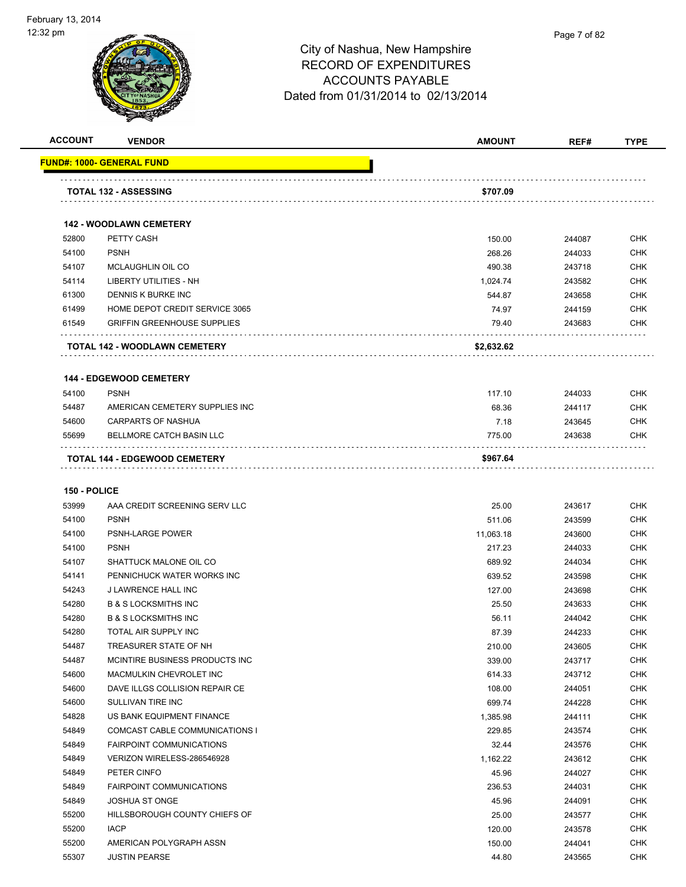

| <b>FUND#: 1000- GENERAL FUND</b><br><b>TOTAL 132 - ASSESSING</b><br>\$707.09<br><b>142 - WOODLAWN CEMETERY</b><br>52800<br>PETTY CASH<br>150.00<br>244087<br>54100<br><b>PSNH</b><br>268.26<br>244033<br>54107<br>MCLAUGHLIN OIL CO<br>490.38<br>243718<br>54114<br>LIBERTY UTILITIES - NH<br>1,024.74<br>243582<br>61300<br>DENNIS K BURKE INC<br>544.87<br>243658<br>61499<br>HOME DEPOT CREDIT SERVICE 3065<br>74.97<br>244159<br>61549<br><b>GRIFFIN GREENHOUSE SUPPLIES</b><br>79.40<br>243683<br>\$2,632.62<br><b>TOTAL 142 - WOODLAWN CEMETERY</b><br><b>144 - EDGEWOOD CEMETERY</b><br>54100<br><b>PSNH</b><br>117.10<br>244033<br>54487<br>AMERICAN CEMETERY SUPPLIES INC<br>68.36<br>244117<br><b>CARPARTS OF NASHUA</b><br>54600<br>7.18<br>243645<br>55699<br>BELLMORE CATCH BASIN LLC<br>775.00<br>243638<br><b>TOTAL 144 - EDGEWOOD CEMETERY</b><br>\$967.64<br>150 - POLICE<br>53999<br>AAA CREDIT SCREENING SERV LLC<br>25.00<br>243617<br>54100<br><b>PSNH</b><br>511.06<br>243599<br>54100<br>PSNH-LARGE POWER<br>11,063.18<br>243600<br><b>PSNH</b><br>54100<br>217.23<br>244033<br>54107<br>SHATTUCK MALONE OIL CO<br>689.92<br>244034<br>54141<br>PENNICHUCK WATER WORKS INC<br>639.52<br>243598<br>54243<br>J LAWRENCE HALL INC<br>127.00<br>243698<br><b>B &amp; S LOCKSMITHS INC</b><br>54280<br>25.50<br>243633<br>54280<br><b>B &amp; S LOCKSMITHS INC</b><br>56.11<br>244042<br>54280<br>TOTAL AIR SUPPLY INC<br>87.39<br>244233<br>TREASURER STATE OF NH<br>54487<br>210.00<br>243605<br>MCINTIRE BUSINESS PRODUCTS INC<br>54487<br>339.00<br>243717<br>MACMULKIN CHEVROLET INC<br>614.33<br>54600<br>243712<br>54600<br>DAVE ILLGS COLLISION REPAIR CE<br>108.00<br>244051<br>54600<br>SULLIVAN TIRE INC<br>699.74<br>244228<br>54828<br>US BANK EQUIPMENT FINANCE<br>1,385.98<br>244111<br>54849<br><b>COMCAST CABLE COMMUNICATIONS I</b><br>229.85<br>243574<br>54849<br><b>FAIRPOINT COMMUNICATIONS</b><br>32.44<br>243576<br>54849<br>VERIZON WIRELESS-286546928<br>1,162.22<br>243612<br>54849<br>PETER CINFO<br>45.96<br>244027<br>54849<br><b>FAIRPOINT COMMUNICATIONS</b><br>236.53<br>244031<br>54849<br><b>JOSHUA ST ONGE</b><br>45.96<br>244091<br>55200<br>HILLSBOROUGH COUNTY CHIEFS OF<br>25.00<br>243577<br><b>IACP</b><br>55200<br>120.00<br>243578 | <b>ACCOUNT</b> | <b>VENDOR</b>           | <b>AMOUNT</b> | REF#   | <b>TYPE</b> |
|--------------------------------------------------------------------------------------------------------------------------------------------------------------------------------------------------------------------------------------------------------------------------------------------------------------------------------------------------------------------------------------------------------------------------------------------------------------------------------------------------------------------------------------------------------------------------------------------------------------------------------------------------------------------------------------------------------------------------------------------------------------------------------------------------------------------------------------------------------------------------------------------------------------------------------------------------------------------------------------------------------------------------------------------------------------------------------------------------------------------------------------------------------------------------------------------------------------------------------------------------------------------------------------------------------------------------------------------------------------------------------------------------------------------------------------------------------------------------------------------------------------------------------------------------------------------------------------------------------------------------------------------------------------------------------------------------------------------------------------------------------------------------------------------------------------------------------------------------------------------------------------------------------------------------------------------------------------------------------------------------------------------------------------------------------------------------------------------------------------------------------------------------------------------------------------------------------------------------------------------------------------------------------------------------|----------------|-------------------------|---------------|--------|-------------|
|                                                                                                                                                                                                                                                                                                                                                                                                                                                                                                                                                                                                                                                                                                                                                                                                                                                                                                                                                                                                                                                                                                                                                                                                                                                                                                                                                                                                                                                                                                                                                                                                                                                                                                                                                                                                                                                                                                                                                                                                                                                                                                                                                                                                                                                                                                  |                |                         |               |        |             |
|                                                                                                                                                                                                                                                                                                                                                                                                                                                                                                                                                                                                                                                                                                                                                                                                                                                                                                                                                                                                                                                                                                                                                                                                                                                                                                                                                                                                                                                                                                                                                                                                                                                                                                                                                                                                                                                                                                                                                                                                                                                                                                                                                                                                                                                                                                  |                |                         |               |        |             |
|                                                                                                                                                                                                                                                                                                                                                                                                                                                                                                                                                                                                                                                                                                                                                                                                                                                                                                                                                                                                                                                                                                                                                                                                                                                                                                                                                                                                                                                                                                                                                                                                                                                                                                                                                                                                                                                                                                                                                                                                                                                                                                                                                                                                                                                                                                  |                |                         |               |        |             |
|                                                                                                                                                                                                                                                                                                                                                                                                                                                                                                                                                                                                                                                                                                                                                                                                                                                                                                                                                                                                                                                                                                                                                                                                                                                                                                                                                                                                                                                                                                                                                                                                                                                                                                                                                                                                                                                                                                                                                                                                                                                                                                                                                                                                                                                                                                  |                |                         |               |        |             |
|                                                                                                                                                                                                                                                                                                                                                                                                                                                                                                                                                                                                                                                                                                                                                                                                                                                                                                                                                                                                                                                                                                                                                                                                                                                                                                                                                                                                                                                                                                                                                                                                                                                                                                                                                                                                                                                                                                                                                                                                                                                                                                                                                                                                                                                                                                  |                |                         |               |        |             |
|                                                                                                                                                                                                                                                                                                                                                                                                                                                                                                                                                                                                                                                                                                                                                                                                                                                                                                                                                                                                                                                                                                                                                                                                                                                                                                                                                                                                                                                                                                                                                                                                                                                                                                                                                                                                                                                                                                                                                                                                                                                                                                                                                                                                                                                                                                  |                |                         |               |        | <b>CHK</b>  |
|                                                                                                                                                                                                                                                                                                                                                                                                                                                                                                                                                                                                                                                                                                                                                                                                                                                                                                                                                                                                                                                                                                                                                                                                                                                                                                                                                                                                                                                                                                                                                                                                                                                                                                                                                                                                                                                                                                                                                                                                                                                                                                                                                                                                                                                                                                  |                |                         |               |        | <b>CHK</b>  |
|                                                                                                                                                                                                                                                                                                                                                                                                                                                                                                                                                                                                                                                                                                                                                                                                                                                                                                                                                                                                                                                                                                                                                                                                                                                                                                                                                                                                                                                                                                                                                                                                                                                                                                                                                                                                                                                                                                                                                                                                                                                                                                                                                                                                                                                                                                  |                |                         |               |        | <b>CHK</b>  |
|                                                                                                                                                                                                                                                                                                                                                                                                                                                                                                                                                                                                                                                                                                                                                                                                                                                                                                                                                                                                                                                                                                                                                                                                                                                                                                                                                                                                                                                                                                                                                                                                                                                                                                                                                                                                                                                                                                                                                                                                                                                                                                                                                                                                                                                                                                  |                |                         |               |        | <b>CHK</b>  |
|                                                                                                                                                                                                                                                                                                                                                                                                                                                                                                                                                                                                                                                                                                                                                                                                                                                                                                                                                                                                                                                                                                                                                                                                                                                                                                                                                                                                                                                                                                                                                                                                                                                                                                                                                                                                                                                                                                                                                                                                                                                                                                                                                                                                                                                                                                  |                |                         |               |        | <b>CHK</b>  |
|                                                                                                                                                                                                                                                                                                                                                                                                                                                                                                                                                                                                                                                                                                                                                                                                                                                                                                                                                                                                                                                                                                                                                                                                                                                                                                                                                                                                                                                                                                                                                                                                                                                                                                                                                                                                                                                                                                                                                                                                                                                                                                                                                                                                                                                                                                  |                |                         |               |        | <b>CHK</b>  |
|                                                                                                                                                                                                                                                                                                                                                                                                                                                                                                                                                                                                                                                                                                                                                                                                                                                                                                                                                                                                                                                                                                                                                                                                                                                                                                                                                                                                                                                                                                                                                                                                                                                                                                                                                                                                                                                                                                                                                                                                                                                                                                                                                                                                                                                                                                  |                |                         |               |        | <b>CHK</b>  |
|                                                                                                                                                                                                                                                                                                                                                                                                                                                                                                                                                                                                                                                                                                                                                                                                                                                                                                                                                                                                                                                                                                                                                                                                                                                                                                                                                                                                                                                                                                                                                                                                                                                                                                                                                                                                                                                                                                                                                                                                                                                                                                                                                                                                                                                                                                  |                |                         |               |        |             |
|                                                                                                                                                                                                                                                                                                                                                                                                                                                                                                                                                                                                                                                                                                                                                                                                                                                                                                                                                                                                                                                                                                                                                                                                                                                                                                                                                                                                                                                                                                                                                                                                                                                                                                                                                                                                                                                                                                                                                                                                                                                                                                                                                                                                                                                                                                  |                |                         |               |        |             |
|                                                                                                                                                                                                                                                                                                                                                                                                                                                                                                                                                                                                                                                                                                                                                                                                                                                                                                                                                                                                                                                                                                                                                                                                                                                                                                                                                                                                                                                                                                                                                                                                                                                                                                                                                                                                                                                                                                                                                                                                                                                                                                                                                                                                                                                                                                  |                |                         |               |        | <b>CHK</b>  |
|                                                                                                                                                                                                                                                                                                                                                                                                                                                                                                                                                                                                                                                                                                                                                                                                                                                                                                                                                                                                                                                                                                                                                                                                                                                                                                                                                                                                                                                                                                                                                                                                                                                                                                                                                                                                                                                                                                                                                                                                                                                                                                                                                                                                                                                                                                  |                |                         |               |        | <b>CHK</b>  |
|                                                                                                                                                                                                                                                                                                                                                                                                                                                                                                                                                                                                                                                                                                                                                                                                                                                                                                                                                                                                                                                                                                                                                                                                                                                                                                                                                                                                                                                                                                                                                                                                                                                                                                                                                                                                                                                                                                                                                                                                                                                                                                                                                                                                                                                                                                  |                |                         |               |        | <b>CHK</b>  |
|                                                                                                                                                                                                                                                                                                                                                                                                                                                                                                                                                                                                                                                                                                                                                                                                                                                                                                                                                                                                                                                                                                                                                                                                                                                                                                                                                                                                                                                                                                                                                                                                                                                                                                                                                                                                                                                                                                                                                                                                                                                                                                                                                                                                                                                                                                  |                |                         |               |        | <b>CHK</b>  |
|                                                                                                                                                                                                                                                                                                                                                                                                                                                                                                                                                                                                                                                                                                                                                                                                                                                                                                                                                                                                                                                                                                                                                                                                                                                                                                                                                                                                                                                                                                                                                                                                                                                                                                                                                                                                                                                                                                                                                                                                                                                                                                                                                                                                                                                                                                  |                |                         |               |        |             |
|                                                                                                                                                                                                                                                                                                                                                                                                                                                                                                                                                                                                                                                                                                                                                                                                                                                                                                                                                                                                                                                                                                                                                                                                                                                                                                                                                                                                                                                                                                                                                                                                                                                                                                                                                                                                                                                                                                                                                                                                                                                                                                                                                                                                                                                                                                  |                |                         |               |        |             |
|                                                                                                                                                                                                                                                                                                                                                                                                                                                                                                                                                                                                                                                                                                                                                                                                                                                                                                                                                                                                                                                                                                                                                                                                                                                                                                                                                                                                                                                                                                                                                                                                                                                                                                                                                                                                                                                                                                                                                                                                                                                                                                                                                                                                                                                                                                  |                |                         |               |        |             |
|                                                                                                                                                                                                                                                                                                                                                                                                                                                                                                                                                                                                                                                                                                                                                                                                                                                                                                                                                                                                                                                                                                                                                                                                                                                                                                                                                                                                                                                                                                                                                                                                                                                                                                                                                                                                                                                                                                                                                                                                                                                                                                                                                                                                                                                                                                  |                |                         |               |        | <b>CHK</b>  |
|                                                                                                                                                                                                                                                                                                                                                                                                                                                                                                                                                                                                                                                                                                                                                                                                                                                                                                                                                                                                                                                                                                                                                                                                                                                                                                                                                                                                                                                                                                                                                                                                                                                                                                                                                                                                                                                                                                                                                                                                                                                                                                                                                                                                                                                                                                  |                |                         |               |        | <b>CHK</b>  |
|                                                                                                                                                                                                                                                                                                                                                                                                                                                                                                                                                                                                                                                                                                                                                                                                                                                                                                                                                                                                                                                                                                                                                                                                                                                                                                                                                                                                                                                                                                                                                                                                                                                                                                                                                                                                                                                                                                                                                                                                                                                                                                                                                                                                                                                                                                  |                |                         |               |        | <b>CHK</b>  |
|                                                                                                                                                                                                                                                                                                                                                                                                                                                                                                                                                                                                                                                                                                                                                                                                                                                                                                                                                                                                                                                                                                                                                                                                                                                                                                                                                                                                                                                                                                                                                                                                                                                                                                                                                                                                                                                                                                                                                                                                                                                                                                                                                                                                                                                                                                  |                |                         |               |        | <b>CHK</b>  |
|                                                                                                                                                                                                                                                                                                                                                                                                                                                                                                                                                                                                                                                                                                                                                                                                                                                                                                                                                                                                                                                                                                                                                                                                                                                                                                                                                                                                                                                                                                                                                                                                                                                                                                                                                                                                                                                                                                                                                                                                                                                                                                                                                                                                                                                                                                  |                |                         |               |        | <b>CHK</b>  |
|                                                                                                                                                                                                                                                                                                                                                                                                                                                                                                                                                                                                                                                                                                                                                                                                                                                                                                                                                                                                                                                                                                                                                                                                                                                                                                                                                                                                                                                                                                                                                                                                                                                                                                                                                                                                                                                                                                                                                                                                                                                                                                                                                                                                                                                                                                  |                |                         |               |        | <b>CHK</b>  |
|                                                                                                                                                                                                                                                                                                                                                                                                                                                                                                                                                                                                                                                                                                                                                                                                                                                                                                                                                                                                                                                                                                                                                                                                                                                                                                                                                                                                                                                                                                                                                                                                                                                                                                                                                                                                                                                                                                                                                                                                                                                                                                                                                                                                                                                                                                  |                |                         |               |        | <b>CHK</b>  |
|                                                                                                                                                                                                                                                                                                                                                                                                                                                                                                                                                                                                                                                                                                                                                                                                                                                                                                                                                                                                                                                                                                                                                                                                                                                                                                                                                                                                                                                                                                                                                                                                                                                                                                                                                                                                                                                                                                                                                                                                                                                                                                                                                                                                                                                                                                  |                |                         |               |        | <b>CHK</b>  |
|                                                                                                                                                                                                                                                                                                                                                                                                                                                                                                                                                                                                                                                                                                                                                                                                                                                                                                                                                                                                                                                                                                                                                                                                                                                                                                                                                                                                                                                                                                                                                                                                                                                                                                                                                                                                                                                                                                                                                                                                                                                                                                                                                                                                                                                                                                  |                |                         |               |        | <b>CHK</b>  |
|                                                                                                                                                                                                                                                                                                                                                                                                                                                                                                                                                                                                                                                                                                                                                                                                                                                                                                                                                                                                                                                                                                                                                                                                                                                                                                                                                                                                                                                                                                                                                                                                                                                                                                                                                                                                                                                                                                                                                                                                                                                                                                                                                                                                                                                                                                  |                |                         |               |        | <b>CHK</b>  |
|                                                                                                                                                                                                                                                                                                                                                                                                                                                                                                                                                                                                                                                                                                                                                                                                                                                                                                                                                                                                                                                                                                                                                                                                                                                                                                                                                                                                                                                                                                                                                                                                                                                                                                                                                                                                                                                                                                                                                                                                                                                                                                                                                                                                                                                                                                  |                |                         |               |        | <b>CHK</b>  |
|                                                                                                                                                                                                                                                                                                                                                                                                                                                                                                                                                                                                                                                                                                                                                                                                                                                                                                                                                                                                                                                                                                                                                                                                                                                                                                                                                                                                                                                                                                                                                                                                                                                                                                                                                                                                                                                                                                                                                                                                                                                                                                                                                                                                                                                                                                  |                |                         |               |        | <b>CHK</b>  |
|                                                                                                                                                                                                                                                                                                                                                                                                                                                                                                                                                                                                                                                                                                                                                                                                                                                                                                                                                                                                                                                                                                                                                                                                                                                                                                                                                                                                                                                                                                                                                                                                                                                                                                                                                                                                                                                                                                                                                                                                                                                                                                                                                                                                                                                                                                  |                |                         |               |        | <b>CHK</b>  |
|                                                                                                                                                                                                                                                                                                                                                                                                                                                                                                                                                                                                                                                                                                                                                                                                                                                                                                                                                                                                                                                                                                                                                                                                                                                                                                                                                                                                                                                                                                                                                                                                                                                                                                                                                                                                                                                                                                                                                                                                                                                                                                                                                                                                                                                                                                  |                |                         |               |        | <b>CHK</b>  |
|                                                                                                                                                                                                                                                                                                                                                                                                                                                                                                                                                                                                                                                                                                                                                                                                                                                                                                                                                                                                                                                                                                                                                                                                                                                                                                                                                                                                                                                                                                                                                                                                                                                                                                                                                                                                                                                                                                                                                                                                                                                                                                                                                                                                                                                                                                  |                |                         |               |        | <b>CHK</b>  |
|                                                                                                                                                                                                                                                                                                                                                                                                                                                                                                                                                                                                                                                                                                                                                                                                                                                                                                                                                                                                                                                                                                                                                                                                                                                                                                                                                                                                                                                                                                                                                                                                                                                                                                                                                                                                                                                                                                                                                                                                                                                                                                                                                                                                                                                                                                  |                |                         |               |        | <b>CHK</b>  |
|                                                                                                                                                                                                                                                                                                                                                                                                                                                                                                                                                                                                                                                                                                                                                                                                                                                                                                                                                                                                                                                                                                                                                                                                                                                                                                                                                                                                                                                                                                                                                                                                                                                                                                                                                                                                                                                                                                                                                                                                                                                                                                                                                                                                                                                                                                  |                |                         |               |        | <b>CHK</b>  |
|                                                                                                                                                                                                                                                                                                                                                                                                                                                                                                                                                                                                                                                                                                                                                                                                                                                                                                                                                                                                                                                                                                                                                                                                                                                                                                                                                                                                                                                                                                                                                                                                                                                                                                                                                                                                                                                                                                                                                                                                                                                                                                                                                                                                                                                                                                  |                |                         |               |        | <b>CHK</b>  |
|                                                                                                                                                                                                                                                                                                                                                                                                                                                                                                                                                                                                                                                                                                                                                                                                                                                                                                                                                                                                                                                                                                                                                                                                                                                                                                                                                                                                                                                                                                                                                                                                                                                                                                                                                                                                                                                                                                                                                                                                                                                                                                                                                                                                                                                                                                  |                |                         |               |        | <b>CHK</b>  |
|                                                                                                                                                                                                                                                                                                                                                                                                                                                                                                                                                                                                                                                                                                                                                                                                                                                                                                                                                                                                                                                                                                                                                                                                                                                                                                                                                                                                                                                                                                                                                                                                                                                                                                                                                                                                                                                                                                                                                                                                                                                                                                                                                                                                                                                                                                  |                |                         |               |        | <b>CHK</b>  |
|                                                                                                                                                                                                                                                                                                                                                                                                                                                                                                                                                                                                                                                                                                                                                                                                                                                                                                                                                                                                                                                                                                                                                                                                                                                                                                                                                                                                                                                                                                                                                                                                                                                                                                                                                                                                                                                                                                                                                                                                                                                                                                                                                                                                                                                                                                  |                |                         |               |        | <b>CHK</b>  |
|                                                                                                                                                                                                                                                                                                                                                                                                                                                                                                                                                                                                                                                                                                                                                                                                                                                                                                                                                                                                                                                                                                                                                                                                                                                                                                                                                                                                                                                                                                                                                                                                                                                                                                                                                                                                                                                                                                                                                                                                                                                                                                                                                                                                                                                                                                  |                |                         |               |        | <b>CHK</b>  |
|                                                                                                                                                                                                                                                                                                                                                                                                                                                                                                                                                                                                                                                                                                                                                                                                                                                                                                                                                                                                                                                                                                                                                                                                                                                                                                                                                                                                                                                                                                                                                                                                                                                                                                                                                                                                                                                                                                                                                                                                                                                                                                                                                                                                                                                                                                  |                |                         |               |        | <b>CHK</b>  |
|                                                                                                                                                                                                                                                                                                                                                                                                                                                                                                                                                                                                                                                                                                                                                                                                                                                                                                                                                                                                                                                                                                                                                                                                                                                                                                                                                                                                                                                                                                                                                                                                                                                                                                                                                                                                                                                                                                                                                                                                                                                                                                                                                                                                                                                                                                  |                |                         |               |        | <b>CHK</b>  |
|                                                                                                                                                                                                                                                                                                                                                                                                                                                                                                                                                                                                                                                                                                                                                                                                                                                                                                                                                                                                                                                                                                                                                                                                                                                                                                                                                                                                                                                                                                                                                                                                                                                                                                                                                                                                                                                                                                                                                                                                                                                                                                                                                                                                                                                                                                  | 55200          | AMERICAN POLYGRAPH ASSN | 150.00        | 244041 | <b>CHK</b>  |
| 55307<br><b>JUSTIN PEARSE</b><br>44.80<br>243565                                                                                                                                                                                                                                                                                                                                                                                                                                                                                                                                                                                                                                                                                                                                                                                                                                                                                                                                                                                                                                                                                                                                                                                                                                                                                                                                                                                                                                                                                                                                                                                                                                                                                                                                                                                                                                                                                                                                                                                                                                                                                                                                                                                                                                                 |                |                         |               |        | <b>CHK</b>  |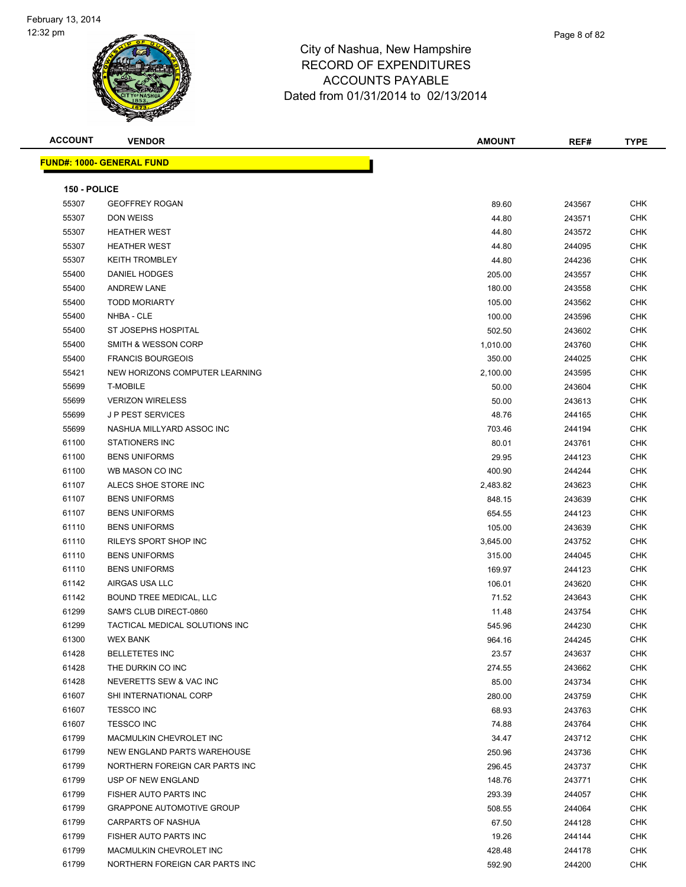

**ACCOUNT VENDOR AMOUNT REF# TYPE**

Page 8 of 82

| 150 - POLICE |                                |          |        |            |
|--------------|--------------------------------|----------|--------|------------|
| 55307        | <b>GEOFFREY ROGAN</b>          | 89.60    | 243567 | <b>CHK</b> |
| 55307        | <b>DON WEISS</b>               | 44.80    | 243571 | <b>CHK</b> |
| 55307        | <b>HEATHER WEST</b>            | 44.80    | 243572 | CHK        |
| 55307        | <b>HEATHER WEST</b>            | 44.80    | 244095 | <b>CHK</b> |
| 55307        | <b>KEITH TROMBLEY</b>          | 44.80    | 244236 | <b>CHK</b> |
| 55400        | <b>DANIEL HODGES</b>           | 205.00   | 243557 | <b>CHK</b> |
| 55400        | <b>ANDREW LANE</b>             | 180.00   | 243558 | <b>CHK</b> |
| 55400        | <b>TODD MORIARTY</b>           | 105.00   | 243562 | <b>CHK</b> |
| 55400        | NHBA - CLE                     | 100.00   | 243596 | <b>CHK</b> |
| 55400        | ST JOSEPHS HOSPITAL            | 502.50   | 243602 | <b>CHK</b> |
| 55400        | <b>SMITH &amp; WESSON CORP</b> | 1,010.00 | 243760 | <b>CHK</b> |
| 55400        | <b>FRANCIS BOURGEOIS</b>       | 350.00   | 244025 | <b>CHK</b> |
| 55421        | NEW HORIZONS COMPUTER LEARNING | 2,100.00 | 243595 | <b>CHK</b> |
| 55699        | <b>T-MOBILE</b>                | 50.00    | 243604 | CHK        |
| 55699        | <b>VERIZON WIRELESS</b>        | 50.00    | 243613 | <b>CHK</b> |
| 55699        | <b>JP PEST SERVICES</b>        | 48.76    | 244165 | <b>CHK</b> |
| 55699        | NASHUA MILLYARD ASSOC INC      | 703.46   | 244194 | <b>CHK</b> |
| 61100        | <b>STATIONERS INC</b>          | 80.01    | 243761 | <b>CHK</b> |
| 61100        | <b>BENS UNIFORMS</b>           | 29.95    | 244123 | <b>CHK</b> |
| 61100        | WB MASON CO INC                | 400.90   | 244244 | <b>CHK</b> |
| 61107        | ALECS SHOE STORE INC           | 2,483.82 | 243623 | <b>CHK</b> |
| 61107        | <b>BENS UNIFORMS</b>           | 848.15   | 243639 | <b>CHK</b> |
| 61107        | <b>BENS UNIFORMS</b>           | 654.55   | 244123 | <b>CHK</b> |
| 61110        | <b>BENS UNIFORMS</b>           | 105.00   | 243639 | <b>CHK</b> |
| 61110        | RILEYS SPORT SHOP INC          | 3,645.00 | 243752 | <b>CHK</b> |
| 61110        | <b>BENS UNIFORMS</b>           | 315.00   | 244045 | <b>CHK</b> |
| 61110        | <b>BENS UNIFORMS</b>           | 169.97   | 244123 | <b>CHK</b> |
| 61142        | AIRGAS USA LLC                 | 106.01   | 243620 | <b>CHK</b> |
| 61142        | BOUND TREE MEDICAL, LLC        | 71.52    | 243643 | <b>CHK</b> |
| 61299        | SAM'S CLUB DIRECT-0860         | 11.48    | 243754 | <b>CHK</b> |
| 61299        | TACTICAL MEDICAL SOLUTIONS INC | 545.96   | 244230 | <b>CHK</b> |
| 61300        | <b>WEX BANK</b>                | 964.16   | 244245 | <b>CHK</b> |
| 61428        | <b>BELLETETES INC</b>          | 23.57    | 243637 | <b>CHK</b> |
| 61428        | THE DURKIN CO INC              | 274.55   | 243662 | <b>CHK</b> |
| 61428        | NEVERETTS SEW & VAC INC        | 85.00    | 243734 | <b>CHK</b> |
| 61607        | SHI INTERNATIONAL CORP         | 280.00   | 243759 | <b>CHK</b> |
| 61607        | <b>TESSCO INC</b>              | 68.93    | 243763 | <b>CHK</b> |
| 61607        | <b>TESSCO INC</b>              | 74.88    | 243764 | <b>CHK</b> |
| 61799        | MACMULKIN CHEVROLET INC        | 34.47    | 243712 | <b>CHK</b> |

 CARPARTS OF NASHUA 67.50 244128 CHK FISHER AUTO PARTS INC 19.26 244144 CHK MACMULKIN CHEVROLET INC 428.48 244178 CHK NORTHERN FOREIGN CAR PARTS INC 592.90 244200 CHK

 NEW ENGLAND PARTS WAREHOUSE 250.96 243736 CHK NORTHERN FOREIGN CAR PARTS INC 296.45 243737 CHK USP OF NEW ENGLAND 148.76 243771 CHK FISHER AUTO PARTS INC 293.39 244057 CHK GRAPPONE AUTOMOTIVE GROUP 508.55 244064 CHK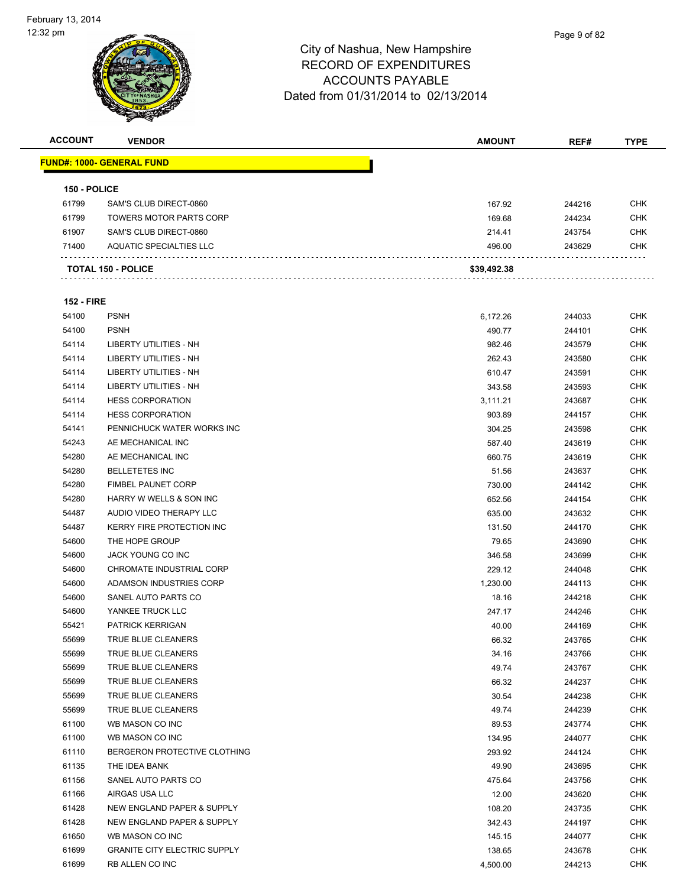| <b>ACCOUNT</b>    | <b>VENDOR</b>                       | <b>AMOUNT</b>  | REF#   | <b>TYPE</b>       |
|-------------------|-------------------------------------|----------------|--------|-------------------|
|                   | <u> FUND#: 1000- GENERAL FUND</u>   |                |        |                   |
|                   |                                     |                |        |                   |
| 150 - POLICE      |                                     |                |        |                   |
| 61799             | SAM'S CLUB DIRECT-0860              | 167.92         | 244216 | <b>CHK</b>        |
| 61799             | <b>TOWERS MOTOR PARTS CORP</b>      | 169.68         | 244234 | <b>CHK</b>        |
| 61907             | SAM'S CLUB DIRECT-0860              | 214.41         | 243754 | <b>CHK</b>        |
| 71400             | <b>AQUATIC SPECIALTIES LLC</b>      | 496.00         | 243629 | <b>CHK</b>        |
|                   | <b>TOTAL 150 - POLICE</b>           | \$39,492.38    |        |                   |
| <b>152 - FIRE</b> |                                     |                |        |                   |
| 54100             | <b>PSNH</b>                         | 6,172.26       | 244033 | CHK               |
| 54100             | <b>PSNH</b>                         | 490.77         | 244101 | <b>CHK</b>        |
| 54114             | LIBERTY UTILITIES - NH              | 982.46         | 243579 | <b>CHK</b>        |
| 54114             | LIBERTY UTILITIES - NH              | 262.43         | 243580 | <b>CHK</b>        |
| 54114             | LIBERTY UTILITIES - NH              | 610.47         | 243591 | <b>CHK</b>        |
| 54114             | LIBERTY UTILITIES - NH              | 343.58         | 243593 | <b>CHK</b>        |
| 54114             | <b>HESS CORPORATION</b>             | 3,111.21       | 243687 | <b>CHK</b>        |
| 54114             | <b>HESS CORPORATION</b>             | 903.89         | 244157 | <b>CHK</b>        |
| 54141             | PENNICHUCK WATER WORKS INC          | 304.25         | 243598 | CHK               |
| 54243             | AE MECHANICAL INC                   | 587.40         | 243619 | <b>CHK</b>        |
| 54280             | AE MECHANICAL INC                   | 660.75         | 243619 | <b>CHK</b>        |
| 54280             | <b>BELLETETES INC</b>               | 51.56          | 243637 | CHK               |
| 54280             | <b>FIMBEL PAUNET CORP</b>           | 730.00         | 244142 | <b>CHK</b>        |
| 54280             | HARRY W WELLS & SON INC             | 652.56         | 244154 | <b>CHK</b>        |
| 54487             | AUDIO VIDEO THERAPY LLC             | 635.00         | 243632 | <b>CHK</b>        |
| 54487             | KERRY FIRE PROTECTION INC           | 131.50         | 244170 | <b>CHK</b>        |
| 54600             | THE HOPE GROUP                      | 79.65          | 243690 | <b>CHK</b>        |
| 54600             | JACK YOUNG CO INC                   | 346.58         | 243699 | <b>CHK</b>        |
| 54600             | CHROMATE INDUSTRIAL CORP            | 229.12         | 244048 | <b>CHK</b>        |
| 54600             | ADAMSON INDUSTRIES CORP             | 1,230.00       | 244113 | <b>CHK</b>        |
| 54600             | SANEL AUTO PARTS CO                 | 18.16          | 244218 | <b>CHK</b>        |
| 54600             | YANKEE TRUCK LLC                    | 247.17         | 244246 | CHK               |
| 55421             | <b>PATRICK KERRIGAN</b>             |                |        | <b>CHK</b>        |
| 55699             | TRUE BLUE CLEANERS                  | 40.00          | 244169 | <b>CHK</b>        |
| 55699             | TRUE BLUE CLEANERS                  | 66.32<br>34.16 | 243765 | <b>CHK</b>        |
|                   |                                     |                | 243766 |                   |
| 55699             | TRUE BLUE CLEANERS                  | 49.74          | 243767 | CHK<br><b>CHK</b> |
| 55699             | TRUE BLUE CLEANERS                  | 66.32          | 244237 |                   |
| 55699             | TRUE BLUE CLEANERS                  | 30.54          | 244238 | <b>CHK</b>        |
| 55699             | TRUE BLUE CLEANERS                  | 49.74          | 244239 | CHK               |
| 61100             | WB MASON CO INC                     | 89.53          | 243774 | <b>CHK</b>        |
| 61100             | WB MASON CO INC                     | 134.95         | 244077 | <b>CHK</b>        |
| 61110             | BERGERON PROTECTIVE CLOTHING        | 293.92         | 244124 | <b>CHK</b>        |
| 61135             | THE IDEA BANK                       | 49.90          | 243695 | <b>CHK</b>        |
| 61156             | SANEL AUTO PARTS CO                 | 475.64         | 243756 | CHK               |
| 61166             | AIRGAS USA LLC                      | 12.00          | 243620 | CHK               |
| 61428             | NEW ENGLAND PAPER & SUPPLY          | 108.20         | 243735 | CHK               |
| 61428             | NEW ENGLAND PAPER & SUPPLY          | 342.43         | 244197 | CHK               |
| 61650             | WB MASON CO INC                     | 145.15         | 244077 | <b>CHK</b>        |
| 61699             | <b>GRANITE CITY ELECTRIC SUPPLY</b> | 138.65         | 243678 | <b>CHK</b>        |
| 61699             | RB ALLEN CO INC                     | 4,500.00       | 244213 | <b>CHK</b>        |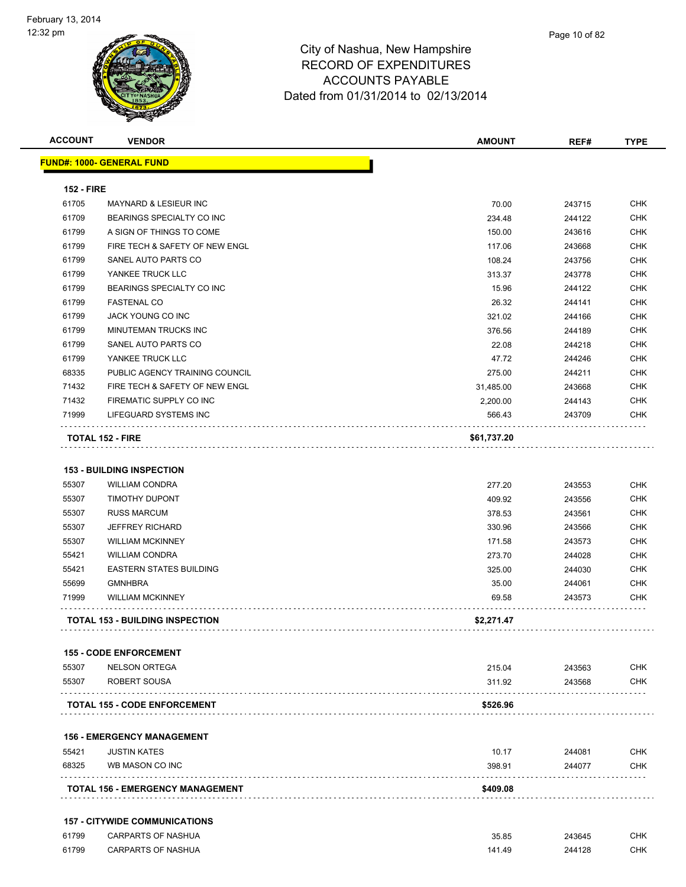| <b>ACCOUNT</b>                                                       | <b>VENDOR</b>                                                                                                                                                                                            | <b>AMOUNT</b>                                                              | REF#                                                                         | <b>TYPE</b>                                                                      |
|----------------------------------------------------------------------|----------------------------------------------------------------------------------------------------------------------------------------------------------------------------------------------------------|----------------------------------------------------------------------------|------------------------------------------------------------------------------|----------------------------------------------------------------------------------|
|                                                                      | <mark>FUND#: 1000- GENERAL FUND</mark>                                                                                                                                                                   |                                                                            |                                                                              |                                                                                  |
| <b>152 - FIRE</b>                                                    |                                                                                                                                                                                                          |                                                                            |                                                                              |                                                                                  |
| 61705                                                                | MAYNARD & LESIEUR INC                                                                                                                                                                                    | 70.00                                                                      | 243715                                                                       | CHK                                                                              |
| 61709                                                                | BEARINGS SPECIALTY CO INC                                                                                                                                                                                | 234.48                                                                     | 244122                                                                       | <b>CHK</b>                                                                       |
| 61799                                                                | A SIGN OF THINGS TO COME                                                                                                                                                                                 | 150.00                                                                     | 243616                                                                       | <b>CHK</b>                                                                       |
| 61799                                                                | FIRE TECH & SAFETY OF NEW ENGL                                                                                                                                                                           | 117.06                                                                     | 243668                                                                       | CHK                                                                              |
| 61799                                                                | SANEL AUTO PARTS CO                                                                                                                                                                                      | 108.24                                                                     | 243756                                                                       | <b>CHK</b>                                                                       |
| 61799                                                                | YANKEE TRUCK LLC                                                                                                                                                                                         | 313.37                                                                     | 243778                                                                       | CHK                                                                              |
| 61799                                                                | BEARINGS SPECIALTY CO INC                                                                                                                                                                                | 15.96                                                                      | 244122                                                                       | <b>CHK</b>                                                                       |
| 61799                                                                | <b>FASTENAL CO</b>                                                                                                                                                                                       | 26.32                                                                      | 244141                                                                       | <b>CHK</b>                                                                       |
| 61799                                                                | JACK YOUNG CO INC                                                                                                                                                                                        | 321.02                                                                     | 244166                                                                       | CHK                                                                              |
| 61799                                                                | MINUTEMAN TRUCKS INC                                                                                                                                                                                     | 376.56                                                                     | 244189                                                                       | <b>CHK</b>                                                                       |
| 61799                                                                | SANEL AUTO PARTS CO                                                                                                                                                                                      | 22.08                                                                      | 244218                                                                       | <b>CHK</b>                                                                       |
| 61799                                                                | YANKEE TRUCK LLC                                                                                                                                                                                         | 47.72                                                                      | 244246                                                                       | CHK                                                                              |
| 68335                                                                | PUBLIC AGENCY TRAINING COUNCIL                                                                                                                                                                           | 275.00                                                                     | 244211                                                                       | CHK                                                                              |
| 71432                                                                | FIRE TECH & SAFETY OF NEW ENGL                                                                                                                                                                           | 31,485.00                                                                  | 243668                                                                       | CHK                                                                              |
| 71432                                                                | FIREMATIC SUPPLY CO INC                                                                                                                                                                                  | 2,200.00                                                                   | 244143                                                                       | CHK                                                                              |
| 71999                                                                | LIFEGUARD SYSTEMS INC                                                                                                                                                                                    | 566.43                                                                     | 243709                                                                       | <b>CHK</b>                                                                       |
|                                                                      | <b>TOTAL 152 - FIRE</b>                                                                                                                                                                                  | \$61,737.20                                                                |                                                                              |                                                                                  |
| 55307<br>55307<br>55307<br>55307<br>55421<br>55421<br>55699<br>71999 | <b>TIMOTHY DUPONT</b><br><b>RUSS MARCUM</b><br><b>JEFFREY RICHARD</b><br><b>WILLIAM MCKINNEY</b><br><b>WILLIAM CONDRA</b><br><b>EASTERN STATES BUILDING</b><br><b>GMNHBRA</b><br><b>WILLIAM MCKINNEY</b> | 409.92<br>378.53<br>330.96<br>171.58<br>273.70<br>325.00<br>35.00<br>69.58 | 243556<br>243561<br>243566<br>243573<br>244028<br>244030<br>244061<br>243573 | <b>CHK</b><br>CHK<br><b>CHK</b><br><b>CHK</b><br>CHK<br><b>CHK</b><br>CHK<br>CHK |
|                                                                      | <b>TOTAL 153 - BUILDING INSPECTION</b>                                                                                                                                                                   | \$2,271.47                                                                 |                                                                              |                                                                                  |
|                                                                      | <b>155 - CODE ENFORCEMENT</b>                                                                                                                                                                            |                                                                            |                                                                              |                                                                                  |
| 55307                                                                | <b>NELSON ORTEGA</b>                                                                                                                                                                                     | 215.04                                                                     | 243563                                                                       | <b>CHK</b>                                                                       |
| 55307                                                                | ROBERT SOUSA                                                                                                                                                                                             | 311.92                                                                     | 243568                                                                       | CHK                                                                              |
|                                                                      | <b>TOTAL 155 - CODE ENFORCEMENT</b>                                                                                                                                                                      | \$526.96                                                                   |                                                                              |                                                                                  |
|                                                                      | <b>156 - EMERGENCY MANAGEMENT</b>                                                                                                                                                                        |                                                                            |                                                                              |                                                                                  |
| 55421                                                                | <b>JUSTIN KATES</b>                                                                                                                                                                                      | 10.17                                                                      | 244081                                                                       | <b>CHK</b>                                                                       |
| 68325                                                                | WB MASON CO INC                                                                                                                                                                                          | 398.91                                                                     | 244077                                                                       | <b>CHK</b>                                                                       |
|                                                                      | TOTAL 156 - EMERGENCY MANAGEMENT                                                                                                                                                                         | \$409.08                                                                   |                                                                              |                                                                                  |
|                                                                      | <b>157 - CITYWIDE COMMUNICATIONS</b>                                                                                                                                                                     |                                                                            |                                                                              |                                                                                  |

 CARPARTS OF NASHUA 35.85 243645 CHK er 61799 CARPARTS OF NASHUA 141.49 244128 CHK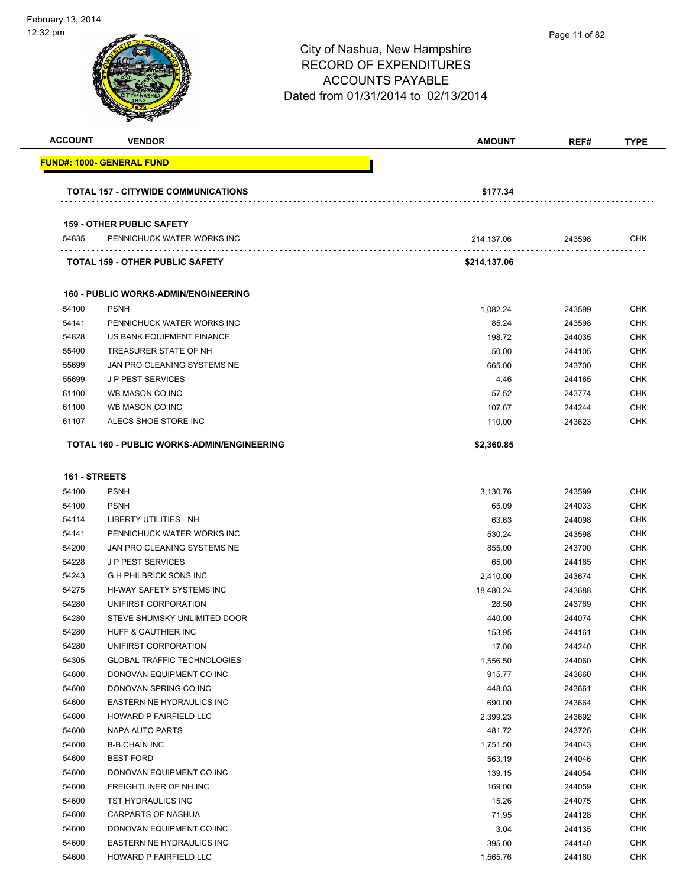| <b>ACCOUNT</b> | <b>VENDOR</b>                               | <b>AMOUNT</b> | REF#   | <b>TYPE</b> |
|----------------|---------------------------------------------|---------------|--------|-------------|
|                | <u> FUND#: 1000- GENERAL FUND</u>           |               |        |             |
|                | TOTAL 157 - CITYWIDE COMMUNICATIONS         | \$177.34      |        |             |
|                | <b>159 - OTHER PUBLIC SAFETY</b>            |               |        |             |
| 54835          | PENNICHUCK WATER WORKS INC                  | 214,137.06    | 243598 | CHK         |
|                |                                             |               |        |             |
|                | <b>TOTAL 159 - OTHER PUBLIC SAFETY</b>      | \$214,137.06  |        |             |
|                | <b>160 - PUBLIC WORKS-ADMIN/ENGINEERING</b> |               |        |             |
| 54100          | <b>PSNH</b>                                 | 1,082.24      | 243599 | <b>CHK</b>  |
| 54141          | PENNICHUCK WATER WORKS INC                  | 85.24         | 243598 | <b>CHK</b>  |
| 54828          | US BANK EQUIPMENT FINANCE                   | 198.72        | 244035 | <b>CHK</b>  |
| 55400          | TREASURER STATE OF NH                       | 50.00         | 244105 | <b>CHK</b>  |
| 55699          | JAN PRO CLEANING SYSTEMS NE                 | 665.00        | 243700 | <b>CHK</b>  |
| 55699          | <b>JP PEST SERVICES</b>                     | 4.46          | 244165 | <b>CHK</b>  |
| 61100          | WB MASON CO INC                             | 57.52         | 243774 | <b>CHK</b>  |
| 61100          | WB MASON CO INC                             | 107.67        | 244244 | <b>CHK</b>  |
| 61107          | ALECS SHOE STORE INC                        | 110.00        | 243623 | <b>CHK</b>  |
|                | TOTAL 160 - PUBLIC WORKS-ADMIN/ENGINEERING  | \$2,360.85    |        |             |
|                |                                             |               |        |             |
| 161 - STREETS  |                                             |               |        |             |
| 54100          | <b>PSNH</b>                                 | 3,130.76      | 243599 | <b>CHK</b>  |
| 54100          | <b>PSNH</b>                                 | 65.09         | 244033 | <b>CHK</b>  |
| 54114          | LIBERTY UTILITIES - NH                      | 63.63         | 244098 | <b>CHK</b>  |
| 54141          | PENNICHUCK WATER WORKS INC                  | 530.24        | 243598 | <b>CHK</b>  |
| 54200          | JAN PRO CLEANING SYSTEMS NE                 | 855.00        | 243700 | <b>CHK</b>  |
| 54228          | <b>JP PEST SERVICES</b>                     | 65.00         | 244165 | <b>CHK</b>  |
| 54243          | <b>GH PHILBRICK SONS INC</b>                | 2,410.00      | 243674 | <b>CHK</b>  |
| 54275          | HI-WAY SAFETY SYSTEMS INC                   | 18,480.24     | 243688 | <b>CHK</b>  |
| 54280          | UNIFIRST CORPORATION                        | 28.50         | 243769 | <b>CHK</b>  |
| 54280          | STEVE SHUMSKY UNLIMITED DOOR                | 440.00        | 244074 | <b>CHK</b>  |
| 54280          | HUFF & GAUTHIER INC                         | 153.95        | 244161 | <b>CHK</b>  |
| 54280          | UNIFIRST CORPORATION                        | 17.00         | 244240 | <b>CHK</b>  |
| 54305          | <b>GLOBAL TRAFFIC TECHNOLOGIES</b>          | 1,556.50      | 244060 | <b>CHK</b>  |
| 54600          | DONOVAN EQUIPMENT CO INC                    | 915.77        | 243660 | <b>CHK</b>  |
| 54600          | DONOVAN SPRING CO INC                       | 448.03        | 243661 | <b>CHK</b>  |
| 54600          | EASTERN NE HYDRAULICS INC                   | 690.00        | 243664 | <b>CHK</b>  |
| 54600          | HOWARD P FAIRFIELD LLC                      | 2,399.23      | 243692 | <b>CHK</b>  |
| 54600          | <b>NAPA AUTO PARTS</b>                      | 481.72        | 243726 | <b>CHK</b>  |
| 54600          | <b>B-B CHAIN INC</b>                        | 1,751.50      | 244043 | <b>CHK</b>  |
| 54600          | <b>BEST FORD</b>                            | 563.19        | 244046 | <b>CHK</b>  |
| 54600          | DONOVAN EQUIPMENT CO INC                    | 139.15        | 244054 | CHK         |
| 54600          | FREIGHTLINER OF NH INC                      | 169.00        | 244059 | <b>CHK</b>  |
| 54600          | TST HYDRAULICS INC                          | 15.26         | 244075 | <b>CHK</b>  |
| 54600          | <b>CARPARTS OF NASHUA</b>                   | 71.95         | 244128 | <b>CHK</b>  |
| 54600          | DONOVAN EQUIPMENT CO INC                    | 3.04          | 244135 | <b>CHK</b>  |
| 54600          | EASTERN NE HYDRAULICS INC                   | 395.00        | 244140 | <b>CHK</b>  |
| 54600          | HOWARD P FAIRFIELD LLC                      | 1,565.76      | 244160 | <b>CHK</b>  |
|                |                                             |               |        |             |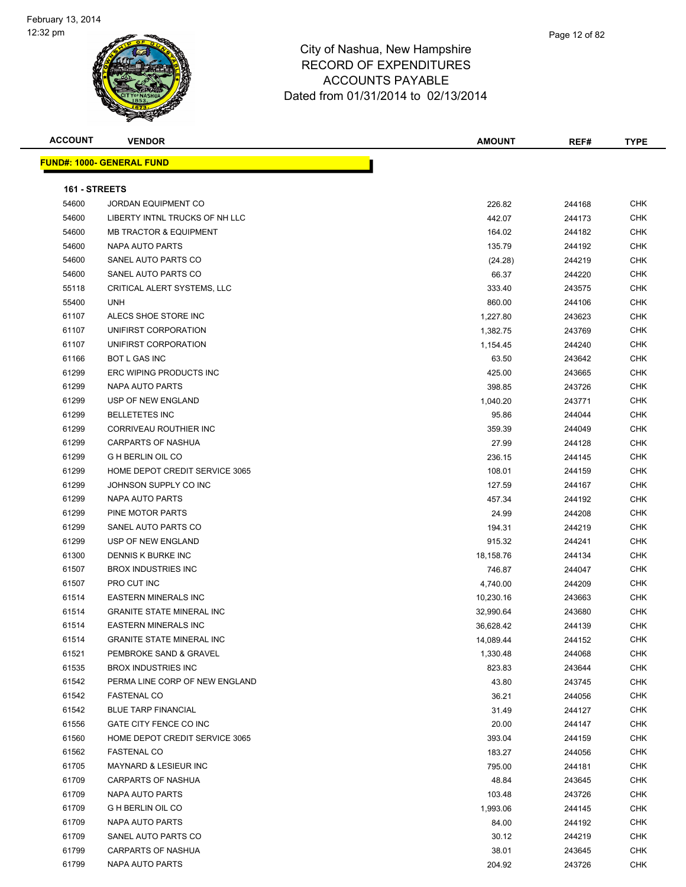| <b>ACCOUNT</b> | <b>VENDOR</b>                     | <b>AMOUNT</b> | REF#   | <b>TYPE</b> |
|----------------|-----------------------------------|---------------|--------|-------------|
|                | <b>FUND#: 1000- GENERAL FUND</b>  |               |        |             |
| 161 - STREETS  |                                   |               |        |             |
| 54600          | JORDAN EQUIPMENT CO               | 226.82        | 244168 | <b>CHK</b>  |
| 54600          | LIBERTY INTNL TRUCKS OF NH LLC    | 442.07        | 244173 | <b>CHK</b>  |
| 54600          | <b>MB TRACTOR &amp; EQUIPMENT</b> | 164.02        | 244182 | <b>CHK</b>  |
| 54600          | NAPA AUTO PARTS                   | 135.79        | 244192 | <b>CHK</b>  |
| 54600          | SANEL AUTO PARTS CO               | (24.28)       | 244219 | <b>CHK</b>  |
| 54600          | SANEL AUTO PARTS CO               | 66.37         | 244220 | <b>CHK</b>  |
| 55118          | CRITICAL ALERT SYSTEMS, LLC       | 333.40        | 243575 | <b>CHK</b>  |
| 55400          | <b>UNH</b>                        | 860.00        | 244106 | <b>CHK</b>  |
| 61107          | ALECS SHOE STORE INC              | 1,227.80      | 243623 | <b>CHK</b>  |
| 61107          | UNIFIRST CORPORATION              | 1,382.75      | 243769 | <b>CHK</b>  |
| 61107          | UNIFIRST CORPORATION              | 1,154.45      | 244240 | <b>CHK</b>  |
| 61166          | <b>BOT L GAS INC</b>              | 63.50         | 243642 | <b>CHK</b>  |
| 61299          | ERC WIPING PRODUCTS INC           | 425.00        | 243665 | <b>CHK</b>  |
| 61299          | NAPA AUTO PARTS                   | 398.85        | 243726 | <b>CHK</b>  |
| 61299          | USP OF NEW ENGLAND                | 1,040.20      | 243771 | <b>CHK</b>  |
| 61299          | <b>BELLETETES INC</b>             | 95.86         | 244044 | <b>CHK</b>  |
| 61299          | CORRIVEAU ROUTHIER INC            | 359.39        | 244049 | <b>CHK</b>  |
| 61299          | CARPARTS OF NASHUA                | 27.99         | 244128 | <b>CHK</b>  |
| 61299          | <b>G H BERLIN OIL CO</b>          | 236.15        | 244145 | <b>CHK</b>  |
| 61299          | HOME DEPOT CREDIT SERVICE 3065    | 108.01        | 244159 | <b>CHK</b>  |
| 61299          | JOHNSON SUPPLY CO INC             | 127.59        | 244167 | <b>CHK</b>  |
| 61299          | NAPA AUTO PARTS                   | 457.34        | 244192 | <b>CHK</b>  |
| 61299          | PINE MOTOR PARTS                  | 24.99         | 244208 | <b>CHK</b>  |
| 61299          | SANEL AUTO PARTS CO               | 194.31        | 244219 | <b>CHK</b>  |
| 61299          | USP OF NEW ENGLAND                | 915.32        | 244241 | <b>CHK</b>  |
| 61300          | DENNIS K BURKE INC                | 18,158.76     | 244134 | <b>CHK</b>  |
| 61507          | <b>BROX INDUSTRIES INC</b>        | 746.87        | 244047 | <b>CHK</b>  |
| 61507          | PRO CUT INC                       | 4,740.00      | 244209 | <b>CHK</b>  |
| 61514          | <b>EASTERN MINERALS INC</b>       | 10,230.16     | 243663 | <b>CHK</b>  |
| 61514          | <b>GRANITE STATE MINERAL INC</b>  | 32,990.64     | 243680 | <b>CHK</b>  |
| 61514          | <b>EASTERN MINERALS INC</b>       | 36,628.42     | 244139 | <b>CHK</b>  |
| 61514          | <b>GRANITE STATE MINERAL INC</b>  | 14,089.44     | 244152 | <b>CHK</b>  |
| 61521          | PEMBROKE SAND & GRAVEL            | 1,330.48      | 244068 | <b>CHK</b>  |
| 61535          | <b>BROX INDUSTRIES INC</b>        | 823.83        | 243644 | <b>CHK</b>  |
| 61542          | PERMA LINE CORP OF NEW ENGLAND    | 43.80         | 243745 | <b>CHK</b>  |
| 61542          | <b>FASTENAL CO</b>                | 36.21         | 244056 | <b>CHK</b>  |
| 61542          | <b>BLUE TARP FINANCIAL</b>        | 31.49         | 244127 | <b>CHK</b>  |
| 61556          | GATE CITY FENCE CO INC            | 20.00         | 244147 | <b>CHK</b>  |
| 61560          | HOME DEPOT CREDIT SERVICE 3065    | 393.04        | 244159 | <b>CHK</b>  |
| 61562          | <b>FASTENAL CO</b>                | 183.27        | 244056 | <b>CHK</b>  |
| 61705          | MAYNARD & LESIEUR INC             | 795.00        | 244181 | <b>CHK</b>  |
| 61709          | CARPARTS OF NASHUA                | 48.84         | 243645 | <b>CHK</b>  |
| 61709          | NAPA AUTO PARTS                   | 103.48        | 243726 | <b>CHK</b>  |
| 61709          | G H BERLIN OIL CO                 | 1,993.06      | 244145 | <b>CHK</b>  |
| 61709          | NAPA AUTO PARTS                   | 84.00         | 244192 | <b>CHK</b>  |
| 61709          | SANEL AUTO PARTS CO               | 30.12         | 244219 | <b>CHK</b>  |
| 61799          | <b>CARPARTS OF NASHUA</b>         | 38.01         | 243645 | <b>CHK</b>  |
| 61799          | NAPA AUTO PARTS                   | 204.92        | 243726 | <b>CHK</b>  |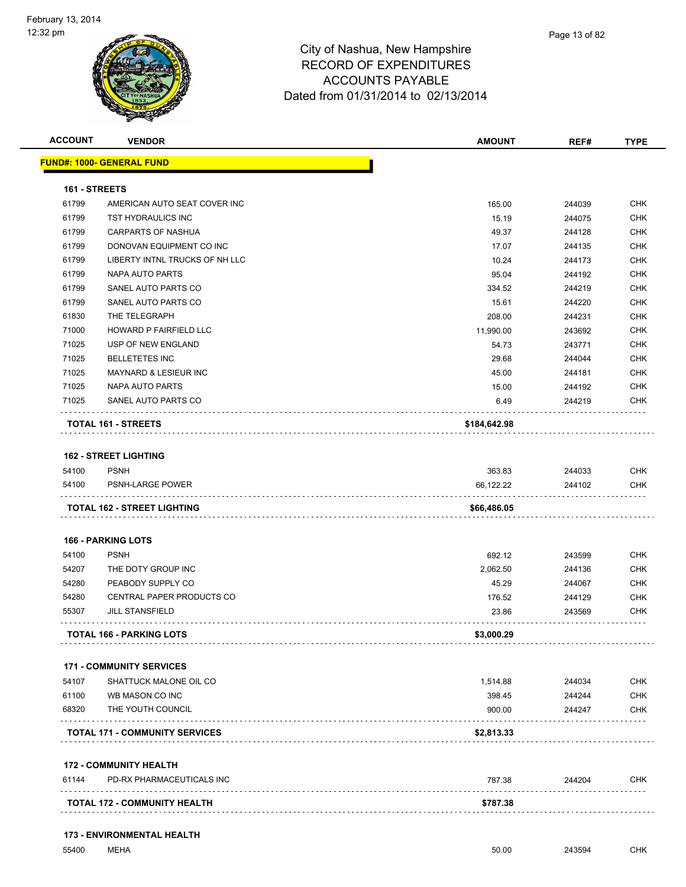

| <b>ACCOUNT</b> | <b>VENDOR</b>                         | <b>AMOUNT</b>    | REF#             | <b>TYPE</b>                                                 |
|----------------|---------------------------------------|------------------|------------------|-------------------------------------------------------------|
|                | <b>FUND#: 1000- GENERAL FUND</b>      |                  |                  |                                                             |
| 161 - STREETS  |                                       |                  |                  |                                                             |
| 61799          | AMERICAN AUTO SEAT COVER INC          | 165.00           | 244039           | <b>CHK</b>                                                  |
| 61799          | TST HYDRAULICS INC                    | 15.19            | 244075           | <b>CHK</b>                                                  |
| 61799          | CARPARTS OF NASHUA                    | 49.37            | 244128           | CHK                                                         |
| 61799          | DONOVAN EQUIPMENT CO INC              | 17.07            | 244135           | <b>CHK</b>                                                  |
| 61799          | LIBERTY INTNL TRUCKS OF NH LLC        | 10.24            | 244173           | <b>CHK</b>                                                  |
| 61799          | NAPA AUTO PARTS                       | 95.04            | 244192           | <b>CHK</b>                                                  |
| 61799          | SANEL AUTO PARTS CO                   | 334.52           | 244219           | <b>CHK</b>                                                  |
| 61799          | SANEL AUTO PARTS CO                   | 15.61            | 244220           | CHK                                                         |
| 61830          | THE TELEGRAPH                         | 208.00           | 244231           | <b>CHK</b>                                                  |
| 71000          | HOWARD P FAIRFIELD LLC                | 11,990.00        | 243692           | <b>CHK</b>                                                  |
| 71025          | USP OF NEW ENGLAND                    | 54.73            | 243771           | <b>CHK</b>                                                  |
| 71025          | <b>BELLETETES INC</b>                 | 29.68            | 244044           | <b>CHK</b>                                                  |
| 71025          | <b>MAYNARD &amp; LESIEUR INC</b>      | 45.00            | 244181           | <b>CHK</b>                                                  |
| 71025          | NAPA AUTO PARTS                       | 15.00            | 244192           | CHK                                                         |
| 71025          | SANEL AUTO PARTS CO                   | 6.49             | 244219           | <b>CHK</b>                                                  |
|                | TOTAL 161 - STREETS                   | \$184,642.98     |                  |                                                             |
|                | <b>162 - STREET LIGHTING</b>          |                  |                  |                                                             |
| 54100          | <b>PSNH</b>                           | 363.83           | 244033           | <b>CHK</b>                                                  |
| 54100          | <b>PSNH-LARGE POWER</b>               | 66,122.22        | 244102           | <b>CHK</b>                                                  |
|                | TOTAL 162 - STREET LIGHTING           | \$66,486.05      |                  |                                                             |
|                | <b>166 - PARKING LOTS</b>             |                  |                  |                                                             |
| 54100          | <b>PSNH</b>                           | 692.12           | 243599           | <b>CHK</b>                                                  |
| 54207          | THE DOTY GROUP INC                    | 2,062.50         | 244136           | <b>CHK</b>                                                  |
| 54280          | PEABODY SUPPLY CO                     | 45.29            | 244067           | CHK                                                         |
| 54280          | CENTRAL PAPER PRODUCTS CO             | 176.52           | 244129           | <b>CHK</b>                                                  |
|                |                                       |                  |                  |                                                             |
| 55307          | <b>JILL STANSFIELD</b>                | 23.86            | 243569           |                                                             |
|                | <b>TOTAL 166 - PARKING LOTS</b>       | \$3,000.29       |                  |                                                             |
|                |                                       |                  |                  |                                                             |
|                | <b>171 - COMMUNITY SERVICES</b>       |                  |                  |                                                             |
| 54107          | SHATTUCK MALONE OIL CO                | 1,514.88         | 244034           |                                                             |
| 61100<br>68320 | WB MASON CO INC<br>THE YOUTH COUNCIL  | 398.45<br>900.00 | 244244<br>244247 |                                                             |
|                | <b>TOTAL 171 - COMMUNITY SERVICES</b> | \$2,813.33       |                  |                                                             |
|                |                                       |                  |                  |                                                             |
|                | <b>172 - COMMUNITY HEALTH</b>         |                  |                  |                                                             |
| 61144          | PD-RX PHARMACEUTICALS INC             | 787.38           | 244204           | CHK<br><b>CHK</b><br><b>CHK</b><br><b>CHK</b><br><b>CHK</b> |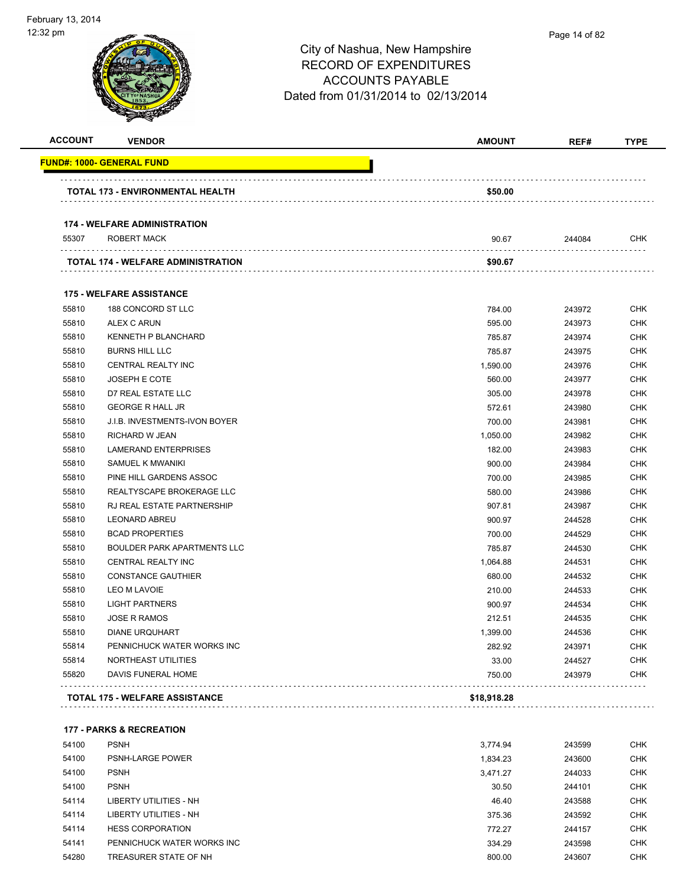| <b>ACCOUNT</b> | <b>VENDOR</b>                       | <b>AMOUNT</b> | REF#   | <b>TYPE</b> |
|----------------|-------------------------------------|---------------|--------|-------------|
|                | <u> FUND#: 1000- GENERAL FUND</u>   |               |        |             |
|                | TOTAL 173 - ENVIRONMENTAL HEALTH    | \$50.00       |        |             |
|                | <b>174 - WELFARE ADMINISTRATION</b> |               |        |             |
| 55307          | ROBERT MACK                         | 90.67         | 244084 | <b>CHK</b>  |
|                | TOTAL 174 - WELFARE ADMINISTRATION  | \$90.67       |        |             |
|                | <b>175 - WELFARE ASSISTANCE</b>     |               |        |             |
| 55810          | 188 CONCORD ST LLC                  | 784.00        | 243972 | <b>CHK</b>  |
| 55810          | ALEX C ARUN                         | 595.00        | 243973 | <b>CHK</b>  |
| 55810          | <b>KENNETH P BLANCHARD</b>          | 785.87        | 243974 | <b>CHK</b>  |
| 55810          | <b>BURNS HILL LLC</b>               | 785.87        | 243975 | <b>CHK</b>  |
| 55810          | <b>CENTRAL REALTY INC</b>           | 1,590.00      | 243976 | <b>CHK</b>  |
| 55810          | <b>JOSEPH E COTE</b>                | 560.00        | 243977 | <b>CHK</b>  |
| 55810          | D7 REAL ESTATE LLC                  | 305.00        | 243978 | <b>CHK</b>  |
| 55810          | <b>GEORGE R HALL JR</b>             | 572.61        | 243980 | <b>CHK</b>  |
| 55810          | J.I.B. INVESTMENTS-IVON BOYER       | 700.00        | 243981 | <b>CHK</b>  |
| 55810          | <b>RICHARD W JEAN</b>               | 1,050.00      | 243982 | <b>CHK</b>  |
| 55810          | <b>LAMERAND ENTERPRISES</b>         | 182.00        | 243983 | <b>CHK</b>  |
| 55810          | SAMUEL K MWANIKI                    | 900.00        | 243984 | <b>CHK</b>  |
| 55810          | PINE HILL GARDENS ASSOC             | 700.00        | 243985 | <b>CHK</b>  |
| 55810          | REALTYSCAPE BROKERAGE LLC           | 580.00        | 243986 | <b>CHK</b>  |
| 55810          | RJ REAL ESTATE PARTNERSHIP          | 907.81        | 243987 | <b>CHK</b>  |
| 55810          | <b>LEONARD ABREU</b>                | 900.97        | 244528 | <b>CHK</b>  |
| 55810          | <b>BCAD PROPERTIES</b>              | 700.00        | 244529 | <b>CHK</b>  |
| 55810          | BOULDER PARK APARTMENTS LLC         | 785.87        | 244530 | <b>CHK</b>  |
| 55810          | CENTRAL REALTY INC                  | 1,064.88      | 244531 | <b>CHK</b>  |
| 55810          | <b>CONSTANCE GAUTHIER</b>           | 680.00        | 244532 | <b>CHK</b>  |
| 55810          | LEO M LAVOIE                        | 210.00        | 244533 | <b>CHK</b>  |
| 55810          | <b>LIGHT PARTNERS</b>               | 900.97        | 244534 | <b>CHK</b>  |
| 55810          | <b>JOSE R RAMOS</b>                 | 212.51        | 244535 | <b>CHK</b>  |
| 55810          | <b>DIANE URQUHART</b>               | 1,399.00      | 244536 | <b>CHK</b>  |
| 55814          | PENNICHUCK WATER WORKS INC          | 282.92        | 243971 | <b>CHK</b>  |
| 55814          | NORTHEAST UTILITIES                 | 33.00         | 244527 | <b>CHK</b>  |
| 55820          | DAVIS FUNERAL HOME                  | 750.00        | 243979 | <b>CHK</b>  |

### **177 - PARKS & RECREATION**

| 54100 | <b>PSNH</b>                | 3.774.94 | 243599 | <b>CHK</b> |
|-------|----------------------------|----------|--------|------------|
| 54100 | <b>PSNH-LARGE POWER</b>    | 1.834.23 | 243600 | <b>CHK</b> |
| 54100 | <b>PSNH</b>                | 3.471.27 | 244033 | <b>CHK</b> |
| 54100 | <b>PSNH</b>                | 30.50    | 244101 | <b>CHK</b> |
| 54114 | LIBERTY UTILITIES - NH     | 46.40    | 243588 | <b>CHK</b> |
| 54114 | LIBERTY UTILITIES - NH     | 375.36   | 243592 | <b>CHK</b> |
| 54114 | <b>HESS CORPORATION</b>    | 772.27   | 244157 | <b>CHK</b> |
| 54141 | PENNICHUCK WATER WORKS INC | 334.29   | 243598 | <b>CHK</b> |
| 54280 | TREASURER STATE OF NH      | 800.00   | 243607 | <b>CHK</b> |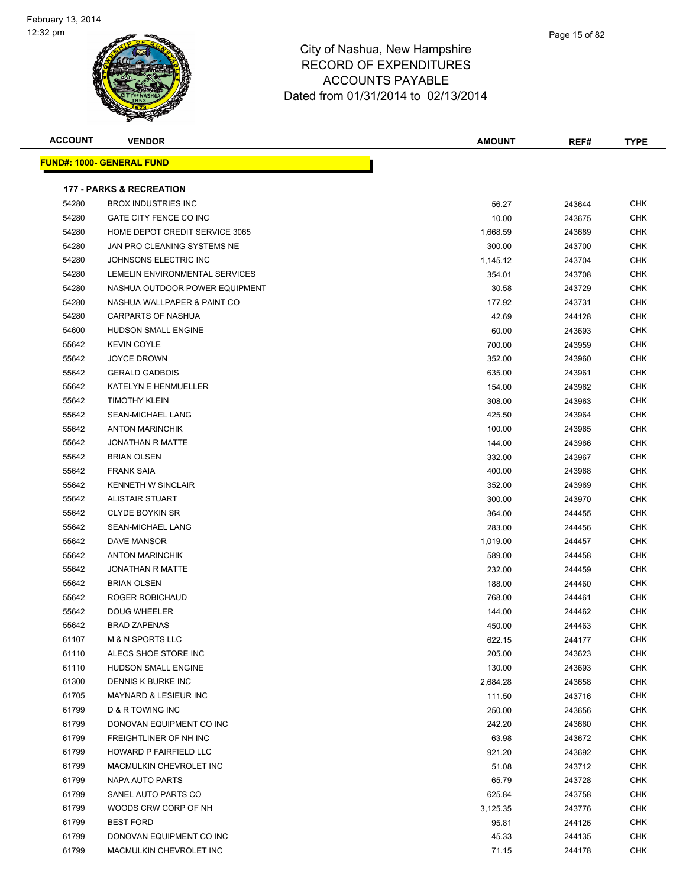

|   | Page 15 of 82 |
|---|---------------|
| e |               |
| S |               |

| <b>ACCOUNT</b> | <b>VENDOR</b>                                           | <b>AMOUNT</b> | REF#   | <b>TYPE</b> |
|----------------|---------------------------------------------------------|---------------|--------|-------------|
|                | <b>FUND#: 1000- GENERAL FUND</b>                        |               |        |             |
|                |                                                         |               |        |             |
|                | <b>177 - PARKS &amp; RECREATION</b>                     |               |        |             |
| 54280          | <b>BROX INDUSTRIES INC</b>                              | 56.27         | 243644 | <b>CHK</b>  |
| 54280          | GATE CITY FENCE CO INC                                  | 10.00         | 243675 | CHK         |
| 54280          | HOME DEPOT CREDIT SERVICE 3065                          | 1,668.59      | 243689 | CHK         |
| 54280          | JAN PRO CLEANING SYSTEMS NE                             | 300.00        | 243700 | CHK         |
| 54280          | JOHNSONS ELECTRIC INC                                   | 1,145.12      | 243704 | <b>CHK</b>  |
| 54280          | LEMELIN ENVIRONMENTAL SERVICES                          | 354.01        | 243708 | <b>CHK</b>  |
| 54280          | NASHUA OUTDOOR POWER EQUIPMENT                          | 30.58         | 243729 | CHK         |
| 54280          | NASHUA WALLPAPER & PAINT CO                             | 177.92        | 243731 | CHK         |
| 54280          | CARPARTS OF NASHUA                                      | 42.69         | 244128 | <b>CHK</b>  |
| 54600          | HUDSON SMALL ENGINE                                     | 60.00         | 243693 | <b>CHK</b>  |
| 55642          | <b>KEVIN COYLE</b>                                      | 700.00        | 243959 | <b>CHK</b>  |
| 55642          | <b>JOYCE DROWN</b>                                      | 352.00        | 243960 | <b>CHK</b>  |
| 55642          | <b>GERALD GADBOIS</b>                                   | 635.00        | 243961 | CHK         |
| 55642          | KATELYN E HENMUELLER                                    | 154.00        | 243962 | CHK         |
| 55642          | <b>TIMOTHY KLEIN</b>                                    | 308.00        | 243963 | CHK         |
| 55642          | SEAN-MICHAEL LANG                                       | 425.50        | 243964 | CHK         |
| 55642          | <b>ANTON MARINCHIK</b>                                  | 100.00        | 243965 | CHK         |
| 55642          | <b>JONATHAN R MATTE</b>                                 | 144.00        | 243966 | CHK         |
| 55642          | <b>BRIAN OLSEN</b>                                      | 332.00        | 243967 | CHK         |
| 55642          | <b>FRANK SAIA</b>                                       | 400.00        | 243968 | <b>CHK</b>  |
| 55642          | <b>KENNETH W SINCLAIR</b>                               | 352.00        | 243969 | CHK         |
| 55642          | <b>ALISTAIR STUART</b>                                  | 300.00        | 243970 | <b>CHK</b>  |
| 55642          | <b>CLYDE BOYKIN SR</b>                                  | 364.00        | 244455 | <b>CHK</b>  |
| 55642          | SEAN-MICHAEL LANG                                       | 283.00        | 244456 | CHK         |
| 55642          | DAVE MANSOR                                             | 1,019.00      | 244457 | <b>CHK</b>  |
| 55642          | <b>ANTON MARINCHIK</b>                                  | 589.00        | 244458 | <b>CHK</b>  |
| 55642          | <b>JONATHAN R MATTE</b>                                 | 232.00        | 244459 | CHK         |
| 55642          | <b>BRIAN OLSEN</b>                                      | 188.00        | 244460 | CHK         |
| 55642          | ROGER ROBICHAUD                                         | 768.00        | 244461 | CHK         |
| 55642          | <b>DOUG WHEELER</b>                                     | 144.00        | 244462 | CHK         |
| 55642          | <b>BRAD ZAPENAS</b>                                     | 450.00        | 244463 | CHK         |
| 61107          | M & N SPORTS LLC                                        | 622.15        | 244177 | <b>CHK</b>  |
| 61110          | ALECS SHOE STORE INC                                    | 205.00        | 243623 | CHK         |
| 61110          | HUDSON SMALL ENGINE                                     | 130.00        | 243693 | CHK         |
| 61300          | DENNIS K BURKE INC                                      | 2,684.28      | 243658 | <b>CHK</b>  |
| 61705          | MAYNARD & LESIEUR INC                                   | 111.50        | 243716 | CHK         |
| 61799          | D & R TOWING INC                                        | 250.00        | 243656 | <b>CHK</b>  |
| 61799          | DONOVAN EQUIPMENT CO INC                                | 242.20        | 243660 | <b>CHK</b>  |
| 61799          | FREIGHTLINER OF NH INC<br><b>HOWARD P FAIRFIELD LLC</b> | 63.98         | 243672 | <b>CHK</b>  |
| 61799          |                                                         | 921.20        | 243692 | <b>CHK</b>  |
| 61799          | MACMULKIN CHEVROLET INC                                 | 51.08         | 243712 | <b>CHK</b>  |
| 61799          | NAPA AUTO PARTS                                         | 65.79         | 243728 | CHK         |
| 61799          | SANEL AUTO PARTS CO                                     | 625.84        | 243758 | CHK         |
| 61799          | WOODS CRW CORP OF NH                                    | 3,125.35      | 243776 | CHK         |
| 61799          | <b>BEST FORD</b>                                        | 95.81         | 244126 | CHK         |
| 61799          | DONOVAN EQUIPMENT CO INC                                | 45.33         | 244135 | <b>CHK</b>  |
| 61799          | MACMULKIN CHEVROLET INC                                 | 71.15         | 244178 | <b>CHK</b>  |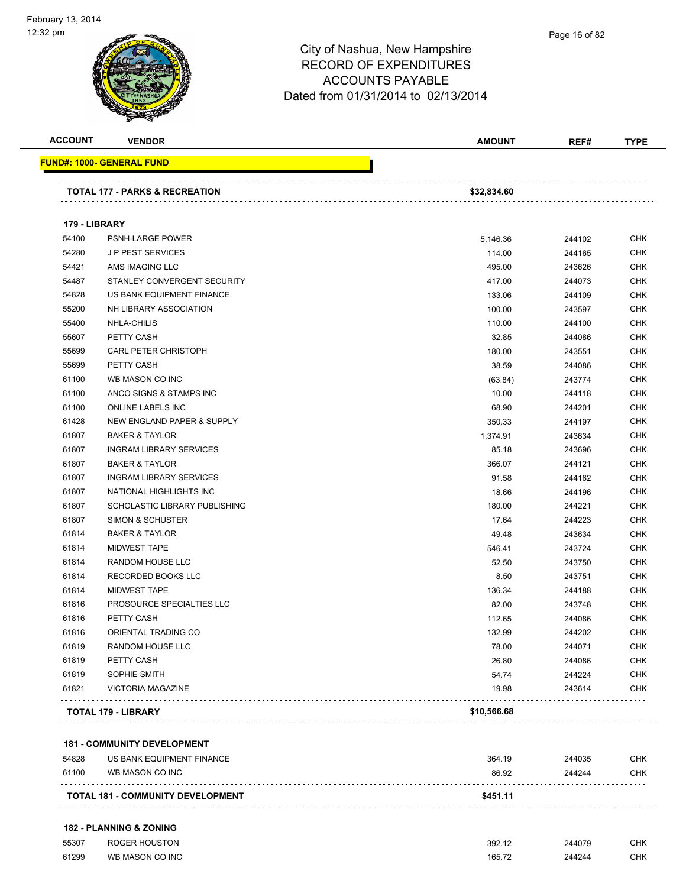| <b>ACCOUNT</b> | <b>VENDOR</b>                             | <b>AMOUNT</b> | REF#   | <b>TYPE</b> |
|----------------|-------------------------------------------|---------------|--------|-------------|
|                | <u> FUND#: 1000- GENERAL FUND</u>         |               |        |             |
|                | <b>TOTAL 177 - PARKS &amp; RECREATION</b> | \$32,834.60   |        |             |
|                |                                           |               |        |             |
| 179 - LIBRARY  |                                           |               |        |             |
| 54100          | PSNH-LARGE POWER                          | 5,146.36      | 244102 | <b>CHK</b>  |
| 54280          | <b>JP PEST SERVICES</b>                   | 114.00        | 244165 | <b>CHK</b>  |
| 54421          | AMS IMAGING LLC                           | 495.00        | 243626 | <b>CHK</b>  |
| 54487          | STANLEY CONVERGENT SECURITY               | 417.00        | 244073 | <b>CHK</b>  |
| 54828          | US BANK EQUIPMENT FINANCE                 | 133.06        | 244109 | <b>CHK</b>  |
| 55200          | NH LIBRARY ASSOCIATION                    | 100.00        | 243597 | <b>CHK</b>  |
| 55400          | NHLA-CHILIS                               | 110.00        | 244100 | <b>CHK</b>  |
| 55607          | PETTY CASH                                | 32.85         | 244086 | <b>CHK</b>  |
| 55699          | CARL PETER CHRISTOPH                      | 180.00        | 243551 | <b>CHK</b>  |
| 55699          | PETTY CASH                                | 38.59         | 244086 | <b>CHK</b>  |
| 61100          | WB MASON CO INC                           | (63.84)       | 243774 | <b>CHK</b>  |
| 61100          | ANCO SIGNS & STAMPS INC                   | 10.00         | 244118 | <b>CHK</b>  |
| 61100          | ONLINE LABELS INC                         | 68.90         | 244201 | <b>CHK</b>  |
| 61428          | NEW ENGLAND PAPER & SUPPLY                | 350.33        | 244197 | <b>CHK</b>  |
| 61807          | <b>BAKER &amp; TAYLOR</b>                 | 1,374.91      | 243634 | <b>CHK</b>  |
| 61807          | <b>INGRAM LIBRARY SERVICES</b>            | 85.18         | 243696 | <b>CHK</b>  |
| 61807          | <b>BAKER &amp; TAYLOR</b>                 | 366.07        | 244121 | <b>CHK</b>  |
| 61807          | <b>INGRAM LIBRARY SERVICES</b>            | 91.58         | 244162 | <b>CHK</b>  |
| 61807          | NATIONAL HIGHLIGHTS INC                   | 18.66         | 244196 | <b>CHK</b>  |
| 61807          | SCHOLASTIC LIBRARY PUBLISHING             | 180.00        | 244221 | <b>CHK</b>  |
| 61807          | SIMON & SCHUSTER                          | 17.64         | 244223 | <b>CHK</b>  |
| 61814          | <b>BAKER &amp; TAYLOR</b>                 | 49.48         | 243634 | <b>CHK</b>  |
| 61814          | <b>MIDWEST TAPE</b>                       | 546.41        | 243724 | <b>CHK</b>  |
| 61814          | RANDOM HOUSE LLC                          | 52.50         | 243750 | <b>CHK</b>  |
| 61814          | RECORDED BOOKS LLC                        | 8.50          | 243751 | <b>CHK</b>  |
| 61814          | <b>MIDWEST TAPE</b>                       | 136.34        | 244188 | <b>CHK</b>  |
| 61816          | PROSOURCE SPECIALTIES LLC                 | 82.00         | 243748 | <b>CHK</b>  |
| 61816          | PETTY CASH                                | 112.65        | 244086 | <b>CHK</b>  |
| 61816          | ORIENTAL TRADING CO                       | 132.99        | 244202 | CHK         |
| 61819          | RANDOM HOUSE LLC                          | 78.00         | 244071 | <b>CHK</b>  |
| 61819          | PETTY CASH                                | 26.80         | 244086 | <b>CHK</b>  |
|                |                                           |               |        |             |
| 61819          | SOPHIE SMITH                              | 54.74         | 244224 | <b>CHK</b>  |
| 61821          | <b>VICTORIA MAGAZINE</b>                  | 19.98         | 243614 | <b>CHK</b>  |

### **181 - COMMUNITY DEVELOPMENT**

| 54828 | US BANK EQUIPMENT FINANCE                | 364 19   | 244035 | CHK        |
|-------|------------------------------------------|----------|--------|------------|
| 61100 | WB MASON CO INC                          | 86.92    | 244244 | <b>CHK</b> |
|       | <b>TOTAL 181 - COMMUNITY DEVELOPMENT</b> | \$451.11 |        |            |

### **182 - PLANNING & ZONING**

| 55307 | ROGER HOUSTON   | 392.12                         | 244079<br>$\sim$ $\sim$ | CHK |
|-------|-----------------|--------------------------------|-------------------------|-----|
| 61299 | WB MASON CO INC | 165.72<br>$\sim$ $\sim$ $\sim$ | 244244                  | СНК |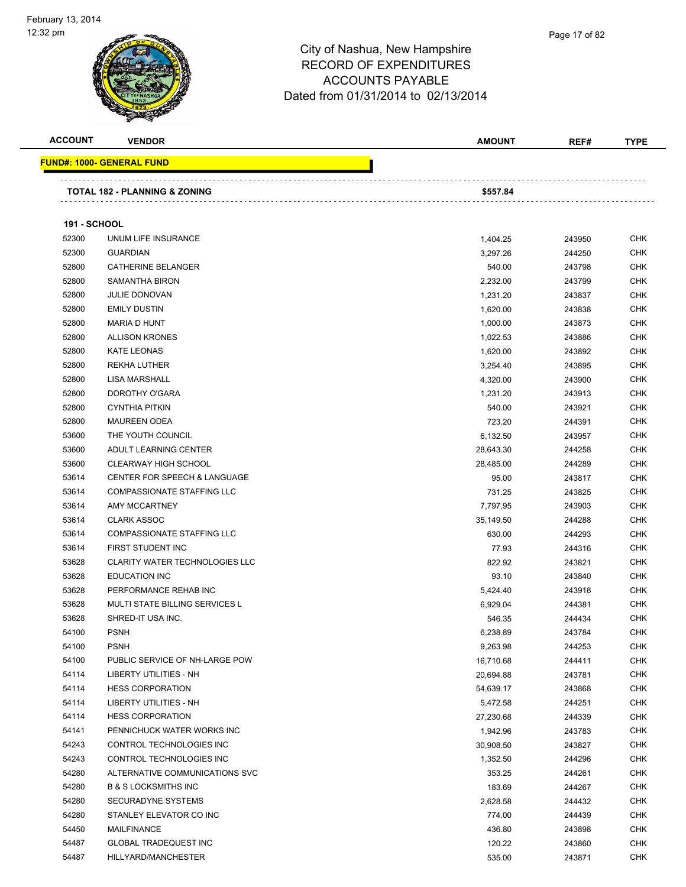| <b>ACCOUNT</b>      | <b>VENDOR</b>                           | <b>AMOUNT</b> | REF#   | <b>TYPE</b> |
|---------------------|-----------------------------------------|---------------|--------|-------------|
|                     | <b>FUND#: 1000- GENERAL FUND</b>        |               |        |             |
|                     | TOTAL 182 - PLANNING & ZONING           | \$557.84      |        |             |
|                     |                                         |               |        |             |
| <b>191 - SCHOOL</b> |                                         |               |        |             |
| 52300               | UNUM LIFE INSURANCE                     | 1,404.25      | 243950 | <b>CHK</b>  |
| 52300               | <b>GUARDIAN</b>                         | 3,297.26      | 244250 | <b>CHK</b>  |
| 52800               | <b>CATHERINE BELANGER</b>               | 540.00        | 243798 | CHK         |
| 52800               | SAMANTHA BIRON                          | 2,232.00      | 243799 | CHK         |
| 52800               | <b>JULIE DONOVAN</b>                    | 1,231.20      | 243837 | CHK         |
| 52800               | <b>EMILY DUSTIN</b>                     | 1,620.00      | 243838 | CHK         |
| 52800               | MARIA D HUNT                            | 1,000.00      | 243873 | CHK         |
| 52800               | <b>ALLISON KRONES</b>                   | 1,022.53      | 243886 | CHK         |
| 52800               | <b>KATE LEONAS</b>                      | 1,620.00      | 243892 | CHK         |
| 52800               | REKHA LUTHER                            | 3,254.40      | 243895 | CHK         |
| 52800               | <b>LISA MARSHALL</b>                    | 4,320.00      | 243900 | CHK         |
| 52800               | DOROTHY O'GARA                          | 1,231.20      | 243913 | CHK         |
| 52800               | <b>CYNTHIA PITKIN</b>                   | 540.00        | 243921 | <b>CHK</b>  |
| 52800               | <b>MAUREEN ODEA</b>                     | 723.20        | 244391 | CHK         |
| 53600               | THE YOUTH COUNCIL                       | 6,132.50      | 243957 | CHK         |
| 53600               | ADULT LEARNING CENTER                   | 28,643.30     | 244258 | <b>CHK</b>  |
| 53600               | <b>CLEARWAY HIGH SCHOOL</b>             | 28,485.00     | 244289 | CHK         |
| 53614               | <b>CENTER FOR SPEECH &amp; LANGUAGE</b> | 95.00         | 243817 | <b>CHK</b>  |
| 53614               | COMPASSIONATE STAFFING LLC              | 731.25        | 243825 | CHK         |
| 53614               | AMY MCCARTNEY                           | 7,797.95      | 243903 | CHK         |
| 53614               | <b>CLARK ASSOC</b>                      | 35,149.50     | 244288 | CHK         |
| 53614               | COMPASSIONATE STAFFING LLC              | 630.00        | 244293 | CHK         |
| 53614               | FIRST STUDENT INC                       | 77.93         | 244316 | CHK         |
| 53628               | <b>CLARITY WATER TECHNOLOGIES LLC</b>   | 822.92        | 243821 | CHK         |
| 53628               | <b>EDUCATION INC</b>                    | 93.10         | 243840 | CHK         |
| 53628               | PERFORMANCE REHAB INC                   | 5,424.40      | 243918 | CHK         |
| 53628               | <b>MULTI STATE BILLING SERVICES L</b>   | 6,929.04      | 244381 | CHK         |
| 53628               | SHRED-IT USA INC.                       | 546.35        | 244434 | CHK         |
| 54100               | <b>PSNH</b>                             | 6,238.89      | 243784 | <b>CHK</b>  |
| 54100               | <b>PSNH</b>                             | 9,263.98      | 244253 | <b>CHK</b>  |
| 54100               | PUBLIC SERVICE OF NH-LARGE POW          | 16,710.68     | 244411 | <b>CHK</b>  |
| 54114               | LIBERTY UTILITIES - NH                  | 20,694.88     | 243781 | <b>CHK</b>  |
| 54114               | <b>HESS CORPORATION</b>                 | 54,639.17     | 243868 | <b>CHK</b>  |
| 54114               | LIBERTY UTILITIES - NH                  | 5,472.58      | 244251 | <b>CHK</b>  |
| 54114               | <b>HESS CORPORATION</b>                 | 27,230.68     | 244339 | <b>CHK</b>  |
| 54141               | PENNICHUCK WATER WORKS INC              | 1,942.96      | 243783 | CHK         |
| 54243               | CONTROL TECHNOLOGIES INC                | 30,908.50     | 243827 | <b>CHK</b>  |
| 54243               | CONTROL TECHNOLOGIES INC                | 1,352.50      | 244296 | <b>CHK</b>  |
| 54280               | ALTERNATIVE COMMUNICATIONS SVC          |               |        | <b>CHK</b>  |
|                     |                                         | 353.25        | 244261 | <b>CHK</b>  |
| 54280               | <b>B &amp; S LOCKSMITHS INC</b>         | 183.69        | 244267 |             |
| 54280               | SECURADYNE SYSTEMS                      | 2,628.58      | 244432 | <b>CHK</b>  |
| 54280               | STANLEY ELEVATOR CO INC                 | 774.00        | 244439 | <b>CHK</b>  |
| 54450               | <b>MAILFINANCE</b>                      | 436.80        | 243898 | <b>CHK</b>  |
| 54487               | <b>GLOBAL TRADEQUEST INC</b>            | 120.22        | 243860 | <b>CHK</b>  |
| 54487               | HILLYARD/MANCHESTER                     | 535.00        | 243871 | <b>CHK</b>  |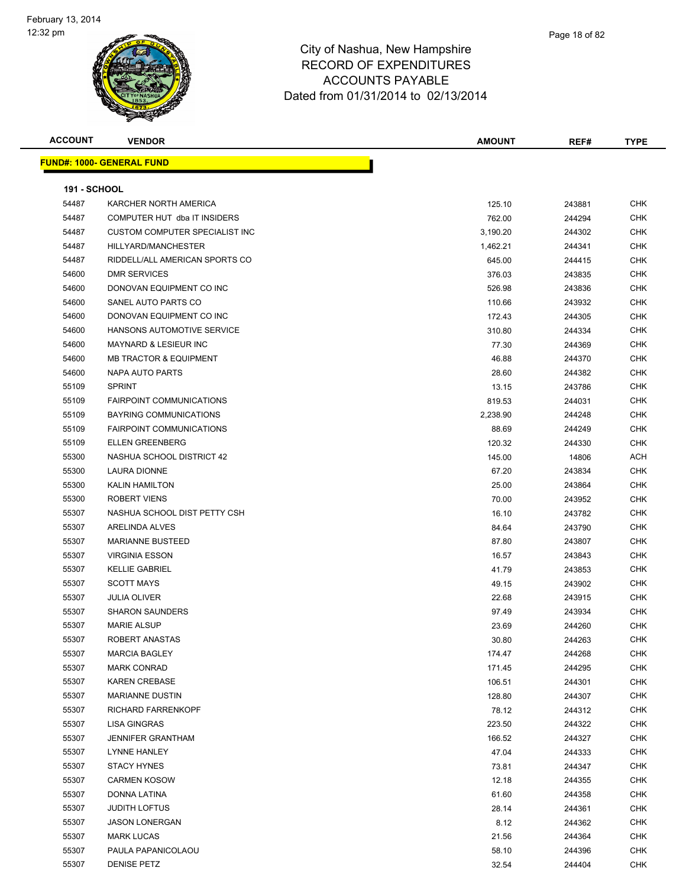| <b>ACCOUNT</b>      | <b>VENDOR</b>                     | <b>AMOUNT</b> | REF#   | <b>TYPE</b> |
|---------------------|-----------------------------------|---------------|--------|-------------|
|                     | <b>FUND#: 1000- GENERAL FUND</b>  |               |        |             |
|                     |                                   |               |        |             |
| <b>191 - SCHOOL</b> |                                   |               |        |             |
| 54487               | KARCHER NORTH AMERICA             | 125.10        | 243881 | CHK         |
| 54487               | COMPUTER HUT dba IT INSIDERS      | 762.00        | 244294 | CHK         |
| 54487               | CUSTOM COMPUTER SPECIALIST INC    | 3,190.20      | 244302 | <b>CHK</b>  |
| 54487               | HILLYARD/MANCHESTER               | 1,462.21      | 244341 | <b>CHK</b>  |
| 54487               | RIDDELL/ALL AMERICAN SPORTS CO    | 645.00        | 244415 | <b>CHK</b>  |
| 54600               | <b>DMR SERVICES</b>               | 376.03        | 243835 | CHK         |
| 54600               | DONOVAN EQUIPMENT CO INC          | 526.98        | 243836 | CHK         |
| 54600               | SANEL AUTO PARTS CO               | 110.66        | 243932 | CHK         |
| 54600               | DONOVAN EQUIPMENT CO INC          | 172.43        | 244305 | CHK         |
| 54600               | HANSONS AUTOMOTIVE SERVICE        | 310.80        | 244334 | CHK         |
| 54600               | MAYNARD & LESIEUR INC             | 77.30         | 244369 | CHK         |
| 54600               | <b>MB TRACTOR &amp; EQUIPMENT</b> | 46.88         | 244370 | <b>CHK</b>  |
| 54600               | <b>NAPA AUTO PARTS</b>            | 28.60         | 244382 | <b>CHK</b>  |
| 55109               | <b>SPRINT</b>                     | 13.15         | 243786 | <b>CHK</b>  |
| 55109               | <b>FAIRPOINT COMMUNICATIONS</b>   | 819.53        | 244031 | <b>CHK</b>  |
| 55109               | BAYRING COMMUNICATIONS            | 2,238.90      | 244248 | <b>CHK</b>  |
| 55109               | <b>FAIRPOINT COMMUNICATIONS</b>   | 88.69         | 244249 | <b>CHK</b>  |
| 55109               | <b>ELLEN GREENBERG</b>            | 120.32        | 244330 | <b>CHK</b>  |
| 55300               | NASHUA SCHOOL DISTRICT 42         | 145.00        | 14806  | ACH         |
| 55300               | LAURA DIONNE                      | 67.20         | 243834 | CHK         |
| 55300               | <b>KALIN HAMILTON</b>             | 25.00         | 243864 | CHK         |
| 55300               | <b>ROBERT VIENS</b>               | 70.00         | 243952 | <b>CHK</b>  |
| 55307               | NASHUA SCHOOL DIST PETTY CSH      | 16.10         | 243782 | CHK         |
| 55307               | ARELINDA ALVES                    | 84.64         | 243790 | CHK         |
| 55307               | <b>MARIANNE BUSTEED</b>           | 87.80         | 243807 | <b>CHK</b>  |
| 55307               | <b>VIRGINIA ESSON</b>             | 16.57         | 243843 | <b>CHK</b>  |
| 55307               | <b>KELLIE GABRIEL</b>             | 41.79         | 243853 | <b>CHK</b>  |
| 55307               | <b>SCOTT MAYS</b>                 | 49.15         | 243902 | <b>CHK</b>  |
| 55307               | <b>JULIA OLIVER</b>               | 22.68         | 243915 | CHK         |
| 55307               | <b>SHARON SAUNDERS</b>            | 97.49         | 243934 | CHK         |
| 55307               | <b>MARIE ALSUP</b>                | 23.69         | 244260 | <b>CHK</b>  |
| 55307               | ROBERT ANASTAS                    | 30.80         | 244263 | <b>CHK</b>  |
| 55307               | <b>MARCIA BAGLEY</b>              | 174.47        | 244268 | CHK         |
| 55307               | <b>MARK CONRAD</b>                | 171.45        | 244295 | CHK         |
| 55307               | <b>KAREN CREBASE</b>              | 106.51        | 244301 | <b>CHK</b>  |
| 55307               | <b>MARIANNE DUSTIN</b>            | 128.80        | 244307 | CHK         |
| 55307               | RICHARD FARRENKOPF                | 78.12         | 244312 | <b>CHK</b>  |
| 55307               | LISA GINGRAS                      | 223.50        | 244322 | <b>CHK</b>  |
| 55307               | <b>JENNIFER GRANTHAM</b>          | 166.52        | 244327 | <b>CHK</b>  |
| 55307               | <b>LYNNE HANLEY</b>               | 47.04         | 244333 | <b>CHK</b>  |
| 55307               | <b>STACY HYNES</b>                | 73.81         | 244347 | <b>CHK</b>  |
| 55307               | <b>CARMEN KOSOW</b>               | 12.18         | 244355 | CHK         |
| 55307               | DONNA LATINA                      | 61.60         | 244358 | <b>CHK</b>  |
| 55307               | <b>JUDITH LOFTUS</b>              | 28.14         | 244361 | <b>CHK</b>  |
| 55307               | <b>JASON LONERGAN</b>             | 8.12          | 244362 | CHK         |
| 55307               | <b>MARK LUCAS</b>                 | 21.56         | 244364 | CHK         |
| 55307               | PAULA PAPANICOLAOU                | 58.10         | 244396 | CHK         |
| 55307               | <b>DENISE PETZ</b>                | 32.54         | 244404 | <b>CHK</b>  |
|                     |                                   |               |        |             |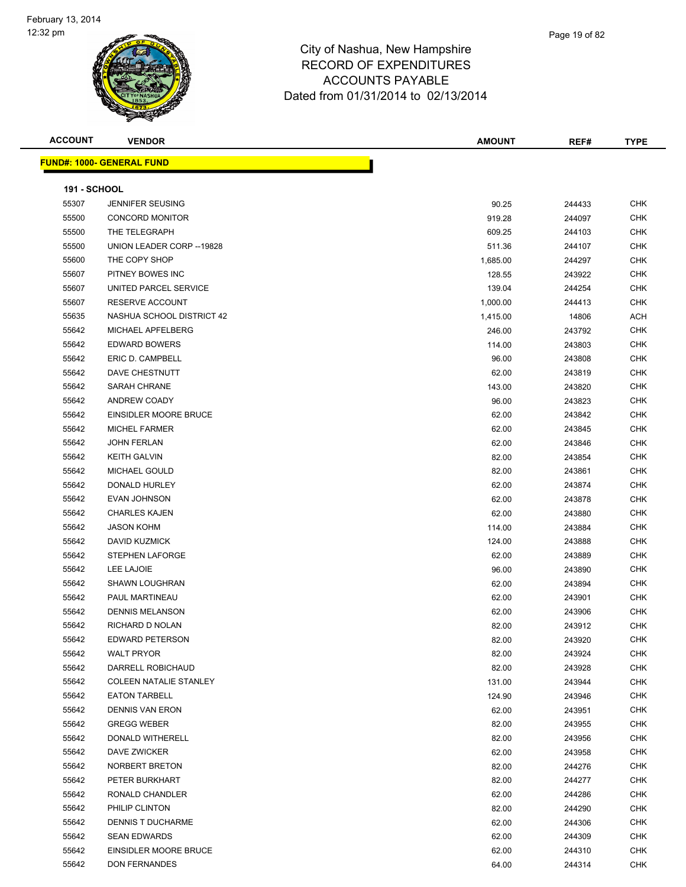| <b>ACCOUNT</b>      | <b>VENDOR</b>                    | <b>AMOUNT</b>        | REF#             | <b>TYPE</b> |
|---------------------|----------------------------------|----------------------|------------------|-------------|
|                     | <b>FUND#: 1000- GENERAL FUND</b> |                      |                  |             |
| <b>191 - SCHOOL</b> |                                  |                      |                  |             |
| 55307               | JENNIFER SEUSING                 | 90.25                | 244433           | <b>CHK</b>  |
| 55500               | <b>CONCORD MONITOR</b>           | 919.28               | 244097           | <b>CHK</b>  |
| 55500               | THE TELEGRAPH                    | 609.25               | 244103           | <b>CHK</b>  |
| 55500               | UNION LEADER CORP -- 19828       | 511.36               | 244107           | <b>CHK</b>  |
| 55600               | THE COPY SHOP                    | 1,685.00             | 244297           | <b>CHK</b>  |
| 55607               | PITNEY BOWES INC                 |                      |                  | <b>CHK</b>  |
| 55607               | UNITED PARCEL SERVICE            | 128.55<br>139.04     | 243922           | <b>CHK</b>  |
| 55607               | RESERVE ACCOUNT                  |                      | 244254           | <b>CHK</b>  |
| 55635               | NASHUA SCHOOL DISTRICT 42        | 1,000.00<br>1,415.00 | 244413<br>14806  | ACH         |
| 55642               | MICHAEL APFELBERG                | 246.00               | 243792           | <b>CHK</b>  |
| 55642               | <b>EDWARD BOWERS</b>             | 114.00               | 243803           | <b>CHK</b>  |
| 55642               | ERIC D. CAMPBELL                 | 96.00                | 243808           | CHK         |
| 55642               | DAVE CHESTNUTT                   | 62.00                | 243819           | CHK         |
| 55642               | SARAH CHRANE                     | 143.00               | 243820           | <b>CHK</b>  |
| 55642               | ANDREW COADY                     |                      |                  | <b>CHK</b>  |
| 55642               | EINSIDLER MOORE BRUCE            | 96.00<br>62.00       | 243823           | <b>CHK</b>  |
| 55642               | <b>MICHEL FARMER</b>             |                      | 243842           | <b>CHK</b>  |
| 55642               | <b>JOHN FERLAN</b>               | 62.00<br>62.00       | 243845           | <b>CHK</b>  |
| 55642               | <b>KEITH GALVIN</b>              |                      | 243846           | <b>CHK</b>  |
| 55642               | MICHAEL GOULD                    | 82.00<br>82.00       | 243854<br>243861 | <b>CHK</b>  |
| 55642               | DONALD HURLEY                    |                      |                  | <b>CHK</b>  |
| 55642               | EVAN JOHNSON                     | 62.00<br>62.00       | 243874<br>243878 | <b>CHK</b>  |
| 55642               | <b>CHARLES KAJEN</b>             | 62.00                | 243880           | <b>CHK</b>  |
| 55642               | <b>JASON KOHM</b>                | 114.00               | 243884           | <b>CHK</b>  |
| 55642               | DAVID KUZMICK                    |                      |                  | <b>CHK</b>  |
| 55642               | <b>STEPHEN LAFORGE</b>           | 124.00<br>62.00      | 243888           | <b>CHK</b>  |
| 55642               | LEE LAJOIE                       | 96.00                | 243889           | <b>CHK</b>  |
| 55642               | SHAWN LOUGHRAN                   |                      | 243890           | <b>CHK</b>  |
| 55642               | PAUL MARTINEAU                   | 62.00<br>62.00       | 243894           | CHK         |
| 55642               | <b>DENNIS MELANSON</b>           |                      | 243901           | <b>CHK</b>  |
| 55642               | RICHARD D NOLAN                  | 62.00<br>82.00       | 243906<br>243912 | <b>CHK</b>  |
| 55642               | <b>EDWARD PETERSON</b>           | 82.00                | 243920           | <b>CHK</b>  |
| 55642               | <b>WALT PRYOR</b>                | 82.00                | 243924           | <b>CHK</b>  |
| 55642               | DARRELL ROBICHAUD                | 82.00                | 243928           | <b>CHK</b>  |
| 55642               | <b>COLEEN NATALIE STANLEY</b>    | 131.00               | 243944           | <b>CHK</b>  |
| 55642               | <b>EATON TARBELL</b>             | 124.90               | 243946           | <b>CHK</b>  |
| 55642               | <b>DENNIS VAN ERON</b>           | 62.00                |                  | <b>CHK</b>  |
| 55642               | <b>GREGG WEBER</b>               |                      | 243951           | CHK         |
| 55642               | DONALD WITHERELL                 | 82.00<br>82.00       | 243955           | <b>CHK</b>  |
| 55642               | <b>DAVE ZWICKER</b>              |                      | 243956           | <b>CHK</b>  |
| 55642               | NORBERT BRETON                   | 62.00                | 243958           | CHK         |
| 55642               | PETER BURKHART                   | 82.00<br>82.00       | 244276<br>244277 | <b>CHK</b>  |
| 55642               | RONALD CHANDLER                  | 62.00                |                  | <b>CHK</b>  |
| 55642               | PHILIP CLINTON                   | 82.00                | 244286<br>244290 | CHK         |
| 55642               | <b>DENNIS T DUCHARME</b>         | 62.00                | 244306           | CHK         |
| 55642               | <b>SEAN EDWARDS</b>              | 62.00                | 244309           | CHK         |
| 55642               | EINSIDLER MOORE BRUCE            | 62.00                | 244310           | CHK         |
| 55642               | <b>DON FERNANDES</b>             | 64.00                | 244314           | <b>CHK</b>  |
|                     |                                  |                      |                  |             |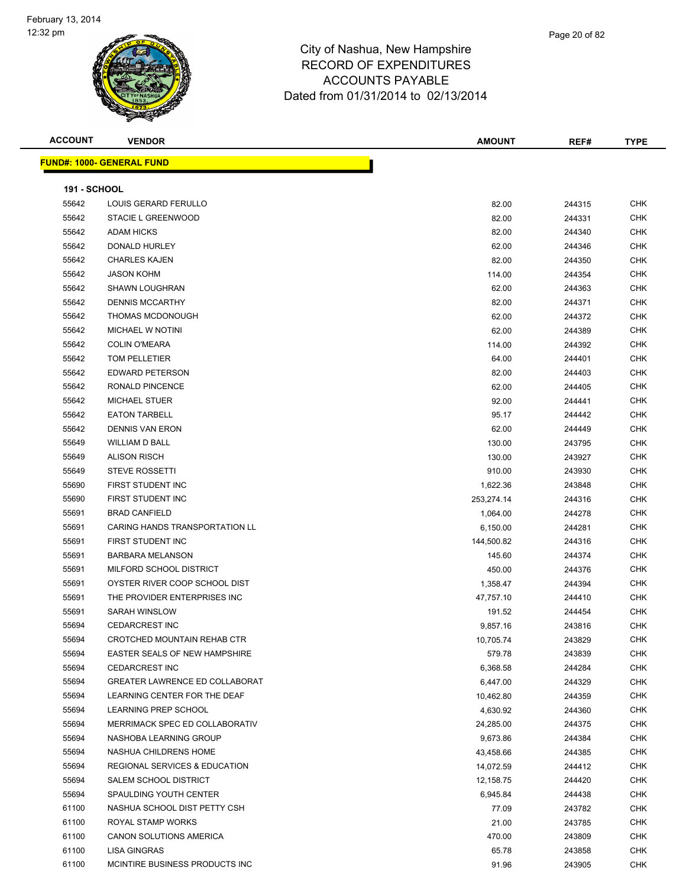| <b>ACCOUNT</b>      | <b>VENDOR</b>                            | <b>AMOUNT</b> | REF#   | <b>TYPE</b> |
|---------------------|------------------------------------------|---------------|--------|-------------|
|                     | <b>FUND#: 1000- GENERAL FUND</b>         |               |        |             |
|                     |                                          |               |        |             |
| <b>191 - SCHOOL</b> |                                          |               |        |             |
| 55642               | LOUIS GERARD FERULLO                     | 82.00         | 244315 | <b>CHK</b>  |
| 55642               | STACIE L GREENWOOD                       | 82.00         | 244331 | CHK         |
| 55642               | <b>ADAM HICKS</b>                        | 82.00         | 244340 | CHK         |
| 55642               | <b>DONALD HURLEY</b>                     | 62.00         | 244346 | CHK         |
| 55642               | <b>CHARLES KAJEN</b>                     | 82.00         | 244350 | <b>CHK</b>  |
| 55642               | <b>JASON KOHM</b>                        | 114.00        | 244354 | <b>CHK</b>  |
| 55642               | <b>SHAWN LOUGHRAN</b>                    | 62.00         | 244363 | CHK         |
| 55642               | <b>DENNIS MCCARTHY</b>                   | 82.00         | 244371 | <b>CHK</b>  |
| 55642               | THOMAS MCDONOUGH                         | 62.00         | 244372 | CHK         |
| 55642               | <b>MICHAEL W NOTINI</b>                  | 62.00         | 244389 | CHK         |
| 55642               | <b>COLIN O'MEARA</b>                     | 114.00        | 244392 | CHK         |
| 55642               | TOM PELLETIER                            | 64.00         | 244401 | CHK         |
| 55642               | <b>EDWARD PETERSON</b>                   | 82.00         | 244403 | CHK         |
| 55642               | RONALD PINCENCE                          | 62.00         | 244405 | CHK         |
| 55642               | <b>MICHAEL STUER</b>                     | 92.00         | 244441 | CHK         |
| 55642               | <b>EATON TARBELL</b>                     | 95.17         | 244442 | CHK         |
| 55642               | <b>DENNIS VAN ERON</b>                   | 62.00         | 244449 | CHK         |
| 55649               | WILLIAM D BALL                           | 130.00        | 243795 | CHK         |
| 55649               | <b>ALISON RISCH</b>                      | 130.00        | 243927 | CHK         |
| 55649               | <b>STEVE ROSSETTI</b>                    | 910.00        | 243930 | CHK         |
| 55690               | FIRST STUDENT INC                        | 1,622.36      | 243848 | CHK         |
| 55690               | FIRST STUDENT INC                        | 253,274.14    | 244316 | CHK         |
| 55691               | <b>BRAD CANFIELD</b>                     | 1,064.00      | 244278 | CHK         |
| 55691               | CARING HANDS TRANSPORTATION LL           | 6,150.00      | 244281 | CHK         |
| 55691               | FIRST STUDENT INC                        | 144,500.82    | 244316 | CHK         |
| 55691               | <b>BARBARA MELANSON</b>                  | 145.60        | 244374 | CHK         |
| 55691               | MILFORD SCHOOL DISTRICT                  | 450.00        | 244376 | <b>CHK</b>  |
| 55691               | OYSTER RIVER COOP SCHOOL DIST            | 1,358.47      | 244394 | <b>CHK</b>  |
| 55691               | THE PROVIDER ENTERPRISES INC             | 47,757.10     | 244410 | <b>CHK</b>  |
| 55691               | SARAH WINSLOW                            | 191.52        | 244454 | CHK         |
| 55694               | <b>CEDARCREST INC</b>                    | 9,857.16      | 243816 | CHK         |
| 55694               | CROTCHED MOUNTAIN REHAB CTR              | 10,705.74     | 243829 | CHK         |
| 55694               | EASTER SEALS OF NEW HAMPSHIRE            | 579.78        | 243839 | <b>CHK</b>  |
| 55694               | <b>CEDARCREST INC</b>                    | 6,368.58      | 244284 | CHK         |
| 55694               | GREATER LAWRENCE ED COLLABORAT           | 6,447.00      | 244329 | CHK         |
| 55694               | LEARNING CENTER FOR THE DEAF             | 10,462.80     | 244359 | CHK         |
| 55694               | LEARNING PREP SCHOOL                     | 4,630.92      | 244360 | CHK         |
| 55694               | MERRIMACK SPEC ED COLLABORATIV           | 24,285.00     | 244375 | CHK         |
| 55694               | NASHOBA LEARNING GROUP                   | 9,673.86      | 244384 | <b>CHK</b>  |
| 55694               | NASHUA CHILDRENS HOME                    | 43,458.66     | 244385 | <b>CHK</b>  |
| 55694               | <b>REGIONAL SERVICES &amp; EDUCATION</b> | 14,072.59     | 244412 | <b>CHK</b>  |
| 55694               | SALEM SCHOOL DISTRICT                    | 12,158.75     | 244420 | CHK         |
| 55694               | SPAULDING YOUTH CENTER                   | 6,945.84      | 244438 | CHK         |
| 61100               | NASHUA SCHOOL DIST PETTY CSH             | 77.09         | 243782 | <b>CHK</b>  |
| 61100               | ROYAL STAMP WORKS                        | 21.00         | 243785 | CHK         |
| 61100               | CANON SOLUTIONS AMERICA                  | 470.00        | 243809 | CHK         |
| 61100               | LISA GINGRAS                             | 65.78         | 243858 | CHK         |
| 61100               | MCINTIRE BUSINESS PRODUCTS INC           | 91.96         | 243905 | CHK         |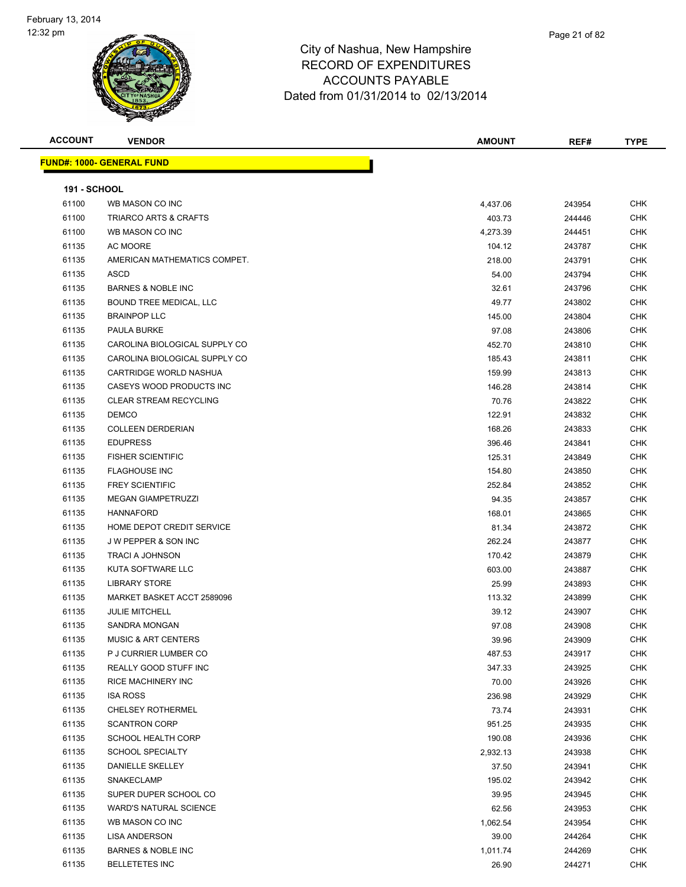| <b>ACCOUNT</b>      | <b>VENDOR</b>                     | <b>AMOUNT</b> | REF#   | <b>TYPE</b> |
|---------------------|-----------------------------------|---------------|--------|-------------|
|                     | <u> FUND#: 1000- GENERAL FUND</u> |               |        |             |
|                     |                                   |               |        |             |
| <b>191 - SCHOOL</b> |                                   |               |        |             |
| 61100               | WB MASON CO INC                   | 4,437.06      | 243954 | <b>CHK</b>  |
| 61100               | <b>TRIARCO ARTS &amp; CRAFTS</b>  | 403.73        | 244446 | <b>CHK</b>  |
| 61100               | WB MASON CO INC                   | 4,273.39      | 244451 | CHK         |
| 61135               | AC MOORE                          | 104.12        | 243787 | CHK         |
| 61135               | AMERICAN MATHEMATICS COMPET.      | 218.00        | 243791 | <b>CHK</b>  |
| 61135               | <b>ASCD</b>                       | 54.00         | 243794 | CHK         |
| 61135               | <b>BARNES &amp; NOBLE INC</b>     | 32.61         | 243796 | <b>CHK</b>  |
| 61135               | BOUND TREE MEDICAL, LLC           | 49.77         | 243802 | <b>CHK</b>  |
| 61135               | <b>BRAINPOP LLC</b>               | 145.00        | 243804 | CHK         |
| 61135               | <b>PAULA BURKE</b>                | 97.08         | 243806 | CHK         |
| 61135               | CAROLINA BIOLOGICAL SUPPLY CO     | 452.70        | 243810 | CHK         |
| 61135               | CAROLINA BIOLOGICAL SUPPLY CO     | 185.43        | 243811 | CHK         |
| 61135               | CARTRIDGE WORLD NASHUA            | 159.99        | 243813 | CHK         |
| 61135               | CASEYS WOOD PRODUCTS INC          | 146.28        | 243814 | CHK         |
| 61135               | <b>CLEAR STREAM RECYCLING</b>     | 70.76         | 243822 | CHK         |
| 61135               | <b>DEMCO</b>                      | 122.91        | 243832 | <b>CHK</b>  |
| 61135               | <b>COLLEEN DERDERIAN</b>          | 168.26        | 243833 | <b>CHK</b>  |
| 61135               | <b>EDUPRESS</b>                   | 396.46        | 243841 | <b>CHK</b>  |
| 61135               | <b>FISHER SCIENTIFIC</b>          | 125.31        | 243849 | <b>CHK</b>  |
| 61135               | <b>FLAGHOUSE INC</b>              | 154.80        | 243850 | <b>CHK</b>  |
| 61135               | <b>FREY SCIENTIFIC</b>            | 252.84        | 243852 | <b>CHK</b>  |
| 61135               | MEGAN GIAMPETRUZZI                | 94.35         | 243857 | CHK         |
| 61135               | <b>HANNAFORD</b>                  | 168.01        | 243865 | <b>CHK</b>  |
| 61135               | HOME DEPOT CREDIT SERVICE         | 81.34         | 243872 | CHK         |
| 61135               | J W PEPPER & SON INC              | 262.24        | 243877 | CHK         |
| 61135               | <b>TRACI A JOHNSON</b>            | 170.42        | 243879 | CHK         |
| 61135               | KUTA SOFTWARE LLC                 | 603.00        | 243887 | CHK         |
| 61135               | <b>LIBRARY STORE</b>              | 25.99         | 243893 | CHK         |
| 61135               | MARKET BASKET ACCT 2589096        | 113.32        | 243899 | <b>CHK</b>  |
| 61135               | <b>JULIE MITCHELL</b>             | 39.12         | 243907 | <b>CHK</b>  |
| 61135               | <b>SANDRA MONGAN</b>              | 97.08         | 243908 | <b>CHK</b>  |
| 61135               | <b>MUSIC &amp; ART CENTERS</b>    | 39.96         | 243909 | CHK         |
| 61135               | P J CURRIER LUMBER CO             | 487.53        | 243917 | <b>CHK</b>  |
| 61135               | REALLY GOOD STUFF INC             | 347.33        | 243925 | <b>CHK</b>  |
| 61135               | RICE MACHINERY INC                | 70.00         | 243926 | <b>CHK</b>  |
| 61135               | <b>ISA ROSS</b>                   | 236.98        | 243929 | CHK         |
| 61135               | <b>CHELSEY ROTHERMEL</b>          | 73.74         | 243931 | <b>CHK</b>  |
| 61135               | <b>SCANTRON CORP</b>              | 951.25        | 243935 | <b>CHK</b>  |
| 61135               | <b>SCHOOL HEALTH CORP</b>         | 190.08        | 243936 | <b>CHK</b>  |
| 61135               | <b>SCHOOL SPECIALTY</b>           | 2,932.13      | 243938 | <b>CHK</b>  |
| 61135               | DANIELLE SKELLEY                  | 37.50         | 243941 | <b>CHK</b>  |
| 61135               | SNAKECLAMP                        | 195.02        | 243942 | <b>CHK</b>  |
| 61135               | SUPER DUPER SCHOOL CO             | 39.95         | 243945 | <b>CHK</b>  |
| 61135               | <b>WARD'S NATURAL SCIENCE</b>     | 62.56         | 243953 | CHK         |
| 61135               | WB MASON CO INC                   | 1,062.54      | 243954 | <b>CHK</b>  |
| 61135               | <b>LISA ANDERSON</b>              | 39.00         | 244264 | CHK         |
| 61135               | <b>BARNES &amp; NOBLE INC</b>     | 1,011.74      | 244269 | CHK         |
| 61135               | <b>BELLETETES INC</b>             | 26.90         | 244271 | <b>CHK</b>  |
|                     |                                   |               |        |             |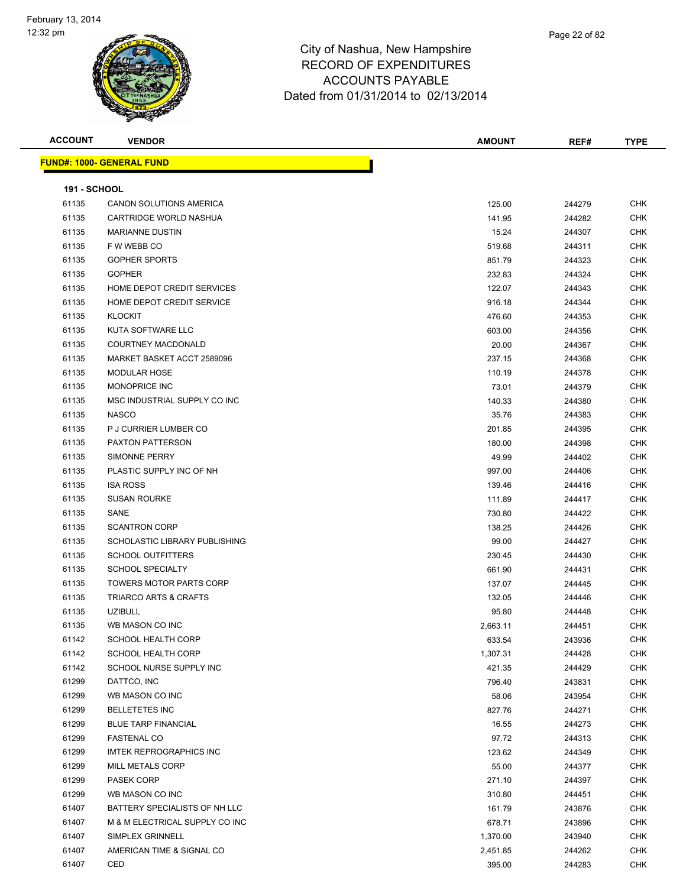

| <b>ACCOUNT</b>      | <b>VENDOR</b>                    | <b>AMOUNT</b> | REF#   | <b>TYPE</b> |
|---------------------|----------------------------------|---------------|--------|-------------|
|                     | <b>FUND#: 1000- GENERAL FUND</b> |               |        |             |
|                     |                                  |               |        |             |
| <b>191 - SCHOOL</b> |                                  |               |        |             |
| 61135               | CANON SOLUTIONS AMERICA          | 125.00        | 244279 | <b>CHK</b>  |
| 61135               | CARTRIDGE WORLD NASHUA           | 141.95        | 244282 | <b>CHK</b>  |
| 61135               | <b>MARIANNE DUSTIN</b>           | 15.24         | 244307 | <b>CHK</b>  |
| 61135               | F W WEBB CO                      | 519.68        | 244311 | <b>CHK</b>  |
| 61135               | <b>GOPHER SPORTS</b>             | 851.79        | 244323 | <b>CHK</b>  |
| 61135               | <b>GOPHER</b>                    | 232.83        | 244324 | CHK         |
| 61135               | HOME DEPOT CREDIT SERVICES       | 122.07        | 244343 | <b>CHK</b>  |
| 61135               | HOME DEPOT CREDIT SERVICE        | 916.18        | 244344 | <b>CHK</b>  |
| 61135               | <b>KLOCKIT</b>                   | 476.60        | 244353 | <b>CHK</b>  |
| 61135               | KUTA SOFTWARE LLC                | 603.00        | 244356 | <b>CHK</b>  |
| 61135               | <b>COURTNEY MACDONALD</b>        | 20.00         | 244367 | <b>CHK</b>  |
| 61135               | MARKET BASKET ACCT 2589096       | 237.15        | 244368 | <b>CHK</b>  |
| 61135               | <b>MODULAR HOSE</b>              | 110.19        | 244378 | <b>CHK</b>  |
| 61135               | <b>MONOPRICE INC</b>             | 73.01         | 244379 | <b>CHK</b>  |
| 61135               | MSC INDUSTRIAL SUPPLY CO INC     | 140.33        | 244380 | CHK         |
| 61135               | <b>NASCO</b>                     | 35.76         | 244383 | <b>CHK</b>  |
| 61135               | P J CURRIER LUMBER CO            | 201.85        | 244395 | <b>CHK</b>  |
| 61135               | <b>PAXTON PATTERSON</b>          | 180.00        | 244398 | <b>CHK</b>  |
| 61135               | <b>SIMONNE PERRY</b>             | 49.99         | 244402 | <b>CHK</b>  |
| 61135               | PLASTIC SUPPLY INC OF NH         | 997.00        | 244406 | <b>CHK</b>  |
| 61135               | <b>ISA ROSS</b>                  | 139.46        | 244416 | <b>CHK</b>  |
| 61135               | <b>SUSAN ROURKE</b>              | 111.89        | 244417 | CHK         |
| 61135               | SANE                             | 730.80        | 244422 | <b>CHK</b>  |
| 61135               | <b>SCANTRON CORP</b>             | 138.25        | 244426 | CHK         |
| 61135               | SCHOLASTIC LIBRARY PUBLISHING    | 99.00         | 244427 | CHK         |
| 61135               | <b>SCHOOL OUTFITTERS</b>         | 230.45        | 244430 | <b>CHK</b>  |
| 61135               | <b>SCHOOL SPECIALTY</b>          | 661.90        | 244431 | <b>CHK</b>  |
| 61135               | <b>TOWERS MOTOR PARTS CORP</b>   | 137.07        | 244445 | <b>CHK</b>  |
| 61135               | <b>TRIARCO ARTS &amp; CRAFTS</b> | 132.05        | 244446 | <b>CHK</b>  |
| 61135               | <b>UZIBULL</b>                   | 95.80         | 244448 | <b>CHK</b>  |
| 61135               | WB MASON CO INC                  | 2,663.11      | 244451 | <b>CHK</b>  |
| 61142               | SCHOOL HEALTH CORP               | 633.54        | 243936 | CHK         |
| 61142               | SCHOOL HEALTH CORP               | 1,307.31      | 244428 | <b>CHK</b>  |
| 61142               | SCHOOL NURSE SUPPLY INC          | 421.35        | 244429 | <b>CHK</b>  |
| 61299               | DATTCO, INC                      | 796.40        | 243831 | <b>CHK</b>  |
| 61299               | WB MASON CO INC                  | 58.06         | 243954 | <b>CHK</b>  |
| 61299               | <b>BELLETETES INC</b>            | 827.76        | 244271 | <b>CHK</b>  |
| 61299               | <b>BLUE TARP FINANCIAL</b>       | 16.55         | 244273 | <b>CHK</b>  |
| 61299               | <b>FASTENAL CO</b>               | 97.72         | 244313 | <b>CHK</b>  |
| 61299               | <b>IMTEK REPROGRAPHICS INC</b>   | 123.62        | 244349 | <b>CHK</b>  |
| 61299               | MILL METALS CORP                 | 55.00         | 244377 | <b>CHK</b>  |
| 61299               | PASEK CORP                       | 271.10        | 244397 | <b>CHK</b>  |
| 61299               | WB MASON CO INC                  | 310.80        | 244451 | <b>CHK</b>  |
| 61407               | BATTERY SPECIALISTS OF NH LLC    | 161.79        | 243876 | CHK         |
| 61407               | M & M ELECTRICAL SUPPLY CO INC   | 678.71        | 243896 | CHK         |
| 61407               | SIMPLEX GRINNELL                 | 1,370.00      | 243940 | <b>CHK</b>  |
| 61407               | AMERICAN TIME & SIGNAL CO        | 2,451.85      | 244262 | CHK         |
| 61407               | CED                              | 395.00        | 244283 | CHK         |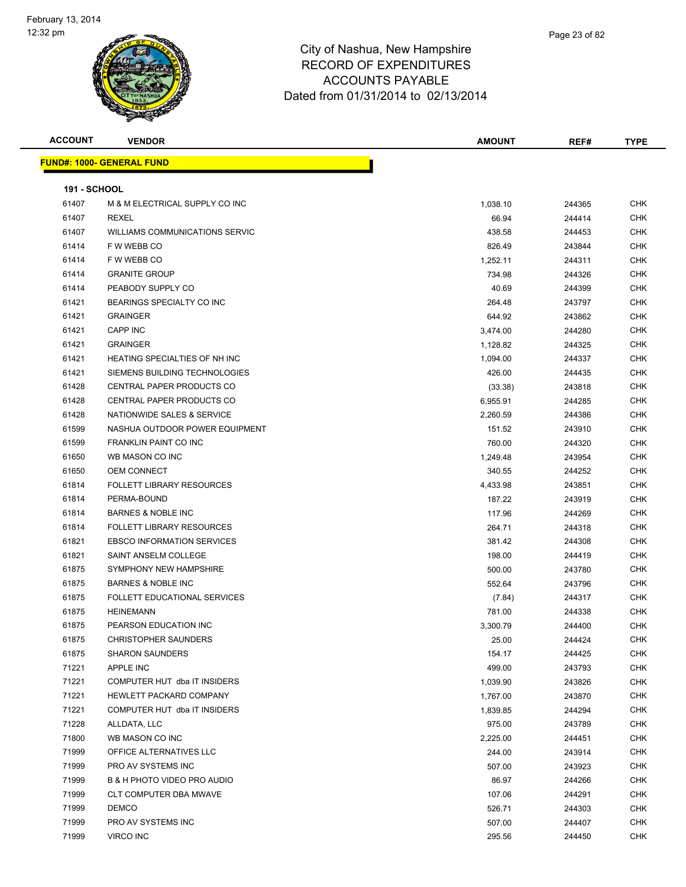| mpshire      |  |  |
|--------------|--|--|
| <b>TURES</b> |  |  |
| 3LE          |  |  |

Page 23 of 82

| <b>ACCOUNT</b>      | <b>VENDOR</b>                       | <b>AMOUNT</b> | REF#   | <b>TYPE</b> |
|---------------------|-------------------------------------|---------------|--------|-------------|
|                     | <b>FUND#: 1000- GENERAL FUND</b>    |               |        |             |
|                     |                                     |               |        |             |
| <b>191 - SCHOOL</b> |                                     |               |        |             |
| 61407               | M & M ELECTRICAL SUPPLY CO INC      | 1,038.10      | 244365 | <b>CHK</b>  |
| 61407               | <b>REXEL</b>                        | 66.94         | 244414 | <b>CHK</b>  |
| 61407               | WILLIAMS COMMUNICATIONS SERVIC      | 438.58        | 244453 | CHK         |
| 61414               | F W WEBB CO                         | 826.49        | 243844 | <b>CHK</b>  |
| 61414               | F W WEBB CO                         | 1,252.11      | 244311 | <b>CHK</b>  |
| 61414               | <b>GRANITE GROUP</b>                | 734.98        | 244326 | <b>CHK</b>  |
| 61414               | PEABODY SUPPLY CO                   | 40.69         | 244399 | CHK         |
| 61421               | BEARINGS SPECIALTY CO INC           | 264.48        | 243797 | CHK         |
| 61421               | <b>GRAINGER</b>                     | 644.92        | 243862 | CHK         |
| 61421               | <b>CAPP INC</b>                     | 3,474.00      | 244280 | <b>CHK</b>  |
| 61421               | <b>GRAINGER</b>                     | 1,128.82      | 244325 | <b>CHK</b>  |
| 61421               | HEATING SPECIALTIES OF NH INC       | 1,094.00      | 244337 | CHK         |
| 61421               | SIEMENS BUILDING TECHNOLOGIES       | 426.00        | 244435 | <b>CHK</b>  |
| 61428               | CENTRAL PAPER PRODUCTS CO           | (33.38)       | 243818 | CHK         |
| 61428               | CENTRAL PAPER PRODUCTS CO           | 6,955.91      | 244285 | CHK         |
| 61428               | NATIONWIDE SALES & SERVICE          | 2,260.59      | 244386 | CHK         |
| 61599               | NASHUA OUTDOOR POWER EQUIPMENT      | 151.52        | 243910 | CHK         |
| 61599               | <b>FRANKLIN PAINT CO INC</b>        | 760.00        | 244320 | CHK         |
| 61650               | WB MASON CO INC                     | 1,249.48      | 243954 | CHK         |
| 61650               | <b>OEM CONNECT</b>                  | 340.55        | 244252 | CHK         |
| 61814               | <b>FOLLETT LIBRARY RESOURCES</b>    | 4,433.98      | 243851 | CHK         |
| 61814               | PERMA-BOUND                         | 187.22        | 243919 | <b>CHK</b>  |
| 61814               | <b>BARNES &amp; NOBLE INC</b>       | 117.96        | 244269 | CHK         |
| 61814               | <b>FOLLETT LIBRARY RESOURCES</b>    | 264.71        | 244318 | CHK         |
| 61821               | <b>EBSCO INFORMATION SERVICES</b>   | 381.42        | 244308 | CHK         |
| 61821               | SAINT ANSELM COLLEGE                | 198.00        | 244419 | CHK         |
| 61875               | SYMPHONY NEW HAMPSHIRE              | 500.00        | 243780 | CHK         |
| 61875               | <b>BARNES &amp; NOBLE INC</b>       | 552.64        | 243796 | CHK         |
| 61875               | <b>FOLLETT EDUCATIONAL SERVICES</b> | (7.84)        | 244317 | CHK         |
| 61875               | <b>HEINEMANN</b>                    | 781.00        | 244338 | CHK         |
| 61875               | PEARSON EDUCATION INC               | 3,300.79      | 244400 | CHK         |
| 61875               | <b>CHRISTOPHER SAUNDERS</b>         | 25.00         | 244424 | CHK         |
| 61875               | <b>SHARON SAUNDERS</b>              | 154.17        | 244425 | CHK         |
| 71221               | APPLE INC                           | 499.00        | 243793 | <b>CHK</b>  |
| 71221               | COMPUTER HUT dba IT INSIDERS        | 1,039.90      | 243826 | CHK         |
| 71221               | HEWLETT PACKARD COMPANY             | 1,767.00      | 243870 | CHK         |
| 71221               | COMPUTER HUT dba IT INSIDERS        | 1,839.85      | 244294 | <b>CHK</b>  |
| 71228               | ALLDATA, LLC                        | 975.00        | 243789 | CHK         |
| 71800               | WB MASON CO INC                     | 2,225.00      | 244451 | CHK         |
| 71999               | OFFICE ALTERNATIVES LLC             | 244.00        | 243914 | <b>CHK</b>  |
| 71999               | PRO AV SYSTEMS INC                  | 507.00        | 243923 | CHK         |
| 71999               | B & H PHOTO VIDEO PRO AUDIO         | 86.97         | 244266 | <b>CHK</b>  |
| 71999               | CLT COMPUTER DBA MWAVE              | 107.06        | 244291 | <b>CHK</b>  |
| 71999               | <b>DEMCO</b>                        | 526.71        | 244303 | CHK         |
| 71999               | PRO AV SYSTEMS INC                  | 507.00        | 244407 | <b>CHK</b>  |
| 71999               | VIRCO INC                           | 295.56        | 244450 | <b>CHK</b>  |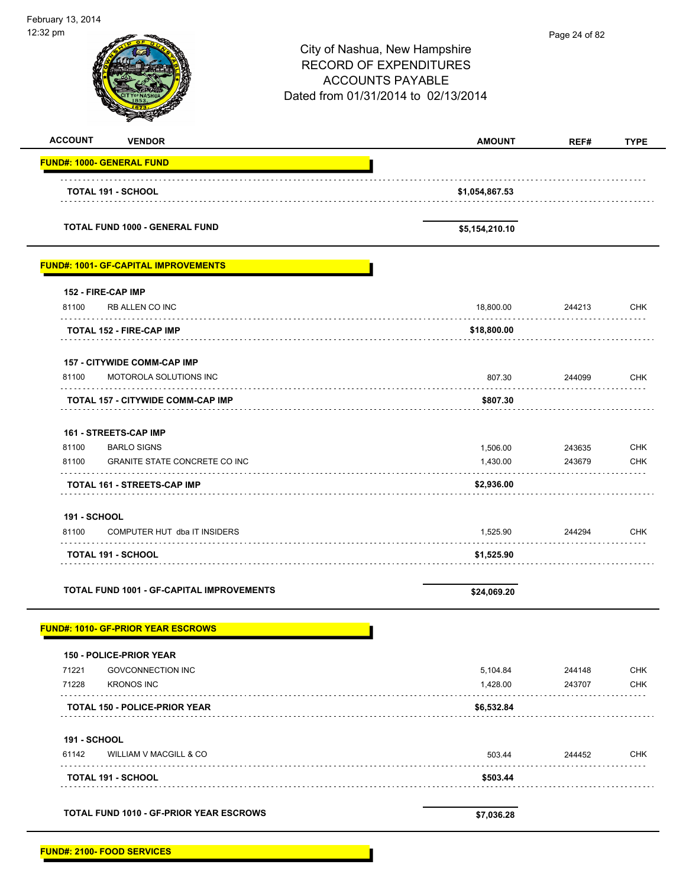÷

| 2:32 pm                          |                                                  | City of Nashua, New Hampshire<br><b>RECORD OF EXPENDITURES</b><br><b>ACCOUNTS PAYABLE</b><br>Dated from 01/31/2014 to 02/13/2014 | Page 24 of 82 |             |
|----------------------------------|--------------------------------------------------|----------------------------------------------------------------------------------------------------------------------------------|---------------|-------------|
| <b>ACCOUNT</b>                   | <b>VENDOR</b>                                    | <b>AMOUNT</b>                                                                                                                    | REF#          | <b>TYPE</b> |
| <b>FUND#: 1000- GENERAL FUND</b> |                                                  |                                                                                                                                  |               |             |
| <b>TOTAL 191 - SCHOOL</b>        |                                                  | \$1,054,867.53                                                                                                                   |               |             |
|                                  | <b>TOTAL FUND 1000 - GENERAL FUND</b>            | \$5,154,210.10                                                                                                                   |               |             |
|                                  | <b>FUND#: 1001- GF-CAPITAL IMPROVEMENTS</b>      |                                                                                                                                  |               |             |
| 152 - FIRE-CAP IMP               |                                                  |                                                                                                                                  |               |             |
| 81100                            | RB ALLEN CO INC                                  | 18,800.00                                                                                                                        | 244213        | <b>CHK</b>  |
|                                  | <b>TOTAL 152 - FIRE-CAP IMP</b>                  | \$18,800.00                                                                                                                      |               |             |
|                                  | <b>157 - CITYWIDE COMM-CAP IMP</b>               |                                                                                                                                  |               |             |
| 81100                            | MOTOROLA SOLUTIONS INC                           | 807.30                                                                                                                           | 244099        | <b>CHK</b>  |
|                                  | TOTAL 157 - CITYWIDE COMM-CAP IMP                | \$807.30                                                                                                                         |               |             |
| 161 - STREETS-CAP IMP            |                                                  |                                                                                                                                  |               |             |
| 81100                            | <b>BARLO SIGNS</b>                               | 1,506.00                                                                                                                         | 243635        | <b>CHK</b>  |
| 81100                            | <b>GRANITE STATE CONCRETE CO INC</b>             | 1,430.00                                                                                                                         | 243679        | <b>CHK</b>  |
|                                  | <b>TOTAL 161 - STREETS-CAP IMP</b>               | \$2,936.00                                                                                                                       |               |             |
| <b>191 - SCHOOL</b>              |                                                  |                                                                                                                                  |               |             |
| 81100                            | COMPUTER HUT dba IT INSIDERS                     | 1,525.90                                                                                                                         | 244294        | <b>CHK</b>  |
| <b>TOTAL 191 - SCHOOL</b>        |                                                  | \$1,525.90                                                                                                                       |               |             |
|                                  | <b>TOTAL FUND 1001 - GF-CAPITAL IMPROVEMENTS</b> | \$24,069.20                                                                                                                      |               |             |
|                                  | <b>FUND#: 1010- GF-PRIOR YEAR ESCROWS</b>        |                                                                                                                                  |               |             |
|                                  | <b>150 - POLICE-PRIOR YEAR</b>                   |                                                                                                                                  |               |             |
| 71221                            | <b>GOVCONNECTION INC</b>                         | 5,104.84                                                                                                                         | 244148        | <b>CHK</b>  |
| 71228                            | <b>KRONOS INC</b>                                | 1,428.00                                                                                                                         | 243707        | <b>CHK</b>  |
|                                  | <b>TOTAL 150 - POLICE-PRIOR YEAR</b>             | \$6,532.84                                                                                                                       |               |             |
| <b>191 - SCHOOL</b>              |                                                  |                                                                                                                                  |               |             |
| 61142                            | WILLIAM V MACGILL & CO                           | 503.44                                                                                                                           | 244452        | <b>CHK</b>  |
| <b>TOTAL 191 - SCHOOL</b>        |                                                  | \$503.44                                                                                                                         |               |             |
|                                  | TOTAL FUND 1010 - GF-PRIOR YEAR ESCROWS          | \$7,036.28                                                                                                                       |               |             |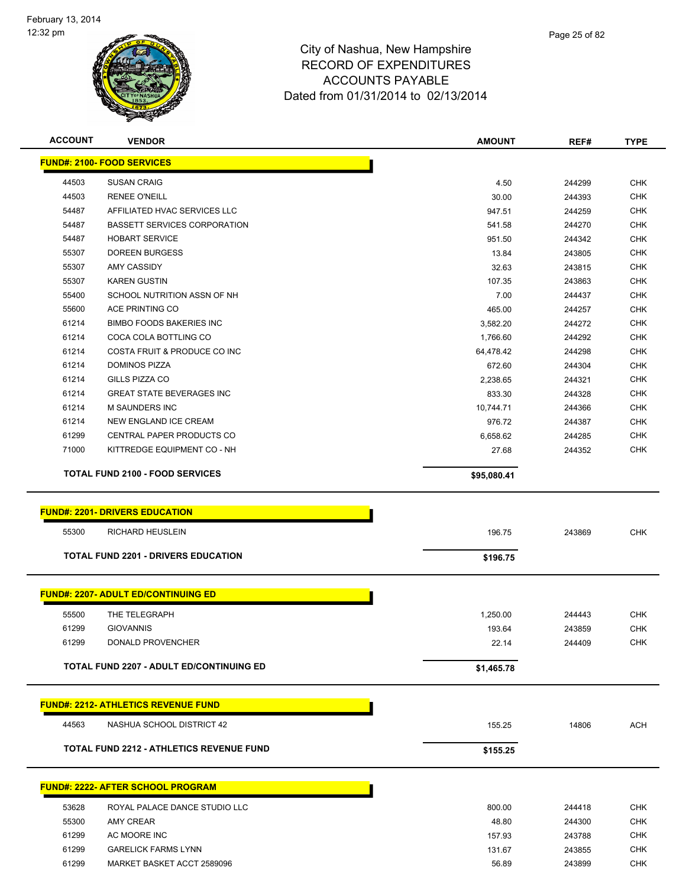

| <b>ACCOUNT</b> | <b>VENDOR</b>                                   | <b>AMOUNT</b> | REF#   | <b>TYPE</b> |
|----------------|-------------------------------------------------|---------------|--------|-------------|
|                | <b>FUND#: 2100- FOOD SERVICES</b>               |               |        |             |
| 44503          | <b>SUSAN CRAIG</b>                              | 4.50          | 244299 | <b>CHK</b>  |
| 44503          | <b>RENEE O'NEILL</b>                            | 30.00         | 244393 | <b>CHK</b>  |
| 54487          | AFFILIATED HVAC SERVICES LLC                    | 947.51        | 244259 | <b>CHK</b>  |
| 54487          | <b>BASSETT SERVICES CORPORATION</b>             | 541.58        | 244270 | <b>CHK</b>  |
| 54487          | <b>HOBART SERVICE</b>                           | 951.50        | 244342 | <b>CHK</b>  |
| 55307          | <b>DOREEN BURGESS</b>                           | 13.84         | 243805 | <b>CHK</b>  |
| 55307          | <b>AMY CASSIDY</b>                              | 32.63         | 243815 | <b>CHK</b>  |
| 55307          | <b>KAREN GUSTIN</b>                             | 107.35        | 243863 | <b>CHK</b>  |
| 55400          | SCHOOL NUTRITION ASSN OF NH                     | 7.00          | 244437 | <b>CHK</b>  |
| 55600          | ACE PRINTING CO                                 | 465.00        | 244257 | <b>CHK</b>  |
| 61214          | <b>BIMBO FOODS BAKERIES INC</b>                 | 3,582.20      | 244272 | <b>CHK</b>  |
| 61214          | COCA COLA BOTTLING CO                           | 1,766.60      | 244292 | <b>CHK</b>  |
| 61214          | COSTA FRUIT & PRODUCE CO INC                    | 64,478.42     | 244298 | <b>CHK</b>  |
| 61214          | <b>DOMINOS PIZZA</b>                            | 672.60        | 244304 | <b>CHK</b>  |
| 61214          | <b>GILLS PIZZA CO</b>                           | 2,238.65      | 244321 | <b>CHK</b>  |
| 61214          | <b>GREAT STATE BEVERAGES INC</b>                | 833.30        | 244328 | <b>CHK</b>  |
| 61214          | <b>M SAUNDERS INC</b>                           | 10,744.71     | 244366 | <b>CHK</b>  |
| 61214          | NEW ENGLAND ICE CREAM                           | 976.72        | 244387 | <b>CHK</b>  |
| 61299          | CENTRAL PAPER PRODUCTS CO                       | 6,658.62      | 244285 | <b>CHK</b>  |
| 71000          | KITTREDGE EQUIPMENT CO - NH                     | 27.68         | 244352 | <b>CHK</b>  |
|                | <b>TOTAL FUND 2100 - FOOD SERVICES</b>          | \$95,080.41   |        |             |
|                |                                                 |               |        |             |
|                | <b>FUND#: 2201- DRIVERS EDUCATION</b>           |               |        |             |
| 55300          | <b>RICHARD HEUSLEIN</b>                         | 196.75        | 243869 | <b>CHK</b>  |
|                | <b>TOTAL FUND 2201 - DRIVERS EDUCATION</b>      | \$196.75      |        |             |
|                |                                                 |               |        |             |
|                | <b>FUND#: 2207- ADULT ED/CONTINUING ED</b>      |               |        |             |
| 55500          | THE TELEGRAPH                                   | 1,250.00      | 244443 | <b>CHK</b>  |
| 61299          | <b>GIOVANNIS</b>                                | 193.64        | 243859 | <b>CHK</b>  |
| 61299          | DONALD PROVENCHER                               | 22.14         | 244409 | <b>CHK</b>  |
|                | <b>TOTAL FUND 2207 - ADULT ED/CONTINUING ED</b> |               |        |             |
|                |                                                 | \$1,465.78    |        |             |
|                | <b>FUND#: 2212- ATHLETICS REVENUE FUND</b>      |               |        |             |
| 44563          | NASHUA SCHOOL DISTRICT 42                       | 155.25        | 14806  | <b>ACH</b>  |
|                |                                                 |               |        |             |
|                | <b>TOTAL FUND 2212 - ATHLETICS REVENUE FUND</b> | \$155.25      |        |             |
|                | <b>FUND#: 2222- AFTER SCHOOL PROGRAM</b>        |               |        |             |
| 53628          | ROYAL PALACE DANCE STUDIO LLC                   | 800.00        | 244418 | <b>CHK</b>  |
| 55300          | AMY CREAR                                       | 48.80         | 244300 | <b>CHK</b>  |
| 61299          | AC MOORE INC                                    | 157.93        | 243788 | <b>CHK</b>  |
| 61299          | <b>GARELICK FARMS LYNN</b>                      | 131.67        | 243855 | CHK         |
| 61299          | MARKET BASKET ACCT 2589096                      | 56.89         | 243899 | <b>CHK</b>  |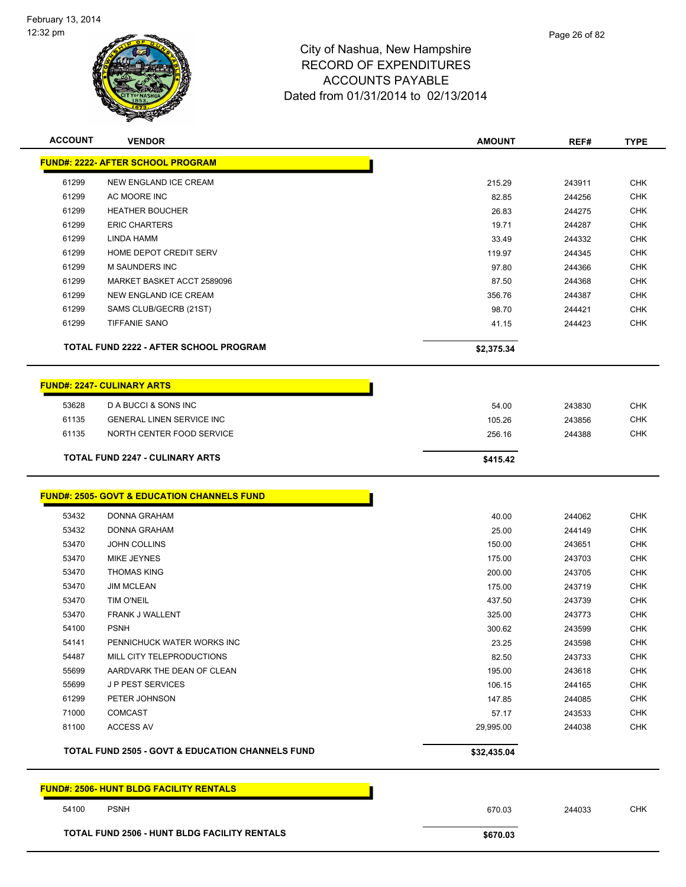

|       | <b>VENDOR</b>                                               | <b>AMOUNT</b>    | REF#             | <b>TYPE</b>              |
|-------|-------------------------------------------------------------|------------------|------------------|--------------------------|
|       | <b>FUND#: 2222- AFTER SCHOOL PROGRAM</b>                    |                  |                  |                          |
| 61299 | <b>NEW ENGLAND ICE CREAM</b>                                | 215.29           | 243911           | <b>CHK</b>               |
| 61299 | AC MOORE INC                                                | 82.85            | 244256           | <b>CHK</b>               |
| 61299 | <b>HEATHER BOUCHER</b>                                      | 26.83            | 244275           | <b>CHK</b>               |
| 61299 | <b>ERIC CHARTERS</b>                                        | 19.71            | 244287           | <b>CHK</b>               |
| 61299 | LINDA HAMM                                                  | 33.49            | 244332           | <b>CHK</b>               |
| 61299 | HOME DEPOT CREDIT SERV                                      | 119.97           | 244345           | <b>CHK</b>               |
| 61299 | <b>M SAUNDERS INC</b>                                       | 97.80            | 244366           | <b>CHK</b>               |
| 61299 | MARKET BASKET ACCT 2589096                                  | 87.50            | 244368           | <b>CHK</b>               |
| 61299 | NEW ENGLAND ICE CREAM                                       | 356.76           | 244387           | <b>CHK</b>               |
| 61299 | SAMS CLUB/GECRB (21ST)                                      | 98.70            | 244421           | <b>CHK</b>               |
| 61299 | <b>TIFFANIE SANO</b>                                        | 41.15            | 244423           | <b>CHK</b>               |
|       | TOTAL FUND 2222 - AFTER SCHOOL PROGRAM                      | \$2,375.34       |                  |                          |
|       | <b>FUND#: 2247- CULINARY ARTS</b>                           |                  |                  |                          |
| 53628 | D A BUCCI & SONS INC                                        | 54.00            | 243830           | <b>CHK</b>               |
| 61135 | <b>GENERAL LINEN SERVICE INC</b>                            | 105.26           | 243856           | <b>CHK</b>               |
| 61135 | NORTH CENTER FOOD SERVICE                                   | 256.16           | 244388           | <b>CHK</b>               |
|       | <b>TOTAL FUND 2247 - CULINARY ARTS</b>                      | \$415.42         |                  |                          |
|       | <b>FUND#: 2505- GOVT &amp; EDUCATION CHANNELS FUND</b>      |                  |                  |                          |
| 53432 | DONNA GRAHAM                                                | 40.00            | 244062           | <b>CHK</b>               |
| 53432 |                                                             | 25.00            |                  | <b>CHK</b>               |
|       | <b>DONNA GRAHAM</b>                                         |                  |                  |                          |
| 53470 | <b>JOHN COLLINS</b>                                         |                  | 244149           |                          |
| 53470 | MIKE JEYNES                                                 | 150.00<br>175.00 | 243651<br>243703 | <b>CHK</b><br><b>CHK</b> |
| 53470 | <b>THOMAS KING</b>                                          | 200.00           | 243705           | <b>CHK</b>               |
| 53470 | <b>JIM MCLEAN</b>                                           | 175.00           | 243719           | <b>CHK</b>               |
| 53470 | <b>TIM O'NEIL</b>                                           | 437.50           | 243739           | <b>CHK</b>               |
| 53470 | FRANK J WALLENT                                             | 325.00           | 243773           | <b>CHK</b>               |
| 54100 | <b>PSNH</b>                                                 | 300.62           | 243599           | <b>CHK</b>               |
| 54141 | PENNICHUCK WATER WORKS INC                                  | 23.25            | 243598           | CHK                      |
| 54487 | MILL CITY TELEPRODUCTIONS                                   | 82.50            | 243733           | <b>CHK</b>               |
| 55699 | AARDVARK THE DEAN OF CLEAN                                  | 195.00           | 243618           | <b>CHK</b>               |
| 55699 | <b>JP PEST SERVICES</b>                                     | 106.15           | 244165           | <b>CHK</b>               |
| 61299 | PETER JOHNSON                                               | 147.85           | 244085           | <b>CHK</b>               |
| 71000 | <b>COMCAST</b>                                              | 57.17            | 243533           | <b>CHK</b>               |
| 81100 | <b>ACCESS AV</b>                                            | 29,995.00        | 244038           | <b>CHK</b>               |
|       | <b>TOTAL FUND 2505 - GOVT &amp; EDUCATION CHANNELS FUND</b> | \$32,435.04      |                  |                          |
|       | <b>FUND#: 2506- HUNT BLDG FACILITY RENTALS</b>              |                  |                  |                          |

TOTAL FUND 2506 - HUNT BLDG FACILITY RENTALS **\$670.03** \$670.03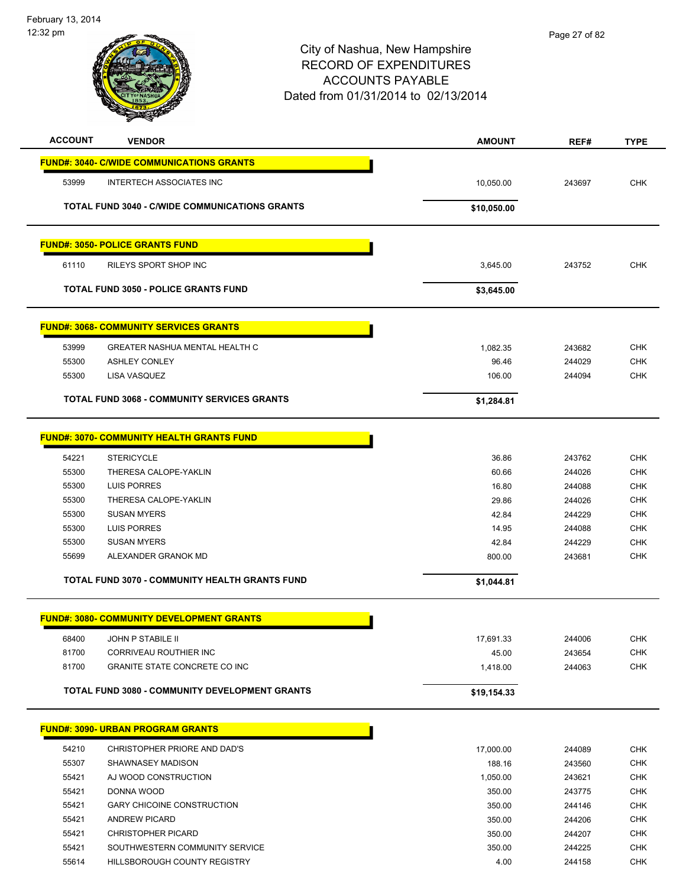

| <b>ACCOUNT</b> | <b>VENDOR</b>                                         | <b>AMOUNT</b> | REF#   | <b>TYPE</b> |
|----------------|-------------------------------------------------------|---------------|--------|-------------|
|                | <b>FUND#: 3040- C/WIDE COMMUNICATIONS GRANTS</b>      |               |        |             |
| 53999          | <b>INTERTECH ASSOCIATES INC</b>                       | 10,050.00     | 243697 | <b>CHK</b>  |
|                |                                                       |               |        |             |
|                | <b>TOTAL FUND 3040 - C/WIDE COMMUNICATIONS GRANTS</b> | \$10,050.00   |        |             |
|                | <b>FUND#: 3050- POLICE GRANTS FUND</b>                |               |        |             |
| 61110          | RILEYS SPORT SHOP INC                                 | 3,645.00      | 243752 | <b>CHK</b>  |
|                | <b>TOTAL FUND 3050 - POLICE GRANTS FUND</b>           | \$3,645.00    |        |             |
|                | <b>FUND#: 3068- COMMUNITY SERVICES GRANTS</b>         |               |        |             |
| 53999          | GREATER NASHUA MENTAL HEALTH C                        | 1,082.35      | 243682 | <b>CHK</b>  |
| 55300          | <b>ASHLEY CONLEY</b>                                  | 96.46         | 244029 | <b>CHK</b>  |
| 55300          | <b>LISA VASQUEZ</b>                                   | 106.00        | 244094 | <b>CHK</b>  |
|                | <b>TOTAL FUND 3068 - COMMUNITY SERVICES GRANTS</b>    | \$1,284.81    |        |             |
|                |                                                       |               |        |             |
|                | <b>FUND#: 3070- COMMUNITY HEALTH GRANTS FUND</b>      |               |        |             |
| 54221          | <b>STERICYCLE</b>                                     | 36.86         | 243762 | <b>CHK</b>  |
| 55300          | THERESA CALOPE-YAKLIN                                 | 60.66         | 244026 | <b>CHK</b>  |
| 55300          | LUIS PORRES                                           | 16.80         | 244088 | <b>CHK</b>  |
| 55300          | THERESA CALOPE-YAKLIN                                 | 29.86         | 244026 | <b>CHK</b>  |
| 55300          | <b>SUSAN MYERS</b>                                    | 42.84         | 244229 | <b>CHK</b>  |
| 55300          | <b>LUIS PORRES</b>                                    | 14.95         | 244088 | <b>CHK</b>  |
| 55300          | <b>SUSAN MYERS</b>                                    | 42.84         | 244229 | <b>CHK</b>  |
| 55699          | ALEXANDER GRANOK MD                                   | 800.00        | 243681 | <b>CHK</b>  |
|                | <b>TOTAL FUND 3070 - COMMUNITY HEALTH GRANTS FUND</b> | \$1,044.81    |        |             |
|                | <b>FUND#: 3080- COMMUNITY DEVELOPMENT GRANTS</b>      |               |        |             |
| 68400          | <b>JOHN P STABILE II</b>                              | 17,691.33     | 244006 | <b>CHK</b>  |
| 81700          | CORRIVEAU ROUTHIER INC                                | 45.00         | 243654 | CHK         |
| 81700          | <b>GRANITE STATE CONCRETE CO INC</b>                  | 1,418.00      | 244063 | <b>CHK</b>  |
|                | <b>TOTAL FUND 3080 - COMMUNITY DEVELOPMENT GRANTS</b> | \$19,154.33   |        |             |
|                | <b>FUND#: 3090- URBAN PROGRAM GRANTS</b>              |               |        |             |
| 54210          | CHRISTOPHER PRIORE AND DAD'S                          | 17,000.00     | 244089 | <b>CHK</b>  |
| 55307          | SHAWNASEY MADISON                                     | 188.16        | 243560 | <b>CHK</b>  |
| 55421          | AJ WOOD CONSTRUCTION                                  | 1,050.00      | 243621 | <b>CHK</b>  |
| 55421          | DONNA WOOD                                            | 350.00        | 243775 | <b>CHK</b>  |
| 55421          | <b>GARY CHICOINE CONSTRUCTION</b>                     | 350.00        | 244146 | <b>CHK</b>  |
| 55421          | <b>ANDREW PICARD</b>                                  | 350.00        | 244206 | <b>CHK</b>  |
| 55421          | <b>CHRISTOPHER PICARD</b>                             | 350.00        | 244207 | <b>CHK</b>  |
| 55421          | SOUTHWESTERN COMMUNITY SERVICE                        | 350.00        | 244225 | CHK         |

55614 HILLSBOROUGH COUNTY REGISTRY **1.00** 4.00 244158 CHK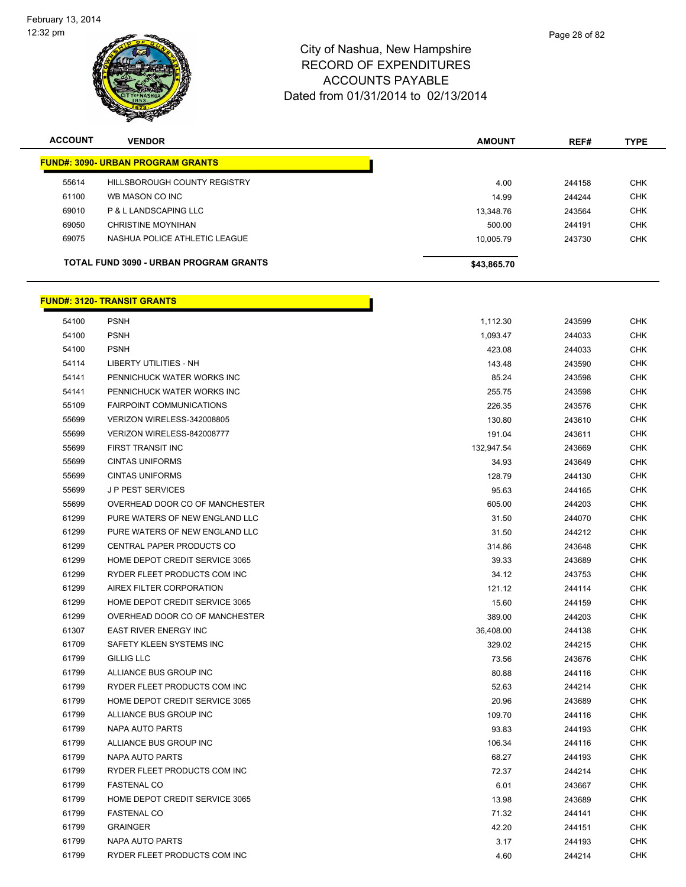

| <b>ACCOUNT</b> | <b>VENDOR</b>                                 | <b>AMOUNT</b> | REF#   | <b>TYPE</b> |
|----------------|-----------------------------------------------|---------------|--------|-------------|
|                | <b>FUND#: 3090- URBAN PROGRAM GRANTS</b>      |               |        |             |
| 55614          | HILLSBOROUGH COUNTY REGISTRY                  | 4.00          | 244158 | <b>CHK</b>  |
| 61100          | WB MASON CO INC                               | 14.99         | 244244 | <b>CHK</b>  |
| 69010          | P & L LANDSCAPING LLC                         | 13.348.76     | 243564 | <b>CHK</b>  |
| 69050          | CHRISTINE MOYNIHAN                            | 500.00        | 244191 | <b>CHK</b>  |
| 69075          | NASHUA POLICE ATHLETIC LEAGUE                 | 10.005.79     | 243730 | <b>CHK</b>  |
|                | <b>TOTAL FUND 3090 - URBAN PROGRAM GRANTS</b> | \$43,865.70   |        |             |

|       | <u> FUND#: 3120- TRANSIT GRANTS</u> |            |        |            |
|-------|-------------------------------------|------------|--------|------------|
| 54100 | <b>PSNH</b>                         | 1,112.30   | 243599 | <b>CHK</b> |
| 54100 | <b>PSNH</b>                         | 1,093.47   | 244033 | <b>CHK</b> |
| 54100 | <b>PSNH</b>                         | 423.08     | 244033 | <b>CHK</b> |
| 54114 | <b>LIBERTY UTILITIES - NH</b>       | 143.48     | 243590 | <b>CHK</b> |
| 54141 | PENNICHUCK WATER WORKS INC          | 85.24      | 243598 | <b>CHK</b> |
| 54141 | PENNICHUCK WATER WORKS INC          | 255.75     | 243598 | <b>CHK</b> |
| 55109 | <b>FAIRPOINT COMMUNICATIONS</b>     | 226.35     | 243576 | <b>CHK</b> |
| 55699 | VERIZON WIRELESS-342008805          | 130.80     | 243610 | <b>CHK</b> |
| 55699 | VERIZON WIRELESS-842008777          | 191.04     | 243611 | <b>CHK</b> |
| 55699 | FIRST TRANSIT INC                   | 132,947.54 | 243669 | <b>CHK</b> |
| 55699 | <b>CINTAS UNIFORMS</b>              | 34.93      | 243649 | <b>CHK</b> |
| 55699 | <b>CINTAS UNIFORMS</b>              | 128.79     | 244130 | <b>CHK</b> |
| 55699 | <b>JP PEST SERVICES</b>             | 95.63      | 244165 | <b>CHK</b> |
| 55699 | OVERHEAD DOOR CO OF MANCHESTER      | 605.00     | 244203 | CHK        |
| 61299 | PURE WATERS OF NEW ENGLAND LLC      | 31.50      | 244070 | <b>CHK</b> |
| 61299 | PURE WATERS OF NEW ENGLAND LLC      | 31.50      | 244212 | <b>CHK</b> |
| 61299 | CENTRAL PAPER PRODUCTS CO           | 314.86     | 243648 | <b>CHK</b> |
| 61299 | HOME DEPOT CREDIT SERVICE 3065      | 39.33      | 243689 | <b>CHK</b> |
| 61299 | RYDER FLEET PRODUCTS COM INC        | 34.12      | 243753 | <b>CHK</b> |
| 61299 | AIREX FILTER CORPORATION            | 121.12     | 244114 | <b>CHK</b> |
| 61299 | HOME DEPOT CREDIT SERVICE 3065      | 15.60      | 244159 | <b>CHK</b> |
| 61299 | OVERHEAD DOOR CO OF MANCHESTER      | 389.00     | 244203 | <b>CHK</b> |
| 61307 | <b>EAST RIVER ENERGY INC</b>        | 36,408.00  | 244138 | <b>CHK</b> |
| 61709 | SAFETY KLEEN SYSTEMS INC            | 329.02     | 244215 | <b>CHK</b> |
| 61799 | <b>GILLIG LLC</b>                   | 73.56      | 243676 | <b>CHK</b> |
| 61799 | ALLIANCE BUS GROUP INC              | 80.88      | 244116 | <b>CHK</b> |
| 61799 | RYDER FLEET PRODUCTS COM INC        | 52.63      | 244214 | <b>CHK</b> |
| 61799 | HOME DEPOT CREDIT SERVICE 3065      | 20.96      | 243689 | <b>CHK</b> |
| 61799 | ALLIANCE BUS GROUP INC              | 109.70     | 244116 | <b>CHK</b> |
| 61799 | <b>NAPA AUTO PARTS</b>              | 93.83      | 244193 | <b>CHK</b> |
| 61799 | ALLIANCE BUS GROUP INC              | 106.34     | 244116 | <b>CHK</b> |
| 61799 | <b>NAPA AUTO PARTS</b>              | 68.27      | 244193 | <b>CHK</b> |
| 61799 | RYDER FLEET PRODUCTS COM INC        | 72.37      | 244214 | <b>CHK</b> |
| 61799 | <b>FASTENAL CO</b>                  | 6.01       | 243667 | CHK        |
| 61799 | HOME DEPOT CREDIT SERVICE 3065      | 13.98      | 243689 | <b>CHK</b> |
| 61799 | <b>FASTENAL CO</b>                  | 71.32      | 244141 | <b>CHK</b> |
| 61799 | <b>GRAINGER</b>                     | 42.20      | 244151 | <b>CHK</b> |
| 61799 | <b>NAPA AUTO PARTS</b>              | 3.17       | 244193 | <b>CHK</b> |
| 61799 | RYDER FLEET PRODUCTS COM INC        | 4.60       | 244214 | <b>CHK</b> |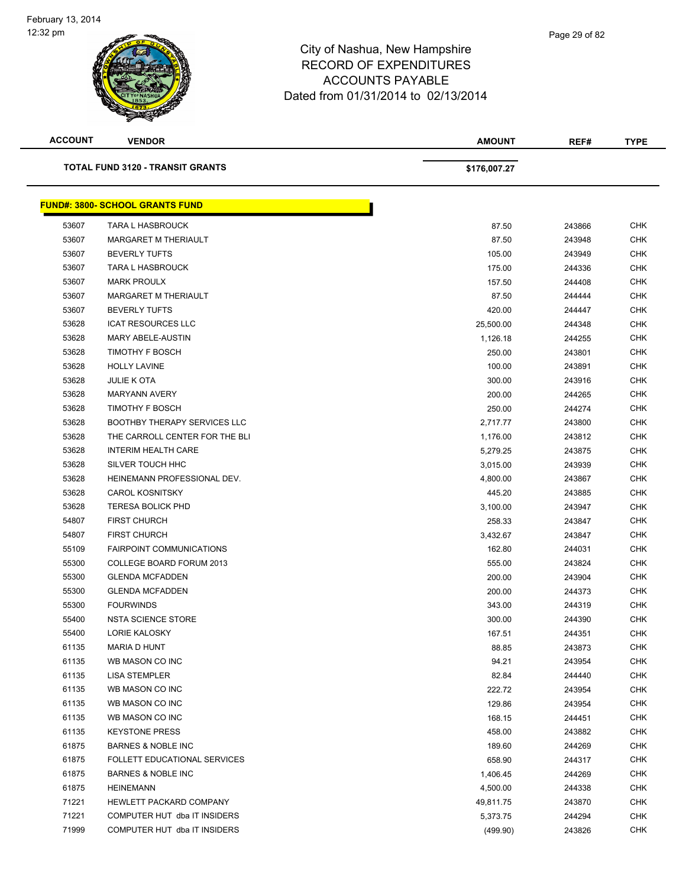| <b>ACCOUNT</b> | <b>VENDOR</b>                           | <b>AMOUNT</b> | REF#   | <b>TYPE</b> |
|----------------|-----------------------------------------|---------------|--------|-------------|
|                | <b>TOTAL FUND 3120 - TRANSIT GRANTS</b> | \$176,007.27  |        |             |
|                | <b>FUND#: 3800- SCHOOL GRANTS FUND</b>  |               |        |             |
| 53607          | <b>TARA L HASBROUCK</b>                 | 87.50         | 243866 | <b>CHK</b>  |
| 53607          | MARGARET M THERIAULT                    | 87.50         | 243948 | <b>CHK</b>  |
| 53607          | <b>BEVERLY TUFTS</b>                    | 105.00        | 243949 | <b>CHK</b>  |
| 53607          | <b>TARA L HASBROUCK</b>                 | 175.00        | 244336 | <b>CHK</b>  |
| 53607          | <b>MARK PROULX</b>                      | 157.50        | 244408 | <b>CHK</b>  |
| 53607          | MARGARET M THERIAULT                    | 87.50         | 244444 | <b>CHK</b>  |
| 53607          | <b>BEVERLY TUFTS</b>                    | 420.00        | 244447 | <b>CHK</b>  |
| 53628          | <b>ICAT RESOURCES LLC</b>               | 25,500.00     | 244348 | <b>CHK</b>  |
| 53628          | <b>MARY ABELE-AUSTIN</b>                | 1,126.18      | 244255 | <b>CHK</b>  |
| 53628          | <b>TIMOTHY F BOSCH</b>                  | 250.00        | 243801 | <b>CHK</b>  |
| 53628          | <b>HOLLY LAVINE</b>                     | 100.00        | 243891 | <b>CHK</b>  |
| 53628          | <b>JULIE K OTA</b>                      | 300.00        | 243916 | <b>CHK</b>  |
| 53628          | <b>MARYANN AVERY</b>                    | 200.00        | 244265 | <b>CHK</b>  |
| 53628          | <b>TIMOTHY F BOSCH</b>                  | 250.00        | 244274 | CHK         |
| 53628          | BOOTHBY THERAPY SERVICES LLC            | 2,717.77      | 243800 | <b>CHK</b>  |
| 53628          | THE CARROLL CENTER FOR THE BLI          | 1,176.00      | 243812 | <b>CHK</b>  |
| 53628          | <b>INTERIM HEALTH CARE</b>              | 5,279.25      | 243875 | CHK         |
| 53628          | SILVER TOUCH HHC                        | 3,015.00      | 243939 | CHK         |
| 53628          | HEINEMANN PROFESSIONAL DEV.             | 4,800.00      | 243867 | <b>CHK</b>  |
| 53628          | <b>CAROL KOSNITSKY</b>                  | 445.20        | 243885 | <b>CHK</b>  |
| 53628          | <b>TERESA BOLICK PHD</b>                | 3,100.00      | 243947 | <b>CHK</b>  |
| 54807          | <b>FIRST CHURCH</b>                     | 258.33        | 243847 | <b>CHK</b>  |
| 54807          | <b>FIRST CHURCH</b>                     | 3,432.67      | 243847 | CHK         |
| 55109          | <b>FAIRPOINT COMMUNICATIONS</b>         | 162.80        | 244031 | <b>CHK</b>  |
| 55300          | COLLEGE BOARD FORUM 2013                | 555.00        | 243824 | CHK         |
| 55300          | <b>GLENDA MCFADDEN</b>                  | 200.00        | 243904 | CHK         |
| 55300          | <b>GLENDA MCFADDEN</b>                  | 200.00        | 244373 | CHK         |
| 55300          | <b>FOURWINDS</b>                        | 343.00        | 244319 | <b>CHK</b>  |
| 55400          | <b>NSTA SCIENCE STORE</b>               | 300.00        | 244390 | CHK         |
| 55400          | <b>LORIE KALOSKY</b>                    | 167.51        | 244351 | <b>CHK</b>  |
| 61135          | <b>MARIA D HUNT</b>                     | 88.85         | 243873 | <b>CHK</b>  |
| 61135          | WB MASON CO INC                         | 94.21         | 243954 | <b>CHK</b>  |
| 61135          | <b>LISA STEMPLER</b>                    | 82.84         | 244440 | <b>CHK</b>  |
| 61135          | WB MASON CO INC                         | 222.72        | 243954 | <b>CHK</b>  |
| 61135          | WB MASON CO INC                         | 129.86        | 243954 | <b>CHK</b>  |
| 61135          | WB MASON CO INC                         | 168.15        | 244451 | <b>CHK</b>  |
| 61135          | <b>KEYSTONE PRESS</b>                   | 458.00        | 243882 | <b>CHK</b>  |
| 61875          | <b>BARNES &amp; NOBLE INC</b>           | 189.60        | 244269 | <b>CHK</b>  |
| 61875          | FOLLETT EDUCATIONAL SERVICES            | 658.90        | 244317 | CHK         |
| 61875          | <b>BARNES &amp; NOBLE INC</b>           | 1,406.45      | 244269 | CHK         |
| 61875          | <b>HEINEMANN</b>                        | 4,500.00      | 244338 | CHK         |
| 71221          | HEWLETT PACKARD COMPANY                 | 49,811.75     | 243870 | CHK         |
| 71221          | COMPUTER HUT dba IT INSIDERS            | 5,373.75      | 244294 | <b>CHK</b>  |
| 71999          | COMPUTER HUT dba IT INSIDERS            | (499.90)      | 243826 | CHK         |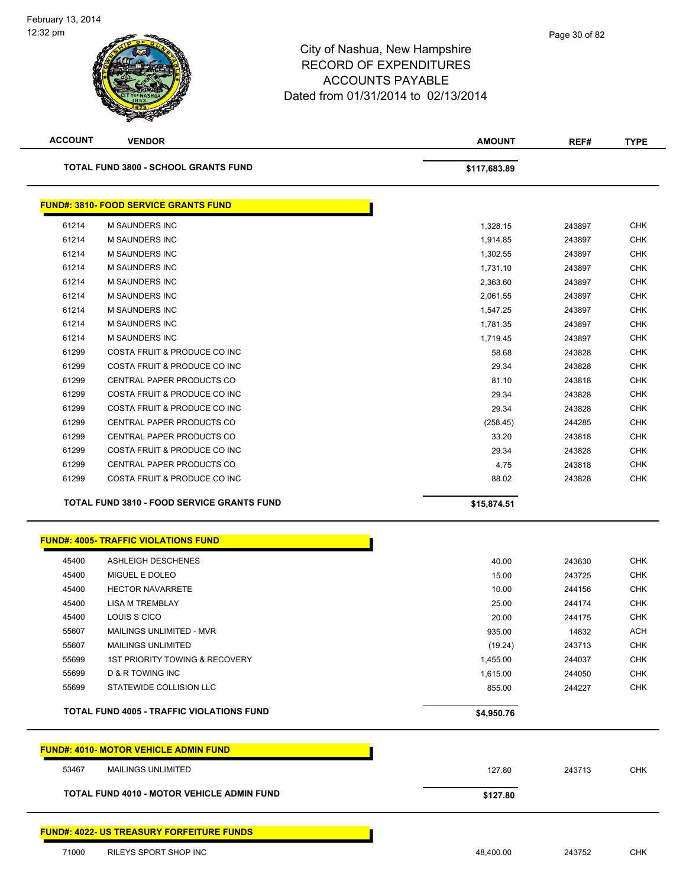| <b>ACCOUNT</b> | <b>VENDOR</b>                                             | <b>AMOUNT</b> | REF#             | <b>TYPE</b> |
|----------------|-----------------------------------------------------------|---------------|------------------|-------------|
|                | <b>TOTAL FUND 3800 - SCHOOL GRANTS FUND</b>               | \$117,683.89  |                  |             |
|                | <b>FUND#: 3810- FOOD SERVICE GRANTS FUND</b>              |               |                  |             |
| 61214          | M SAUNDERS INC                                            | 1,328.15      | 243897           |             |
| 61214          | M SAUNDERS INC                                            | 1,914.85      | 243897           |             |
| 61214          | M SAUNDERS INC                                            | 1,302.55      | 243897           |             |
| 61214          | M SAUNDERS INC                                            | 1,731.10      | 243897           |             |
| 61214          | M SAUNDERS INC                                            | 2,363.60      | 243897           |             |
| 61214          | <b>M SAUNDERS INC</b>                                     | 2,061.55      | 243897           |             |
| 61214          | M SAUNDERS INC                                            | 1,547.25      | 243897           |             |
| 61214          | M SAUNDERS INC                                            | 1,781.35      | 243897           |             |
| 61214          | M SAUNDERS INC                                            | 1,719.45      | 243897           |             |
| 61299          | COSTA FRUIT & PRODUCE CO INC                              | 58.68         | 243828           |             |
| 61299          | COSTA FRUIT & PRODUCE CO INC                              | 29.34         | 243828           |             |
| 61299          | CENTRAL PAPER PRODUCTS CO                                 | 81.10         | 243818           |             |
| 61299          | COSTA FRUIT & PRODUCE CO INC                              | 29.34         | 243828           |             |
| 61299          | COSTA FRUIT & PRODUCE CO INC                              | 29.34         | 243828           |             |
| 61299          | CENTRAL PAPER PRODUCTS CO                                 | (258.45)      | 244285           |             |
| 61299          | CENTRAL PAPER PRODUCTS CO                                 | 33.20         | 243818           |             |
| 61299          | COSTA FRUIT & PRODUCE CO INC                              | 29.34         | 243828           |             |
| 61299<br>61299 | CENTRAL PAPER PRODUCTS CO<br>COSTA FRUIT & PRODUCE CO INC | 4.75<br>88.02 | 243818<br>243828 |             |
|                |                                                           |               |                  |             |
|                | <b>FUND#: 4005- TRAFFIC VIOLATIONS FUND</b>               |               |                  |             |
| 45400          | ASHLEIGH DESCHENES                                        | 40.00         | 243630           |             |
| 45400          | MIGUEL E DOLEO                                            | 15.00         | 243725           |             |
| 45400          | <b>HECTOR NAVARRETE</b>                                   | 10.00         | 244156           |             |
| 45400          | <b>LISA M TREMBLAY</b>                                    | 25.00         | 244174           |             |
| 45400          | LOUIS S CICO                                              | 20.00         | 244175           |             |
| 55607          | MAILINGS UNLIMITED - MVR                                  | 935.00        | 14832            |             |
| 55607          | <b>MAILINGS UNLIMITED</b>                                 | (19.24)       | 243713           |             |
| 55699          | 1ST PRIORITY TOWING & RECOVERY                            | 1,455.00      | 244037           |             |
| 55699          | <b>D &amp; R TOWING INC</b>                               | 1,615.00      | 244050           |             |
| 55699          | STATEWIDE COLLISION LLC                                   | 855.00        | 244227           |             |
|                | <b>TOTAL FUND 4005 - TRAFFIC VIOLATIONS FUND</b>          | \$4,950.76    |                  |             |
|                | <b>FUND#: 4010- MOTOR VEHICLE ADMIN FUND</b>              |               |                  |             |
| 53467          | MAILINGS UNLIMITED                                        | 127.80        | 243713           |             |
|                | <b>TOTAL FUND 4010 - MOTOR VEHICLE ADMIN FUND</b>         | \$127.80      |                  |             |
|                |                                                           |               |                  |             |
|                | <b>FUND#: 4022- US TREASURY FORFEITURE FUNDS</b>          |               |                  |             |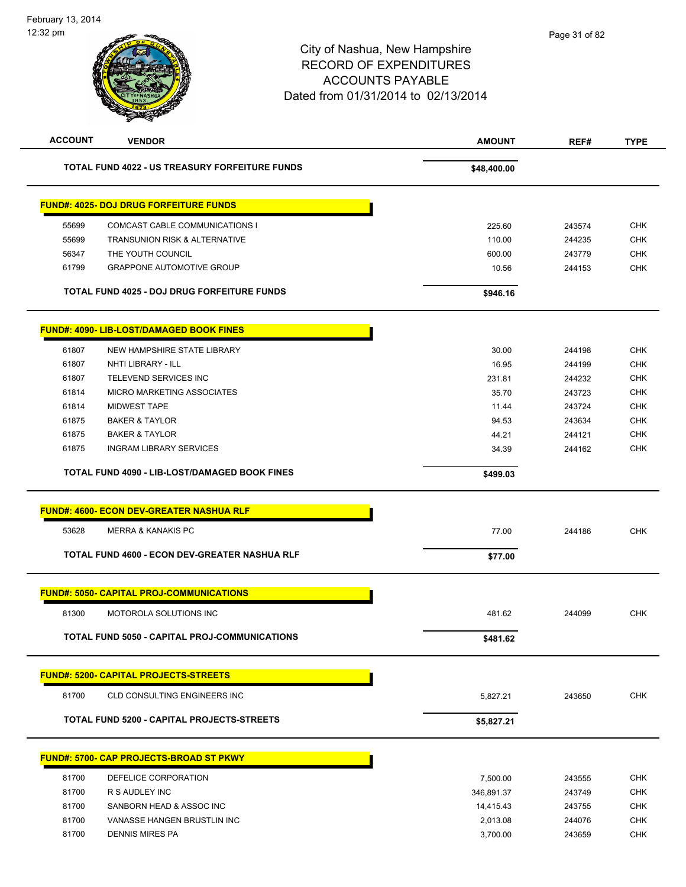| <b>AMOUNT</b><br>REF# | <b>TYPE</b> |
|-----------------------|-------------|
| \$48,400.00           |             |
|                       |             |
| 225.60<br>243574      | <b>CHK</b>  |
| 110.00<br>244235      | <b>CHK</b>  |
| 600.00<br>243779      | <b>CHK</b>  |
| 10.56<br>244153       | <b>CHK</b>  |
| \$946.16              |             |
|                       |             |
| 30.00<br>244198       | <b>CHK</b>  |
| 16.95<br>244199       | <b>CHK</b>  |
| 231.81<br>244232      | <b>CHK</b>  |
| 35.70<br>243723       | <b>CHK</b>  |
| 243724<br>11.44       | <b>CHK</b>  |
| 94.53<br>243634       | <b>CHK</b>  |
| 44.21<br>244121       | <b>CHK</b>  |
| 34.39<br>244162       | <b>CHK</b>  |
| \$499.03              |             |
|                       |             |
| 77.00<br>244186       | <b>CHK</b>  |
| \$77.00               |             |
|                       |             |
| 481.62<br>244099      | <b>CHK</b>  |
| \$481.62              |             |
|                       |             |
|                       |             |
| 5,827.21<br>243650    | <b>CHK</b>  |
| \$5,827.21            |             |
|                       |             |
| 7,500.00<br>243555    | <b>CHK</b>  |
| 346,891.37<br>243749  | <b>CHK</b>  |
| 14,415.43<br>243755   | CHK         |
| 2,013.08<br>244076    | <b>CHK</b>  |
|                       |             |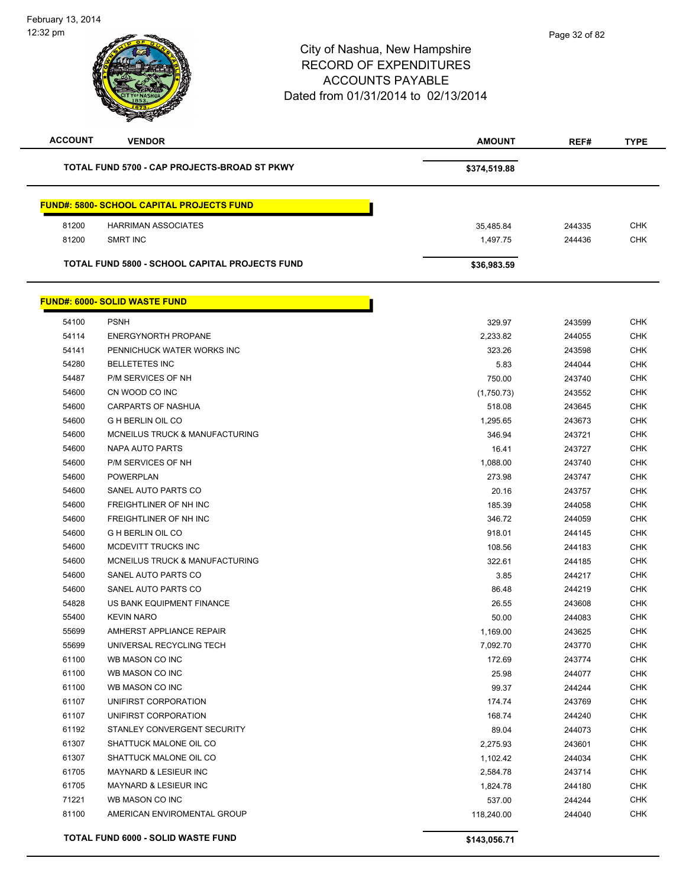| <b>ACCOUNT</b> | <b>VENDOR</b>                                    | <b>AMOUNT</b> | REF#   | <b>TYPE</b> |
|----------------|--------------------------------------------------|---------------|--------|-------------|
|                | TOTAL FUND 5700 - CAP PROJECTS-BROAD ST PKWY     | \$374,519.88  |        |             |
|                | <b>FUND#: 5800- SCHOOL CAPITAL PROJECTS FUND</b> |               |        |             |
| 81200          | <b>HARRIMAN ASSOCIATES</b>                       | 35,485.84     | 244335 | <b>CHK</b>  |
| 81200          | <b>SMRT INC</b>                                  | 1,497.75      | 244436 | <b>CHK</b>  |
|                |                                                  |               |        |             |
|                | TOTAL FUND 5800 - SCHOOL CAPITAL PROJECTS FUND   | \$36,983.59   |        |             |
|                | <b>FUND#: 6000- SOLID WASTE FUND</b>             |               |        |             |
| 54100          | <b>PSNH</b>                                      | 329.97        | 243599 | <b>CHK</b>  |
| 54114          | <b>ENERGYNORTH PROPANE</b>                       | 2,233.82      | 244055 | <b>CHK</b>  |
| 54141          | PENNICHUCK WATER WORKS INC                       | 323.26        | 243598 | <b>CHK</b>  |
| 54280          | <b>BELLETETES INC</b>                            | 5.83          | 244044 | <b>CHK</b>  |
| 54487          | P/M SERVICES OF NH                               | 750.00        | 243740 | <b>CHK</b>  |
| 54600          | CN WOOD CO INC                                   | (1,750.73)    | 243552 | <b>CHK</b>  |
| 54600          | <b>CARPARTS OF NASHUA</b>                        | 518.08        | 243645 | <b>CHK</b>  |
| 54600          | <b>G H BERLIN OIL CO</b>                         | 1,295.65      | 243673 | <b>CHK</b>  |
| 54600          | MCNEILUS TRUCK & MANUFACTURING                   | 346.94        | 243721 | <b>CHK</b>  |
| 54600          | NAPA AUTO PARTS                                  | 16.41         | 243727 | <b>CHK</b>  |
| 54600          | P/M SERVICES OF NH                               | 1,088.00      | 243740 | <b>CHK</b>  |
| 54600          | <b>POWERPLAN</b>                                 | 273.98        | 243747 | <b>CHK</b>  |
| 54600          | SANEL AUTO PARTS CO                              | 20.16         | 243757 | <b>CHK</b>  |
| 54600          | FREIGHTLINER OF NH INC                           | 185.39        | 244058 | <b>CHK</b>  |
| 54600          | FREIGHTLINER OF NH INC                           | 346.72        | 244059 | <b>CHK</b>  |
| 54600          | <b>G H BERLIN OIL CO</b>                         | 918.01        | 244145 | <b>CHK</b>  |
| 54600          | MCDEVITT TRUCKS INC                              | 108.56        | 244183 | <b>CHK</b>  |
| 54600          | MCNEILUS TRUCK & MANUFACTURING                   | 322.61        | 244185 | <b>CHK</b>  |
| 54600          | SANEL AUTO PARTS CO                              | 3.85          | 244217 | <b>CHK</b>  |
| 54600          | SANEL AUTO PARTS CO                              | 86.48         | 244219 | <b>CHK</b>  |
| 54828          | US BANK EQUIPMENT FINANCE                        | 26.55         | 243608 | <b>CHK</b>  |
| 55400          | <b>KEVIN NARO</b>                                | 50.00         | 244083 | <b>CHK</b>  |
| 55699          | AMHERST APPLIANCE REPAIR                         | 1,169.00      | 243625 | <b>CHK</b>  |
| 55699          | UNIVERSAL RECYCLING TECH                         | 7,092.70      | 243770 | CHK         |
| 61100          | WB MASON CO INC                                  | 172.69        | 243774 | CHK         |
| 61100          | WB MASON CO INC                                  | 25.98         | 244077 | CHK         |
| 61100          | WB MASON CO INC                                  | 99.37         | 244244 | <b>CHK</b>  |
| 61107          | UNIFIRST CORPORATION                             | 174.74        | 243769 | <b>CHK</b>  |
| 61107          | UNIFIRST CORPORATION                             | 168.74        | 244240 | <b>CHK</b>  |
| 61192          | STANLEY CONVERGENT SECURITY                      | 89.04         | 244073 | <b>CHK</b>  |
| 61307          | SHATTUCK MALONE OIL CO                           | 2,275.93      | 243601 | <b>CHK</b>  |
| 61307          | SHATTUCK MALONE OIL CO                           | 1,102.42      | 244034 | <b>CHK</b>  |
| 61705          | MAYNARD & LESIEUR INC                            | 2,584.78      | 243714 | <b>CHK</b>  |
| 61705          | MAYNARD & LESIEUR INC                            | 1,824.78      | 244180 | <b>CHK</b>  |
| 71221          | WB MASON CO INC                                  | 537.00        | 244244 | <b>CHK</b>  |
| 81100          | AMERICAN ENVIROMENTAL GROUP                      | 118,240.00    | 244040 | <b>CHK</b>  |
|                | TOTAL FUND 6000 - SOLID WASTE FUND               | \$143,056.71  |        |             |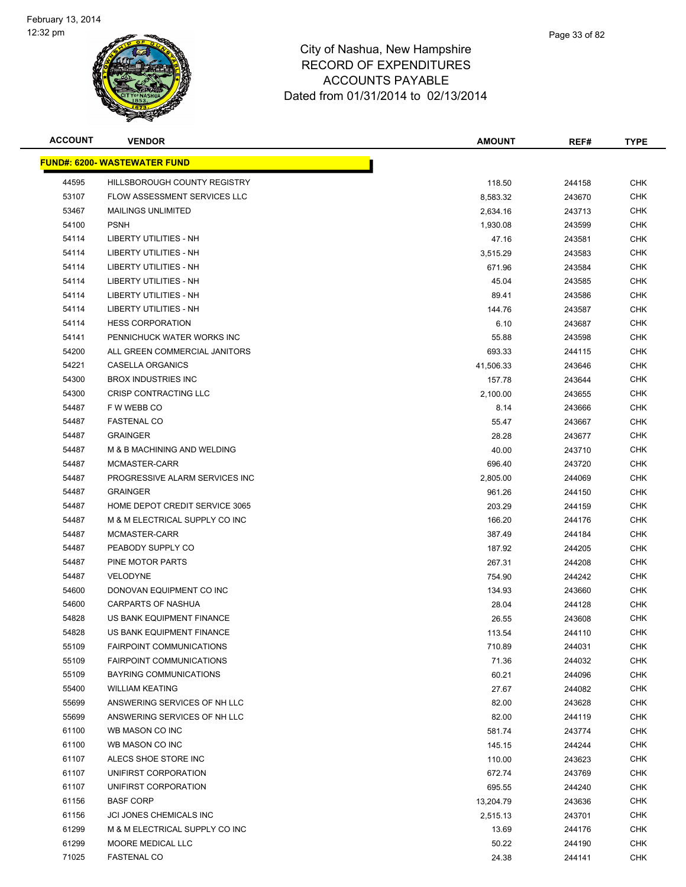**FUND#: 6200- WASTEWATER FUND**



| ACCOUNT | <b>VENDOR</b>                       | <b>AMOUNT</b> | REF#   | TYPE       |
|---------|-------------------------------------|---------------|--------|------------|
|         | <u> IND#: 6200- WASTEWATER FUND</u> |               |        |            |
| 44595   | HILLSBOROUGH COUNTY REGISTRY        | 118.50        | 244158 | <b>CHK</b> |
| 53107   | FLOW ASSESSMENT SERVICES LLC        | 8,583.32      | 243670 | <b>CHK</b> |
| 53467   | <b>MAILINGS UNLIMITED</b>           | 2,634.16      | 243713 | <b>CHK</b> |
| 54100   | <b>PSNH</b>                         | 1,930.08      | 243599 | <b>CHK</b> |
| 54114   | LIBERTY UTILITIES - NH              | 47.16         | 243581 | <b>CHK</b> |
| 54114   | LIBERTY UTILITIES - NH              | 3,515.29      | 243583 | <b>CHK</b> |
| 54114   | LIBERTY UTILITIES - NH              | 671.96        | 243584 | <b>CHK</b> |
| 54114   | LIBERTY UTILITIES - NH              | 45.04         | 243585 | <b>CHK</b> |
| 54114   | <b>LIBERTY UTILITIES - NH</b>       | 89.41         | 243586 | <b>CHK</b> |
| 54114   | LIBERTY UTILITIES - NH              | 144.76        | 243587 | <b>CHK</b> |
| 54114   | <b>HESS CORPORATION</b>             | 6.10          | 243687 | <b>CHK</b> |
| 54141   | PENNICHUCK WATER WORKS INC          | 55.88         | 243598 | <b>CHK</b> |
| 54200   | ALL GREEN COMMERCIAL JANITORS       | 693.33        | 244115 | <b>CHK</b> |
| 54221   | <b>CASELLA ORGANICS</b>             | 41,506.33     | 243646 | <b>CHK</b> |
| 54300   | <b>BROX INDUSTRIES INC</b>          | 157.78        | 243644 | <b>CHK</b> |
| 54300   | <b>CRISP CONTRACTING LLC</b>        | 2,100.00      | 243655 | <b>CHK</b> |
| 54487   | F W WEBB CO                         | 8.14          | 243666 | <b>CHK</b> |
| 54487   | <b>FASTENAL CO</b>                  | 55.47         | 243667 | <b>CHK</b> |
| 54487   | <b>GRAINGER</b>                     | 28.28         | 243677 | <b>CHK</b> |
| 54487   | M & B MACHINING AND WELDING         | 40.00         | 243710 | <b>CHK</b> |
| 54487   | MCMASTER-CARR                       | 696.40        | 243720 | <b>CHK</b> |
| 54487   | PROGRESSIVE ALARM SERVICES INC      | 2,805.00      | 244069 | <b>CHK</b> |
| 54487   | <b>GRAINGER</b>                     | 961.26        | 244150 | <b>CHK</b> |
| 54487   | HOME DEPOT CREDIT SERVICE 3065      | 203.29        | 244159 | <b>CHK</b> |
| 54487   | M & M ELECTRICAL SUPPLY CO INC      | 166.20        | 244176 | <b>CHK</b> |
| 54487   | MCMASTER-CARR                       | 387.49        | 244184 | <b>CHK</b> |
| 54487   | PEABODY SUPPLY CO                   | 187.92        | 244205 | <b>CHK</b> |
| 54487   | PINE MOTOR PARTS                    | 267.31        | 244208 | <b>CHK</b> |
| 54487   | VELODYNE                            | 754.90        | 244242 | <b>CHK</b> |
| 54600   | DONOVAN EQUIPMENT CO INC            | 134.93        | 243660 | <b>CHK</b> |
| 54600   | <b>CARPARTS OF NASHUA</b>           | 28.04         | 244128 | <b>CHK</b> |
| 54828   | US BANK EQUIPMENT FINANCE           | 26.55         | 243608 | <b>CHK</b> |
| 54828   | US BANK EQUIPMENT FINANCE           | 113.54        | 244110 | <b>CHK</b> |
| 55109   | <b>FAIRPOINT COMMUNICATIONS</b>     | 710.89        | 244031 | <b>CHK</b> |
| 55109   | <b>FAIRPOINT COMMUNICATIONS</b>     | 71.36         | 244032 | <b>CHK</b> |
| 55109   | BAYRING COMMUNICATIONS              | 60.21         | 244096 | <b>CHK</b> |
| 55400   | <b>WILLIAM KEATING</b>              | 27.67         | 244082 | <b>CHK</b> |
| 55699   | ANSWERING SERVICES OF NH LLC        | 82.00         | 243628 | <b>CHK</b> |
| 55699   | ANSWERING SERVICES OF NH LLC        | 82.00         | 244119 | <b>CHK</b> |
| 61100   | WB MASON CO INC                     | 581.74        | 243774 | <b>CHK</b> |
| 61100   | WB MASON CO INC                     | 145.15        | 244244 | <b>CHK</b> |
| 61107   | ALECS SHOE STORE INC                | 110.00        | 243623 | <b>CHK</b> |
| 61107   | UNIFIRST CORPORATION                | 672.74        | 243769 | <b>CHK</b> |
| 61107   | UNIFIRST CORPORATION                | 695.55        | 244240 | CHK        |
| 61156   | <b>BASF CORP</b>                    | 13,204.79     | 243636 | CHK        |
| 61156   | JCI JONES CHEMICALS INC             | 2,515.13      | 243701 | CHK        |
| 61299   | M & M ELECTRICAL SUPPLY CO INC      | 13.69         | 244176 | <b>CHK</b> |
| 61299   | MOORE MEDICAL LLC                   | 50.22         | 244190 | <b>CHK</b> |
| 71025   | FASTENAL CO                         | 24.38         | 244141 | <b>CHK</b> |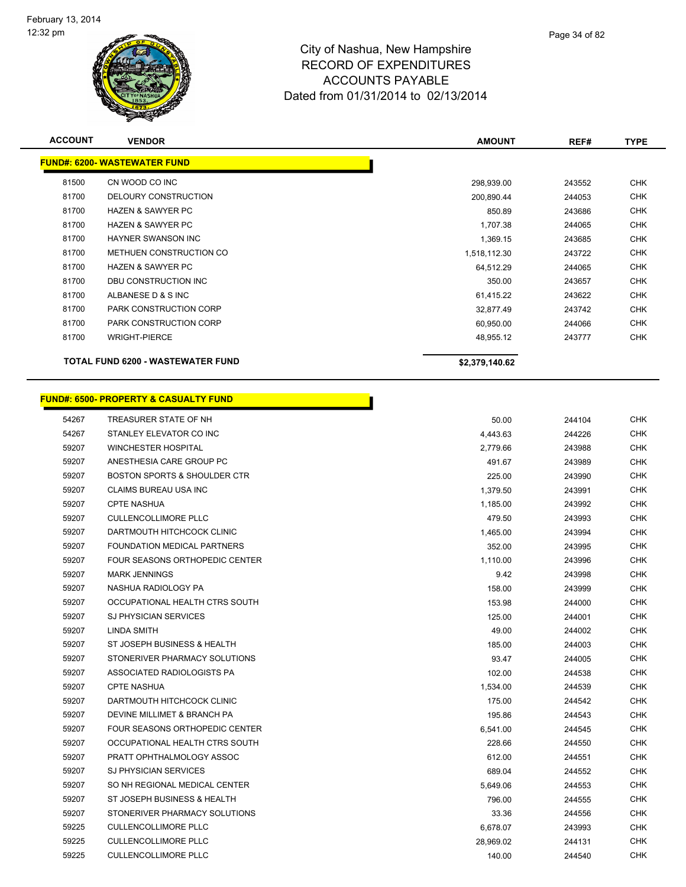

| <b>ACCOUNT</b> | <b>VENDOR</b>                                    | <b>AMOUNT</b>  | REF#   | <b>TYPE</b> |
|----------------|--------------------------------------------------|----------------|--------|-------------|
|                | <b>FUND#: 6200- WASTEWATER FUND</b>              |                |        |             |
| 81500          | CN WOOD CO INC                                   | 298,939.00     | 243552 | <b>CHK</b>  |
| 81700          | DELOURY CONSTRUCTION                             | 200,890.44     | 244053 | <b>CHK</b>  |
| 81700          | <b>HAZEN &amp; SAWYER PC</b>                     | 850.89         | 243686 | <b>CHK</b>  |
| 81700          | <b>HAZEN &amp; SAWYER PC</b>                     | 1,707.38       | 244065 | <b>CHK</b>  |
| 81700          | <b>HAYNER SWANSON INC</b>                        | 1,369.15       | 243685 | <b>CHK</b>  |
| 81700          | METHUEN CONSTRUCTION CO                          | 1,518,112.30   | 243722 | <b>CHK</b>  |
| 81700          | <b>HAZEN &amp; SAWYER PC</b>                     | 64,512.29      | 244065 | <b>CHK</b>  |
| 81700          | DBU CONSTRUCTION INC                             | 350.00         | 243657 | <b>CHK</b>  |
| 81700          | ALBANESE D & S INC                               | 61,415.22      | 243622 | <b>CHK</b>  |
| 81700          | <b>PARK CONSTRUCTION CORP</b>                    | 32,877.49      | 243742 | <b>CHK</b>  |
| 81700          | <b>PARK CONSTRUCTION CORP</b>                    | 60,950.00      | 244066 | <b>CHK</b>  |
| 81700          | <b>WRIGHT-PIERCE</b>                             | 48,955.12      | 243777 | <b>CHK</b>  |
|                | <b>TOTAL FUND 6200 - WASTEWATER FUND</b>         | \$2,379,140.62 |        |             |
|                | <b>FUND#: 6500- PROPERTY &amp; CASUALTY FUND</b> |                |        |             |
| 54267          | TREASURER STATE OF NH                            | 50.00          | 244104 | <b>CHK</b>  |
| 54267          | STANLEY ELEVATOR CO INC                          | 4,443.63       | 244226 | <b>CHK</b>  |
| <b>50207</b>   | <b>MINCHESTED HOSDITAL</b>                       | 277066         | 242000 | <b>CHK</b>  |

| 54267 | STANLEY ELEVATOR CO INC        | 4,443.63  | 244226 | CHK        |
|-------|--------------------------------|-----------|--------|------------|
| 59207 | <b>WINCHESTER HOSPITAL</b>     | 2,779.66  | 243988 | <b>CHK</b> |
| 59207 | ANESTHESIA CARE GROUP PC       | 491.67    | 243989 | <b>CHK</b> |
| 59207 | BOSTON SPORTS & SHOULDER CTR   | 225.00    | 243990 | CHK        |
| 59207 | CLAIMS BUREAU USA INC          | 1,379.50  | 243991 | <b>CHK</b> |
| 59207 | <b>CPTE NASHUA</b>             | 1,185.00  | 243992 | <b>CHK</b> |
| 59207 | <b>CULLENCOLLIMORE PLLC</b>    | 479.50    | 243993 | <b>CHK</b> |
| 59207 | DARTMOUTH HITCHCOCK CLINIC     | 1,465.00  | 243994 | CHK        |
| 59207 | FOUNDATION MEDICAL PARTNERS    | 352.00    | 243995 | CHK        |
| 59207 | FOUR SEASONS ORTHOPEDIC CENTER | 1,110.00  | 243996 | <b>CHK</b> |
| 59207 | <b>MARK JENNINGS</b>           | 9.42      | 243998 | <b>CHK</b> |
| 59207 | NASHUA RADIOLOGY PA            | 158.00    | 243999 | <b>CHK</b> |
| 59207 | OCCUPATIONAL HEALTH CTRS SOUTH | 153.98    | 244000 | <b>CHK</b> |
| 59207 | <b>SJ PHYSICIAN SERVICES</b>   | 125.00    | 244001 | <b>CHK</b> |
| 59207 | LINDA SMITH                    | 49.00     | 244002 | <b>CHK</b> |
| 59207 | ST JOSEPH BUSINESS & HEALTH    | 185.00    | 244003 | CHK        |
| 59207 | STONERIVER PHARMACY SOLUTIONS  | 93.47     | 244005 | <b>CHK</b> |
| 59207 | ASSOCIATED RADIOLOGISTS PA     | 102.00    | 244538 | <b>CHK</b> |
| 59207 | <b>CPTE NASHUA</b>             | 1,534.00  | 244539 | CHK        |
| 59207 | DARTMOUTH HITCHCOCK CLINIC     | 175.00    | 244542 | <b>CHK</b> |
| 59207 | DEVINE MILLIMET & BRANCH PA    | 195.86    | 244543 | <b>CHK</b> |
| 59207 | FOUR SEASONS ORTHOPEDIC CENTER | 6,541.00  | 244545 | <b>CHK</b> |
| 59207 | OCCUPATIONAL HEALTH CTRS SOUTH | 228.66    | 244550 | CHK        |
| 59207 | PRATT OPHTHALMOLOGY ASSOC      | 612.00    | 244551 | CHK.       |
| 59207 | <b>SJ PHYSICIAN SERVICES</b>   | 689.04    | 244552 | <b>CHK</b> |
| 59207 | SO NH REGIONAL MEDICAL CENTER  | 5,649.06  | 244553 | CHK        |
| 59207 | ST JOSEPH BUSINESS & HEALTH    | 796.00    | 244555 | <b>CHK</b> |
| 59207 | STONERIVER PHARMACY SOLUTIONS  | 33.36     | 244556 | <b>CHK</b> |
| 59225 | <b>CULLENCOLLIMORE PLLC</b>    | 6,678.07  | 243993 | <b>CHK</b> |
| 59225 | <b>CULLENCOLLIMORE PLLC</b>    | 28,969.02 | 244131 | CHK        |
| 59225 | <b>CULLENCOLLIMORE PLLC</b>    | 140.00    | 244540 | <b>CHK</b> |
|       |                                |           |        |            |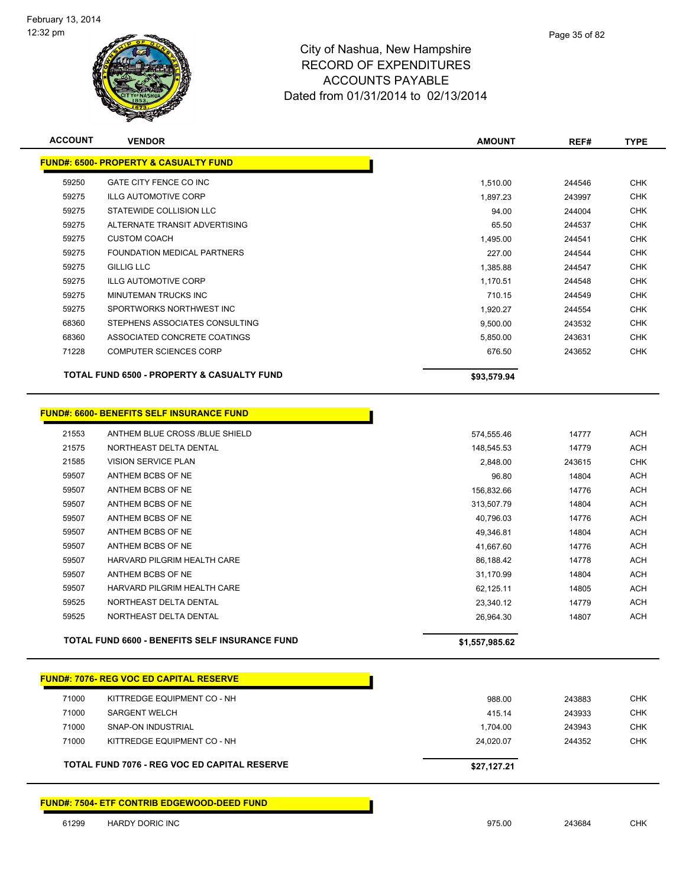

|                | <b>Contraction</b>                               |               |        |             |
|----------------|--------------------------------------------------|---------------|--------|-------------|
| <b>ACCOUNT</b> | <b>VENDOR</b>                                    | <b>AMOUNT</b> | REF#   | <b>TYPE</b> |
|                | <b>FUND#: 6500- PROPERTY &amp; CASUALTY FUND</b> |               |        |             |
| 59250          | GATE CITY FENCE CO INC                           | 1,510.00      | 244546 | <b>CHK</b>  |
| 59275          | ILLG AUTOMOTIVE CORP                             | 1,897.23      | 243997 | <b>CHK</b>  |
| 59275          | STATEWIDE COLLISION LLC                          | 94.00         | 244004 | <b>CHK</b>  |
| 59275          | ALTERNATE TRANSIT ADVERTISING                    | 65.50         | 244537 | <b>CHK</b>  |
| 59275          | <b>CUSTOM COACH</b>                              | 1,495.00      | 244541 | <b>CHK</b>  |
| 59275          | FOUNDATION MEDICAL PARTNERS                      | 227.00        | 244544 | <b>CHK</b>  |
| 59275          | <b>GILLIG LLC</b>                                | 1,385.88      | 244547 | <b>CHK</b>  |
| 59275          | <b>ILLG AUTOMOTIVE CORP</b>                      | 1,170.51      | 244548 | <b>CHK</b>  |
| 59275          | MINUTEMAN TRUCKS INC                             | 710.15        | 244549 | <b>CHK</b>  |
| 59275          | SPORTWORKS NORTHWEST INC                         | 1,920.27      | 244554 | <b>CHK</b>  |

 ASSOCIATED CONCRETE COATINGS 5,850.00 243631 CHK COMPUTER SCIENCES CORP 676.50 243652 CHK

| .                                                     | .           |
|-------------------------------------------------------|-------------|
| <b>TOTAL FUND 6500 - PROPERTY &amp; CASUALTY FUND</b> | \$93,579.94 |
|                                                       |             |

STEPHENS ASSOCIATES CONSULTING 9,500.00 243532 CHK

| <b>FUND#: 6600- BENEFITS SELF INSURANCE FUND</b> |  |
|--------------------------------------------------|--|
|                                                  |  |

|                                | \$1,557,985.62                                                                  |        |            |
|--------------------------------|---------------------------------------------------------------------------------|--------|------------|
|                                | 26,964.30                                                                       | 14807  | <b>ACH</b> |
| NORTHEAST DELTA DENTAL         | 23,340.12                                                                       | 14779  | <b>ACH</b> |
| HARVARD PILGRIM HEALTH CARE    | 62,125.11                                                                       | 14805  | <b>ACH</b> |
| ANTHEM BCBS OF NE              | 31,170.99                                                                       | 14804  | <b>ACH</b> |
| HARVARD PILGRIM HEALTH CARE    | 86,188.42                                                                       | 14778  | ACH        |
| ANTHEM BCBS OF NE              | 41,667.60                                                                       | 14776  | <b>ACH</b> |
| ANTHEM BCBS OF NE              | 49,346.81                                                                       | 14804  | ACH        |
| ANTHEM BCBS OF NE              | 40,796.03                                                                       | 14776  | ACH        |
| ANTHEM BCBS OF NE              | 313,507.79                                                                      | 14804  | <b>ACH</b> |
| ANTHEM BCBS OF NE              | 156,832.66                                                                      | 14776  | <b>ACH</b> |
| ANTHEM BCBS OF NE              | 96.80                                                                           | 14804  | <b>ACH</b> |
| <b>VISION SERVICE PLAN</b>     | 2,848.00                                                                        | 243615 | <b>CHK</b> |
| NORTHEAST DELTA DENTAL         | 148,545.53                                                                      | 14779  | <b>ACH</b> |
| ANTHEM BLUE CROSS /BLUE SHIELD | 574,555.46                                                                      | 14777  | <b>ACH</b> |
|                                | NORTHEAST DELTA DENTAL<br><b>TOTAL FUND 6600 - BENEFITS SELF INSURANCE FUND</b> |        |            |

|       | <b>FUND#: 7076- REG VOC ED CAPITAL RESERVE</b>      |             |        |            |
|-------|-----------------------------------------------------|-------------|--------|------------|
| 71000 | KITTREDGE EQUIPMENT CO - NH                         | 988.00      | 243883 | <b>CHK</b> |
| 71000 | <b>SARGENT WELCH</b>                                | 415.14      | 243933 | <b>CHK</b> |
| 71000 | SNAP-ON INDUSTRIAL                                  | 1,704.00    | 243943 | <b>CHK</b> |
| 71000 | KITTREDGE EQUIPMENT CO - NH                         | 24.020.07   | 244352 | <b>CHK</b> |
|       | <b>TOTAL FUND 7076 - REG VOC ED CAPITAL RESERVE</b> | \$27,127.21 |        |            |
|       | <b>FUND#: 7504- ETF CONTRIB EDGEWOOD-DEED FUND</b>  |             |        |            |
| 61299 | HARDY DORIC INC                                     | 975.00      | 243684 | <b>CHK</b> |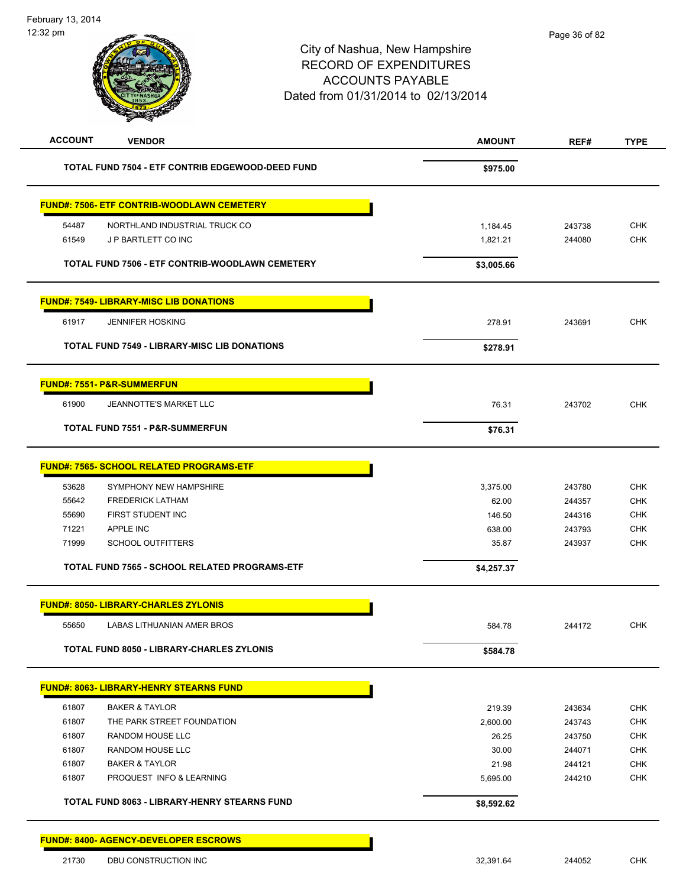

| TOTAL FUND 7504 - ETF CONTRIB EDGEWOOD-DEED FUND                        | \$975.00   |        |                   |
|-------------------------------------------------------------------------|------------|--------|-------------------|
| <b>FUND#: 7506- ETF CONTRIB-WOODLAWN CEMETERY</b>                       |            |        |                   |
| NORTHLAND INDUSTRIAL TRUCK CO<br>54487                                  | 1,184.45   | 243738 | <b>CHK</b>        |
| J P BARTLETT CO INC<br>61549                                            | 1,821.21   | 244080 | CHK               |
| TOTAL FUND 7506 - ETF CONTRIB-WOODLAWN CEMETERY                         | \$3,005.66 |        |                   |
| <b>FUND#: 7549- LIBRARY-MISC LIB DONATIONS</b>                          |            |        |                   |
| <b>JENNIFER HOSKING</b><br>61917                                        | 278.91     | 243691 | <b>CHK</b>        |
| <b>TOTAL FUND 7549 - LIBRARY-MISC LIB DONATIONS</b>                     | \$278.91   |        |                   |
| <b>FUND#: 7551- P&amp;R-SUMMERFUN</b>                                   |            |        |                   |
| 61900<br>JEANNOTTE'S MARKET LLC                                         | 76.31      | 243702 | <b>CHK</b>        |
| <b>TOTAL FUND 7551 - P&amp;R-SUMMERFUN</b>                              | \$76.31    |        |                   |
| <b>FUND#: 7565- SCHOOL RELATED PROGRAMS-ETF</b>                         |            |        |                   |
| 53628<br>SYMPHONY NEW HAMPSHIRE                                         | 3,375.00   | 243780 | <b>CHK</b>        |
| 55642<br><b>FREDERICK LATHAM</b>                                        | 62.00      | 244357 | <b>CHK</b>        |
| 55690<br>FIRST STUDENT INC                                              | 146.50     | 244316 | <b>CHK</b>        |
| 71221<br>APPLE INC                                                      | 638.00     | 243793 | <b>CHK</b>        |
| 71999<br><b>SCHOOL OUTFITTERS</b>                                       | 35.87      | 243937 | <b>CHK</b>        |
| TOTAL FUND 7565 - SCHOOL RELATED PROGRAMS-ETF                           | \$4,257.37 |        |                   |
| <b>FUND#: 8050- LIBRARY-CHARLES ZYLONIS</b>                             |            |        |                   |
| 55650<br>LABAS LITHUANIAN AMER BROS                                     | 584.78     | 244172 | <b>CHK</b>        |
| TOTAL FUND 8050 - LIBRARY-CHARLES ZYLONIS                               | \$584.78   |        |                   |
| <b>FUND#: 8063- LIBRARY-HENRY STEARNS FUND</b>                          |            |        |                   |
| 61807<br><b>BAKER &amp; TAYLOR</b>                                      | 219.39     | 243634 | CHK               |
| 61807<br>THE PARK STREET FOUNDATION                                     | 2,600.00   | 243743 | <b>CHK</b>        |
| 61807<br>RANDOM HOUSE LLC                                               | 26.25      | 243750 | <b>CHK</b>        |
| 61807<br>RANDOM HOUSE LLC                                               | 30.00      | 244071 | CHK               |
| 61807<br><b>BAKER &amp; TAYLOR</b><br>61807<br>PROQUEST INFO & LEARNING | 21.98      | 244121 | CHK<br><b>CHK</b> |
|                                                                         | 5,695.00   | 244210 |                   |
| <b>TOTAL FUND 8063 - LIBRARY-HENRY STEARNS FUND</b>                     | \$8,592.62 |        |                   |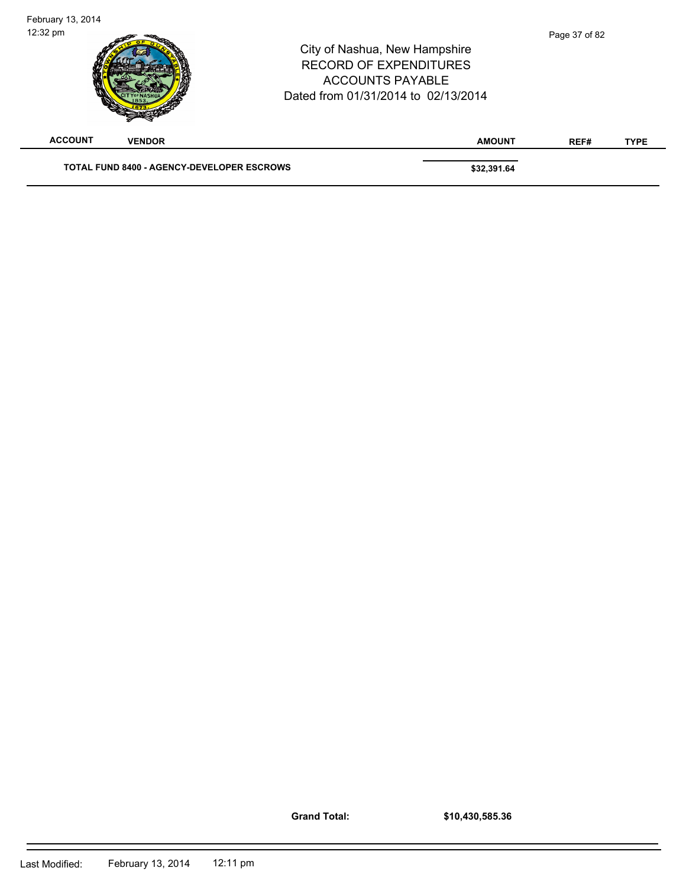| February 13, 2014<br>12:32 pm |                                                   | City of Nashua, New Hampshire<br><b>RECORD OF EXPENDITURES</b><br><b>ACCOUNTS PAYABLE</b><br>Dated from 01/31/2014 to 02/13/2014 | Page 37 of 82 |             |
|-------------------------------|---------------------------------------------------|----------------------------------------------------------------------------------------------------------------------------------|---------------|-------------|
| <b>ACCOUNT</b>                | <b>VENDOR</b>                                     | <b>AMOUNT</b>                                                                                                                    | REF#          | <b>TYPE</b> |
|                               | <b>TOTAL FUND 8400 - AGENCY-DEVELOPER ESCROWS</b> | \$32,391.64                                                                                                                      |               |             |

**Grand Total:**

**\$10,430,585.36** 

 $\blacksquare$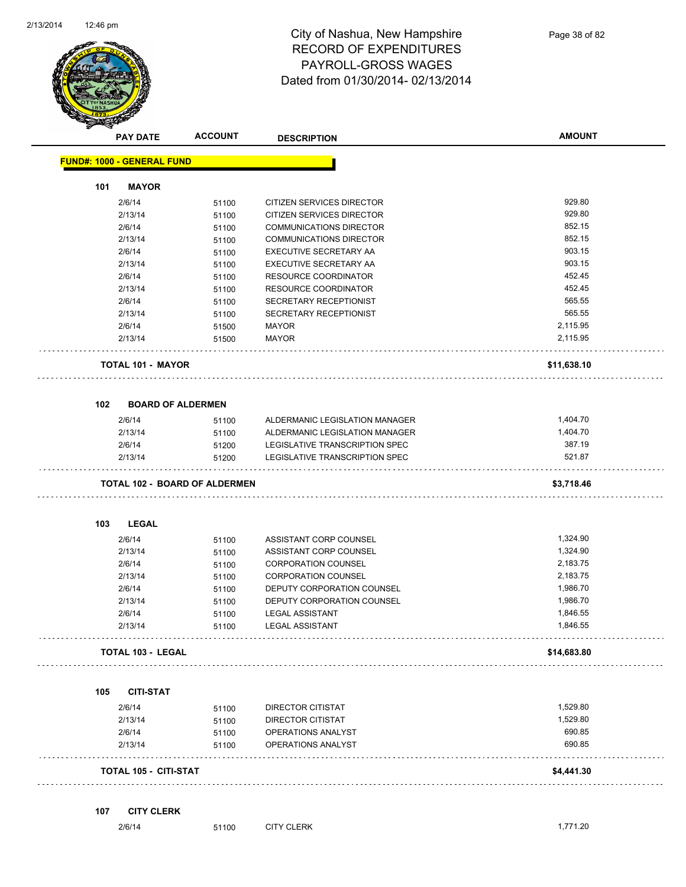

| s                                 | <b>ACCOUNT</b><br><b>PAY DATE</b>    | <b>DESCRIPTION</b>             | <b>AMOUNT</b> |
|-----------------------------------|--------------------------------------|--------------------------------|---------------|
| <b>FUND#: 1000 - GENERAL FUND</b> |                                      |                                |               |
| 101                               | <b>MAYOR</b>                         |                                |               |
| 2/6/14                            | 51100                                | CITIZEN SERVICES DIRECTOR      | 929.80        |
| 2/13/14                           | 51100                                | CITIZEN SERVICES DIRECTOR      | 929.80        |
| 2/6/14                            | 51100                                | <b>COMMUNICATIONS DIRECTOR</b> | 852.15        |
| 2/13/14                           | 51100                                | COMMUNICATIONS DIRECTOR        | 852.15        |
| 2/6/14                            | 51100                                | EXECUTIVE SECRETARY AA         | 903.15        |
| 2/13/14                           | 51100                                | <b>EXECUTIVE SECRETARY AA</b>  | 903.15        |
| 2/6/14                            | 51100                                | <b>RESOURCE COORDINATOR</b>    | 452.45        |
| 2/13/14                           | 51100                                | RESOURCE COORDINATOR           | 452.45        |
| 2/6/14                            | 51100                                | SECRETARY RECEPTIONIST         | 565.55        |
| 2/13/14                           | 51100                                | SECRETARY RECEPTIONIST         | 565.55        |
| 2/6/14                            | 51500                                | <b>MAYOR</b>                   | 2,115.95      |
| 2/13/14                           | 51500                                | <b>MAYOR</b>                   | 2,115.95      |
|                                   | <b>TOTAL 101 - MAYOR</b>             |                                | \$11,638.10   |
| 102                               | <b>BOARD OF ALDERMEN</b>             |                                |               |
| 2/6/14                            | 51100                                | ALDERMANIC LEGISLATION MANAGER | 1,404.70      |
| 2/13/14                           | 51100                                | ALDERMANIC LEGISLATION MANAGER | 1,404.70      |
| 2/6/14                            | 51200                                | LEGISLATIVE TRANSCRIPTION SPEC | 387.19        |
| 2/13/14                           | 51200                                | LEGISLATIVE TRANSCRIPTION SPEC | 521.87        |
|                                   | <b>TOTAL 102 - BOARD OF ALDERMEN</b> |                                | \$3,718.46    |
| 103                               | <b>LEGAL</b>                         |                                |               |
| 2/6/14                            | 51100                                | ASSISTANT CORP COUNSEL         | 1,324.90      |
| 2/13/14                           | 51100                                | ASSISTANT CORP COUNSEL         | 1,324.90      |
| 2/6/14                            | 51100                                | <b>CORPORATION COUNSEL</b>     | 2,183.75      |
| 2/13/14                           | 51100                                | <b>CORPORATION COUNSEL</b>     | 2,183.75      |
| 2/6/14                            | 51100                                | DEPUTY CORPORATION COUNSEL     | 1,986.70      |
| 2/13/14                           | 51100                                | DEPUTY CORPORATION COUNSEL     | 1,986.70      |
| 2/6/14                            | 51100                                | <b>LEGAL ASSISTANT</b>         | 1,846.55      |
| 2/13/14                           | 51100                                | <b>LEGAL ASSISTANT</b>         | 1,846.55      |
|                                   | <b>TOTAL 103 - LEGAL</b>             |                                | \$14,683.80   |
| 105                               | <b>CITI-STAT</b>                     |                                |               |
| 2/6/14                            | 51100                                | DIRECTOR CITISTAT              | 1,529.80      |
| 2/13/14                           | 51100                                | DIRECTOR CITISTAT              | 1,529.80      |
| 2/6/14                            | 51100                                | OPERATIONS ANALYST             | 690.85        |
| 2/13/14                           | 51100                                | OPERATIONS ANALYST             | 690.85        |
|                                   | TOTAL 105 - CITI-STAT                |                                | \$4,441.30    |
| 107                               | <b>CITY CLERK</b>                    |                                |               |
| 2/6/14                            | 51100                                | <b>CITY CLERK</b>              | 1,771.20      |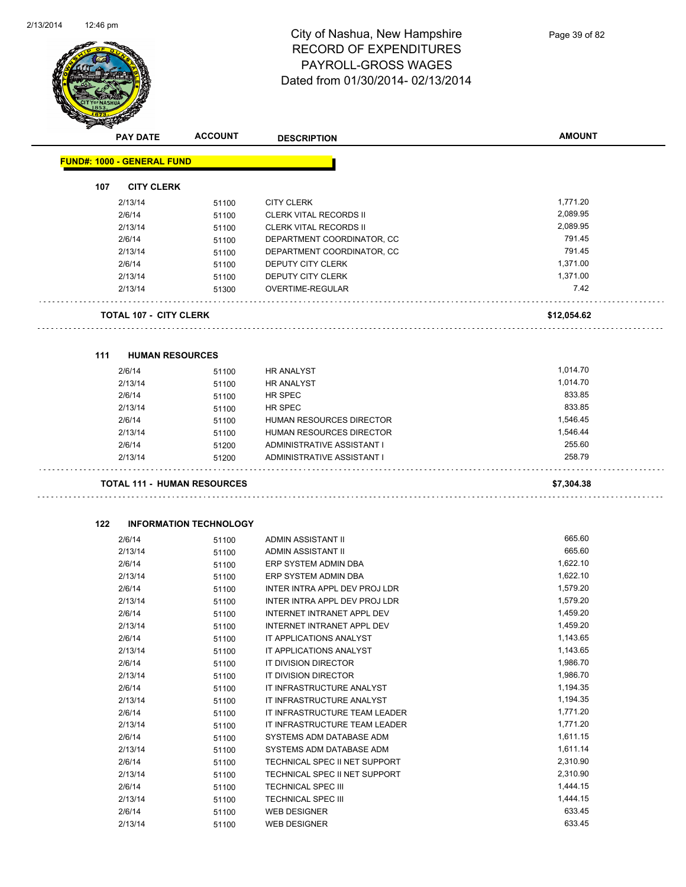

|     | <b>PAY DATE</b>                    | <b>ACCOUNT</b>                | <b>DESCRIPTION</b>                                         | <b>AMOUNT</b>        |
|-----|------------------------------------|-------------------------------|------------------------------------------------------------|----------------------|
|     | <b>FUND#: 1000 - GENERAL FUND</b>  |                               |                                                            |                      |
| 107 | <b>CITY CLERK</b>                  |                               |                                                            |                      |
|     | 2/13/14                            | 51100                         | <b>CITY CLERK</b>                                          | 1,771.20             |
|     | 2/6/14                             | 51100                         | <b>CLERK VITAL RECORDS II</b>                              | 2,089.95             |
|     | 2/13/14                            | 51100                         | CLERK VITAL RECORDS II                                     | 2,089.95             |
|     | 2/6/14                             | 51100                         | DEPARTMENT COORDINATOR, CC                                 | 791.45               |
|     | 2/13/14                            | 51100                         | DEPARTMENT COORDINATOR, CC                                 | 791.45               |
|     | 2/6/14                             | 51100                         | DEPUTY CITY CLERK                                          | 1,371.00             |
|     | 2/13/14                            | 51100                         | DEPUTY CITY CLERK                                          | 1,371.00             |
|     | 2/13/14                            | 51300                         | OVERTIME-REGULAR                                           | 7.42                 |
|     | <b>TOTAL 107 - CITY CLERK</b>      |                               |                                                            | \$12,054.62          |
|     |                                    |                               |                                                            |                      |
| 111 | <b>HUMAN RESOURCES</b>             |                               |                                                            |                      |
|     | 2/6/14                             | 51100                         | <b>HR ANALYST</b>                                          | 1,014.70             |
|     | 2/13/14                            | 51100                         | <b>HR ANALYST</b>                                          | 1,014.70<br>833.85   |
|     | 2/6/14                             | 51100                         | HR SPEC                                                    | 833.85               |
|     | 2/13/14                            | 51100                         | HR SPEC                                                    |                      |
|     | 2/6/14                             | 51100                         | <b>HUMAN RESOURCES DIRECTOR</b>                            | 1,546.45             |
|     | 2/13/14                            | 51100                         | HUMAN RESOURCES DIRECTOR                                   | 1,546.44<br>255.60   |
|     | 2/6/14<br>2/13/14                  | 51200<br>51200                | ADMINISTRATIVE ASSISTANT I<br>ADMINISTRATIVE ASSISTANT I   | 258.79               |
|     | <b>TOTAL 111 - HUMAN RESOURCES</b> |                               |                                                            | \$7,304.38           |
| 122 |                                    | <b>INFORMATION TECHNOLOGY</b> |                                                            |                      |
|     | 2/6/14                             | 51100                         | ADMIN ASSISTANT II                                         | 665.60               |
|     | 2/13/14                            |                               | ADMIN ASSISTANT II                                         |                      |
|     |                                    |                               |                                                            |                      |
|     |                                    | 51100                         |                                                            | 665.60               |
|     | 2/6/14                             | 51100                         | ERP SYSTEM ADMIN DBA                                       | 1,622.10             |
|     | 2/13/14                            | 51100                         | ERP SYSTEM ADMIN DBA                                       | 1,622.10             |
|     | 2/6/14                             | 51100                         | INTER INTRA APPL DEV PROJ LDR                              | 1,579.20             |
|     | 2/13/14                            | 51100                         | INTER INTRA APPL DEV PROJ LDR                              | 1,579.20             |
|     | 2/6/14                             | 51100                         | INTERNET INTRANET APPL DEV                                 | 1,459.20             |
|     | 2/13/14                            | 51100                         | INTERNET INTRANET APPL DEV                                 | 1,459.20             |
|     | 2/6/14                             | 51100                         | IT APPLICATIONS ANALYST                                    | 1,143.65             |
|     | 2/13/14                            | 51100                         | IT APPLICATIONS ANALYST                                    | 1,143.65             |
|     | 2/6/14                             | 51100                         | IT DIVISION DIRECTOR                                       | 1,986.70             |
|     | 2/13/14                            | 51100                         | IT DIVISION DIRECTOR                                       | 1,986.70             |
|     | 2/6/14                             | 51100                         | IT INFRASTRUCTURE ANALYST                                  | 1,194.35             |
|     | 2/13/14                            | 51100                         | IT INFRASTRUCTURE ANALYST                                  | 1,194.35             |
|     | 2/6/14                             | 51100                         | IT INFRASTRUCTURE TEAM LEADER                              | 1,771.20             |
|     | 2/13/14                            | 51100                         | IT INFRASTRUCTURE TEAM LEADER                              | 1,771.20             |
|     | 2/6/14                             | 51100                         | SYSTEMS ADM DATABASE ADM                                   | 1,611.15             |
|     | 2/13/14                            | 51100                         | SYSTEMS ADM DATABASE ADM                                   | 1,611.14             |
|     | 2/6/14                             | 51100                         | TECHNICAL SPEC II NET SUPPORT                              | 2,310.90             |
|     | 2/13/14<br>2/6/14                  | 51100<br>51100                | TECHNICAL SPEC II NET SUPPORT<br><b>TECHNICAL SPEC III</b> | 2,310.90<br>1,444.15 |

2/6/14 51100 WEB DESIGNER 633.45 2/13/14 51100 WEB DESIGNER 633.45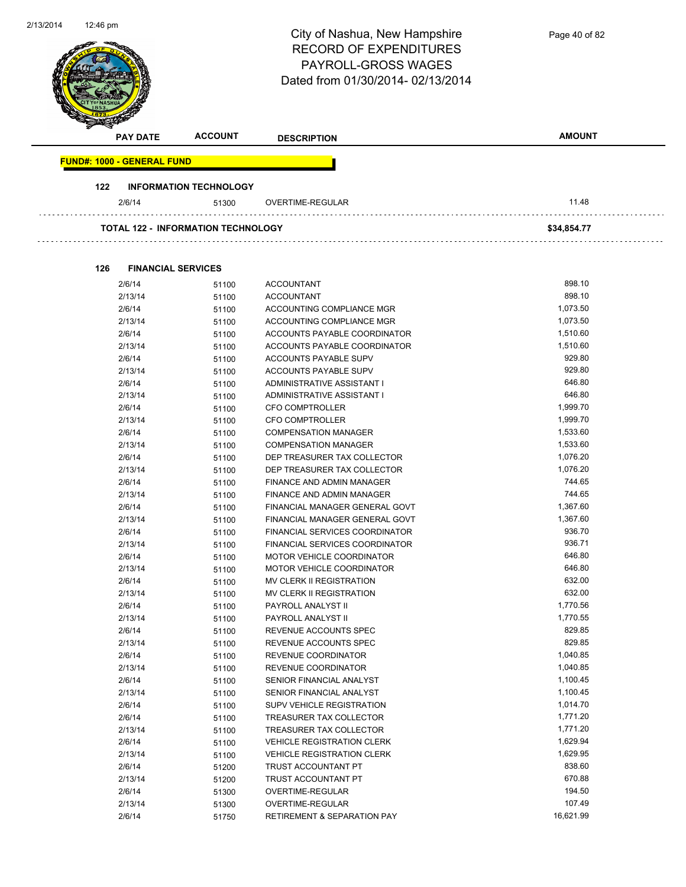| 2/13/2014 | 12:46 pm                                  |                                        | City of Nashua, New Hampshire<br><b>RECORD OF EXPENDITURES</b><br>PAYROLL-GROSS WAGES<br>Dated from 01/30/2014-02/13/2014 | Page 40 of 82      |
|-----------|-------------------------------------------|----------------------------------------|---------------------------------------------------------------------------------------------------------------------------|--------------------|
|           | <b>PAY DATE</b>                           | <b>ACCOUNT</b>                         | <b>DESCRIPTION</b>                                                                                                        | <b>AMOUNT</b>      |
|           | <b>FUND#: 1000 - GENERAL FUND</b>         |                                        |                                                                                                                           |                    |
|           | 122                                       |                                        |                                                                                                                           |                    |
|           | 2/6/14                                    | <b>INFORMATION TECHNOLOGY</b><br>51300 | OVERTIME-REGULAR                                                                                                          | 11.48              |
|           |                                           |                                        |                                                                                                                           |                    |
|           | <b>TOTAL 122 - INFORMATION TECHNOLOGY</b> |                                        |                                                                                                                           | \$34,854.77        |
|           | 126<br><b>FINANCIAL SERVICES</b>          |                                        |                                                                                                                           |                    |
|           | 2/6/14                                    | 51100                                  | <b>ACCOUNTANT</b>                                                                                                         | 898.10             |
|           | 2/13/14                                   | 51100                                  | <b>ACCOUNTANT</b>                                                                                                         | 898.10             |
|           | 2/6/14                                    | 51100                                  | ACCOUNTING COMPLIANCE MGR                                                                                                 | 1,073.50           |
|           | 2/13/14                                   | 51100                                  | ACCOUNTING COMPLIANCE MGR                                                                                                 | 1,073.50           |
|           | 2/6/14                                    | 51100                                  | ACCOUNTS PAYABLE COORDINATOR                                                                                              | 1,510.60           |
|           | 2/13/14                                   | 51100                                  | ACCOUNTS PAYABLE COORDINATOR                                                                                              | 1,510.60           |
|           | 2/6/14                                    | 51100                                  | ACCOUNTS PAYABLE SUPV                                                                                                     | 929.80             |
|           | 2/13/14                                   | 51100                                  | ACCOUNTS PAYABLE SUPV                                                                                                     | 929.80             |
|           | 2/6/14                                    | 51100                                  | ADMINISTRATIVE ASSISTANT I                                                                                                | 646.80             |
|           | 2/13/14                                   | 51100                                  | ADMINISTRATIVE ASSISTANT I                                                                                                | 646.80             |
|           | 2/6/14                                    | 51100                                  | <b>CFO COMPTROLLER</b>                                                                                                    | 1,999.70           |
|           | 2/13/14                                   | 51100                                  | <b>CFO COMPTROLLER</b>                                                                                                    | 1,999.70           |
|           | 2/6/14                                    | 51100                                  | <b>COMPENSATION MANAGER</b>                                                                                               | 1,533.60           |
|           | 2/13/14                                   | 51100                                  | <b>COMPENSATION MANAGER</b>                                                                                               | 1,533.60           |
|           | 2/6/14                                    | 51100                                  | DEP TREASURER TAX COLLECTOR                                                                                               | 1,076.20           |
|           | 2/13/14                                   | 51100                                  | DEP TREASURER TAX COLLECTOR                                                                                               | 1,076.20           |
|           | 2/6/14                                    | 51100                                  | FINANCE AND ADMIN MANAGER                                                                                                 | 744.65             |
|           | 2/13/14                                   | 51100                                  | FINANCE AND ADMIN MANAGER                                                                                                 | 744.65             |
|           | 2/6/14                                    | 51100                                  | FINANCIAL MANAGER GENERAL GOVT                                                                                            | 1,367.60           |
|           | 2/13/14                                   | 51100                                  | FINANCIAL MANAGER GENERAL GOVT                                                                                            | 1,367.60           |
|           | 2/6/14                                    | 51100                                  | FINANCIAL SERVICES COORDINATOR                                                                                            | 936.70             |
|           | 2/13/14                                   | 51100                                  | FINANCIAL SERVICES COORDINATOR                                                                                            | 936.71             |
|           | 2/6/14                                    | 51100                                  | MOTOR VEHICLE COORDINATOR                                                                                                 | 646.80             |
|           | 2/13/14                                   | 51100                                  | MOTOR VEHICLE COORDINATOR                                                                                                 | 646.80             |
|           | 2/6/14                                    | 51100                                  | MV CLERK II REGISTRATION                                                                                                  | 632.00             |
|           | 2/13/14                                   | 51100                                  | MV CLERK II REGISTRATION                                                                                                  | 632.00<br>1,770.56 |
|           | 2/6/14                                    | 51100                                  | PAYROLL ANALYST II                                                                                                        |                    |
|           | 2/13/14                                   | 51100                                  | PAYROLL ANALYST II                                                                                                        | 1,770.55<br>829.85 |
|           | 2/6/14<br>2/13/14                         | 51100                                  | REVENUE ACCOUNTS SPEC<br>REVENUE ACCOUNTS SPEC                                                                            | 829.85             |
|           | 2/6/14                                    | 51100                                  | REVENUE COORDINATOR                                                                                                       | 1,040.85           |
|           | 2/13/14                                   | 51100<br>51100                         | REVENUE COORDINATOR                                                                                                       | 1,040.85           |
|           | 2/6/14                                    | 51100                                  | SENIOR FINANCIAL ANALYST                                                                                                  | 1,100.45           |
|           | 2/13/14                                   | 51100                                  | SENIOR FINANCIAL ANALYST                                                                                                  | 1,100.45           |
|           | 2/6/14                                    | 51100                                  | SUPV VEHICLE REGISTRATION                                                                                                 | 1,014.70           |
|           | 2/6/14                                    | 51100                                  | TREASURER TAX COLLECTOR                                                                                                   | 1,771.20           |
|           | 2/13/14                                   | 51100                                  | TREASURER TAX COLLECTOR                                                                                                   | 1,771.20           |
|           | 2/6/14                                    | 51100                                  | <b>VEHICLE REGISTRATION CLERK</b>                                                                                         | 1,629.94           |
|           | 2/13/14                                   | 51100                                  | <b>VEHICLE REGISTRATION CLERK</b>                                                                                         | 1,629.95           |
|           | 2/6/14                                    | 51200                                  | TRUST ACCOUNTANT PT                                                                                                       | 838.60             |
|           | 2/13/14                                   | 51200                                  | TRUST ACCOUNTANT PT                                                                                                       | 670.88             |
|           | 2/6/14                                    | 51300                                  | OVERTIME-REGULAR                                                                                                          | 194.50             |
|           | 2/13/14                                   | 51300                                  | OVERTIME-REGULAR                                                                                                          | 107.49             |
|           | 2/6/14                                    | 51750                                  | <b>RETIREMENT &amp; SEPARATION PAY</b>                                                                                    | 16,621.99          |
|           |                                           |                                        |                                                                                                                           |                    |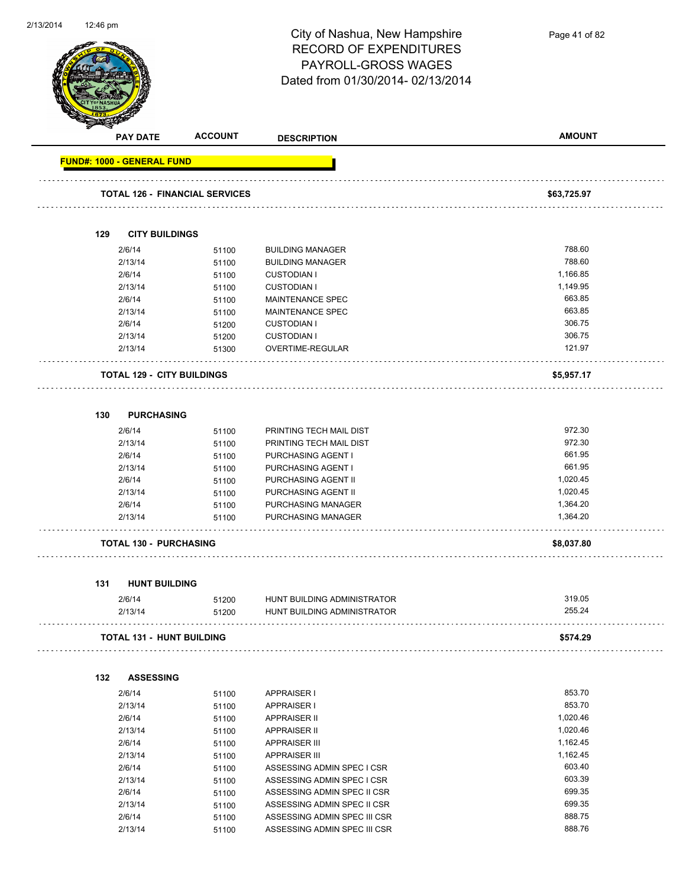

**PAY DATE ACCOUNT DESCRIPTION AMOUNT FUND#: 1000 - GENERAL FUND TOTAL 126 - FINANCIAL SERVICES \$63,725.97 129 CITY BUILDINGS** 2/6/14 51100 BUILDING MANAGER 788.60 2/13/14 51100 BUILDING MANAGER 788.60 2/6/14 51100 CUSTODIAN I 1,166.85 2/13/14 51100 CUSTODIAN I 1,149.95 2/6/14 51100 MAINTENANCE SPEC 663.85 2/13/14 51100 MAINTENANCE SPEC 663.85 2/6/14 51200 CUSTODIAN I 306.75 2/13/14 51200 CUSTODIAN I 306.75 2/13/14 51300 OVERTIME-REGULAR 121.97 . . . . . . . . . . . . . . . **TOTAL 129 - CITY BUILDINGS \$5,957.17 130 PURCHASING** 2/6/14 51100 PRINTING TECH MAIL DIST 972.30 2/13/14 51100 PRINTING TECH MAIL DIST 972.30 2/6/14 51100 PURCHASING AGENT I 661.95 2/13/14 51100 PURCHASING AGENT I 661.95 2/6/14 51100 PURCHASING AGENT II 1,020.45 2/13/14 51100 PURCHASING AGENT II 1,020.45 2/6/14 51100 PURCHASING MANAGER 1,364.20 2/13/14 51100 PURCHASING MANAGER 1,364.20 **TOTAL 130 - PURCHASING \$8,037.80 131 HUNT BUILDING** 2/6/14 51200 HUNT BUILDING ADMINISTRATOR 319.05 2/13/14 51200 HUNT BUILDING ADMINISTRATOR 255.24 **TOTAL 131 - HUNT BUILDING \$574.29 132 ASSESSING** 2/6/14 51100 APPRAISER I 853.70 2/13/14 51100 APPRAISER I 853.70 2/6/14 51100 APPRAISER II 1,020.46 2/13/14 51100 APPRAISER II 2009 1990 1991 1,020.46 2/6/14 51100 APPRAISER III 1,162.45 2/13/14 51100 APPRAISER III 1,162.45 2/6/14 51100 ASSESSING ADMIN SPEC I CSR 603.40 2/13/14 51100 ASSESSING ADMIN SPEC I CSR 603.39 2/6/14 51100 ASSESSING ADMIN SPEC II CSR 699.35 2/13/14 51100 ASSESSING ADMIN SPEC II CSR 699.35 2/6/14 51100 ASSESSING ADMIN SPEC III CSR 888.75

2/13/14 51100 ASSESSING ADMIN SPEC III CSR 688.76

Page 41 of 82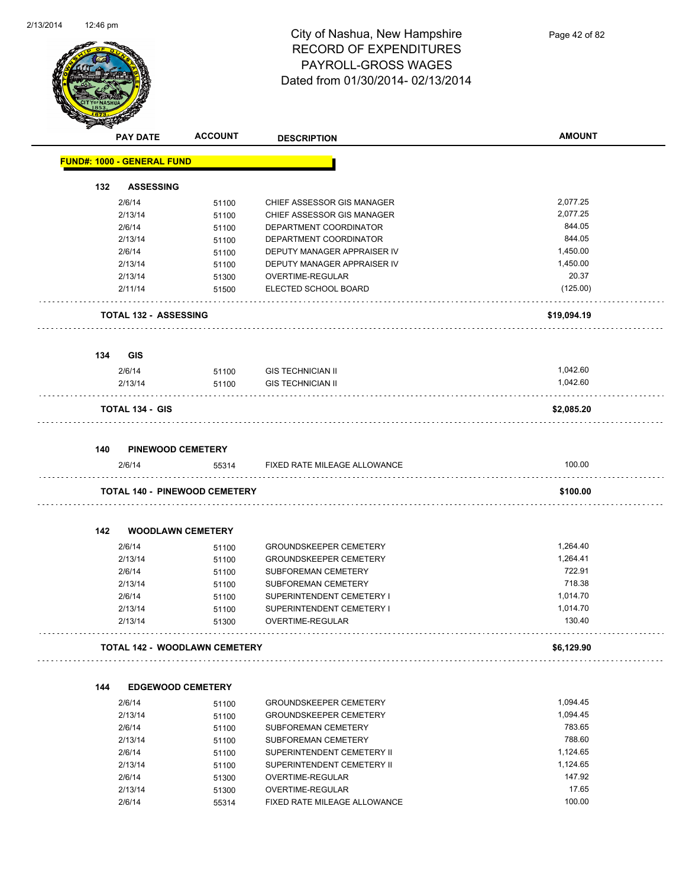

Page 42 of 82

|     | <b>PAY DATE</b>                      | <b>ACCOUNT</b> | <b>DESCRIPTION</b>            | <b>AMOUNT</b> |
|-----|--------------------------------------|----------------|-------------------------------|---------------|
|     | <b>FUND#: 1000 - GENERAL FUND</b>    |                |                               |               |
| 132 | <b>ASSESSING</b>                     |                |                               |               |
|     | 2/6/14                               | 51100          | CHIEF ASSESSOR GIS MANAGER    | 2,077.25      |
|     | 2/13/14                              | 51100          | CHIEF ASSESSOR GIS MANAGER    | 2,077.25      |
|     | 2/6/14                               | 51100          | DEPARTMENT COORDINATOR        | 844.05        |
|     | 2/13/14                              | 51100          | DEPARTMENT COORDINATOR        | 844.05        |
|     | 2/6/14                               | 51100          | DEPUTY MANAGER APPRAISER IV   | 1,450.00      |
|     | 2/13/14                              | 51100          | DEPUTY MANAGER APPRAISER IV   | 1,450.00      |
|     | 2/13/14                              | 51300          | OVERTIME-REGULAR              | 20.37         |
|     | 2/11/14                              | 51500          | ELECTED SCHOOL BOARD          | (125.00)      |
|     | <b>TOTAL 132 - ASSESSING</b>         |                |                               | \$19,094.19   |
| 134 | GIS                                  |                |                               |               |
|     | 2/6/14                               | 51100          | <b>GIS TECHNICIAN II</b>      | 1,042.60      |
|     | 2/13/14                              | 51100          | <b>GIS TECHNICIAN II</b>      | 1,042.60      |
|     | <b>TOTAL 134 - GIS</b>               |                |                               | \$2,085.20    |
| 140 | <b>PINEWOOD CEMETERY</b>             |                |                               |               |
|     | 2/6/14                               | 55314          | FIXED RATE MILEAGE ALLOWANCE  | 100.00        |
|     | <b>TOTAL 140 - PINEWOOD CEMETERY</b> |                |                               | \$100.00      |
| 142 | <b>WOODLAWN CEMETERY</b>             |                |                               |               |
|     | 2/6/14                               | 51100          | <b>GROUNDSKEEPER CEMETERY</b> | 1,264.40      |
|     | 2/13/14                              | 51100          | <b>GROUNDSKEEPER CEMETERY</b> | 1,264.41      |
|     | 2/6/14                               | 51100          | SUBFOREMAN CEMETERY           | 722.91        |
|     | 2/13/14                              | 51100          | SUBFOREMAN CEMETERY           | 718.38        |
|     | 2/6/14                               | 51100          | SUPERINTENDENT CEMETERY I     | 1,014.70      |
|     | 2/13/14                              | 51100          | SUPERINTENDENT CEMETERY I     | 1,014.70      |
|     | 2/13/14                              | 51300          | OVERTIME-REGULAR              | 130.40        |
|     | <b>TOTAL 142 - WOODLAWN CEMETERY</b> |                |                               | \$6,129.90    |
| 144 | <b>EDGEWOOD CEMETERY</b>             |                |                               |               |
|     | 2/6/14                               | 51100          | <b>GROUNDSKEEPER CEMETERY</b> | 1,094.45      |
|     | 2/13/14                              | 51100          | <b>GROUNDSKEEPER CEMETERY</b> | 1,094.45      |
|     | 2/6/14                               | 51100          | SUBFOREMAN CEMETERY           | 783.65        |
|     | 2/13/14                              | 51100          | SUBFOREMAN CEMETERY           | 788.60        |
|     | 2/6/14                               | 51100          | SUPERINTENDENT CEMETERY II    | 1,124.65      |
|     | 2/13/14                              | 51100          | SUPERINTENDENT CEMETERY II    | 1,124.65      |
|     | 2/6/14                               | 51300          | OVERTIME-REGULAR              | 147.92        |
|     |                                      |                |                               |               |
|     | 2/13/14                              | 51300          | OVERTIME-REGULAR              | 17.65         |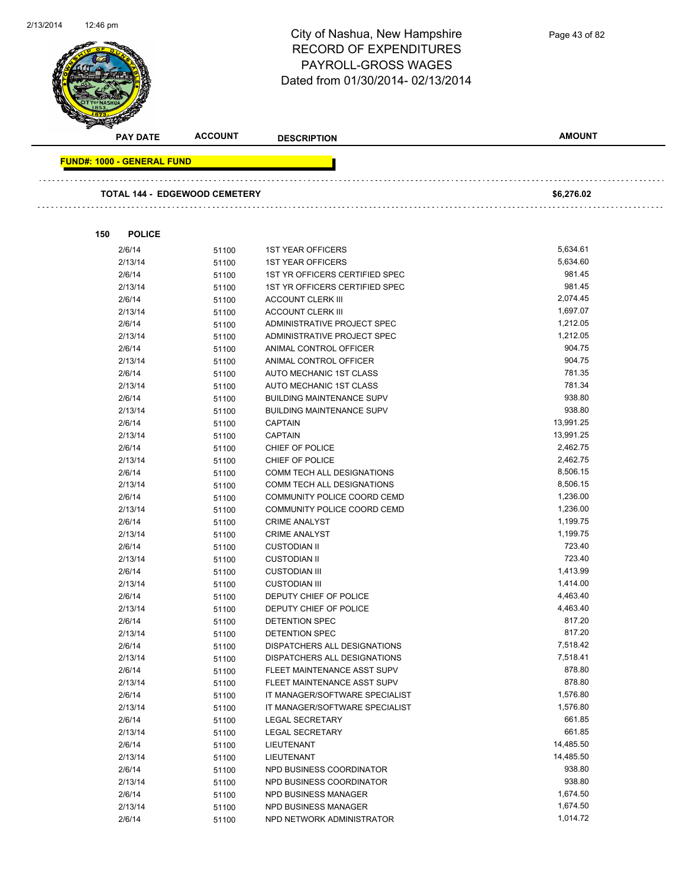

|                                   | <b>PAY DATE</b> | <b>ACCOUNT</b>                       | <b>DESCRIPTION</b>               | <b>AMOUNT</b> |
|-----------------------------------|-----------------|--------------------------------------|----------------------------------|---------------|
| <b>FUND#: 1000 - GENERAL FUND</b> |                 |                                      |                                  |               |
|                                   |                 |                                      |                                  |               |
|                                   |                 | <b>TOTAL 144 - EDGEWOOD CEMETERY</b> |                                  | \$6,276.02    |
|                                   |                 |                                      |                                  |               |
| 150                               | <b>POLICE</b>   |                                      |                                  |               |
|                                   | 2/6/14          | 51100                                | <b>1ST YEAR OFFICERS</b>         | 5,634.61      |
|                                   | 2/13/14         | 51100                                | <b>1ST YEAR OFFICERS</b>         | 5,634.60      |
|                                   | 2/6/14          | 51100                                | 1ST YR OFFICERS CERTIFIED SPEC   | 981.45        |
|                                   | 2/13/14         | 51100                                | 1ST YR OFFICERS CERTIFIED SPEC   | 981.45        |
|                                   | 2/6/14          | 51100                                | <b>ACCOUNT CLERK III</b>         | 2,074.45      |
|                                   | 2/13/14         | 51100                                | <b>ACCOUNT CLERK III</b>         | 1,697.07      |
|                                   | 2/6/14          | 51100                                | ADMINISTRATIVE PROJECT SPEC      | 1,212.05      |
|                                   | 2/13/14         | 51100                                | ADMINISTRATIVE PROJECT SPEC      | 1,212.05      |
|                                   | 2/6/14          | 51100                                | ANIMAL CONTROL OFFICER           | 904.75        |
|                                   | 2/13/14         | 51100                                | ANIMAL CONTROL OFFICER           | 904.75        |
|                                   | 2/6/14          | 51100                                | AUTO MECHANIC 1ST CLASS          | 781.35        |
|                                   | 2/13/14         | 51100                                | AUTO MECHANIC 1ST CLASS          | 781.34        |
|                                   | 2/6/14          | 51100                                | <b>BUILDING MAINTENANCE SUPV</b> | 938.80        |
|                                   | 2/13/14         | 51100                                | <b>BUILDING MAINTENANCE SUPV</b> | 938.80        |
|                                   | 2/6/14          | 51100                                | <b>CAPTAIN</b>                   | 13,991.25     |
|                                   | 2/13/14         | 51100                                | <b>CAPTAIN</b>                   | 13,991.25     |
|                                   | 2/6/14          | 51100                                | CHIEF OF POLICE                  | 2,462.75      |
|                                   | 2/13/14         | 51100                                | CHIEF OF POLICE                  | 2,462.75      |
|                                   | 2/6/14          | 51100                                | COMM TECH ALL DESIGNATIONS       | 8,506.15      |
|                                   | 2/13/14         | 51100                                | COMM TECH ALL DESIGNATIONS       | 8,506.15      |
|                                   | 2/6/14          | 51100                                | COMMUNITY POLICE COORD CEMD      | 1,236.00      |
|                                   | 2/13/14         | 51100                                | COMMUNITY POLICE COORD CEMD      | 1,236.00      |
|                                   | 2/6/14          | 51100                                | <b>CRIME ANALYST</b>             | 1,199.75      |
|                                   | 2/13/14         | 51100                                | <b>CRIME ANALYST</b>             | 1,199.75      |
|                                   | 2/6/14          | 51100                                | <b>CUSTODIAN II</b>              | 723.40        |
|                                   | 2/13/14         | 51100                                | <b>CUSTODIAN II</b>              | 723.40        |
|                                   | 2/6/14          | 51100                                | <b>CUSTODIAN III</b>             | 1,413.99      |
|                                   | 2/13/14         | 51100                                | <b>CUSTODIAN III</b>             | 1,414.00      |
|                                   | 2/6/14          | 51100                                | DEPUTY CHIEF OF POLICE           | 4,463.40      |
|                                   | 2/13/14         | 51100                                | DEPUTY CHIEF OF POLICE           | 4,463.40      |
|                                   | 2/6/14          | 51100                                | <b>DETENTION SPEC</b>            | 817.20        |
|                                   | 2/13/14         | 51100                                | DETENTION SPEC                   | 817.20        |
|                                   | 2/6/14          | 51100                                | DISPATCHERS ALL DESIGNATIONS     | 7,518.42      |
|                                   | 2/13/14         | 51100                                | DISPATCHERS ALL DESIGNATIONS     | 7,518.41      |
|                                   | 2/6/14          | 51100                                | FLEET MAINTENANCE ASST SUPV      | 878.80        |
|                                   | 2/13/14         | 51100                                | FLEET MAINTENANCE ASST SUPV      | 878.80        |
|                                   | 2/6/14          | 51100                                | IT MANAGER/SOFTWARE SPECIALIST   | 1,576.80      |
|                                   | 2/13/14         | 51100                                | IT MANAGER/SOFTWARE SPECIALIST   | 1,576.80      |
|                                   | 2/6/14          | 51100                                | <b>LEGAL SECRETARY</b>           | 661.85        |
|                                   | 2/13/14         | 51100                                | <b>LEGAL SECRETARY</b>           | 661.85        |
|                                   | 2/6/14          | 51100                                | LIEUTENANT                       | 14,485.50     |
|                                   | 2/13/14         | 51100                                | LIEUTENANT                       | 14,485.50     |
|                                   | 2/6/14          | 51100                                | NPD BUSINESS COORDINATOR         | 938.80        |
|                                   | 2/13/14         | 51100                                | NPD BUSINESS COORDINATOR         | 938.80        |
|                                   | 2/6/14          | 51100                                | NPD BUSINESS MANAGER             | 1,674.50      |
|                                   | 2/13/14         | 51100                                | NPD BUSINESS MANAGER             | 1,674.50      |
|                                   | 2/6/14          | 51100                                | NPD NETWORK ADMINISTRATOR        | 1,014.72      |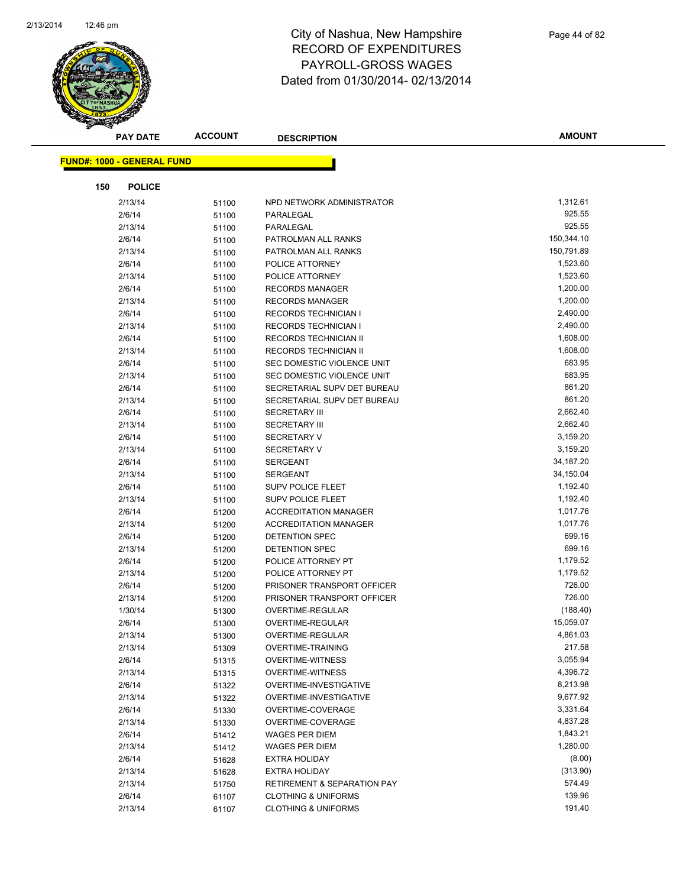

|     | <b>PAY DATE</b>                   | <b>ACCOUNT</b> | <b>DESCRIPTION</b>                     | <b>AMOUNT</b>    |
|-----|-----------------------------------|----------------|----------------------------------------|------------------|
|     | <b>FUND#: 1000 - GENERAL FUND</b> |                |                                        |                  |
|     |                                   |                |                                        |                  |
| 150 | <b>POLICE</b>                     |                |                                        |                  |
|     | 2/13/14                           | 51100          | NPD NETWORK ADMINISTRATOR              | 1,312.61         |
|     | 2/6/14                            | 51100          | PARALEGAL                              | 925.55           |
|     | 2/13/14                           | 51100          | PARALEGAL                              | 925.55           |
|     | 2/6/14                            | 51100          | PATROLMAN ALL RANKS                    | 150,344.10       |
|     | 2/13/14                           | 51100          | PATROLMAN ALL RANKS                    | 150,791.89       |
|     | 2/6/14                            | 51100          | POLICE ATTORNEY                        | 1,523.60         |
|     | 2/13/14                           | 51100          | POLICE ATTORNEY                        | 1,523.60         |
|     | 2/6/14                            | 51100          | <b>RECORDS MANAGER</b>                 | 1,200.00         |
|     | 2/13/14                           | 51100          | <b>RECORDS MANAGER</b>                 | 1,200.00         |
|     | 2/6/14                            | 51100          | <b>RECORDS TECHNICIAN I</b>            | 2,490.00         |
|     | 2/13/14                           | 51100          | RECORDS TECHNICIAN I                   | 2,490.00         |
|     | 2/6/14                            | 51100          | RECORDS TECHNICIAN II                  | 1,608.00         |
|     | 2/13/14                           | 51100          | RECORDS TECHNICIAN II                  | 1,608.00         |
|     | 2/6/14                            | 51100          | SEC DOMESTIC VIOLENCE UNIT             | 683.95           |
|     | 2/13/14                           | 51100          | SEC DOMESTIC VIOLENCE UNIT             | 683.95           |
|     | 2/6/14                            | 51100          | SECRETARIAL SUPV DET BUREAU            | 861.20           |
|     | 2/13/14                           | 51100          | SECRETARIAL SUPV DET BUREAU            | 861.20           |
|     | 2/6/14                            | 51100          | <b>SECRETARY III</b>                   | 2,662.40         |
|     | 2/13/14                           | 51100          | <b>SECRETARY III</b>                   | 2,662.40         |
|     | 2/6/14                            | 51100          | <b>SECRETARY V</b>                     | 3,159.20         |
|     | 2/13/14                           | 51100          | <b>SECRETARY V</b>                     | 3,159.20         |
|     | 2/6/14                            | 51100          | <b>SERGEANT</b>                        | 34,187.20        |
|     | 2/13/14                           | 51100          | SERGEANT                               | 34,150.04        |
|     | 2/6/14                            | 51100          | SUPV POLICE FLEET                      | 1,192.40         |
|     | 2/13/14                           | 51100          | SUPV POLICE FLEET                      | 1,192.40         |
|     | 2/6/14                            | 51200          | <b>ACCREDITATION MANAGER</b>           | 1,017.76         |
|     | 2/13/14                           | 51200          | <b>ACCREDITATION MANAGER</b>           | 1,017.76         |
|     | 2/6/14                            | 51200          | DETENTION SPEC                         | 699.16           |
|     | 2/13/14                           | 51200          | DETENTION SPEC                         | 699.16           |
|     | 2/6/14                            | 51200          | POLICE ATTORNEY PT                     | 1,179.52         |
|     | 2/13/14                           | 51200          | POLICE ATTORNEY PT                     | 1,179.52         |
|     | 2/6/14                            | 51200          | PRISONER TRANSPORT OFFICER             | 726.00<br>726.00 |
|     | 2/13/14                           | 51200          | PRISONER TRANSPORT OFFICER             | (188.40)         |
|     | 1/30/14<br>2/6/14                 | 51300          | OVERTIME-REGULAR<br>OVERTIME-REGULAR   | 15,059.07        |
|     | 2/13/14                           | 51300          | OVERTIME-REGULAR                       | 4,861.03         |
|     | 2/13/14                           | 51300          | <b>OVERTIME-TRAINING</b>               | 217.58           |
|     | 2/6/14                            | 51309          | <b>OVERTIME-WITNESS</b>                | 3,055.94         |
|     | 2/13/14                           | 51315<br>51315 | <b>OVERTIME-WITNESS</b>                | 4,396.72         |
|     | 2/6/14                            | 51322          | OVERTIME-INVESTIGATIVE                 | 8,213.98         |
|     | 2/13/14                           | 51322          | OVERTIME-INVESTIGATIVE                 | 9,677.92         |
|     | 2/6/14                            | 51330          | OVERTIME-COVERAGE                      | 3,331.64         |
|     | 2/13/14                           | 51330          | OVERTIME-COVERAGE                      | 4,837.28         |
|     | 2/6/14                            | 51412          | WAGES PER DIEM                         | 1,843.21         |
|     | 2/13/14                           | 51412          | <b>WAGES PER DIEM</b>                  | 1,280.00         |
|     | 2/6/14                            | 51628          | <b>EXTRA HOLIDAY</b>                   | (8.00)           |
|     | 2/13/14                           | 51628          | <b>EXTRA HOLIDAY</b>                   | (313.90)         |
|     | 2/13/14                           | 51750          | <b>RETIREMENT &amp; SEPARATION PAY</b> | 574.49           |
|     | 2/6/14                            | 61107          | <b>CLOTHING &amp; UNIFORMS</b>         | 139.96           |
|     | 2/13/14                           | 61107          | <b>CLOTHING &amp; UNIFORMS</b>         | 191.40           |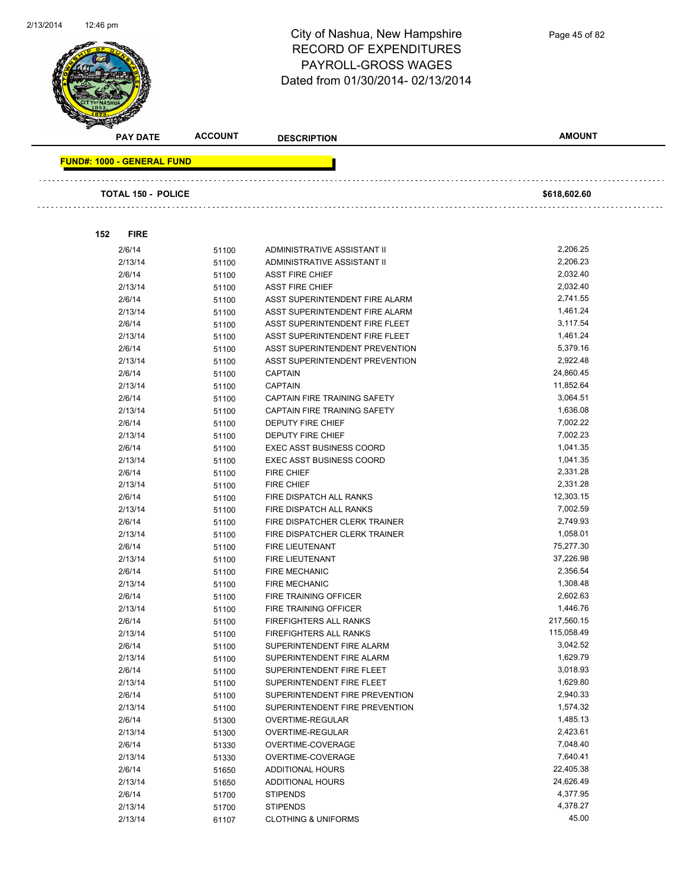

Page 45 of 82

| <b>PAY DATE</b>                   | <b>ACCOUNT</b> | <b>DESCRIPTION</b>                                               | <b>AMOUNT</b>        |  |
|-----------------------------------|----------------|------------------------------------------------------------------|----------------------|--|
| <b>FUND#: 1000 - GENERAL FUND</b> |                |                                                                  |                      |  |
|                                   |                |                                                                  |                      |  |
| TOTAL 150 - POLICE                |                |                                                                  | \$618,602.60         |  |
|                                   |                |                                                                  |                      |  |
| 152<br><b>FIRE</b>                |                |                                                                  |                      |  |
| 2/6/14                            | 51100          | ADMINISTRATIVE ASSISTANT II                                      | 2,206.25             |  |
| 2/13/14                           | 51100          | ADMINISTRATIVE ASSISTANT II                                      | 2,206.23             |  |
| 2/6/14                            | 51100          | <b>ASST FIRE CHIEF</b>                                           | 2,032.40             |  |
| 2/13/14                           | 51100          | <b>ASST FIRE CHIEF</b>                                           | 2,032.40             |  |
| 2/6/14                            | 51100          | ASST SUPERINTENDENT FIRE ALARM                                   | 2,741.55             |  |
| 2/13/14                           | 51100          | ASST SUPERINTENDENT FIRE ALARM                                   | 1,461.24             |  |
| 2/6/14                            | 51100          | ASST SUPERINTENDENT FIRE FLEET                                   | 3,117.54             |  |
| 2/13/14                           | 51100          | ASST SUPERINTENDENT FIRE FLEET                                   | 1,461.24             |  |
| 2/6/14                            | 51100          | ASST SUPERINTENDENT PREVENTION                                   | 5,379.16             |  |
| 2/13/14                           | 51100          | ASST SUPERINTENDENT PREVENTION                                   | 2,922.48             |  |
| 2/6/14                            | 51100          | <b>CAPTAIN</b>                                                   | 24,860.45            |  |
| 2/13/14                           | 51100          | <b>CAPTAIN</b>                                                   | 11,852.64            |  |
| 2/6/14                            | 51100          | CAPTAIN FIRE TRAINING SAFETY                                     | 3,064.51             |  |
| 2/13/14                           | 51100          | CAPTAIN FIRE TRAINING SAFETY                                     | 1,636.08             |  |
| 2/6/14                            | 51100          | DEPUTY FIRE CHIEF                                                | 7,002.22             |  |
| 2/13/14                           | 51100          | <b>DEPUTY FIRE CHIEF</b>                                         | 7,002.23             |  |
| 2/6/14                            | 51100          | <b>EXEC ASST BUSINESS COORD</b>                                  | 1,041.35             |  |
| 2/13/14                           | 51100          | <b>EXEC ASST BUSINESS COORD</b>                                  | 1,041.35             |  |
| 2/6/14                            | 51100          | <b>FIRE CHIEF</b>                                                | 2,331.28             |  |
| 2/13/14                           | 51100          | <b>FIRE CHIEF</b>                                                | 2,331.28             |  |
| 2/6/14                            | 51100          | FIRE DISPATCH ALL RANKS                                          | 12,303.15            |  |
| 2/13/14                           | 51100          | FIRE DISPATCH ALL RANKS                                          | 7,002.59             |  |
| 2/6/14                            | 51100          | FIRE DISPATCHER CLERK TRAINER                                    | 2,749.93             |  |
| 2/13/14                           | 51100          | FIRE DISPATCHER CLERK TRAINER                                    | 1,058.01             |  |
| 2/6/14                            | 51100          | <b>FIRE LIEUTENANT</b>                                           | 75,277.30            |  |
| 2/13/14                           | 51100          | FIRE LIEUTENANT                                                  | 37,226.98            |  |
| 2/6/14                            | 51100          | <b>FIRE MECHANIC</b>                                             | 2,356.54             |  |
| 2/13/14                           | 51100          | <b>FIRE MECHANIC</b>                                             | 1,308.48             |  |
| 2/6/14                            | 51100          | FIRE TRAINING OFFICER                                            | 2,602.63             |  |
| 2/13/14                           | 51100          | FIRE TRAINING OFFICER                                            | 1,446.76             |  |
| 2/6/14                            | 51100          | FIREFIGHTERS ALL RANKS                                           | 217,560.15           |  |
| 2/13/14                           | 51100          | FIREFIGHTERS ALL RANKS                                           | 115,058.49           |  |
| 2/6/14                            | 51100          | SUPERINTENDENT FIRE ALARM                                        | 3,042.52             |  |
| 2/13/14                           | 51100          | SUPERINTENDENT FIRE ALARM                                        | 1,629.79<br>3,018.93 |  |
| 2/6/14                            | 51100          | SUPERINTENDENT FIRE FLEET                                        | 1,629.80             |  |
| 2/13/14                           | 51100          | SUPERINTENDENT FIRE FLEET                                        | 2,940.33             |  |
| 2/6/14<br>2/13/14                 | 51100          | SUPERINTENDENT FIRE PREVENTION<br>SUPERINTENDENT FIRE PREVENTION | 1,574.32             |  |
| 2/6/14                            | 51100<br>51300 | OVERTIME-REGULAR                                                 | 1,485.13             |  |
| 2/13/14                           | 51300          | OVERTIME-REGULAR                                                 | 2,423.61             |  |
| 2/6/14                            | 51330          | OVERTIME-COVERAGE                                                | 7,048.40             |  |
| 2/13/14                           | 51330          | OVERTIME-COVERAGE                                                | 7,640.41             |  |
| 2/6/14                            | 51650          | <b>ADDITIONAL HOURS</b>                                          | 22,405.38            |  |
| 2/13/14                           | 51650          | ADDITIONAL HOURS                                                 | 24,626.49            |  |
| 2/6/14                            | 51700          | <b>STIPENDS</b>                                                  | 4,377.95             |  |
| 2/13/14                           | 51700          | <b>STIPENDS</b>                                                  | 4,378.27             |  |
| 2/13/14                           | 61107          | <b>CLOTHING &amp; UNIFORMS</b>                                   | 45.00                |  |
|                                   |                |                                                                  |                      |  |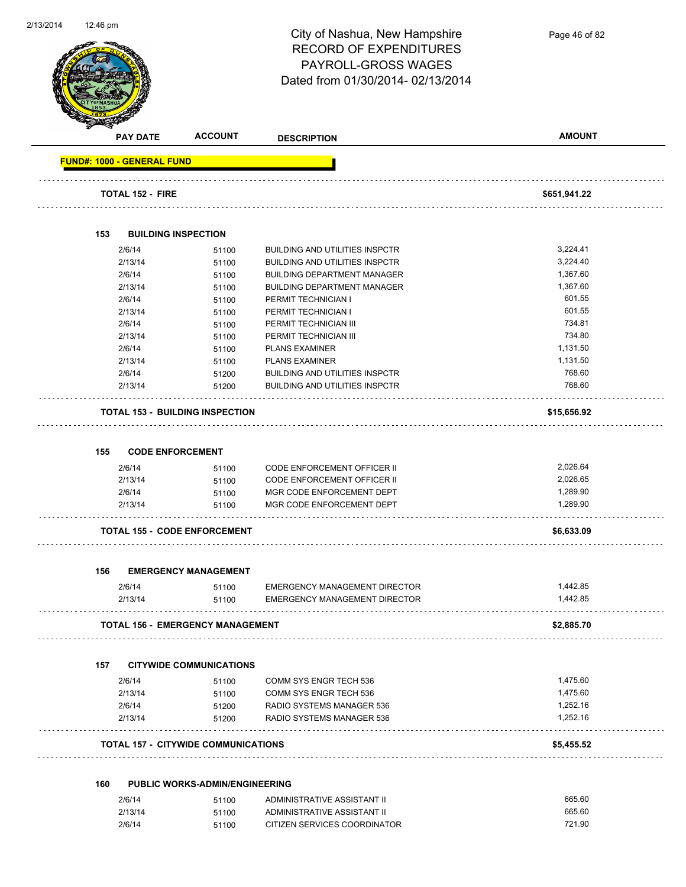| 2/13/2014 | 12:46 pm                          |                                            |                                       |               |
|-----------|-----------------------------------|--------------------------------------------|---------------------------------------|---------------|
|           |                                   |                                            | City of Nashua, New Hampshire         | Page 46 of 82 |
|           |                                   |                                            | <b>RECORD OF EXPENDITURES</b>         |               |
|           |                                   |                                            | PAYROLL-GROSS WAGES                   |               |
|           |                                   |                                            |                                       |               |
|           |                                   |                                            | Dated from 01/30/2014-02/13/2014      |               |
|           |                                   |                                            |                                       |               |
|           |                                   |                                            |                                       |               |
|           |                                   |                                            |                                       |               |
|           | <b>PAY DATE</b>                   | <b>ACCOUNT</b>                             | <b>DESCRIPTION</b>                    | <b>AMOUNT</b> |
|           |                                   |                                            |                                       |               |
|           | <b>FUND#: 1000 - GENERAL FUND</b> |                                            |                                       |               |
|           |                                   |                                            |                                       |               |
|           | <b>TOTAL 152 - FIRE</b>           |                                            |                                       | \$651,941.22  |
|           |                                   |                                            |                                       |               |
|           |                                   |                                            |                                       |               |
|           | 153                               | <b>BUILDING INSPECTION</b>                 |                                       |               |
|           | 2/6/14                            | 51100                                      | <b>BUILDING AND UTILITIES INSPCTR</b> | 3,224.41      |
|           | 2/13/14                           | 51100                                      | <b>BUILDING AND UTILITIES INSPCTR</b> | 3,224.40      |
|           | 2/6/14                            | 51100                                      | <b>BUILDING DEPARTMENT MANAGER</b>    | 1,367.60      |
|           | 2/13/14                           | 51100                                      | <b>BUILDING DEPARTMENT MANAGER</b>    | 1,367.60      |
|           | 2/6/14                            | 51100                                      | PERMIT TECHNICIAN I                   | 601.55        |
|           | 2/13/14                           | 51100                                      | PERMIT TECHNICIAN I                   | 601.55        |
|           | 2/6/14                            | 51100                                      | PERMIT TECHNICIAN III                 | 734.81        |
|           | 2/13/14                           | 51100                                      | PERMIT TECHNICIAN III                 | 734.80        |
|           | 2/6/14                            | 51100                                      | <b>PLANS EXAMINER</b>                 | 1,131.50      |
|           | 2/13/14                           |                                            | <b>PLANS EXAMINER</b>                 | 1,131.50      |
|           |                                   | 51100                                      |                                       |               |
|           | 2/6/14                            | 51200                                      | <b>BUILDING AND UTILITIES INSPCTR</b> | 768.60        |
|           | 2/13/14                           | 51200                                      | <b>BUILDING AND UTILITIES INSPCTR</b> | 768.60        |
|           |                                   |                                            |                                       |               |
|           |                                   | <b>TOTAL 153 - BUILDING INSPECTION</b>     |                                       | \$15,656.92   |
|           |                                   |                                            |                                       |               |
|           |                                   |                                            |                                       |               |
|           | 155                               | <b>CODE ENFORCEMENT</b>                    |                                       |               |
|           | 2/6/14                            | 51100                                      | <b>CODE ENFORCEMENT OFFICER II</b>    | 2,026.64      |
|           | 2/13/14                           | 51100                                      | <b>CODE ENFORCEMENT OFFICER II</b>    | 2,026.65      |
|           | 2/6/14                            | 51100                                      | MGR CODE ENFORCEMENT DEPT             | 1,289.90      |
|           | 2/13/14                           | 51100                                      | MGR CODE ENFORCEMENT DEPT             | 1,289.90      |
|           |                                   |                                            |                                       |               |
|           |                                   | <b>TOTAL 155 - CODE ENFORCEMENT</b>        |                                       | \$6,633.09    |
|           |                                   |                                            |                                       |               |
|           |                                   |                                            |                                       |               |
|           | 156                               | <b>EMERGENCY MANAGEMENT</b>                |                                       |               |
|           | 2/6/14                            | 51100                                      | <b>EMERGENCY MANAGEMENT DIRECTOR</b>  | 1,442.85      |
|           | 2/13/14                           | 51100                                      | <b>EMERGENCY MANAGEMENT DIRECTOR</b>  | 1,442.85      |
|           |                                   |                                            |                                       |               |
|           |                                   | <b>TOTAL 156 - EMERGENCY MANAGEMENT</b>    |                                       | \$2,885.70    |
|           |                                   |                                            |                                       |               |
|           |                                   |                                            |                                       |               |
|           | 157                               | <b>CITYWIDE COMMUNICATIONS</b>             |                                       |               |
|           | 2/6/14                            | 51100                                      | COMM SYS ENGR TECH 536                | 1,475.60      |
|           | 2/13/14                           |                                            | COMM SYS ENGR TECH 536                | 1,475.60      |
|           | 2/6/14                            | 51100                                      | RADIO SYSTEMS MANAGER 536             | 1,252.16      |
|           |                                   | 51200                                      |                                       |               |
|           | 2/13/14                           | 51200                                      | RADIO SYSTEMS MANAGER 536             | 1,252.16      |
|           |                                   |                                            |                                       |               |
|           |                                   | <b>TOTAL 157 - CITYWIDE COMMUNICATIONS</b> |                                       | \$5,455.52    |
|           |                                   |                                            |                                       |               |
|           | 160                               | <b>PUBLIC WORKS-ADMIN/ENGINEERING</b>      |                                       |               |
|           |                                   |                                            |                                       | 665.60        |
|           | 2/6/14                            | 51100                                      | ADMINISTRATIVE ASSISTANT II           |               |
|           | 2/13/14                           | 51100                                      | ADMINISTRATIVE ASSISTANT II           | 665.60        |
|           | 2/6/14                            | 51100                                      | CITIZEN SERVICES COORDINATOR          | 721.90        |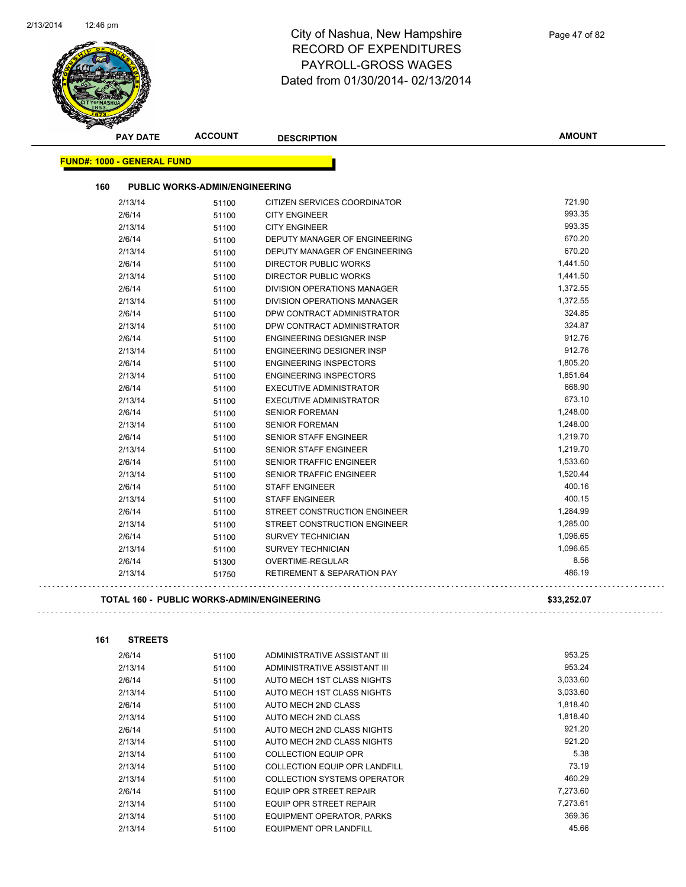

| 160<br><b>PUBLIC WORKS-ADMIN/ENGINEERING</b><br>2/13/14<br>CITIZEN SERVICES COORDINATOR<br>51100<br>2/6/14<br><b>CITY ENGINEER</b><br>51100<br><b>CITY ENGINEER</b><br>2/13/14<br>51100<br>2/6/14<br>DEPUTY MANAGER OF ENGINEERING<br>51100<br>DEPUTY MANAGER OF ENGINEERING<br>2/13/14<br>51100<br>2/6/14<br><b>DIRECTOR PUBLIC WORKS</b><br>51100<br><b>DIRECTOR PUBLIC WORKS</b><br>2/13/14<br>51100<br>2/6/14<br><b>DIVISION OPERATIONS MANAGER</b><br>51100<br>2/13/14<br><b>DIVISION OPERATIONS MANAGER</b><br>51100<br>2/6/14<br>DPW CONTRACT ADMINISTRATOR<br>51100<br>2/13/14<br>DPW CONTRACT ADMINISTRATOR<br>51100<br>2/6/14<br><b>ENGINEERING DESIGNER INSP</b><br>51100<br>2/13/14<br><b>ENGINEERING DESIGNER INSP</b><br>51100<br>2/6/14<br><b>ENGINEERING INSPECTORS</b><br>51100<br><b>ENGINEERING INSPECTORS</b><br>2/13/14<br>51100<br>2/6/14<br><b>EXECUTIVE ADMINISTRATOR</b><br>51100<br>2/13/14<br>EXECUTIVE ADMINISTRATOR<br>51100<br>2/6/14<br><b>SENIOR FOREMAN</b><br>51100<br>2/13/14<br><b>SENIOR FOREMAN</b><br>51100<br>2/6/14<br><b>SENIOR STAFF ENGINEER</b><br>51100<br>2/13/14<br>SENIOR STAFF ENGINEER<br>51100<br><b>SENIOR TRAFFIC ENGINEER</b><br>2/6/14<br>51100<br>2/13/14<br><b>SENIOR TRAFFIC ENGINEER</b><br>51100<br>2/6/14<br><b>STAFF ENGINEER</b><br>51100<br>2/13/14<br><b>STAFF ENGINEER</b><br>51100<br>2/6/14<br>STREET CONSTRUCTION ENGINEER<br>51100<br>2/13/14<br>STREET CONSTRUCTION ENGINEER<br>51100<br>2/6/14<br>SURVEY TECHNICIAN<br>51100<br>2/13/14<br>SURVEY TECHNICIAN<br>51100<br>2/6/14<br>OVERTIME-REGULAR<br>51300<br>2/13/14<br><b>RETIREMENT &amp; SEPARATION PAY</b><br>51750 |             |  | <b>FUND#: 1000 - GENERAL FUND</b> |  |
|-----------------------------------------------------------------------------------------------------------------------------------------------------------------------------------------------------------------------------------------------------------------------------------------------------------------------------------------------------------------------------------------------------------------------------------------------------------------------------------------------------------------------------------------------------------------------------------------------------------------------------------------------------------------------------------------------------------------------------------------------------------------------------------------------------------------------------------------------------------------------------------------------------------------------------------------------------------------------------------------------------------------------------------------------------------------------------------------------------------------------------------------------------------------------------------------------------------------------------------------------------------------------------------------------------------------------------------------------------------------------------------------------------------------------------------------------------------------------------------------------------------------------------------------------------------------------------------------------------------------------------------------------------|-------------|--|-----------------------------------|--|
|                                                                                                                                                                                                                                                                                                                                                                                                                                                                                                                                                                                                                                                                                                                                                                                                                                                                                                                                                                                                                                                                                                                                                                                                                                                                                                                                                                                                                                                                                                                                                                                                                                                     |             |  |                                   |  |
|                                                                                                                                                                                                                                                                                                                                                                                                                                                                                                                                                                                                                                                                                                                                                                                                                                                                                                                                                                                                                                                                                                                                                                                                                                                                                                                                                                                                                                                                                                                                                                                                                                                     | 721.90      |  |                                   |  |
|                                                                                                                                                                                                                                                                                                                                                                                                                                                                                                                                                                                                                                                                                                                                                                                                                                                                                                                                                                                                                                                                                                                                                                                                                                                                                                                                                                                                                                                                                                                                                                                                                                                     | 993.35      |  |                                   |  |
|                                                                                                                                                                                                                                                                                                                                                                                                                                                                                                                                                                                                                                                                                                                                                                                                                                                                                                                                                                                                                                                                                                                                                                                                                                                                                                                                                                                                                                                                                                                                                                                                                                                     | 993.35      |  |                                   |  |
|                                                                                                                                                                                                                                                                                                                                                                                                                                                                                                                                                                                                                                                                                                                                                                                                                                                                                                                                                                                                                                                                                                                                                                                                                                                                                                                                                                                                                                                                                                                                                                                                                                                     | 670.20      |  |                                   |  |
|                                                                                                                                                                                                                                                                                                                                                                                                                                                                                                                                                                                                                                                                                                                                                                                                                                                                                                                                                                                                                                                                                                                                                                                                                                                                                                                                                                                                                                                                                                                                                                                                                                                     | 670.20      |  |                                   |  |
|                                                                                                                                                                                                                                                                                                                                                                                                                                                                                                                                                                                                                                                                                                                                                                                                                                                                                                                                                                                                                                                                                                                                                                                                                                                                                                                                                                                                                                                                                                                                                                                                                                                     | 1,441.50    |  |                                   |  |
|                                                                                                                                                                                                                                                                                                                                                                                                                                                                                                                                                                                                                                                                                                                                                                                                                                                                                                                                                                                                                                                                                                                                                                                                                                                                                                                                                                                                                                                                                                                                                                                                                                                     | 1,441.50    |  |                                   |  |
|                                                                                                                                                                                                                                                                                                                                                                                                                                                                                                                                                                                                                                                                                                                                                                                                                                                                                                                                                                                                                                                                                                                                                                                                                                                                                                                                                                                                                                                                                                                                                                                                                                                     | 1,372.55    |  |                                   |  |
|                                                                                                                                                                                                                                                                                                                                                                                                                                                                                                                                                                                                                                                                                                                                                                                                                                                                                                                                                                                                                                                                                                                                                                                                                                                                                                                                                                                                                                                                                                                                                                                                                                                     | 1,372.55    |  |                                   |  |
|                                                                                                                                                                                                                                                                                                                                                                                                                                                                                                                                                                                                                                                                                                                                                                                                                                                                                                                                                                                                                                                                                                                                                                                                                                                                                                                                                                                                                                                                                                                                                                                                                                                     | 324.85      |  |                                   |  |
|                                                                                                                                                                                                                                                                                                                                                                                                                                                                                                                                                                                                                                                                                                                                                                                                                                                                                                                                                                                                                                                                                                                                                                                                                                                                                                                                                                                                                                                                                                                                                                                                                                                     | 324.87      |  |                                   |  |
|                                                                                                                                                                                                                                                                                                                                                                                                                                                                                                                                                                                                                                                                                                                                                                                                                                                                                                                                                                                                                                                                                                                                                                                                                                                                                                                                                                                                                                                                                                                                                                                                                                                     | 912.76      |  |                                   |  |
|                                                                                                                                                                                                                                                                                                                                                                                                                                                                                                                                                                                                                                                                                                                                                                                                                                                                                                                                                                                                                                                                                                                                                                                                                                                                                                                                                                                                                                                                                                                                                                                                                                                     | 912.76      |  |                                   |  |
|                                                                                                                                                                                                                                                                                                                                                                                                                                                                                                                                                                                                                                                                                                                                                                                                                                                                                                                                                                                                                                                                                                                                                                                                                                                                                                                                                                                                                                                                                                                                                                                                                                                     | 1,805.20    |  |                                   |  |
|                                                                                                                                                                                                                                                                                                                                                                                                                                                                                                                                                                                                                                                                                                                                                                                                                                                                                                                                                                                                                                                                                                                                                                                                                                                                                                                                                                                                                                                                                                                                                                                                                                                     | 1,851.64    |  |                                   |  |
|                                                                                                                                                                                                                                                                                                                                                                                                                                                                                                                                                                                                                                                                                                                                                                                                                                                                                                                                                                                                                                                                                                                                                                                                                                                                                                                                                                                                                                                                                                                                                                                                                                                     | 668.90      |  |                                   |  |
|                                                                                                                                                                                                                                                                                                                                                                                                                                                                                                                                                                                                                                                                                                                                                                                                                                                                                                                                                                                                                                                                                                                                                                                                                                                                                                                                                                                                                                                                                                                                                                                                                                                     | 673.10      |  |                                   |  |
|                                                                                                                                                                                                                                                                                                                                                                                                                                                                                                                                                                                                                                                                                                                                                                                                                                                                                                                                                                                                                                                                                                                                                                                                                                                                                                                                                                                                                                                                                                                                                                                                                                                     | 1,248.00    |  |                                   |  |
|                                                                                                                                                                                                                                                                                                                                                                                                                                                                                                                                                                                                                                                                                                                                                                                                                                                                                                                                                                                                                                                                                                                                                                                                                                                                                                                                                                                                                                                                                                                                                                                                                                                     | 1,248.00    |  |                                   |  |
|                                                                                                                                                                                                                                                                                                                                                                                                                                                                                                                                                                                                                                                                                                                                                                                                                                                                                                                                                                                                                                                                                                                                                                                                                                                                                                                                                                                                                                                                                                                                                                                                                                                     | 1,219.70    |  |                                   |  |
|                                                                                                                                                                                                                                                                                                                                                                                                                                                                                                                                                                                                                                                                                                                                                                                                                                                                                                                                                                                                                                                                                                                                                                                                                                                                                                                                                                                                                                                                                                                                                                                                                                                     | 1,219.70    |  |                                   |  |
|                                                                                                                                                                                                                                                                                                                                                                                                                                                                                                                                                                                                                                                                                                                                                                                                                                                                                                                                                                                                                                                                                                                                                                                                                                                                                                                                                                                                                                                                                                                                                                                                                                                     | 1,533.60    |  |                                   |  |
|                                                                                                                                                                                                                                                                                                                                                                                                                                                                                                                                                                                                                                                                                                                                                                                                                                                                                                                                                                                                                                                                                                                                                                                                                                                                                                                                                                                                                                                                                                                                                                                                                                                     | 1,520.44    |  |                                   |  |
|                                                                                                                                                                                                                                                                                                                                                                                                                                                                                                                                                                                                                                                                                                                                                                                                                                                                                                                                                                                                                                                                                                                                                                                                                                                                                                                                                                                                                                                                                                                                                                                                                                                     | 400.16      |  |                                   |  |
|                                                                                                                                                                                                                                                                                                                                                                                                                                                                                                                                                                                                                                                                                                                                                                                                                                                                                                                                                                                                                                                                                                                                                                                                                                                                                                                                                                                                                                                                                                                                                                                                                                                     | 400.15      |  |                                   |  |
|                                                                                                                                                                                                                                                                                                                                                                                                                                                                                                                                                                                                                                                                                                                                                                                                                                                                                                                                                                                                                                                                                                                                                                                                                                                                                                                                                                                                                                                                                                                                                                                                                                                     | 1,284.99    |  |                                   |  |
|                                                                                                                                                                                                                                                                                                                                                                                                                                                                                                                                                                                                                                                                                                                                                                                                                                                                                                                                                                                                                                                                                                                                                                                                                                                                                                                                                                                                                                                                                                                                                                                                                                                     | 1,285.00    |  |                                   |  |
|                                                                                                                                                                                                                                                                                                                                                                                                                                                                                                                                                                                                                                                                                                                                                                                                                                                                                                                                                                                                                                                                                                                                                                                                                                                                                                                                                                                                                                                                                                                                                                                                                                                     | 1,096.65    |  |                                   |  |
|                                                                                                                                                                                                                                                                                                                                                                                                                                                                                                                                                                                                                                                                                                                                                                                                                                                                                                                                                                                                                                                                                                                                                                                                                                                                                                                                                                                                                                                                                                                                                                                                                                                     | 1,096.65    |  |                                   |  |
|                                                                                                                                                                                                                                                                                                                                                                                                                                                                                                                                                                                                                                                                                                                                                                                                                                                                                                                                                                                                                                                                                                                                                                                                                                                                                                                                                                                                                                                                                                                                                                                                                                                     | 8.56        |  |                                   |  |
|                                                                                                                                                                                                                                                                                                                                                                                                                                                                                                                                                                                                                                                                                                                                                                                                                                                                                                                                                                                                                                                                                                                                                                                                                                                                                                                                                                                                                                                                                                                                                                                                                                                     | 486.19      |  |                                   |  |
| <b>TOTAL 160 - PUBLIC WORKS-ADMIN/ENGINEERING</b>                                                                                                                                                                                                                                                                                                                                                                                                                                                                                                                                                                                                                                                                                                                                                                                                                                                                                                                                                                                                                                                                                                                                                                                                                                                                                                                                                                                                                                                                                                                                                                                                   | \$33,252.07 |  |                                   |  |

|  | 161 | <b>STREETS</b> |
|--|-----|----------------|
|--|-----|----------------|

| 2/6/14  | 51100 | ADMINISTRATIVE ASSISTANT III         | 953.25   |
|---------|-------|--------------------------------------|----------|
| 2/13/14 | 51100 | ADMINISTRATIVE ASSISTANT III         | 953.24   |
| 2/6/14  | 51100 | AUTO MECH 1ST CLASS NIGHTS           | 3,033.60 |
| 2/13/14 | 51100 | AUTO MECH 1ST CLASS NIGHTS           | 3,033.60 |
| 2/6/14  | 51100 | AUTO MECH 2ND CLASS                  | 1.818.40 |
| 2/13/14 | 51100 | AUTO MECH 2ND CLASS                  | 1,818.40 |
| 2/6/14  | 51100 | AUTO MECH 2ND CLASS NIGHTS           | 921.20   |
| 2/13/14 | 51100 | AUTO MECH 2ND CLASS NIGHTS           | 921.20   |
| 2/13/14 | 51100 | <b>COLLECTION EQUIP OPR</b>          | 5.38     |
| 2/13/14 | 51100 | <b>COLLECTION EQUIP OPR LANDFILL</b> | 73.19    |
| 2/13/14 | 51100 | <b>COLLECTION SYSTEMS OPERATOR</b>   | 460.29   |
| 2/6/14  | 51100 | <b>EQUIP OPR STREET REPAIR</b>       | 7,273.60 |
| 2/13/14 | 51100 | <b>EQUIP OPR STREET REPAIR</b>       | 7.273.61 |
| 2/13/14 | 51100 | EQUIPMENT OPERATOR, PARKS            | 369.36   |
| 2/13/14 | 51100 | <b>EQUIPMENT OPR LANDFILL</b>        | 45.66    |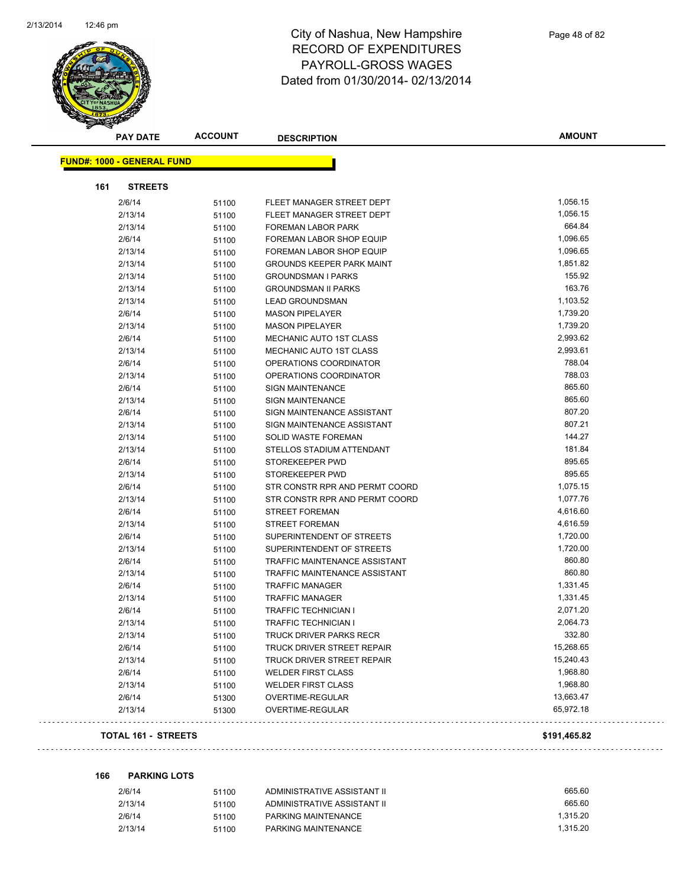

|     | <b>PAY DATE</b>                   | <b>ACCOUNT</b> | <b>DESCRIPTION</b>               | <b>AMOUNT</b> |
|-----|-----------------------------------|----------------|----------------------------------|---------------|
|     | <b>FUND#: 1000 - GENERAL FUND</b> |                |                                  |               |
|     |                                   |                |                                  |               |
| 161 | <b>STREETS</b>                    |                |                                  |               |
|     | 2/6/14                            | 51100          | FLEET MANAGER STREET DEPT        | 1,056.15      |
|     | 2/13/14                           | 51100          | FLEET MANAGER STREET DEPT        | 1,056.15      |
|     | 2/13/14                           | 51100          | FOREMAN LABOR PARK               | 664.84        |
|     | 2/6/14                            | 51100          | FOREMAN LABOR SHOP EQUIP         | 1,096.65      |
|     | 2/13/14                           | 51100          | FOREMAN LABOR SHOP EQUIP         | 1,096.65      |
|     | 2/13/14                           | 51100          | <b>GROUNDS KEEPER PARK MAINT</b> | 1,851.82      |
|     | 2/13/14                           | 51100          | <b>GROUNDSMAN I PARKS</b>        | 155.92        |
|     | 2/13/14                           | 51100          | <b>GROUNDSMAN II PARKS</b>       | 163.76        |
|     | 2/13/14                           | 51100          | <b>LEAD GROUNDSMAN</b>           | 1,103.52      |
|     | 2/6/14                            | 51100          | <b>MASON PIPELAYER</b>           | 1,739.20      |
|     | 2/13/14                           | 51100          | <b>MASON PIPELAYER</b>           | 1,739.20      |
|     | 2/6/14                            | 51100          | MECHANIC AUTO 1ST CLASS          | 2,993.62      |
|     | 2/13/14                           | 51100          | MECHANIC AUTO 1ST CLASS          | 2,993.61      |
|     | 2/6/14                            | 51100          | OPERATIONS COORDINATOR           | 788.04        |
|     | 2/13/14                           | 51100          | OPERATIONS COORDINATOR           | 788.03        |
|     | 2/6/14                            | 51100          | <b>SIGN MAINTENANCE</b>          | 865.60        |
|     | 2/13/14                           | 51100          | <b>SIGN MAINTENANCE</b>          | 865.60        |
|     | 2/6/14                            | 51100          | SIGN MAINTENANCE ASSISTANT       | 807.20        |
|     | 2/13/14                           | 51100          | SIGN MAINTENANCE ASSISTANT       | 807.21        |
|     | 2/13/14                           | 51100          | SOLID WASTE FOREMAN              | 144.27        |
|     | 2/13/14                           | 51100          | STELLOS STADIUM ATTENDANT        | 181.84        |
|     | 2/6/14                            | 51100          | STOREKEEPER PWD                  | 895.65        |
|     | 2/13/14                           | 51100          | STOREKEEPER PWD                  | 895.65        |
|     | 2/6/14                            | 51100          | STR CONSTR RPR AND PERMT COORD   | 1,075.15      |
|     | 2/13/14                           | 51100          | STR CONSTR RPR AND PERMT COORD   | 1,077.76      |
|     | 2/6/14                            | 51100          | STREET FOREMAN                   | 4,616.60      |
|     | 2/13/14                           | 51100          | STREET FOREMAN                   | 4,616.59      |
|     | 2/6/14                            | 51100          | SUPERINTENDENT OF STREETS        | 1,720.00      |
|     | 2/13/14                           | 51100          | SUPERINTENDENT OF STREETS        | 1,720.00      |
|     | 2/6/14                            | 51100          | TRAFFIC MAINTENANCE ASSISTANT    | 860.80        |
|     | 2/13/14                           | 51100          | TRAFFIC MAINTENANCE ASSISTANT    | 860.80        |
|     | 2/6/14                            | 51100          | <b>TRAFFIC MANAGER</b>           | 1,331.45      |
|     | 2/13/14                           | 51100          | <b>TRAFFIC MANAGER</b>           | 1,331.45      |
|     | 2/6/14                            | 51100          | <b>TRAFFIC TECHNICIAN I</b>      | 2,071.20      |
|     | 2/13/14                           | 51100          | <b>TRAFFIC TECHNICIAN I</b>      | 2,064.73      |
|     | 2/13/14                           | 51100          | TRUCK DRIVER PARKS RECR          | 332.80        |
|     | 2/6/14                            | 51100          | TRUCK DRIVER STREET REPAIR       | 15,268.65     |
|     | 2/13/14                           | 51100          | TRUCK DRIVER STREET REPAIR       | 15,240.43     |
|     | 2/6/14                            | 51100          | <b>WELDER FIRST CLASS</b>        | 1,968.80      |
|     | 2/13/14                           | 51100          | <b>WELDER FIRST CLASS</b>        | 1,968.80      |
|     | 2/6/14                            | 51300          | OVERTIME-REGULAR                 | 13,663.47     |
|     | 2/13/14                           | 51300          | OVERTIME-REGULAR                 | 65,972.18     |
|     |                                   |                |                                  |               |

#### **TOTAL 161 - STREETS \$191,465.82**

|  | 166 | <b>PARKING LOTS</b> |  |
|--|-----|---------------------|--|
|--|-----|---------------------|--|

| 2/6/14  | 51100 | ADMINISTRATIVE ASSISTANT II | 665.60   |
|---------|-------|-----------------------------|----------|
| 2/13/14 | 51100 | ADMINISTRATIVE ASSISTANT II | 665.60   |
| 2/6/14  | 51100 | PARKING MAINTENANCE         | 1.315.20 |
| 2/13/14 | 51100 | PARKING MAINTENANCE         | 1.315.20 |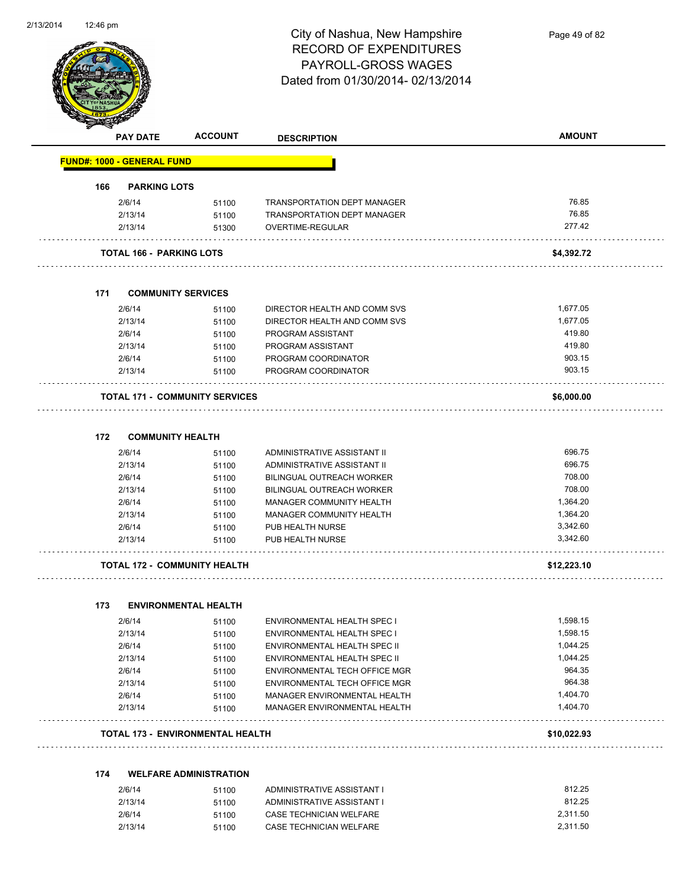

Page 49 of 82

|     | <b>PAY DATE</b>                   | <b>ACCOUNT</b>                          | <b>DESCRIPTION</b>                 | <b>AMOUNT</b> |
|-----|-----------------------------------|-----------------------------------------|------------------------------------|---------------|
|     | <b>FUND#: 1000 - GENERAL FUND</b> |                                         |                                    |               |
| 166 | <b>PARKING LOTS</b>               |                                         |                                    |               |
|     | 2/6/14                            | 51100                                   | <b>TRANSPORTATION DEPT MANAGER</b> | 76.85         |
|     | 2/13/14                           | 51100                                   | TRANSPORTATION DEPT MANAGER        | 76.85         |
|     | 2/13/14                           | 51300                                   | OVERTIME-REGULAR                   | 277.42        |
|     | <b>TOTAL 166 - PARKING LOTS</b>   |                                         |                                    | \$4,392.72    |
| 171 |                                   | <b>COMMUNITY SERVICES</b>               |                                    |               |
|     | 2/6/14                            | 51100                                   | DIRECTOR HEALTH AND COMM SVS       | 1,677.05      |
|     | 2/13/14                           | 51100                                   | DIRECTOR HEALTH AND COMM SVS       | 1,677.05      |
|     | 2/6/14                            | 51100                                   | PROGRAM ASSISTANT                  | 419.80        |
|     | 2/13/14                           | 51100                                   | PROGRAM ASSISTANT                  | 419.80        |
|     | 2/6/14                            | 51100                                   | PROGRAM COORDINATOR                | 903.15        |
|     | 2/13/14                           | 51100                                   | PROGRAM COORDINATOR                | 903.15        |
|     |                                   | <b>TOTAL 171 - COMMUNITY SERVICES</b>   |                                    | \$6,000.00    |
| 172 |                                   | <b>COMMUNITY HEALTH</b>                 |                                    |               |
|     | 2/6/14                            | 51100                                   | ADMINISTRATIVE ASSISTANT II        | 696.75        |
|     | 2/13/14                           | 51100                                   | ADMINISTRATIVE ASSISTANT II        | 696.75        |
|     | 2/6/14                            | 51100                                   | <b>BILINGUAL OUTREACH WORKER</b>   | 708.00        |
|     | 2/13/14                           | 51100                                   | <b>BILINGUAL OUTREACH WORKER</b>   | 708.00        |
|     | 2/6/14                            | 51100                                   | MANAGER COMMUNITY HEALTH           | 1,364.20      |
|     | 2/13/14                           | 51100                                   | MANAGER COMMUNITY HEALTH           | 1,364.20      |
|     | 2/6/14                            | 51100                                   | PUB HEALTH NURSE                   | 3,342.60      |
|     | 2/13/14                           | 51100                                   | PUB HEALTH NURSE                   | 3,342.60      |
|     |                                   | <b>TOTAL 172 - COMMUNITY HEALTH</b>     |                                    | \$12,223.10   |
| 173 |                                   | <b>ENVIRONMENTAL HEALTH</b>             |                                    |               |
|     | 2/6/14                            | 51100                                   | <b>ENVIRONMENTAL HEALTH SPEC I</b> | 1,598.15      |
|     | 2/13/14                           | 51100                                   | ENVIRONMENTAL HEALTH SPEC I        | 1,598.15      |
|     | 2/6/14                            | 51100                                   | ENVIRONMENTAL HEALTH SPEC II       | 1,044.25      |
|     | 2/13/14                           | 51100                                   | ENVIRONMENTAL HEALTH SPEC II       | 1,044.25      |
|     | 2/6/14                            | 51100                                   | ENVIRONMENTAL TECH OFFICE MGR      | 964.35        |
|     | 2/13/14                           | 51100                                   | ENVIRONMENTAL TECH OFFICE MGR      | 964.38        |
|     | 2/6/14                            | 51100                                   | MANAGER ENVIRONMENTAL HEALTH       | 1,404.70      |
|     | 2/13/14                           | 51100                                   | MANAGER ENVIRONMENTAL HEALTH       | 1,404.70      |
|     |                                   | <b>TOTAL 173 - ENVIRONMENTAL HEALTH</b> |                                    | \$10,022.93   |
| 174 |                                   | <b>WELFARE ADMINISTRATION</b>           |                                    |               |
|     | 2/6/14                            | 51100                                   | ADMINISTRATIVE ASSISTANT I         | 812.25        |
|     | 2/13/14                           | 51100                                   | ADMINISTRATIVE ASSISTANT I         | 812.25        |
|     | 2/6/14                            | 51100                                   | CASE TECHNICIAN WELFARE            | 2,311.50      |
|     | 2/13/14                           | 51100                                   | CASE TECHNICIAN WELFARE            | 2,311.50      |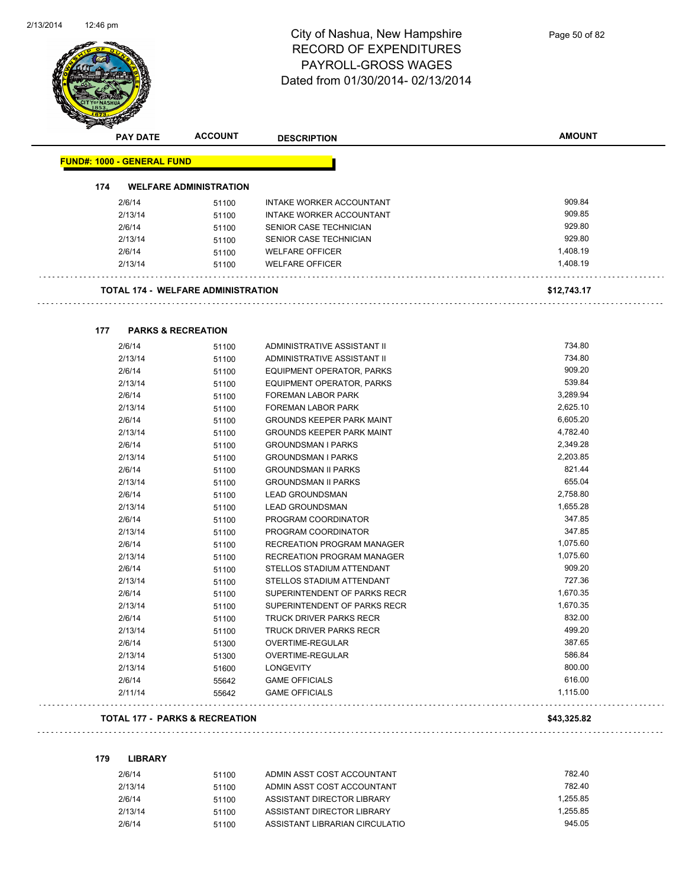

|     | <b>PAY DATE</b>                   | <b>ACCOUNT</b>                            | <b>DESCRIPTION</b>                | <b>AMOUNT</b> |
|-----|-----------------------------------|-------------------------------------------|-----------------------------------|---------------|
|     | <b>FUND#: 1000 - GENERAL FUND</b> |                                           |                                   |               |
| 174 |                                   | <b>WELFARE ADMINISTRATION</b>             |                                   |               |
|     | 2/6/14                            | 51100                                     | INTAKE WORKER ACCOUNTANT          | 909.84        |
|     | 2/13/14                           | 51100                                     | INTAKE WORKER ACCOUNTANT          | 909.85        |
|     | 2/6/14                            | 51100                                     | SENIOR CASE TECHNICIAN            | 929.80        |
|     | 2/13/14                           | 51100                                     | SENIOR CASE TECHNICIAN            | 929.80        |
|     | 2/6/14                            | 51100                                     | <b>WELFARE OFFICER</b>            | 1,408.19      |
|     | 2/13/14                           | 51100                                     | <b>WELFARE OFFICER</b>            | 1,408.19      |
|     |                                   | <b>TOTAL 174 - WELFARE ADMINISTRATION</b> |                                   | \$12,743.17   |
| 177 |                                   | <b>PARKS &amp; RECREATION</b>             |                                   |               |
|     | 2/6/14                            | 51100                                     | ADMINISTRATIVE ASSISTANT II       | 734.80        |
|     | 2/13/14                           | 51100                                     | ADMINISTRATIVE ASSISTANT II       | 734.80        |
|     | 2/6/14                            | 51100                                     | EQUIPMENT OPERATOR, PARKS         | 909.20        |
|     | 2/13/14                           | 51100                                     | EQUIPMENT OPERATOR, PARKS         | 539.84        |
|     | 2/6/14                            | 51100                                     | FOREMAN LABOR PARK                | 3,289.94      |
|     | 2/13/14                           | 51100                                     | FOREMAN LABOR PARK                | 2,625.10      |
|     | 2/6/14                            | 51100                                     | <b>GROUNDS KEEPER PARK MAINT</b>  | 6,605.20      |
|     | 2/13/14                           | 51100                                     | <b>GROUNDS KEEPER PARK MAINT</b>  | 4,782.40      |
|     | 2/6/14                            | 51100                                     | <b>GROUNDSMAN I PARKS</b>         | 2,349.28      |
|     | 2/13/14                           | 51100                                     | <b>GROUNDSMAN I PARKS</b>         | 2,203.85      |
|     | 2/6/14                            | 51100                                     | <b>GROUNDSMAN II PARKS</b>        | 821.44        |
|     | 2/13/14                           | 51100                                     | <b>GROUNDSMAN II PARKS</b>        | 655.04        |
|     | 2/6/14                            | 51100                                     | <b>LEAD GROUNDSMAN</b>            | 2,758.80      |
|     | 2/13/14                           | 51100                                     | <b>LEAD GROUNDSMAN</b>            | 1,655.28      |
|     | 2/6/14                            | 51100                                     | PROGRAM COORDINATOR               | 347.85        |
|     | 2/13/14                           | 51100                                     | PROGRAM COORDINATOR               | 347.85        |
|     | 2/6/14                            | 51100                                     | <b>RECREATION PROGRAM MANAGER</b> | 1,075.60      |
|     | 2/13/14                           | 51100                                     | <b>RECREATION PROGRAM MANAGER</b> | 1,075.60      |
|     | 2/6/14                            | 51100                                     | STELLOS STADIUM ATTENDANT         | 909.20        |
|     | 2/13/14                           | 51100                                     | STELLOS STADIUM ATTENDANT         | 727.36        |
|     | 2/6/14                            | 51100                                     | SUPERINTENDENT OF PARKS RECR      | 1,670.35      |
|     | 2/13/14                           | 51100                                     | SUPERINTENDENT OF PARKS RECR      | 1,670.35      |
|     | 2/6/14                            | 51100                                     | <b>TRUCK DRIVER PARKS RECR</b>    | 832.00        |
|     | 2/13/14                           | 51100                                     | <b>TRUCK DRIVER PARKS RECR</b>    | 499.20        |
|     | 2/6/14                            | 51300                                     | OVERTIME-REGULAR                  | 387.65        |
|     | 2/13/14                           | 51300                                     | <b>OVERTIME-REGULAR</b>           | 586.84        |
|     | 2/13/14                           | 51600                                     | <b>LONGEVITY</b>                  | 800.00        |
|     | 2/6/14                            | 55642                                     | <b>GAME OFFICIALS</b>             | 616.00        |
|     | 2/11/14                           | 55642                                     | <b>GAME OFFICIALS</b>             | 1,115.00      |

#### **TOTAL 177 - PARKS & RECREATION \$43,325.82**

| 179 | <b>LIBRARY</b> |  |  |
|-----|----------------|--|--|
|     |                |  |  |

| 2/6/14  | 51100 | ADMIN ASST COST ACCOUNTANT     | 782.40   |
|---------|-------|--------------------------------|----------|
| 2/13/14 | 51100 | ADMIN ASST COST ACCOUNTANT     | 782.40   |
| 2/6/14  | 51100 | ASSISTANT DIRECTOR LIBRARY     | 1.255.85 |
| 2/13/14 | 51100 | ASSISTANT DIRECTOR LIBRARY     | 1.255.85 |
| 2/6/14  | 51100 | ASSISTANT LIBRARIAN CIRCULATIO | 945.05   |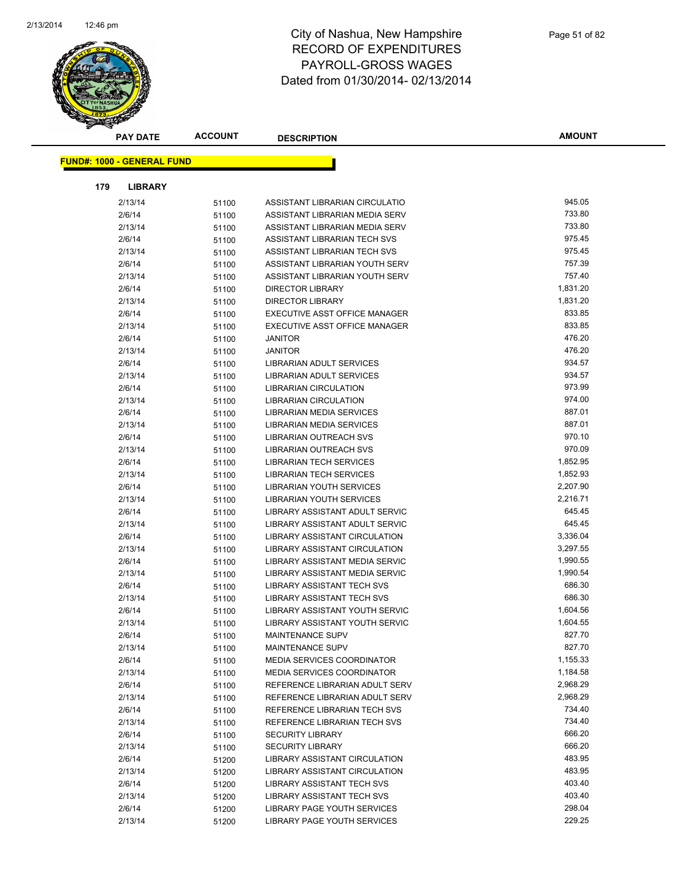

| <b>PAY DATE</b>                   | <b>ACCOUNT</b> | <b>DESCRIPTION</b>                                              | <b>AMOUNT</b>      |
|-----------------------------------|----------------|-----------------------------------------------------------------|--------------------|
| <b>FUND#: 1000 - GENERAL FUND</b> |                |                                                                 |                    |
|                                   |                |                                                                 |                    |
| 179<br><b>LIBRARY</b>             |                |                                                                 |                    |
| 2/13/14                           | 51100          | ASSISTANT LIBRARIAN CIRCULATIO                                  | 945.05             |
| 2/6/14                            | 51100          | ASSISTANT LIBRARIAN MEDIA SERV                                  | 733.80             |
| 2/13/14                           | 51100          | ASSISTANT LIBRARIAN MEDIA SERV                                  | 733.80             |
| 2/6/14                            | 51100          | ASSISTANT LIBRARIAN TECH SVS                                    | 975.45             |
| 2/13/14                           | 51100          | ASSISTANT LIBRARIAN TECH SVS                                    | 975.45             |
| 2/6/14                            | 51100          | ASSISTANT LIBRARIAN YOUTH SERV                                  | 757.39             |
| 2/13/14                           | 51100          | ASSISTANT LIBRARIAN YOUTH SERV                                  | 757.40             |
| 2/6/14                            | 51100          | <b>DIRECTOR LIBRARY</b>                                         | 1,831.20           |
| 2/13/14                           | 51100          | <b>DIRECTOR LIBRARY</b>                                         | 1,831.20           |
| 2/6/14                            | 51100          | EXECUTIVE ASST OFFICE MANAGER                                   | 833.85             |
| 2/13/14                           | 51100          | EXECUTIVE ASST OFFICE MANAGER                                   | 833.85             |
| 2/6/14                            | 51100          | <b>JANITOR</b>                                                  | 476.20             |
| 2/13/14                           | 51100          | <b>JANITOR</b>                                                  | 476.20             |
| 2/6/14                            | 51100          | LIBRARIAN ADULT SERVICES                                        | 934.57             |
| 2/13/14                           | 51100          | LIBRARIAN ADULT SERVICES                                        | 934.57             |
| 2/6/14                            | 51100          | <b>LIBRARIAN CIRCULATION</b>                                    | 973.99             |
| 2/13/14                           | 51100          | <b>LIBRARIAN CIRCULATION</b>                                    | 974.00             |
| 2/6/14                            | 51100          | <b>LIBRARIAN MEDIA SERVICES</b>                                 | 887.01             |
| 2/13/14                           | 51100          | LIBRARIAN MEDIA SERVICES                                        | 887.01             |
| 2/6/14                            | 51100          | <b>LIBRARIAN OUTREACH SVS</b>                                   | 970.10             |
| 2/13/14                           | 51100          | LIBRARIAN OUTREACH SVS                                          | 970.09             |
| 2/6/14                            | 51100          | <b>LIBRARIAN TECH SERVICES</b>                                  | 1,852.95           |
| 2/13/14                           | 51100          | LIBRARIAN TECH SERVICES                                         | 1,852.93           |
| 2/6/14                            | 51100          | LIBRARIAN YOUTH SERVICES                                        | 2,207.90           |
| 2/13/14                           | 51100          | LIBRARIAN YOUTH SERVICES                                        | 2,216.71           |
| 2/6/14                            | 51100          | LIBRARY ASSISTANT ADULT SERVIC                                  | 645.45             |
| 2/13/14                           | 51100          | LIBRARY ASSISTANT ADULT SERVIC                                  | 645.45             |
| 2/6/14                            | 51100          | LIBRARY ASSISTANT CIRCULATION                                   | 3,336.04           |
| 2/13/14                           | 51100          | LIBRARY ASSISTANT CIRCULATION                                   | 3,297.55           |
| 2/6/14                            | 51100          | LIBRARY ASSISTANT MEDIA SERVIC                                  | 1,990.55           |
| 2/13/14                           | 51100          | LIBRARY ASSISTANT MEDIA SERVIC                                  | 1,990.54           |
| 2/6/14                            | 51100          | LIBRARY ASSISTANT TECH SVS                                      | 686.30             |
| 2/13/14                           | 51100          | LIBRARY ASSISTANT TECH SVS                                      | 686.30             |
| 2/6/14                            | 51100          | LIBRARY ASSISTANT YOUTH SERVIC                                  | 1,604.56           |
| 2/13/14                           | 51100          | LIBRARY ASSISTANT YOUTH SERVIC                                  | 1,604.55<br>827.70 |
| 2/6/14                            | 51100          | MAINTENANCE SUPV                                                | 827.70             |
| 2/13/14                           | 51100          | MAINTENANCE SUPV                                                | 1,155.33           |
| 2/6/14                            | 51100          | MEDIA SERVICES COORDINATOR<br><b>MEDIA SERVICES COORDINATOR</b> | 1,184.58           |
| 2/13/14<br>2/6/14                 | 51100          | REFERENCE LIBRARIAN ADULT SERV                                  | 2,968.29           |
| 2/13/14                           | 51100          | REFERENCE LIBRARIAN ADULT SERV                                  | 2,968.29           |
| 2/6/14                            | 51100<br>51100 | REFERENCE LIBRARIAN TECH SVS                                    | 734.40             |
| 2/13/14                           | 51100          | REFERENCE LIBRARIAN TECH SVS                                    | 734.40             |
| 2/6/14                            | 51100          | <b>SECURITY LIBRARY</b>                                         | 666.20             |
| 2/13/14                           | 51100          | <b>SECURITY LIBRARY</b>                                         | 666.20             |
| 2/6/14                            | 51200          | <b>LIBRARY ASSISTANT CIRCULATION</b>                            | 483.95             |
| 2/13/14                           | 51200          | LIBRARY ASSISTANT CIRCULATION                                   | 483.95             |
| 2/6/14                            | 51200          | LIBRARY ASSISTANT TECH SVS                                      | 403.40             |
| 2/13/14                           | 51200          | LIBRARY ASSISTANT TECH SVS                                      | 403.40             |
| 2/6/14                            | 51200          | LIBRARY PAGE YOUTH SERVICES                                     | 298.04             |
| 2/13/14                           | 51200          | LIBRARY PAGE YOUTH SERVICES                                     | 229.25             |
|                                   |                |                                                                 |                    |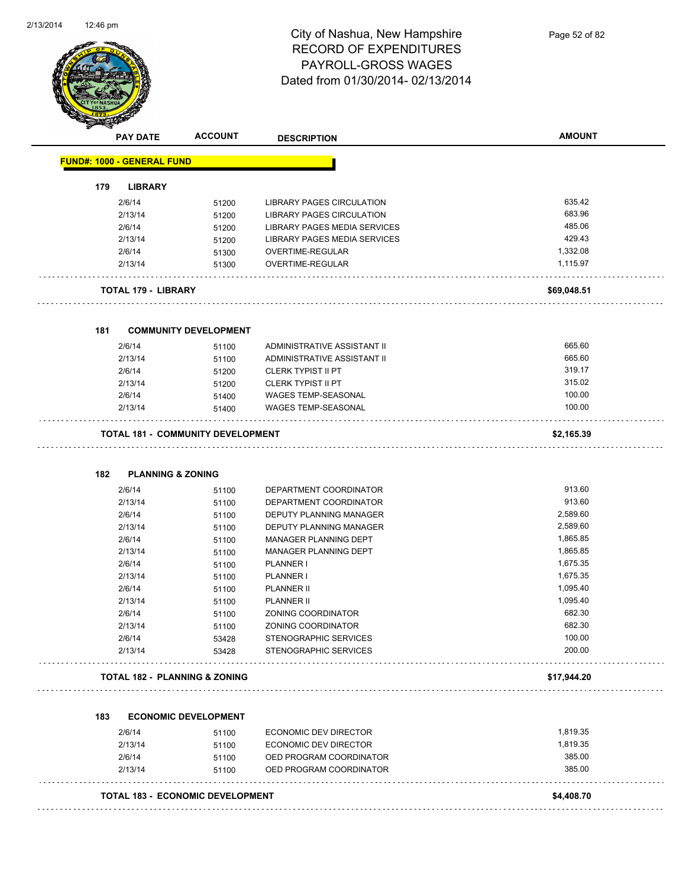

| A.<br><b>PAY DATE</b>                    | <b>ACCOUNT</b>               | <b>DESCRIPTION</b>                  | <b>AMOUNT</b> |
|------------------------------------------|------------------------------|-------------------------------------|---------------|
| <b>FUND#: 1000 - GENERAL FUND</b>        |                              |                                     |               |
| 179<br><b>LIBRARY</b>                    |                              |                                     |               |
| 2/6/14                                   | 51200                        | LIBRARY PAGES CIRCULATION           | 635.42        |
| 2/13/14                                  | 51200                        | LIBRARY PAGES CIRCULATION           | 683.96        |
| 2/6/14                                   | 51200                        | <b>LIBRARY PAGES MEDIA SERVICES</b> | 485.06        |
| 2/13/14                                  | 51200                        | LIBRARY PAGES MEDIA SERVICES        | 429.43        |
| 2/6/14                                   | 51300                        | <b>OVERTIME-REGULAR</b>             | 1,332.08      |
| 2/13/14                                  | 51300                        | OVERTIME-REGULAR                    | 1,115.97      |
| <b>TOTAL 179 - LIBRARY</b>               |                              |                                     | \$69,048.51   |
| 181                                      | <b>COMMUNITY DEVELOPMENT</b> |                                     |               |
| 2/6/14                                   | 51100                        | ADMINISTRATIVE ASSISTANT II         | 665.60        |
| 2/13/14                                  | 51100                        | ADMINISTRATIVE ASSISTANT II         | 665.60        |
| 2/6/14                                   | 51200                        | <b>CLERK TYPIST II PT</b>           | 319.17        |
| 2/13/14                                  | 51200                        | <b>CLERK TYPIST II PT</b>           | 315.02        |
| 2/6/14                                   | 51400                        | WAGES TEMP-SEASONAL                 | 100.00        |
| 2/13/14                                  | 51400                        | WAGES TEMP-SEASONAL                 | 100.00        |
|                                          |                              |                                     |               |
| <b>TOTAL 181 - COMMUNITY DEVELOPMENT</b> |                              |                                     | \$2,165.39    |
| 182<br><b>PLANNING &amp; ZONING</b>      |                              |                                     |               |
| 2/6/14                                   | 51100                        | DEPARTMENT COORDINATOR              | 913.60        |
| 2/13/14                                  | 51100                        | DEPARTMENT COORDINATOR              | 913.60        |
| 2/6/14                                   | 51100                        | DEPUTY PLANNING MANAGER             | 2,589.60      |
| 2/13/14                                  | 51100                        | DEPUTY PLANNING MANAGER             | 2,589.60      |
| 2/6/14                                   | 51100                        | MANAGER PLANNING DEPT               | 1,865.85      |
| 2/13/14                                  | 51100                        | MANAGER PLANNING DEPT               | 1,865.85      |
| 2/6/14                                   | 51100                        | PLANNER I                           | 1,675.35      |
| 2/13/14                                  | 51100                        | PLANNER I                           | 1,675.35      |
| 2/6/14                                   | 51100                        | <b>PLANNER II</b>                   | 1,095.40      |
| 2/13/14                                  | 51100                        | <b>PLANNER II</b>                   | 1,095.40      |
| 2/6/14                                   | 51100                        | ZONING COORDINATOR                  | 682.30        |
| 2/13/14                                  | 51100                        | ZONING COORDINATOR                  | 682.30        |
| 2/6/14                                   | 53428                        | STENOGRAPHIC SERVICES               | 100.00        |
| 2/13/14                                  | 53428                        | <b>STENOGRAPHIC SERVICES</b>        | 200.00        |
| TOTAL 182 - PLANNING & ZONING            |                              |                                     | \$17,944.20   |
| 183                                      | <b>ECONOMIC DEVELOPMENT</b>  |                                     |               |
| 2/6/14                                   | 51100                        | ECONOMIC DEV DIRECTOR               | 1,819.35      |
| 2/13/14                                  | 51100                        | ECONOMIC DEV DIRECTOR               | 1,819.35      |
| 2/6/14                                   | 51100                        | OED PROGRAM COORDINATOR             | 385.00        |
|                                          |                              |                                     |               |
| 2/13/14                                  | 51100                        | OED PROGRAM COORDINATOR             | 385.00        |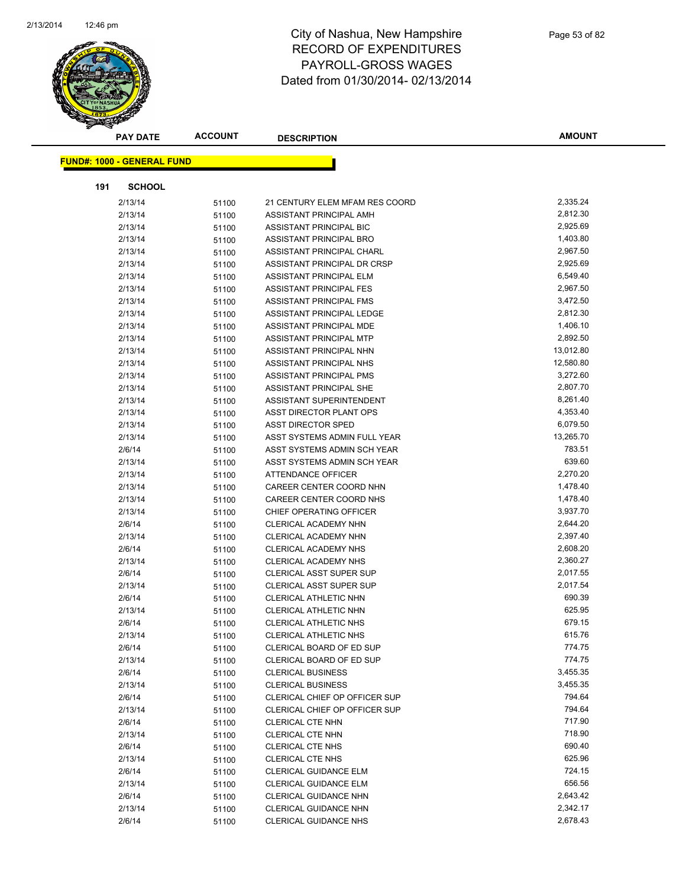

|     | <b>PAY DATE</b>                   | <b>ACCOUNT</b> | <b>DESCRIPTION</b>             | <b>AMOUNT</b>        |
|-----|-----------------------------------|----------------|--------------------------------|----------------------|
|     |                                   |                |                                |                      |
|     | <b>FUND#: 1000 - GENERAL FUND</b> |                |                                |                      |
| 191 | <b>SCHOOL</b>                     |                |                                |                      |
|     | 2/13/14                           | 51100          | 21 CENTURY ELEM MFAM RES COORD | 2,335.24             |
|     | 2/13/14                           | 51100          | ASSISTANT PRINCIPAL AMH        | 2,812.30             |
|     | 2/13/14                           | 51100          | ASSISTANT PRINCIPAL BIC        | 2,925.69             |
|     | 2/13/14                           | 51100          | ASSISTANT PRINCIPAL BRO        | 1,403.80             |
|     | 2/13/14                           | 51100          | ASSISTANT PRINCIPAL CHARL      | 2,967.50             |
|     | 2/13/14                           | 51100          | ASSISTANT PRINCIPAL DR CRSP    | 2,925.69             |
|     | 2/13/14                           | 51100          | <b>ASSISTANT PRINCIPAL ELM</b> | 6,549.40             |
|     | 2/13/14                           | 51100          | ASSISTANT PRINCIPAL FES        | 2,967.50             |
|     | 2/13/14                           | 51100          | ASSISTANT PRINCIPAL FMS        | 3,472.50             |
|     | 2/13/14                           | 51100          | ASSISTANT PRINCIPAL LEDGE      | 2,812.30             |
|     | 2/13/14                           | 51100          | ASSISTANT PRINCIPAL MDE        | 1,406.10             |
|     | 2/13/14                           | 51100          | ASSISTANT PRINCIPAL MTP        | 2,892.50             |
|     | 2/13/14                           | 51100          | ASSISTANT PRINCIPAL NHN        | 13,012.80            |
|     | 2/13/14                           | 51100          | ASSISTANT PRINCIPAL NHS        | 12,580.80            |
|     | 2/13/14                           | 51100          | <b>ASSISTANT PRINCIPAL PMS</b> | 3,272.60             |
|     | 2/13/14                           | 51100          | ASSISTANT PRINCIPAL SHE        | 2,807.70             |
|     | 2/13/14                           | 51100          | ASSISTANT SUPERINTENDENT       | 8,261.40             |
|     | 2/13/14                           | 51100          | ASST DIRECTOR PLANT OPS        | 4,353.40             |
|     | 2/13/14                           | 51100          | <b>ASST DIRECTOR SPED</b>      | 6,079.50             |
|     | 2/13/14                           | 51100          | ASST SYSTEMS ADMIN FULL YEAR   | 13,265.70            |
|     | 2/6/14                            | 51100          | ASST SYSTEMS ADMIN SCH YEAR    | 783.51               |
|     | 2/13/14                           | 51100          | ASST SYSTEMS ADMIN SCH YEAR    | 639.60               |
|     | 2/13/14                           | 51100          | <b>ATTENDANCE OFFICER</b>      | 2,270.20             |
|     | 2/13/14                           | 51100          | CAREER CENTER COORD NHN        | 1,478.40             |
|     | 2/13/14                           | 51100          | CAREER CENTER COORD NHS        | 1,478.40             |
|     | 2/13/14                           | 51100          | CHIEF OPERATING OFFICER        | 3,937.70             |
|     | 2/6/14                            | 51100          | CLERICAL ACADEMY NHN           | 2,644.20             |
|     | 2/13/14                           | 51100          | CLERICAL ACADEMY NHN           | 2,397.40             |
|     | 2/6/14                            | 51100          | <b>CLERICAL ACADEMY NHS</b>    | 2,608.20             |
|     | 2/13/14                           | 51100          | CLERICAL ACADEMY NHS           | 2,360.27             |
|     | 2/6/14                            | 51100          | <b>CLERICAL ASST SUPER SUP</b> | 2,017.55             |
|     | 2/13/14                           | 51100          | <b>CLERICAL ASST SUPER SUP</b> | 2,017.54             |
|     | 2/6/14                            | 51100          | CLERICAL ATHLETIC NHN          | 690.39               |
|     | 2/13/14                           | 51100          | CLERICAL ATHLETIC NHN          | 625.95               |
|     | 2/6/14                            | 51100          | <b>CLERICAL ATHLETIC NHS</b>   | 679.15               |
|     | 2/13/14                           | 51100          | CLERICAL ATHLETIC NHS          | 615.76               |
|     | 2/6/14                            | 51100          | CLERICAL BOARD OF ED SUP       | 774.75               |
|     | 2/13/14                           | 51100          | CLERICAL BOARD OF ED SUP       | 774.75               |
|     | 2/6/14                            | 51100          | <b>CLERICAL BUSINESS</b>       | 3,455.35             |
|     | 2/13/14                           | 51100          | <b>CLERICAL BUSINESS</b>       | 3,455.35             |
|     | 2/6/14                            | 51100          | CLERICAL CHIEF OP OFFICER SUP  | 794.64               |
|     | 2/13/14                           | 51100          | CLERICAL CHIEF OP OFFICER SUP  | 794.64               |
|     | 2/6/14                            | 51100          | <b>CLERICAL CTE NHN</b>        | 717.90               |
|     | 2/13/14                           | 51100          | <b>CLERICAL CTE NHN</b>        | 718.90               |
|     | 2/6/14                            | 51100          | <b>CLERICAL CTE NHS</b>        | 690.40<br>625.96     |
|     | 2/13/14                           | 51100          | <b>CLERICAL CTE NHS</b>        | 724.15               |
|     | 2/6/14                            | 51100          | CLERICAL GUIDANCE ELM          | 656.56               |
|     | 2/13/14                           | 51100          | CLERICAL GUIDANCE ELM          |                      |
|     | 2/6/14                            | 51100          | CLERICAL GUIDANCE NHN          | 2,643.42<br>2,342.17 |
|     | 2/13/14                           | 51100          | CLERICAL GUIDANCE NHN          |                      |
|     | 2/6/14                            | 51100          | <b>CLERICAL GUIDANCE NHS</b>   | 2,678.43             |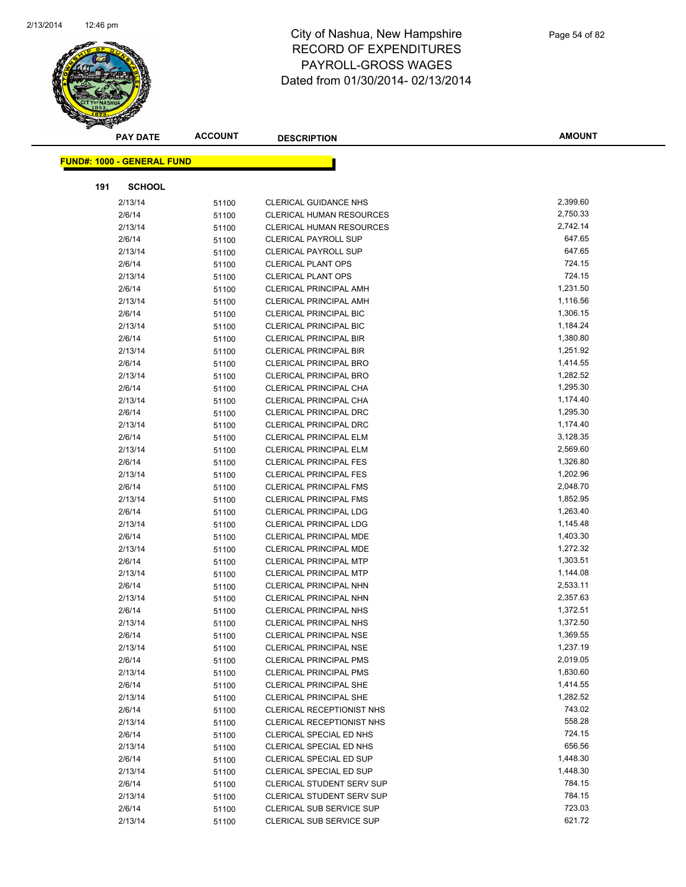

|     | <b>PAY DATE</b>                   | <b>ACCOUNT</b> | <b>DESCRIPTION</b>               | <b>AMOUNT</b> |
|-----|-----------------------------------|----------------|----------------------------------|---------------|
|     | <b>FUND#: 1000 - GENERAL FUND</b> |                |                                  |               |
|     |                                   |                |                                  |               |
| 191 | <b>SCHOOL</b>                     |                |                                  |               |
|     | 2/13/14                           | 51100          | <b>CLERICAL GUIDANCE NHS</b>     | 2,399.60      |
|     | 2/6/14                            | 51100          | <b>CLERICAL HUMAN RESOURCES</b>  | 2,750.33      |
|     | 2/13/14                           | 51100          | CLERICAL HUMAN RESOURCES         | 2,742.14      |
|     | 2/6/14                            | 51100          | <b>CLERICAL PAYROLL SUP</b>      | 647.65        |
|     | 2/13/14                           | 51100          | <b>CLERICAL PAYROLL SUP</b>      | 647.65        |
|     | 2/6/14                            | 51100          | <b>CLERICAL PLANT OPS</b>        | 724.15        |
|     | 2/13/14                           | 51100          | <b>CLERICAL PLANT OPS</b>        | 724.15        |
|     | 2/6/14                            | 51100          | <b>CLERICAL PRINCIPAL AMH</b>    | 1,231.50      |
|     | 2/13/14                           | 51100          | <b>CLERICAL PRINCIPAL AMH</b>    | 1,116.56      |
|     | 2/6/14                            | 51100          | <b>CLERICAL PRINCIPAL BIC</b>    | 1,306.15      |
|     | 2/13/14                           | 51100          | <b>CLERICAL PRINCIPAL BIC</b>    | 1,184.24      |
|     | 2/6/14                            | 51100          | <b>CLERICAL PRINCIPAL BIR</b>    | 1,380.80      |
|     | 2/13/14                           | 51100          | <b>CLERICAL PRINCIPAL BIR</b>    | 1,251.92      |
|     | 2/6/14                            | 51100          | <b>CLERICAL PRINCIPAL BRO</b>    | 1,414.55      |
|     | 2/13/14                           | 51100          | <b>CLERICAL PRINCIPAL BRO</b>    | 1,282.52      |
|     | 2/6/14                            | 51100          | CLERICAL PRINCIPAL CHA           | 1,295.30      |
|     | 2/13/14                           | 51100          | CLERICAL PRINCIPAL CHA           | 1,174.40      |
|     | 2/6/14                            | 51100          | <b>CLERICAL PRINCIPAL DRC</b>    | 1,295.30      |
|     | 2/13/14                           | 51100          | CLERICAL PRINCIPAL DRC           | 1,174.40      |
|     | 2/6/14                            | 51100          | <b>CLERICAL PRINCIPAL ELM</b>    | 3,128.35      |
|     | 2/13/14                           | 51100          | <b>CLERICAL PRINCIPAL ELM</b>    | 2,569.60      |
|     | 2/6/14                            | 51100          | <b>CLERICAL PRINCIPAL FES</b>    | 1,326.80      |
|     | 2/13/14                           | 51100          | <b>CLERICAL PRINCIPAL FES</b>    | 1,202.96      |
|     | 2/6/14                            | 51100          | <b>CLERICAL PRINCIPAL FMS</b>    | 2,048.70      |
|     | 2/13/14                           | 51100          | <b>CLERICAL PRINCIPAL FMS</b>    | 1,852.95      |
|     | 2/6/14                            | 51100          | <b>CLERICAL PRINCIPAL LDG</b>    | 1,263.40      |
|     | 2/13/14                           | 51100          | <b>CLERICAL PRINCIPAL LDG</b>    | 1,145.48      |
|     | 2/6/14                            | 51100          | CLERICAL PRINCIPAL MDE           | 1,403.30      |
|     | 2/13/14                           | 51100          | <b>CLERICAL PRINCIPAL MDE</b>    | 1,272.32      |
|     | 2/6/14                            | 51100          | <b>CLERICAL PRINCIPAL MTP</b>    | 1,303.51      |
|     | 2/13/14                           | 51100          | <b>CLERICAL PRINCIPAL MTP</b>    | 1,144.08      |
|     | 2/6/14                            | 51100          | <b>CLERICAL PRINCIPAL NHN</b>    | 2,533.11      |
|     | 2/13/14                           | 51100          | CLERICAL PRINCIPAL NHN           | 2,357.63      |
|     | 2/6/14                            | 51100          | <b>CLERICAL PRINCIPAL NHS</b>    | 1,372.51      |
|     | 2/13/14                           | 51100          | <b>CLERICAL PRINCIPAL NHS</b>    | 1,372.50      |
|     | 2/6/14                            | 51100          | <b>CLERICAL PRINCIPAL NSE</b>    | 1,369.55      |
|     | 2/13/14                           | 51100          | <b>CLERICAL PRINCIPAL NSE</b>    | 1,237.19      |
|     | 2/6/14                            | 51100          | <b>CLERICAL PRINCIPAL PMS</b>    | 2,019.05      |
|     | 2/13/14                           | 51100          | <b>CLERICAL PRINCIPAL PMS</b>    | 1,830.60      |
|     | 2/6/14                            | 51100          | <b>CLERICAL PRINCIPAL SHE</b>    | 1,414.55      |
|     | 2/13/14                           | 51100          | <b>CLERICAL PRINCIPAL SHE</b>    | 1,282.52      |
|     | 2/6/14                            | 51100          | CLERICAL RECEPTIONIST NHS        | 743.02        |
|     | 2/13/14                           | 51100          | CLERICAL RECEPTIONIST NHS        | 558.28        |
|     | 2/6/14                            | 51100          | CLERICAL SPECIAL ED NHS          | 724.15        |
|     | 2/13/14                           | 51100          | CLERICAL SPECIAL ED NHS          | 656.56        |
|     | 2/6/14                            | 51100          | CLERICAL SPECIAL ED SUP          | 1,448.30      |
|     | 2/13/14                           | 51100          | CLERICAL SPECIAL ED SUP          | 1,448.30      |
|     | 2/6/14                            | 51100          | CLERICAL STUDENT SERV SUP        | 784.15        |
|     | 2/13/14                           | 51100          | <b>CLERICAL STUDENT SERV SUP</b> | 784.15        |
|     | 2/6/14                            | 51100          | CLERICAL SUB SERVICE SUP         | 723.03        |
|     | 2/13/14                           | 51100          | CLERICAL SUB SERVICE SUP         | 621.72        |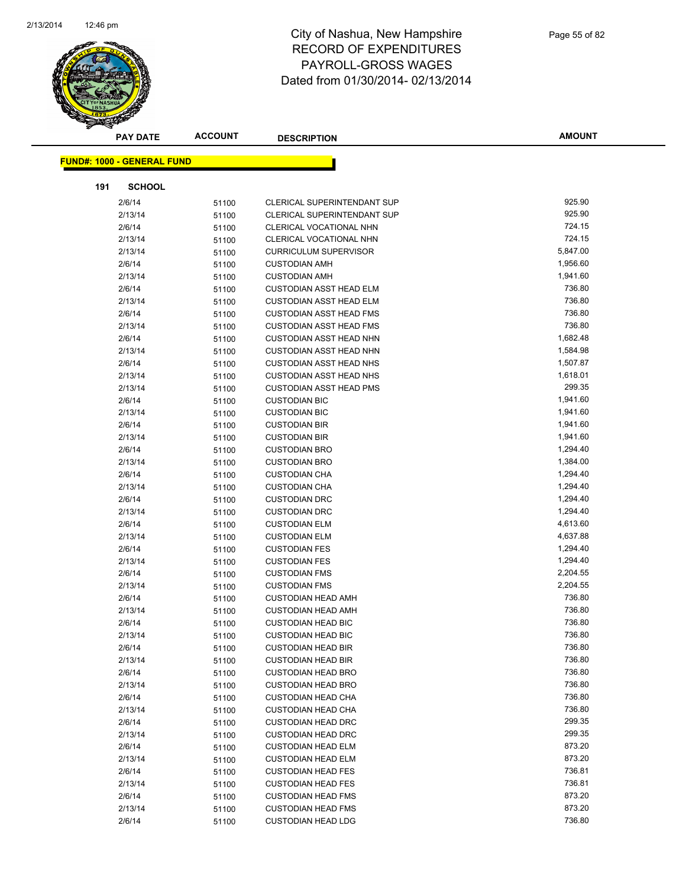

| <b>FUND#: 1000 - GENERAL FUND</b><br>191<br><b>SCHOOL</b><br>925.90<br>2/6/14<br>51100<br><b>CLERICAL SUPERINTENDANT SUP</b><br>925.90<br>2/13/14<br>CLERICAL SUPERINTENDANT SUP<br>51100<br>724.15<br>2/6/14<br>CLERICAL VOCATIONAL NHN<br>51100<br>724.15<br>2/13/14<br>CLERICAL VOCATIONAL NHN<br>51100<br>5,847.00<br><b>CURRICULUM SUPERVISOR</b><br>2/13/14<br>51100<br>1,956.60<br>2/6/14<br><b>CUSTODIAN AMH</b><br>51100<br>1,941.60<br>2/13/14<br><b>CUSTODIAN AMH</b><br>51100<br>736.80<br>2/6/14<br><b>CUSTODIAN ASST HEAD ELM</b><br>51100<br>736.80<br>2/13/14<br><b>CUSTODIAN ASST HEAD ELM</b><br>51100<br>736.80<br>2/6/14<br><b>CUSTODIAN ASST HEAD FMS</b><br>51100<br>736.80<br>2/13/14<br><b>CUSTODIAN ASST HEAD FMS</b><br>51100<br>1,682.48<br>2/6/14<br><b>CUSTODIAN ASST HEAD NHN</b><br>51100<br>1,584.98<br>2/13/14<br><b>CUSTODIAN ASST HEAD NHN</b><br>51100<br>1,507.87<br>2/6/14<br><b>CUSTODIAN ASST HEAD NHS</b><br>51100<br>1,618.01<br>2/13/14<br><b>CUSTODIAN ASST HEAD NHS</b><br>51100<br>299.35<br><b>CUSTODIAN ASST HEAD PMS</b><br>2/13/14<br>51100<br>1,941.60<br>2/6/14<br><b>CUSTODIAN BIC</b><br>51100<br>1,941.60<br>2/13/14<br>51100<br><b>CUSTODIAN BIC</b> |  |
|--------------------------------------------------------------------------------------------------------------------------------------------------------------------------------------------------------------------------------------------------------------------------------------------------------------------------------------------------------------------------------------------------------------------------------------------------------------------------------------------------------------------------------------------------------------------------------------------------------------------------------------------------------------------------------------------------------------------------------------------------------------------------------------------------------------------------------------------------------------------------------------------------------------------------------------------------------------------------------------------------------------------------------------------------------------------------------------------------------------------------------------------------------------------------------------------------------------|--|
|                                                                                                                                                                                                                                                                                                                                                                                                                                                                                                                                                                                                                                                                                                                                                                                                                                                                                                                                                                                                                                                                                                                                                                                                              |  |
|                                                                                                                                                                                                                                                                                                                                                                                                                                                                                                                                                                                                                                                                                                                                                                                                                                                                                                                                                                                                                                                                                                                                                                                                              |  |
|                                                                                                                                                                                                                                                                                                                                                                                                                                                                                                                                                                                                                                                                                                                                                                                                                                                                                                                                                                                                                                                                                                                                                                                                              |  |
|                                                                                                                                                                                                                                                                                                                                                                                                                                                                                                                                                                                                                                                                                                                                                                                                                                                                                                                                                                                                                                                                                                                                                                                                              |  |
|                                                                                                                                                                                                                                                                                                                                                                                                                                                                                                                                                                                                                                                                                                                                                                                                                                                                                                                                                                                                                                                                                                                                                                                                              |  |
|                                                                                                                                                                                                                                                                                                                                                                                                                                                                                                                                                                                                                                                                                                                                                                                                                                                                                                                                                                                                                                                                                                                                                                                                              |  |
|                                                                                                                                                                                                                                                                                                                                                                                                                                                                                                                                                                                                                                                                                                                                                                                                                                                                                                                                                                                                                                                                                                                                                                                                              |  |
|                                                                                                                                                                                                                                                                                                                                                                                                                                                                                                                                                                                                                                                                                                                                                                                                                                                                                                                                                                                                                                                                                                                                                                                                              |  |
|                                                                                                                                                                                                                                                                                                                                                                                                                                                                                                                                                                                                                                                                                                                                                                                                                                                                                                                                                                                                                                                                                                                                                                                                              |  |
|                                                                                                                                                                                                                                                                                                                                                                                                                                                                                                                                                                                                                                                                                                                                                                                                                                                                                                                                                                                                                                                                                                                                                                                                              |  |
|                                                                                                                                                                                                                                                                                                                                                                                                                                                                                                                                                                                                                                                                                                                                                                                                                                                                                                                                                                                                                                                                                                                                                                                                              |  |
|                                                                                                                                                                                                                                                                                                                                                                                                                                                                                                                                                                                                                                                                                                                                                                                                                                                                                                                                                                                                                                                                                                                                                                                                              |  |
|                                                                                                                                                                                                                                                                                                                                                                                                                                                                                                                                                                                                                                                                                                                                                                                                                                                                                                                                                                                                                                                                                                                                                                                                              |  |
|                                                                                                                                                                                                                                                                                                                                                                                                                                                                                                                                                                                                                                                                                                                                                                                                                                                                                                                                                                                                                                                                                                                                                                                                              |  |
|                                                                                                                                                                                                                                                                                                                                                                                                                                                                                                                                                                                                                                                                                                                                                                                                                                                                                                                                                                                                                                                                                                                                                                                                              |  |
|                                                                                                                                                                                                                                                                                                                                                                                                                                                                                                                                                                                                                                                                                                                                                                                                                                                                                                                                                                                                                                                                                                                                                                                                              |  |
|                                                                                                                                                                                                                                                                                                                                                                                                                                                                                                                                                                                                                                                                                                                                                                                                                                                                                                                                                                                                                                                                                                                                                                                                              |  |
|                                                                                                                                                                                                                                                                                                                                                                                                                                                                                                                                                                                                                                                                                                                                                                                                                                                                                                                                                                                                                                                                                                                                                                                                              |  |
|                                                                                                                                                                                                                                                                                                                                                                                                                                                                                                                                                                                                                                                                                                                                                                                                                                                                                                                                                                                                                                                                                                                                                                                                              |  |
|                                                                                                                                                                                                                                                                                                                                                                                                                                                                                                                                                                                                                                                                                                                                                                                                                                                                                                                                                                                                                                                                                                                                                                                                              |  |
|                                                                                                                                                                                                                                                                                                                                                                                                                                                                                                                                                                                                                                                                                                                                                                                                                                                                                                                                                                                                                                                                                                                                                                                                              |  |
| 1,941.60<br>2/6/14<br><b>CUSTODIAN BIR</b><br>51100                                                                                                                                                                                                                                                                                                                                                                                                                                                                                                                                                                                                                                                                                                                                                                                                                                                                                                                                                                                                                                                                                                                                                          |  |
| 1,941.60<br>2/13/14<br><b>CUSTODIAN BIR</b><br>51100                                                                                                                                                                                                                                                                                                                                                                                                                                                                                                                                                                                                                                                                                                                                                                                                                                                                                                                                                                                                                                                                                                                                                         |  |
| 1,294.40<br>2/6/14<br><b>CUSTODIAN BRO</b><br>51100                                                                                                                                                                                                                                                                                                                                                                                                                                                                                                                                                                                                                                                                                                                                                                                                                                                                                                                                                                                                                                                                                                                                                          |  |
| 1,384.00<br>2/13/14<br><b>CUSTODIAN BRO</b><br>51100                                                                                                                                                                                                                                                                                                                                                                                                                                                                                                                                                                                                                                                                                                                                                                                                                                                                                                                                                                                                                                                                                                                                                         |  |
| 1,294.40<br>2/6/14<br><b>CUSTODIAN CHA</b><br>51100                                                                                                                                                                                                                                                                                                                                                                                                                                                                                                                                                                                                                                                                                                                                                                                                                                                                                                                                                                                                                                                                                                                                                          |  |
| 1,294.40<br>2/13/14<br>51100<br><b>CUSTODIAN CHA</b>                                                                                                                                                                                                                                                                                                                                                                                                                                                                                                                                                                                                                                                                                                                                                                                                                                                                                                                                                                                                                                                                                                                                                         |  |
| 1,294.40<br>2/6/14<br><b>CUSTODIAN DRC</b><br>51100                                                                                                                                                                                                                                                                                                                                                                                                                                                                                                                                                                                                                                                                                                                                                                                                                                                                                                                                                                                                                                                                                                                                                          |  |
| 1,294.40<br>2/13/14<br><b>CUSTODIAN DRC</b><br>51100                                                                                                                                                                                                                                                                                                                                                                                                                                                                                                                                                                                                                                                                                                                                                                                                                                                                                                                                                                                                                                                                                                                                                         |  |
| 2/6/14<br>4,613.60<br><b>CUSTODIAN ELM</b><br>51100                                                                                                                                                                                                                                                                                                                                                                                                                                                                                                                                                                                                                                                                                                                                                                                                                                                                                                                                                                                                                                                                                                                                                          |  |
| 2/13/14<br>4,637.88<br><b>CUSTODIAN ELM</b><br>51100                                                                                                                                                                                                                                                                                                                                                                                                                                                                                                                                                                                                                                                                                                                                                                                                                                                                                                                                                                                                                                                                                                                                                         |  |
| 1,294.40<br>2/6/14<br><b>CUSTODIAN FES</b><br>51100                                                                                                                                                                                                                                                                                                                                                                                                                                                                                                                                                                                                                                                                                                                                                                                                                                                                                                                                                                                                                                                                                                                                                          |  |
| 1,294.40<br>2/13/14<br><b>CUSTODIAN FES</b><br>51100                                                                                                                                                                                                                                                                                                                                                                                                                                                                                                                                                                                                                                                                                                                                                                                                                                                                                                                                                                                                                                                                                                                                                         |  |
| 2,204.55<br>2/6/14<br><b>CUSTODIAN FMS</b><br>51100                                                                                                                                                                                                                                                                                                                                                                                                                                                                                                                                                                                                                                                                                                                                                                                                                                                                                                                                                                                                                                                                                                                                                          |  |
| 2,204.55<br>2/13/14<br><b>CUSTODIAN FMS</b><br>51100                                                                                                                                                                                                                                                                                                                                                                                                                                                                                                                                                                                                                                                                                                                                                                                                                                                                                                                                                                                                                                                                                                                                                         |  |
| 736.80<br>2/6/14<br><b>CUSTODIAN HEAD AMH</b><br>51100                                                                                                                                                                                                                                                                                                                                                                                                                                                                                                                                                                                                                                                                                                                                                                                                                                                                                                                                                                                                                                                                                                                                                       |  |
| 736.80<br>2/13/14<br><b>CUSTODIAN HEAD AMH</b><br>51100                                                                                                                                                                                                                                                                                                                                                                                                                                                                                                                                                                                                                                                                                                                                                                                                                                                                                                                                                                                                                                                                                                                                                      |  |
| 736.80<br>2/6/14<br><b>CUSTODIAN HEAD BIC</b><br>51100                                                                                                                                                                                                                                                                                                                                                                                                                                                                                                                                                                                                                                                                                                                                                                                                                                                                                                                                                                                                                                                                                                                                                       |  |
| 2/13/14<br><b>CUSTODIAN HEAD BIC</b><br>736.80<br>51100                                                                                                                                                                                                                                                                                                                                                                                                                                                                                                                                                                                                                                                                                                                                                                                                                                                                                                                                                                                                                                                                                                                                                      |  |
| 736.80<br>2/6/14<br>51100<br><b>CUSTODIAN HEAD BIR</b><br>736.80                                                                                                                                                                                                                                                                                                                                                                                                                                                                                                                                                                                                                                                                                                                                                                                                                                                                                                                                                                                                                                                                                                                                             |  |
| 2/13/14<br><b>CUSTODIAN HEAD BIR</b><br>51100<br>736.80                                                                                                                                                                                                                                                                                                                                                                                                                                                                                                                                                                                                                                                                                                                                                                                                                                                                                                                                                                                                                                                                                                                                                      |  |
| 2/6/14<br><b>CUSTODIAN HEAD BRO</b><br>51100<br>736.80                                                                                                                                                                                                                                                                                                                                                                                                                                                                                                                                                                                                                                                                                                                                                                                                                                                                                                                                                                                                                                                                                                                                                       |  |
| 2/13/14<br><b>CUSTODIAN HEAD BRO</b><br>51100<br>736.80<br>2/6/14<br><b>CUSTODIAN HEAD CHA</b>                                                                                                                                                                                                                                                                                                                                                                                                                                                                                                                                                                                                                                                                                                                                                                                                                                                                                                                                                                                                                                                                                                               |  |
| 51100<br>736.80<br>2/13/14<br><b>CUSTODIAN HEAD CHA</b>                                                                                                                                                                                                                                                                                                                                                                                                                                                                                                                                                                                                                                                                                                                                                                                                                                                                                                                                                                                                                                                                                                                                                      |  |
| 51100<br>299.35<br>2/6/14<br><b>CUSTODIAN HEAD DRC</b>                                                                                                                                                                                                                                                                                                                                                                                                                                                                                                                                                                                                                                                                                                                                                                                                                                                                                                                                                                                                                                                                                                                                                       |  |
| 51100<br>299.35<br><b>CUSTODIAN HEAD DRC</b><br>2/13/14<br>51100                                                                                                                                                                                                                                                                                                                                                                                                                                                                                                                                                                                                                                                                                                                                                                                                                                                                                                                                                                                                                                                                                                                                             |  |
| 873.20<br>2/6/14<br><b>CUSTODIAN HEAD ELM</b><br>51100                                                                                                                                                                                                                                                                                                                                                                                                                                                                                                                                                                                                                                                                                                                                                                                                                                                                                                                                                                                                                                                                                                                                                       |  |
| 873.20<br>2/13/14<br><b>CUSTODIAN HEAD ELM</b><br>51100                                                                                                                                                                                                                                                                                                                                                                                                                                                                                                                                                                                                                                                                                                                                                                                                                                                                                                                                                                                                                                                                                                                                                      |  |
| 736.81<br>2/6/14<br><b>CUSTODIAN HEAD FES</b><br>51100                                                                                                                                                                                                                                                                                                                                                                                                                                                                                                                                                                                                                                                                                                                                                                                                                                                                                                                                                                                                                                                                                                                                                       |  |
| 736.81<br>2/13/14<br><b>CUSTODIAN HEAD FES</b><br>51100                                                                                                                                                                                                                                                                                                                                                                                                                                                                                                                                                                                                                                                                                                                                                                                                                                                                                                                                                                                                                                                                                                                                                      |  |
| 873.20<br>2/6/14<br><b>CUSTODIAN HEAD FMS</b><br>51100                                                                                                                                                                                                                                                                                                                                                                                                                                                                                                                                                                                                                                                                                                                                                                                                                                                                                                                                                                                                                                                                                                                                                       |  |
| 873.20<br>2/13/14<br><b>CUSTODIAN HEAD FMS</b><br>51100                                                                                                                                                                                                                                                                                                                                                                                                                                                                                                                                                                                                                                                                                                                                                                                                                                                                                                                                                                                                                                                                                                                                                      |  |
| 736.80<br>2/6/14<br><b>CUSTODIAN HEAD LDG</b><br>51100                                                                                                                                                                                                                                                                                                                                                                                                                                                                                                                                                                                                                                                                                                                                                                                                                                                                                                                                                                                                                                                                                                                                                       |  |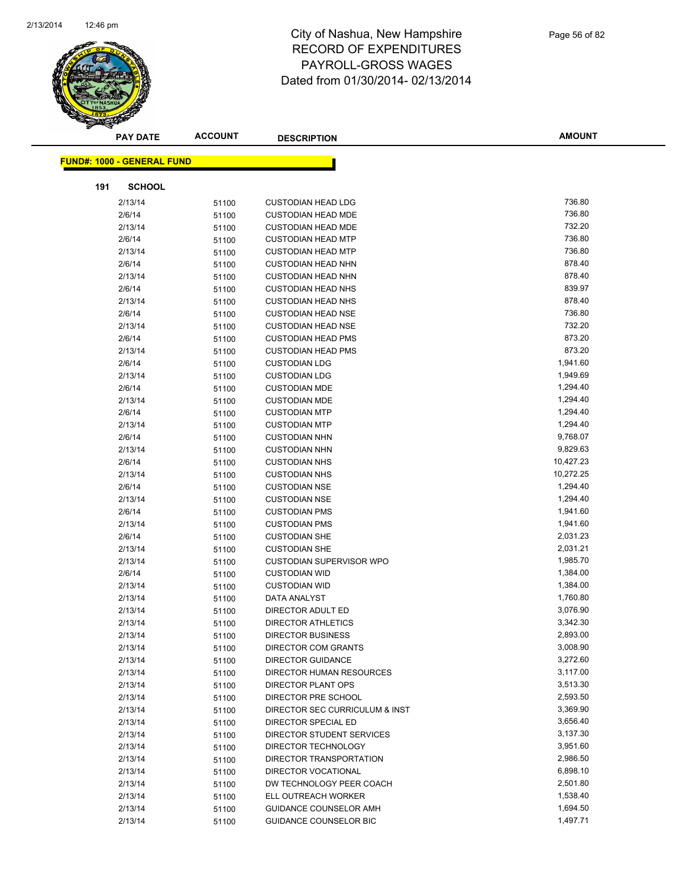

|     | <b>PAY DATE</b>                   | <b>ACCOUNT</b> | <b>DESCRIPTION</b>             | <b>AMOUNT</b> |
|-----|-----------------------------------|----------------|--------------------------------|---------------|
|     | <b>FUND#: 1000 - GENERAL FUND</b> |                |                                |               |
|     |                                   |                |                                |               |
| 191 | <b>SCHOOL</b>                     |                |                                |               |
|     | 2/13/14                           | 51100          | <b>CUSTODIAN HEAD LDG</b>      | 736.80        |
|     | 2/6/14                            | 51100          | <b>CUSTODIAN HEAD MDE</b>      | 736.80        |
|     | 2/13/14                           | 51100          | <b>CUSTODIAN HEAD MDE</b>      | 732.20        |
|     | 2/6/14                            | 51100          | <b>CUSTODIAN HEAD MTP</b>      | 736.80        |
|     | 2/13/14                           | 51100          | <b>CUSTODIAN HEAD MTP</b>      | 736.80        |
|     | 2/6/14                            | 51100          | <b>CUSTODIAN HEAD NHN</b>      | 878.40        |
|     | 2/13/14                           | 51100          | <b>CUSTODIAN HEAD NHN</b>      | 878.40        |
|     | 2/6/14                            | 51100          | <b>CUSTODIAN HEAD NHS</b>      | 839.97        |
|     | 2/13/14                           | 51100          | <b>CUSTODIAN HEAD NHS</b>      | 878.40        |
|     | 2/6/14                            | 51100          | <b>CUSTODIAN HEAD NSE</b>      | 736.80        |
|     | 2/13/14                           | 51100          | <b>CUSTODIAN HEAD NSE</b>      | 732.20        |
|     | 2/6/14                            | 51100          | <b>CUSTODIAN HEAD PMS</b>      | 873.20        |
|     | 2/13/14                           | 51100          | <b>CUSTODIAN HEAD PMS</b>      | 873.20        |
|     | 2/6/14                            | 51100          | <b>CUSTODIAN LDG</b>           | 1,941.60      |
|     | 2/13/14                           | 51100          | <b>CUSTODIAN LDG</b>           | 1,949.69      |
|     | 2/6/14                            | 51100          | <b>CUSTODIAN MDE</b>           | 1,294.40      |
|     | 2/13/14                           | 51100          | <b>CUSTODIAN MDE</b>           | 1,294.40      |
|     | 2/6/14                            | 51100          | <b>CUSTODIAN MTP</b>           | 1,294.40      |
|     | 2/13/14                           | 51100          | <b>CUSTODIAN MTP</b>           | 1,294.40      |
|     | 2/6/14                            | 51100          | <b>CUSTODIAN NHN</b>           | 9,768.07      |
|     | 2/13/14                           | 51100          | <b>CUSTODIAN NHN</b>           | 9,829.63      |
|     | 2/6/14                            | 51100          | <b>CUSTODIAN NHS</b>           | 10,427.23     |
|     | 2/13/14                           | 51100          | <b>CUSTODIAN NHS</b>           | 10,272.25     |
|     | 2/6/14                            | 51100          | <b>CUSTODIAN NSE</b>           | 1,294.40      |
|     | 2/13/14                           | 51100          | <b>CUSTODIAN NSE</b>           | 1,294.40      |
|     | 2/6/14                            | 51100          | <b>CUSTODIAN PMS</b>           | 1,941.60      |
|     | 2/13/14                           | 51100          | <b>CUSTODIAN PMS</b>           | 1,941.60      |
|     | 2/6/14                            | 51100          | <b>CUSTODIAN SHE</b>           | 2,031.23      |
|     | 2/13/14                           | 51100          | <b>CUSTODIAN SHE</b>           | 2,031.21      |
|     | 2/13/14                           | 51100          | CUSTODIAN SUPERVISOR WPO       | 1,985.70      |
|     | 2/6/14                            | 51100          | <b>CUSTODIAN WID</b>           | 1,384.00      |
|     | 2/13/14                           | 51100          | <b>CUSTODIAN WID</b>           | 1,384.00      |
|     | 2/13/14                           | 51100          | DATA ANALYST                   | 1,760.80      |
|     | 2/13/14                           | 51100          | DIRECTOR ADULT ED              | 3,076.90      |
|     | 2/13/14                           | 51100          | <b>DIRECTOR ATHLETICS</b>      | 3,342.30      |
|     | 2/13/14                           | 51100          | <b>DIRECTOR BUSINESS</b>       | 2,893.00      |
|     | 2/13/14                           | 51100          | <b>DIRECTOR COM GRANTS</b>     | 3,008.90      |
|     | 2/13/14                           | 51100          | <b>DIRECTOR GUIDANCE</b>       | 3,272.60      |
|     | 2/13/14                           | 51100          | DIRECTOR HUMAN RESOURCES       | 3,117.00      |
|     | 2/13/14                           | 51100          | DIRECTOR PLANT OPS             | 3,513.30      |
|     | 2/13/14                           | 51100          | DIRECTOR PRE SCHOOL            | 2,593.50      |
|     | 2/13/14                           | 51100          | DIRECTOR SEC CURRICULUM & INST | 3,369.90      |
|     | 2/13/14                           | 51100          | <b>DIRECTOR SPECIAL ED</b>     | 3,656.40      |
|     | 2/13/14                           | 51100          | DIRECTOR STUDENT SERVICES      | 3,137.30      |
|     | 2/13/14                           | 51100          | DIRECTOR TECHNOLOGY            | 3,951.60      |
|     | 2/13/14                           | 51100          | DIRECTOR TRANSPORTATION        | 2,986.50      |
|     | 2/13/14                           | 51100          | <b>DIRECTOR VOCATIONAL</b>     | 6,898.10      |
|     | 2/13/14                           | 51100          | DW TECHNOLOGY PEER COACH       | 2,501.80      |
|     | 2/13/14                           | 51100          | ELL OUTREACH WORKER            | 1,538.40      |
|     | 2/13/14                           | 51100          | GUIDANCE COUNSELOR AMH         | 1,694.50      |
|     | 2/13/14                           | 51100          | GUIDANCE COUNSELOR BIC         | 1,497.71      |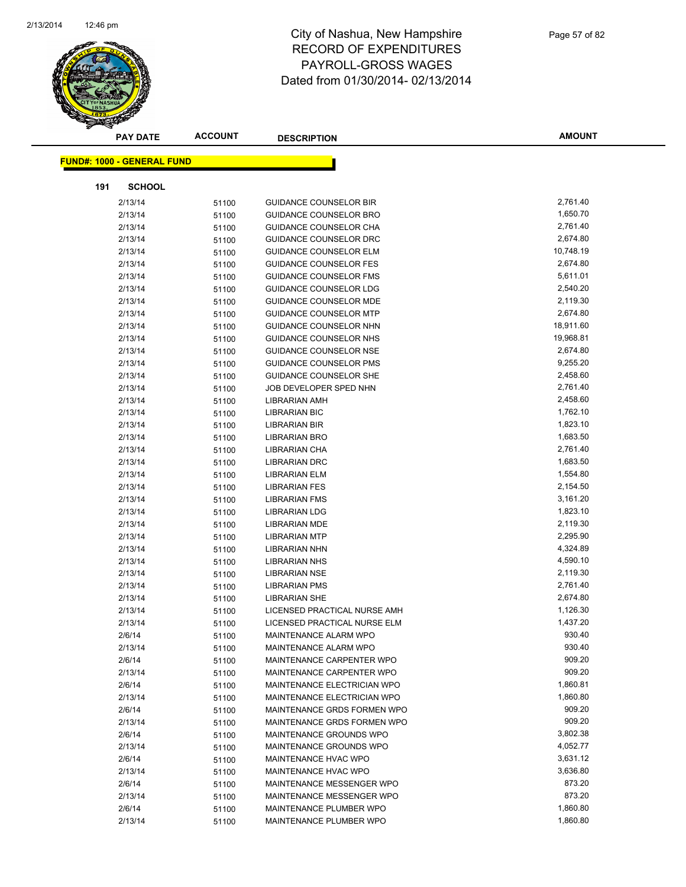

|     | <b>PAY DATE</b>                   | <b>ACCOUNT</b> | <b>DESCRIPTION</b>            | <b>AMOUNT</b>        |
|-----|-----------------------------------|----------------|-------------------------------|----------------------|
|     | <b>FUND#: 1000 - GENERAL FUND</b> |                |                               |                      |
|     |                                   |                |                               |                      |
| 191 | <b>SCHOOL</b>                     |                |                               |                      |
|     | 2/13/14                           | 51100          | <b>GUIDANCE COUNSELOR BIR</b> | 2,761.40             |
|     | 2/13/14                           | 51100          | <b>GUIDANCE COUNSELOR BRO</b> | 1,650.70             |
|     | 2/13/14                           | 51100          | GUIDANCE COUNSELOR CHA        | 2,761.40             |
|     | 2/13/14                           | 51100          | GUIDANCE COUNSELOR DRC        | 2,674.80             |
|     | 2/13/14                           | 51100          | <b>GUIDANCE COUNSELOR ELM</b> | 10,748.19            |
|     | 2/13/14                           | 51100          | <b>GUIDANCE COUNSELOR FES</b> | 2,674.80             |
|     | 2/13/14                           | 51100          | <b>GUIDANCE COUNSELOR FMS</b> | 5,611.01             |
|     | 2/13/14                           | 51100          | GUIDANCE COUNSELOR LDG        | 2,540.20             |
|     | 2/13/14                           | 51100          | <b>GUIDANCE COUNSELOR MDE</b> | 2,119.30             |
|     | 2/13/14                           | 51100          | <b>GUIDANCE COUNSELOR MTP</b> | 2,674.80             |
|     | 2/13/14                           | 51100          | GUIDANCE COUNSELOR NHN        | 18,911.60            |
|     | 2/13/14                           | 51100          | GUIDANCE COUNSELOR NHS        | 19,968.81            |
|     | 2/13/14                           | 51100          | <b>GUIDANCE COUNSELOR NSE</b> | 2,674.80             |
|     | 2/13/14                           | 51100          | <b>GUIDANCE COUNSELOR PMS</b> | 9,255.20             |
|     | 2/13/14                           | 51100          | <b>GUIDANCE COUNSELOR SHE</b> | 2,458.60             |
|     | 2/13/14                           | 51100          | JOB DEVELOPER SPED NHN        | 2,761.40             |
|     | 2/13/14                           | 51100          | LIBRARIAN AMH                 | 2,458.60             |
|     | 2/13/14                           | 51100          | <b>LIBRARIAN BIC</b>          | 1,762.10             |
|     | 2/13/14                           | 51100          | LIBRARIAN BIR                 | 1,823.10             |
|     | 2/13/14                           | 51100          | <b>LIBRARIAN BRO</b>          | 1,683.50             |
|     | 2/13/14                           | 51100          | LIBRARIAN CHA                 | 2,761.40             |
|     | 2/13/14                           | 51100          | <b>LIBRARIAN DRC</b>          | 1,683.50             |
|     | 2/13/14                           | 51100          | <b>LIBRARIAN ELM</b>          | 1,554.80             |
|     | 2/13/14                           | 51100          | <b>LIBRARIAN FES</b>          | 2,154.50             |
|     | 2/13/14                           | 51100          | <b>LIBRARIAN FMS</b>          | 3,161.20             |
|     | 2/13/14                           | 51100          | <b>LIBRARIAN LDG</b>          | 1,823.10             |
|     | 2/13/14                           | 51100          | <b>LIBRARIAN MDE</b>          | 2,119.30             |
|     | 2/13/14                           | 51100          | <b>LIBRARIAN MTP</b>          | 2,295.90             |
|     | 2/13/14                           | 51100          | <b>LIBRARIAN NHN</b>          | 4,324.89             |
|     | 2/13/14                           | 51100          | <b>LIBRARIAN NHS</b>          | 4,590.10             |
|     | 2/13/14                           | 51100          | <b>LIBRARIAN NSE</b>          | 2,119.30             |
|     | 2/13/14                           | 51100          | <b>LIBRARIAN PMS</b>          | 2,761.40             |
|     | 2/13/14                           | 51100          | <b>LIBRARIAN SHE</b>          | 2,674.80             |
|     | 2/13/14                           | 51100          | LICENSED PRACTICAL NURSE AMH  | 1,126.30             |
|     | 2/13/14                           | 51100          | LICENSED PRACTICAL NURSE ELM  | 1,437.20             |
|     | 2/6/14                            | 51100          | MAINTENANCE ALARM WPO         | 930.40               |
|     | 2/13/14                           | 51100          | MAINTENANCE ALARM WPO         | 930.40               |
|     | 2/6/14                            | 51100          | MAINTENANCE CARPENTER WPO     | 909.20               |
|     | 2/13/14                           | 51100          | MAINTENANCE CARPENTER WPO     | 909.20               |
|     | 2/6/14                            | 51100          | MAINTENANCE ELECTRICIAN WPO   | 1,860.81             |
|     | 2/13/14                           | 51100          | MAINTENANCE ELECTRICIAN WPO   | 1,860.80             |
|     | 2/6/14                            | 51100          | MAINTENANCE GRDS FORMEN WPO   | 909.20               |
|     | 2/13/14                           | 51100          | MAINTENANCE GRDS FORMEN WPO   | 909.20               |
|     | 2/6/14                            | 51100          | MAINTENANCE GROUNDS WPO       | 3,802.38             |
|     | 2/13/14                           | 51100          | MAINTENANCE GROUNDS WPO       | 4,052.77             |
|     | 2/6/14                            | 51100          | MAINTENANCE HVAC WPO          | 3,631.12             |
|     | 2/13/14                           | 51100          | MAINTENANCE HVAC WPO          | 3,636.80             |
|     | 2/6/14                            | 51100          | MAINTENANCE MESSENGER WPO     | 873.20               |
|     | 2/13/14                           | 51100          | MAINTENANCE MESSENGER WPO     | 873.20               |
|     | 2/6/14                            | 51100          | MAINTENANCE PLUMBER WPO       | 1,860.80<br>1,860.80 |
|     | 2/13/14                           | 51100          | MAINTENANCE PLUMBER WPO       |                      |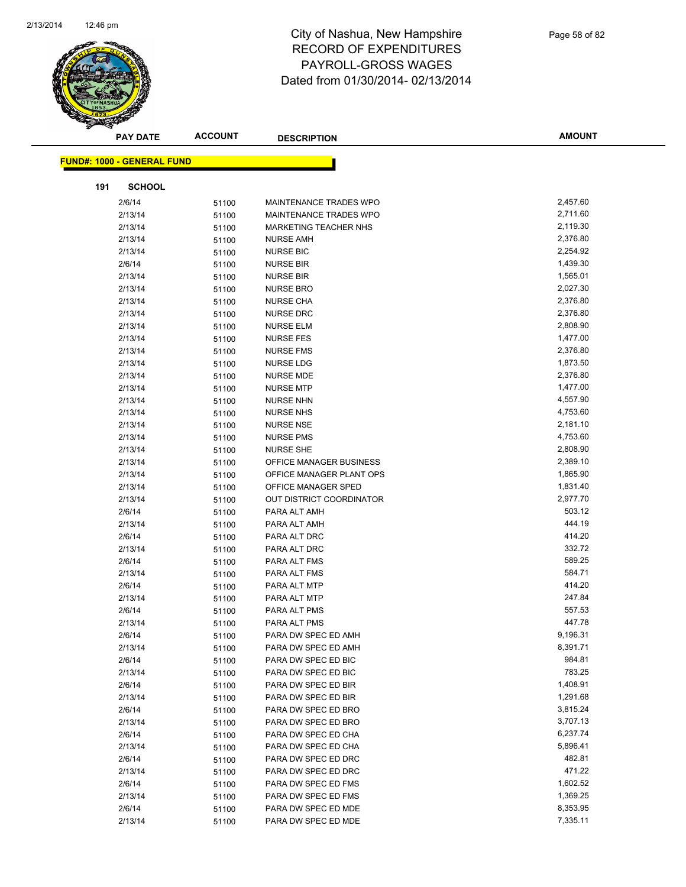

|     | <b>PAY DATE</b>                   | <b>ACCOUNT</b> | <b>DESCRIPTION</b>       | <b>AMOUNT</b> |  |
|-----|-----------------------------------|----------------|--------------------------|---------------|--|
|     | <b>FUND#: 1000 - GENERAL FUND</b> |                |                          |               |  |
|     |                                   |                |                          |               |  |
| 191 | <b>SCHOOL</b>                     |                |                          |               |  |
|     | 2/6/14                            | 51100          | MAINTENANCE TRADES WPO   | 2,457.60      |  |
|     | 2/13/14                           | 51100          | MAINTENANCE TRADES WPO   | 2,711.60      |  |
|     | 2/13/14                           | 51100          | MARKETING TEACHER NHS    | 2,119.30      |  |
|     | 2/13/14                           | 51100          | <b>NURSE AMH</b>         | 2,376.80      |  |
|     | 2/13/14                           | 51100          | <b>NURSE BIC</b>         | 2,254.92      |  |
|     | 2/6/14                            | 51100          | <b>NURSE BIR</b>         | 1,439.30      |  |
|     | 2/13/14                           | 51100          | <b>NURSE BIR</b>         | 1,565.01      |  |
|     | 2/13/14                           | 51100          | <b>NURSE BRO</b>         | 2,027.30      |  |
|     | 2/13/14                           | 51100          | <b>NURSE CHA</b>         | 2,376.80      |  |
|     | 2/13/14                           | 51100          | <b>NURSE DRC</b>         | 2,376.80      |  |
|     | 2/13/14                           | 51100          | <b>NURSE ELM</b>         | 2,808.90      |  |
|     | 2/13/14                           | 51100          | <b>NURSE FES</b>         | 1,477.00      |  |
|     | 2/13/14                           | 51100          | <b>NURSE FMS</b>         | 2,376.80      |  |
|     | 2/13/14                           | 51100          | <b>NURSE LDG</b>         | 1,873.50      |  |
|     | 2/13/14                           | 51100          | <b>NURSE MDE</b>         | 2,376.80      |  |
|     | 2/13/14                           | 51100          | <b>NURSE MTP</b>         | 1,477.00      |  |
|     | 2/13/14                           | 51100          | <b>NURSE NHN</b>         | 4,557.90      |  |
|     | 2/13/14                           | 51100          | <b>NURSE NHS</b>         | 4,753.60      |  |
|     | 2/13/14                           | 51100          | <b>NURSE NSE</b>         | 2,181.10      |  |
|     | 2/13/14                           | 51100          | <b>NURSE PMS</b>         | 4,753.60      |  |
|     | 2/13/14                           | 51100          | <b>NURSE SHE</b>         | 2,808.90      |  |
|     | 2/13/14                           | 51100          | OFFICE MANAGER BUSINESS  | 2,389.10      |  |
|     | 2/13/14                           | 51100          | OFFICE MANAGER PLANT OPS | 1,865.90      |  |
|     | 2/13/14                           | 51100          | OFFICE MANAGER SPED      | 1,831.40      |  |
|     | 2/13/14                           | 51100          | OUT DISTRICT COORDINATOR | 2,977.70      |  |
|     | 2/6/14                            | 51100          | PARA ALT AMH             | 503.12        |  |
|     | 2/13/14                           | 51100          | PARA ALT AMH             | 444.19        |  |
|     | 2/6/14                            | 51100          | PARA ALT DRC             | 414.20        |  |
|     | 2/13/14                           | 51100          | PARA ALT DRC             | 332.72        |  |
|     | 2/6/14                            | 51100          | PARA ALT FMS             | 589.25        |  |
|     | 2/13/14                           | 51100          | PARA ALT FMS             | 584.71        |  |
|     | 2/6/14                            | 51100          | PARA ALT MTP             | 414.20        |  |
|     | 2/13/14                           | 51100          | PARA ALT MTP             | 247.84        |  |
|     | 2/6/14                            | 51100          | PARA ALT PMS             | 557.53        |  |
|     | 2/13/14                           | 51100          | PARA ALT PMS             | 447.78        |  |
|     | 2/6/14                            | 51100          | PARA DW SPEC ED AMH      | 9,196.31      |  |
|     | 2/13/14                           | 51100          | PARA DW SPEC ED AMH      | 8,391.71      |  |
|     | 2/6/14                            | 51100          | PARA DW SPEC ED BIC      | 984.81        |  |
|     | 2/13/14                           | 51100          | PARA DW SPEC ED BIC      | 783.25        |  |
|     | 2/6/14                            | 51100          | PARA DW SPEC ED BIR      | 1,408.91      |  |
|     | 2/13/14                           | 51100          | PARA DW SPEC ED BIR      | 1,291.68      |  |
|     | 2/6/14                            | 51100          | PARA DW SPEC ED BRO      | 3,815.24      |  |
|     | 2/13/14                           | 51100          | PARA DW SPEC ED BRO      | 3,707.13      |  |
|     | 2/6/14                            | 51100          | PARA DW SPEC ED CHA      | 6,237.74      |  |
|     | 2/13/14                           | 51100          | PARA DW SPEC ED CHA      | 5,896.41      |  |
|     | 2/6/14                            | 51100          | PARA DW SPEC ED DRC      | 482.81        |  |
|     | 2/13/14                           | 51100          | PARA DW SPEC ED DRC      | 471.22        |  |
|     | 2/6/14                            | 51100          | PARA DW SPEC ED FMS      | 1,602.52      |  |
|     | 2/13/14                           | 51100          | PARA DW SPEC ED FMS      | 1,369.25      |  |
|     | 2/6/14                            | 51100          | PARA DW SPEC ED MDE      | 8,353.95      |  |
|     | 2/13/14                           | 51100          | PARA DW SPEC ED MDE      | 7,335.11      |  |
|     |                                   |                |                          |               |  |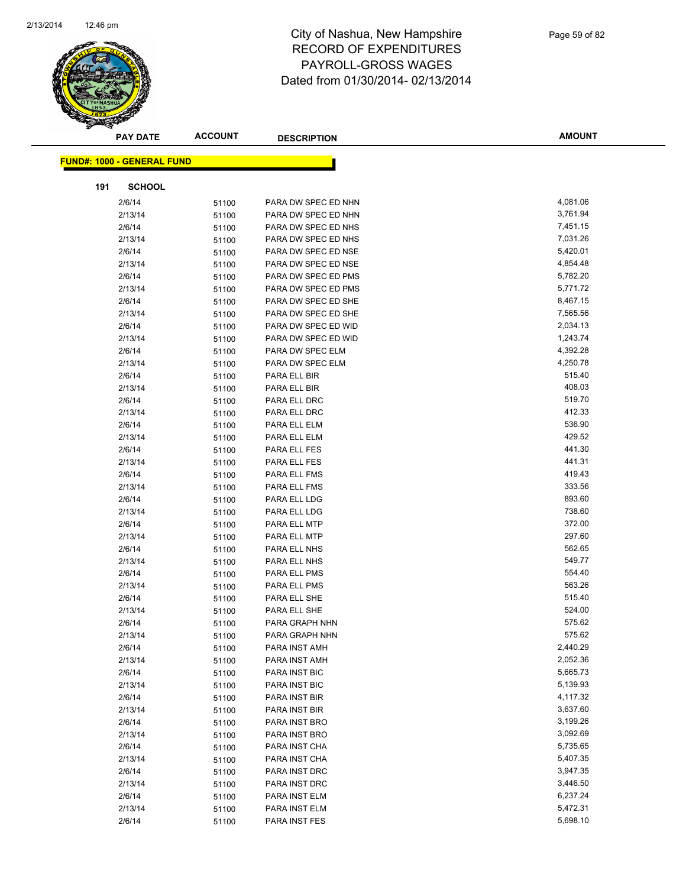

|     | <b>PAY DATE</b>                   | <b>ACCOUNT</b> | <b>DESCRIPTION</b>  | <b>AMOUNT</b> |
|-----|-----------------------------------|----------------|---------------------|---------------|
|     | <b>FUND#: 1000 - GENERAL FUND</b> |                |                     |               |
|     |                                   |                |                     |               |
| 191 | <b>SCHOOL</b>                     |                |                     |               |
|     | 2/6/14                            | 51100          | PARA DW SPEC ED NHN | 4,081.06      |
|     | 2/13/14                           | 51100          | PARA DW SPEC ED NHN | 3,761.94      |
|     | 2/6/14                            | 51100          | PARA DW SPEC ED NHS | 7,451.15      |
|     | 2/13/14                           | 51100          | PARA DW SPEC ED NHS | 7,031.26      |
|     | 2/6/14                            | 51100          | PARA DW SPEC ED NSE | 5,420.01      |
|     | 2/13/14                           | 51100          | PARA DW SPEC ED NSE | 4,854.48      |
|     | 2/6/14                            | 51100          | PARA DW SPEC ED PMS | 5,782.20      |
|     | 2/13/14                           | 51100          | PARA DW SPEC ED PMS | 5,771.72      |
|     | 2/6/14                            | 51100          | PARA DW SPEC ED SHE | 8,467.15      |
|     | 2/13/14                           | 51100          | PARA DW SPEC ED SHE | 7,565.56      |
|     | 2/6/14                            | 51100          | PARA DW SPEC ED WID | 2,034.13      |
|     | 2/13/14                           | 51100          | PARA DW SPEC ED WID | 1,243.74      |
|     | 2/6/14                            | 51100          | PARA DW SPEC ELM    | 4,392.28      |
|     | 2/13/14                           | 51100          | PARA DW SPEC ELM    | 4,250.78      |
|     | 2/6/14                            | 51100          | PARA ELL BIR        | 515.40        |
|     | 2/13/14                           | 51100          | PARA ELL BIR        | 408.03        |
|     | 2/6/14                            | 51100          | PARA ELL DRC        | 519.70        |
|     | 2/13/14                           | 51100          | PARA ELL DRC        | 412.33        |
|     | 2/6/14                            | 51100          | PARA ELL ELM        | 536.90        |
|     | 2/13/14                           | 51100          | PARA ELL ELM        | 429.52        |
|     | 2/6/14                            | 51100          | PARA ELL FES        | 441.30        |
|     | 2/13/14                           | 51100          | PARA ELL FES        | 441.31        |
|     | 2/6/14                            | 51100          | PARA ELL FMS        | 419.43        |
|     | 2/13/14                           | 51100          | PARA ELL FMS        | 333.56        |
|     | 2/6/14                            | 51100          | PARA ELL LDG        | 893.60        |
|     | 2/13/14                           | 51100          | PARA ELL LDG        | 738.60        |
|     | 2/6/14                            | 51100          | PARA ELL MTP        | 372.00        |
|     | 2/13/14                           | 51100          | PARA ELL MTP        | 297.60        |
|     | 2/6/14                            | 51100          | PARA ELL NHS        | 562.65        |
|     | 2/13/14                           | 51100          | PARA ELL NHS        | 549.77        |
|     | 2/6/14                            | 51100          | PARA ELL PMS        | 554.40        |
|     | 2/13/14                           | 51100          | PARA ELL PMS        | 563.26        |
|     | 2/6/14                            | 51100          | PARA ELL SHE        | 515.40        |
|     | 2/13/14                           | 51100          | PARA ELL SHE        | 524.00        |
|     | 2/6/14                            | 51100          | PARA GRAPH NHN      | 575.62        |
|     | 2/13/14                           | 51100          | PARA GRAPH NHN      | 575.62        |
|     | 2/6/14                            | 51100          | PARA INST AMH       | 2,440.29      |
|     | 2/13/14                           | 51100          | PARA INST AMH       | 2,052.36      |
|     | 2/6/14                            | 51100          | PARA INST BIC       | 5,665.73      |
|     | 2/13/14                           | 51100          | PARA INST BIC       | 5,139.93      |
|     | 2/6/14                            | 51100          | PARA INST BIR       | 4,117.32      |
|     | 2/13/14                           | 51100          | PARA INST BIR       | 3,637.60      |
|     | 2/6/14                            | 51100          | PARA INST BRO       | 3,199.26      |
|     | 2/13/14                           | 51100          | PARA INST BRO       | 3,092.69      |
|     | 2/6/14                            | 51100          | PARA INST CHA       | 5,735.65      |
|     | 2/13/14                           | 51100          | PARA INST CHA       | 5,407.35      |
|     | 2/6/14                            | 51100          | PARA INST DRC       | 3,947.35      |
|     | 2/13/14                           | 51100          | PARA INST DRC       | 3,446.50      |
|     | 2/6/14                            | 51100          | PARA INST ELM       | 6,237.24      |
|     | 2/13/14                           | 51100          | PARA INST ELM       | 5,472.31      |
|     | 2/6/14                            | 51100          | PARA INST FES       | 5,698.10      |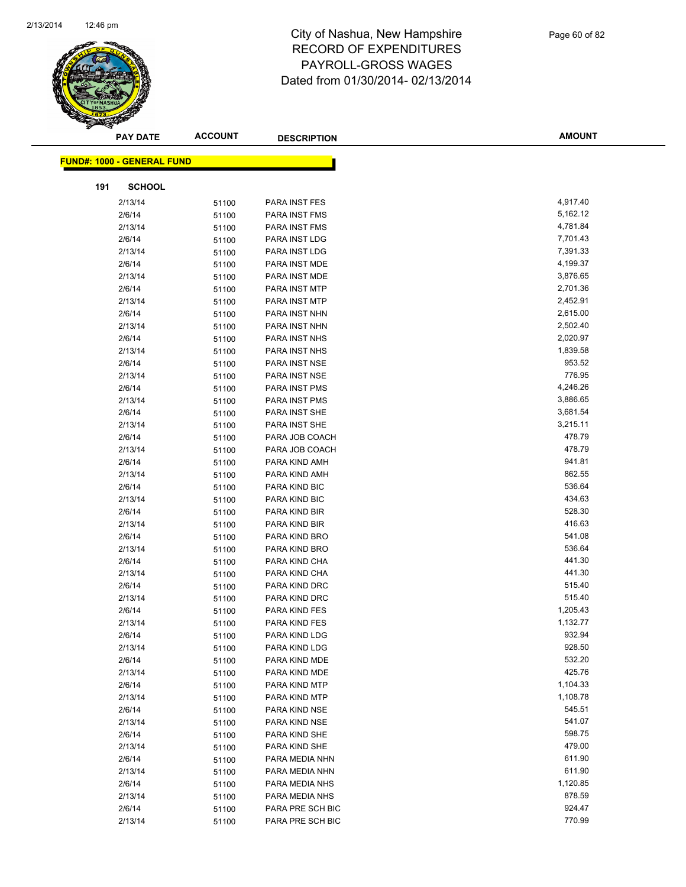

|     | <b>PAY DATE</b>                   | <b>ACCOUNT</b> | <b>DESCRIPTION</b> | <b>AMOUNT</b> |
|-----|-----------------------------------|----------------|--------------------|---------------|
|     | <b>FUND#: 1000 - GENERAL FUND</b> |                |                    |               |
|     |                                   |                |                    |               |
| 191 | <b>SCHOOL</b>                     |                |                    |               |
|     | 2/13/14                           | 51100          | PARA INST FES      | 4,917.40      |
|     | 2/6/14                            | 51100          | PARA INST FMS      | 5,162.12      |
|     | 2/13/14                           | 51100          | PARA INST FMS      | 4,781.84      |
|     | 2/6/14                            | 51100          | PARA INST LDG      | 7,701.43      |
|     | 2/13/14                           | 51100          | PARA INST LDG      | 7,391.33      |
|     | 2/6/14                            | 51100          | PARA INST MDE      | 4,199.37      |
|     | 2/13/14                           | 51100          | PARA INST MDE      | 3,876.65      |
|     | 2/6/14                            | 51100          | PARA INST MTP      | 2,701.36      |
|     | 2/13/14                           | 51100          | PARA INST MTP      | 2,452.91      |
|     | 2/6/14                            | 51100          | PARA INST NHN      | 2,615.00      |
|     | 2/13/14                           | 51100          | PARA INST NHN      | 2,502.40      |
|     | 2/6/14                            | 51100          | PARA INST NHS      | 2,020.97      |
|     | 2/13/14                           | 51100          | PARA INST NHS      | 1,839.58      |
|     | 2/6/14                            | 51100          | PARA INST NSE      | 953.52        |
|     | 2/13/14                           | 51100          | PARA INST NSE      | 776.95        |
|     | 2/6/14                            | 51100          | PARA INST PMS      | 4,246.26      |
|     | 2/13/14                           | 51100          | PARA INST PMS      | 3,886.65      |
|     | 2/6/14                            | 51100          | PARA INST SHE      | 3,681.54      |
|     | 2/13/14                           | 51100          | PARA INST SHE      | 3,215.11      |
|     | 2/6/14                            | 51100          | PARA JOB COACH     | 478.79        |
|     | 2/13/14                           | 51100          | PARA JOB COACH     | 478.79        |
|     | 2/6/14                            | 51100          | PARA KIND AMH      | 941.81        |
|     | 2/13/14                           | 51100          | PARA KIND AMH      | 862.55        |
|     | 2/6/14                            | 51100          | PARA KIND BIC      | 536.64        |
|     | 2/13/14                           | 51100          | PARA KIND BIC      | 434.63        |
|     | 2/6/14                            | 51100          | PARA KIND BIR      | 528.30        |
|     | 2/13/14                           | 51100          | PARA KIND BIR      | 416.63        |
|     | 2/6/14                            | 51100          | PARA KIND BRO      | 541.08        |
|     | 2/13/14                           | 51100          | PARA KIND BRO      | 536.64        |
|     | 2/6/14                            | 51100          | PARA KIND CHA      | 441.30        |
|     | 2/13/14                           | 51100          | PARA KIND CHA      | 441.30        |
|     | 2/6/14                            | 51100          | PARA KIND DRC      | 515.40        |
|     | 2/13/14                           | 51100          | PARA KIND DRC      | 515.40        |
|     | 2/6/14                            | 51100          | PARA KIND FES      | 1,205.43      |
|     | 2/13/14                           | 51100          | PARA KIND FES      | 1,132.77      |
|     | 2/6/14                            | 51100          | PARA KIND LDG      | 932.94        |
|     | 2/13/14                           | 51100          | PARA KIND LDG      | 928.50        |
|     | 2/6/14                            | 51100          | PARA KIND MDE      | 532.20        |
|     | 2/13/14                           | 51100          | PARA KIND MDE      | 425.76        |
|     | 2/6/14                            | 51100          | PARA KIND MTP      | 1,104.33      |
|     | 2/13/14                           | 51100          | PARA KIND MTP      | 1,108.78      |
|     | 2/6/14                            | 51100          | PARA KIND NSE      | 545.51        |
|     | 2/13/14                           | 51100          | PARA KIND NSE      | 541.07        |
|     | 2/6/14                            | 51100          | PARA KIND SHE      | 598.75        |
|     | 2/13/14                           | 51100          | PARA KIND SHE      | 479.00        |
|     | 2/6/14                            | 51100          | PARA MEDIA NHN     | 611.90        |
|     | 2/13/14                           | 51100          | PARA MEDIA NHN     | 611.90        |
|     | 2/6/14                            | 51100          | PARA MEDIA NHS     | 1,120.85      |
|     | 2/13/14                           | 51100          | PARA MEDIA NHS     | 878.59        |
|     | 2/6/14                            | 51100          | PARA PRE SCH BIC   | 924.47        |
|     | 2/13/14                           | 51100          | PARA PRE SCH BIC   | 770.99        |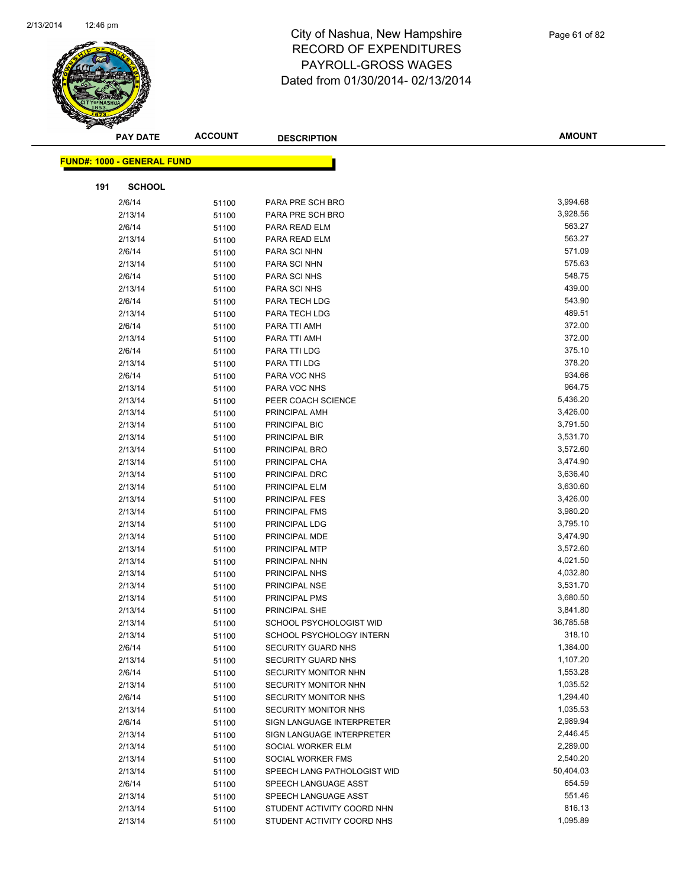

|     | <b>PAY DATE</b>                   | <b>ACCOUNT</b> | <b>DESCRIPTION</b>          | <b>AMOUNT</b> |
|-----|-----------------------------------|----------------|-----------------------------|---------------|
|     | <b>FUND#: 1000 - GENERAL FUND</b> |                |                             |               |
|     |                                   |                |                             |               |
| 191 | <b>SCHOOL</b>                     |                |                             |               |
|     | 2/6/14                            | 51100          | PARA PRE SCH BRO            | 3,994.68      |
|     | 2/13/14                           | 51100          | PARA PRE SCH BRO            | 3,928.56      |
|     | 2/6/14                            | 51100          | PARA READ ELM               | 563.27        |
|     | 2/13/14                           | 51100          | PARA READ ELM               | 563.27        |
|     | 2/6/14                            | 51100          | PARA SCI NHN                | 571.09        |
|     | 2/13/14                           | 51100          | PARA SCI NHN                | 575.63        |
|     | 2/6/14                            | 51100          | PARA SCI NHS                | 548.75        |
|     | 2/13/14                           | 51100          | PARA SCI NHS                | 439.00        |
|     | 2/6/14                            | 51100          | PARA TECH LDG               | 543.90        |
|     | 2/13/14                           | 51100          | PARA TECH LDG               | 489.51        |
|     | 2/6/14                            | 51100          | PARA TTI AMH                | 372.00        |
|     | 2/13/14                           | 51100          | PARA TTI AMH                | 372.00        |
|     | 2/6/14                            | 51100          | PARA TTI LDG                | 375.10        |
|     | 2/13/14                           | 51100          | PARA TTI LDG                | 378.20        |
|     | 2/6/14                            | 51100          | PARA VOC NHS                | 934.66        |
|     | 2/13/14                           | 51100          | PARA VOC NHS                | 964.75        |
|     | 2/13/14                           | 51100          | PEER COACH SCIENCE          | 5,436.20      |
|     | 2/13/14                           | 51100          | PRINCIPAL AMH               | 3,426.00      |
|     | 2/13/14                           | 51100          | PRINCIPAL BIC               | 3,791.50      |
|     | 2/13/14                           | 51100          | PRINCIPAL BIR               | 3,531.70      |
|     | 2/13/14                           | 51100          | PRINCIPAL BRO               | 3,572.60      |
|     | 2/13/14                           | 51100          | PRINCIPAL CHA               | 3,474.90      |
|     | 2/13/14                           | 51100          | PRINCIPAL DRC               | 3,636.40      |
|     | 2/13/14                           | 51100          | PRINCIPAL ELM               | 3,630.60      |
|     | 2/13/14                           | 51100          | PRINCIPAL FES               | 3,426.00      |
|     | 2/13/14                           | 51100          | PRINCIPAL FMS               | 3,980.20      |
|     | 2/13/14                           | 51100          | PRINCIPAL LDG               | 3,795.10      |
|     | 2/13/14                           | 51100          | PRINCIPAL MDE               | 3,474.90      |
|     | 2/13/14                           | 51100          | PRINCIPAL MTP               | 3,572.60      |
|     | 2/13/14                           | 51100          | PRINCIPAL NHN               | 4,021.50      |
|     | 2/13/14                           | 51100          | PRINCIPAL NHS               | 4,032.80      |
|     | 2/13/14                           | 51100          | PRINCIPAL NSE               | 3,531.70      |
|     | 2/13/14                           | 51100          | PRINCIPAL PMS               | 3,680.50      |
|     | 2/13/14                           | 51100          | PRINCIPAL SHE               | 3,841.80      |
|     | 2/13/14                           | 51100          | SCHOOL PSYCHOLOGIST WID     | 36,785.58     |
|     | 2/13/14                           | 51100          | SCHOOL PSYCHOLOGY INTERN    | 318.10        |
|     | 2/6/14                            | 51100          | <b>SECURITY GUARD NHS</b>   | 1,384.00      |
|     | 2/13/14                           | 51100          | SECURITY GUARD NHS          | 1,107.20      |
|     | 2/6/14                            | 51100          | SECURITY MONITOR NHN        | 1,553.28      |
|     | 2/13/14                           | 51100          | SECURITY MONITOR NHN        | 1,035.52      |
|     | 2/6/14                            | 51100          | SECURITY MONITOR NHS        | 1,294.40      |
|     | 2/13/14                           | 51100          | <b>SECURITY MONITOR NHS</b> | 1,035.53      |
|     | 2/6/14                            | 51100          | SIGN LANGUAGE INTERPRETER   | 2,989.94      |
|     | 2/13/14                           | 51100          | SIGN LANGUAGE INTERPRETER   | 2,446.45      |
|     | 2/13/14                           | 51100          | SOCIAL WORKER ELM           | 2,289.00      |
|     | 2/13/14                           | 51100          | SOCIAL WORKER FMS           | 2,540.20      |
|     | 2/13/14                           | 51100          | SPEECH LANG PATHOLOGIST WID | 50,404.03     |
|     | 2/6/14                            | 51100          | SPEECH LANGUAGE ASST        | 654.59        |
|     | 2/13/14                           | 51100          | SPEECH LANGUAGE ASST        | 551.46        |
|     | 2/13/14                           | 51100          | STUDENT ACTIVITY COORD NHN  | 816.13        |
|     | 2/13/14                           | 51100          | STUDENT ACTIVITY COORD NHS  | 1,095.89      |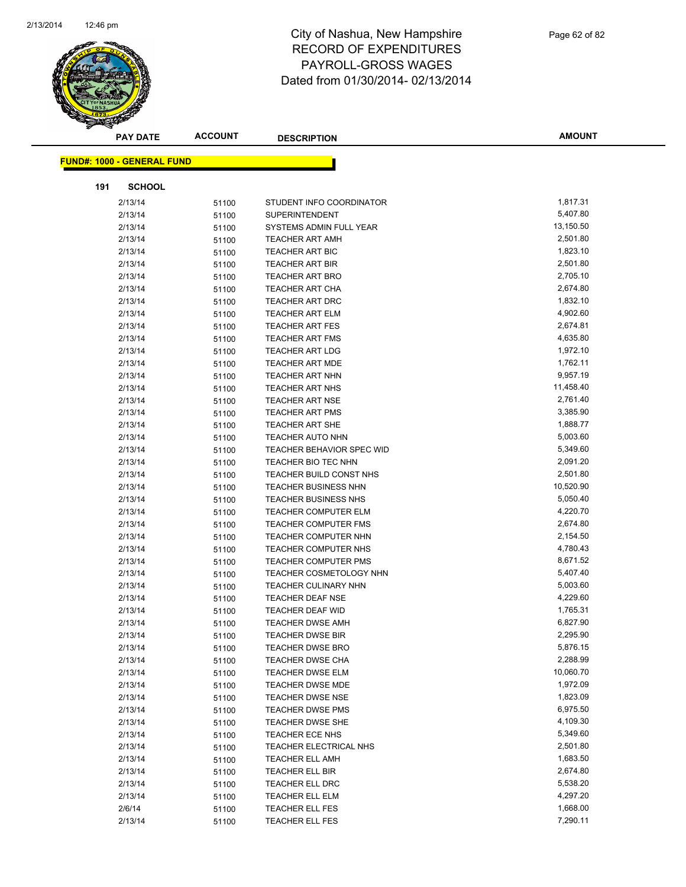

|     | <b>PAY DATE</b>                   | <b>ACCOUNT</b> | <b>DESCRIPTION</b>               | <b>AMOUNT</b> |
|-----|-----------------------------------|----------------|----------------------------------|---------------|
|     | <b>FUND#: 1000 - GENERAL FUND</b> |                |                                  |               |
|     |                                   |                |                                  |               |
| 191 | <b>SCHOOL</b>                     |                |                                  |               |
|     | 2/13/14                           | 51100          | STUDENT INFO COORDINATOR         | 1,817.31      |
|     | 2/13/14                           | 51100          | <b>SUPERINTENDENT</b>            | 5,407.80      |
|     | 2/13/14                           | 51100          | SYSTEMS ADMIN FULL YEAR          | 13,150.50     |
|     | 2/13/14                           | 51100          | <b>TEACHER ART AMH</b>           | 2,501.80      |
|     | 2/13/14                           | 51100          | <b>TEACHER ART BIC</b>           | 1,823.10      |
|     | 2/13/14                           | 51100          | <b>TEACHER ART BIR</b>           | 2,501.80      |
|     | 2/13/14                           | 51100          | <b>TEACHER ART BRO</b>           | 2,705.10      |
|     | 2/13/14                           | 51100          | <b>TEACHER ART CHA</b>           | 2,674.80      |
|     | 2/13/14                           | 51100          | <b>TEACHER ART DRC</b>           | 1,832.10      |
|     | 2/13/14                           | 51100          | <b>TEACHER ART ELM</b>           | 4,902.60      |
|     | 2/13/14                           | 51100          | <b>TEACHER ART FES</b>           | 2,674.81      |
|     | 2/13/14                           | 51100          | <b>TEACHER ART FMS</b>           | 4,635.80      |
|     | 2/13/14                           | 51100          | <b>TEACHER ART LDG</b>           | 1,972.10      |
|     | 2/13/14                           | 51100          | <b>TEACHER ART MDE</b>           | 1,762.11      |
|     | 2/13/14                           | 51100          | <b>TEACHER ART NHN</b>           | 9,957.19      |
|     | 2/13/14                           | 51100          | <b>TEACHER ART NHS</b>           | 11,458.40     |
|     | 2/13/14                           | 51100          | <b>TEACHER ART NSE</b>           | 2,761.40      |
|     | 2/13/14                           | 51100          | <b>TEACHER ART PMS</b>           | 3,385.90      |
|     | 2/13/14                           | 51100          | <b>TEACHER ART SHE</b>           | 1,888.77      |
|     | 2/13/14                           | 51100          | <b>TEACHER AUTO NHN</b>          | 5,003.60      |
|     | 2/13/14                           | 51100          | <b>TEACHER BEHAVIOR SPEC WID</b> | 5,349.60      |
|     | 2/13/14                           | 51100          | TEACHER BIO TEC NHN              | 2,091.20      |
|     | 2/13/14                           | 51100          | TEACHER BUILD CONST NHS          | 2,501.80      |
|     | 2/13/14                           | 51100          | <b>TEACHER BUSINESS NHN</b>      | 10,520.90     |
|     | 2/13/14                           | 51100          | <b>TEACHER BUSINESS NHS</b>      | 5,050.40      |
|     | 2/13/14                           | 51100          | <b>TEACHER COMPUTER ELM</b>      | 4,220.70      |
|     | 2/13/14                           | 51100          | <b>TEACHER COMPUTER FMS</b>      | 2,674.80      |
|     | 2/13/14                           | 51100          | TEACHER COMPUTER NHN             | 2,154.50      |
|     | 2/13/14                           | 51100          | TEACHER COMPUTER NHS             | 4,780.43      |
|     | 2/13/14                           | 51100          | <b>TEACHER COMPUTER PMS</b>      | 8,671.52      |
|     | 2/13/14                           | 51100          | <b>TEACHER COSMETOLOGY NHN</b>   | 5,407.40      |
|     | 2/13/14                           | 51100          | <b>TEACHER CULINARY NHN</b>      | 5,003.60      |
|     | 2/13/14                           | 51100          | <b>TEACHER DEAF NSE</b>          | 4,229.60      |
|     | 2/13/14                           | 51100          | TEACHER DEAF WID                 | 1,765.31      |
|     | 2/13/14                           | 51100          | <b>TEACHER DWSE AMH</b>          | 6,827.90      |
|     | 2/13/14                           | 51100          | <b>TEACHER DWSE BIR</b>          | 2,295.90      |
|     | 2/13/14                           | 51100          | <b>TEACHER DWSE BRO</b>          | 5,876.15      |
|     | 2/13/14                           | 51100          | TEACHER DWSE CHA                 | 2,288.99      |
|     | 2/13/14                           | 51100          | <b>TEACHER DWSE ELM</b>          | 10,060.70     |
|     | 2/13/14                           | 51100          | TEACHER DWSE MDE                 | 1,972.09      |
|     | 2/13/14                           | 51100          | <b>TEACHER DWSE NSE</b>          | 1,823.09      |
|     | 2/13/14                           | 51100          | <b>TEACHER DWSE PMS</b>          | 6,975.50      |
|     | 2/13/14                           | 51100          | TEACHER DWSE SHE                 | 4,109.30      |
|     | 2/13/14                           | 51100          | TEACHER ECE NHS                  | 5,349.60      |
|     | 2/13/14                           | 51100          | TEACHER ELECTRICAL NHS           | 2,501.80      |
|     | 2/13/14                           | 51100          | <b>TEACHER ELL AMH</b>           | 1,683.50      |
|     | 2/13/14                           | 51100          | TEACHER ELL BIR                  | 2,674.80      |
|     | 2/13/14                           | 51100          | TEACHER ELL DRC                  | 5,538.20      |
|     | 2/13/14                           | 51100          | <b>TEACHER ELL ELM</b>           | 4,297.20      |
|     | 2/6/14                            | 51100          | <b>TEACHER ELL FES</b>           | 1,668.00      |
|     | 2/13/14                           | 51100          | TEACHER ELL FES                  | 7,290.11      |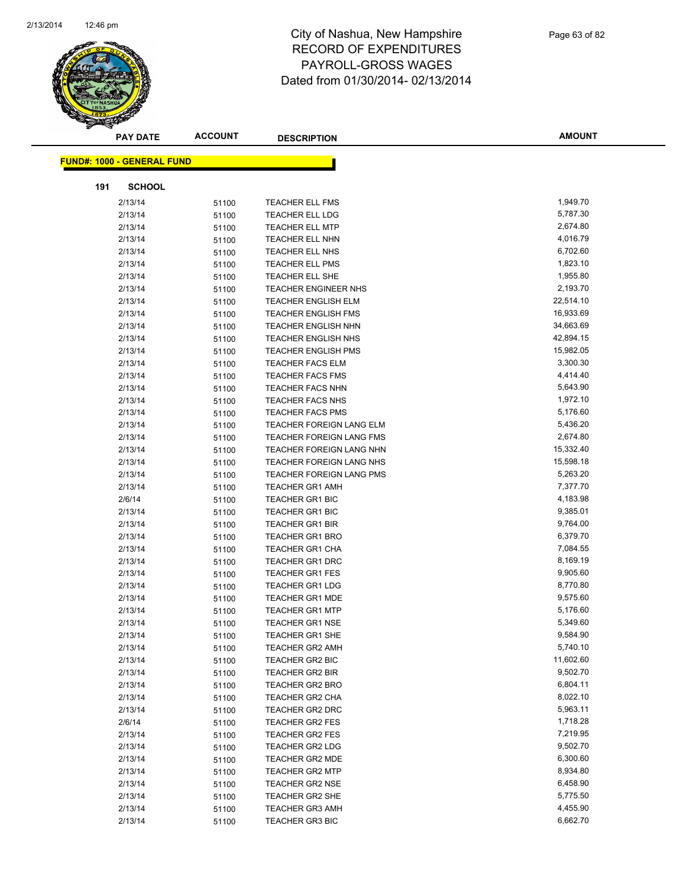

| <b>PAY DATE</b>                   | <b>ACCOUNT</b> | <b>DESCRIPTION</b>                               | AMOUNT               |
|-----------------------------------|----------------|--------------------------------------------------|----------------------|
| <b>FUND#: 1000 - GENERAL FUND</b> |                |                                                  |                      |
|                                   |                |                                                  |                      |
| 191<br><b>SCHOOL</b>              |                |                                                  |                      |
| 2/13/14                           | 51100          | <b>TEACHER ELL FMS</b>                           | 1,949.70             |
| 2/13/14                           | 51100          | <b>TEACHER ELL LDG</b>                           | 5,787.30             |
| 2/13/14                           | 51100          | <b>TEACHER ELL MTP</b>                           | 2,674.80             |
| 2/13/14                           | 51100          | TEACHER ELL NHN                                  | 4,016.79             |
| 2/13/14                           | 51100          | TEACHER ELL NHS                                  | 6,702.60             |
| 2/13/14                           | 51100          | <b>TEACHER ELL PMS</b>                           | 1,823.10             |
| 2/13/14                           | 51100          | TEACHER ELL SHE                                  | 1,955.80             |
| 2/13/14                           | 51100          | <b>TEACHER ENGINEER NHS</b>                      | 2,193.70             |
| 2/13/14                           | 51100          | <b>TEACHER ENGLISH ELM</b>                       | 22,514.10            |
| 2/13/14                           | 51100          | <b>TEACHER ENGLISH FMS</b>                       | 16,933.69            |
| 2/13/14                           | 51100          | <b>TEACHER ENGLISH NHN</b>                       | 34,663.69            |
| 2/13/14                           | 51100          | <b>TEACHER ENGLISH NHS</b>                       | 42,894.15            |
| 2/13/14                           | 51100          | <b>TEACHER ENGLISH PMS</b>                       | 15,982.05            |
| 2/13/14                           | 51100          | <b>TEACHER FACS ELM</b>                          | 3,300.30             |
| 2/13/14                           | 51100          | <b>TEACHER FACS FMS</b>                          | 4,414.40             |
| 2/13/14                           | 51100          | <b>TEACHER FACS NHN</b>                          | 5,643.90             |
| 2/13/14                           | 51100          | TEACHER FACS NHS                                 | 1,972.10             |
| 2/13/14                           | 51100          | <b>TEACHER FACS PMS</b>                          | 5,176.60             |
| 2/13/14                           | 51100          | TEACHER FOREIGN LANG ELM                         | 5,436.20             |
| 2/13/14                           | 51100          | TEACHER FOREIGN LANG FMS                         | 2,674.80             |
| 2/13/14                           | 51100          | TEACHER FOREIGN LANG NHN                         | 15,332.40            |
| 2/13/14                           | 51100          | TEACHER FOREIGN LANG NHS                         | 15,598.18            |
| 2/13/14                           | 51100          | TEACHER FOREIGN LANG PMS                         | 5,263.20             |
| 2/13/14                           | 51100          | <b>TEACHER GR1 AMH</b>                           | 7,377.70             |
| 2/6/14                            | 51100          | TEACHER GR1 BIC                                  | 4,183.98             |
| 2/13/14                           | 51100          | <b>TEACHER GR1 BIC</b>                           | 9,385.01             |
| 2/13/14                           | 51100          | <b>TEACHER GR1 BIR</b>                           | 9,764.00             |
| 2/13/14                           | 51100          | <b>TEACHER GR1 BRO</b>                           | 6,379.70             |
| 2/13/14                           | 51100          | <b>TEACHER GR1 CHA</b>                           | 7,084.55             |
| 2/13/14                           | 51100          | TEACHER GR1 DRC                                  | 8,169.19             |
| 2/13/14<br>2/13/14                | 51100          | <b>TEACHER GR1 FES</b><br><b>TEACHER GR1 LDG</b> | 9,905.60             |
|                                   | 51100          |                                                  | 8,770.80<br>9,575.60 |
| 2/13/14<br>2/13/14                | 51100          | <b>TEACHER GR1 MDE</b><br><b>TEACHER GR1 MTP</b> | 5,176.60             |
| 2/13/14                           | 51100<br>51100 | <b>TEACHER GR1 NSE</b>                           | 5,349.60             |
| 2/13/14                           |                | TEACHER GR1 SHE                                  | 9,584.90             |
| 2/13/14                           | 51100<br>51100 | <b>TEACHER GR2 AMH</b>                           | 5,740.10             |
| 2/13/14                           | 51100          | TEACHER GR2 BIC                                  | 11,602.60            |
| 2/13/14                           | 51100          | <b>TEACHER GR2 BIR</b>                           | 9,502.70             |
| 2/13/14                           | 51100          | <b>TEACHER GR2 BRO</b>                           | 6,804.11             |
| 2/13/14                           | 51100          | <b>TEACHER GR2 CHA</b>                           | 8,022.10             |
| 2/13/14                           | 51100          | <b>TEACHER GR2 DRC</b>                           | 5,963.11             |
| 2/6/14                            | 51100          | <b>TEACHER GR2 FES</b>                           | 1,718.28             |
| 2/13/14                           | 51100          | <b>TEACHER GR2 FES</b>                           | 7,219.95             |
| 2/13/14                           | 51100          | <b>TEACHER GR2 LDG</b>                           | 9,502.70             |
| 2/13/14                           | 51100          | TEACHER GR2 MDE                                  | 6,300.60             |
| 2/13/14                           | 51100          | <b>TEACHER GR2 MTP</b>                           | 8,934.80             |
| 2/13/14                           | 51100          | <b>TEACHER GR2 NSE</b>                           | 6,458.90             |
| 2/13/14                           | 51100          | <b>TEACHER GR2 SHE</b>                           | 5,775.50             |
| 2/13/14                           | 51100          | TEACHER GR3 AMH                                  | 4,455.90             |
| 2/13/14                           | 51100          | <b>TEACHER GR3 BIC</b>                           | 6,662.70             |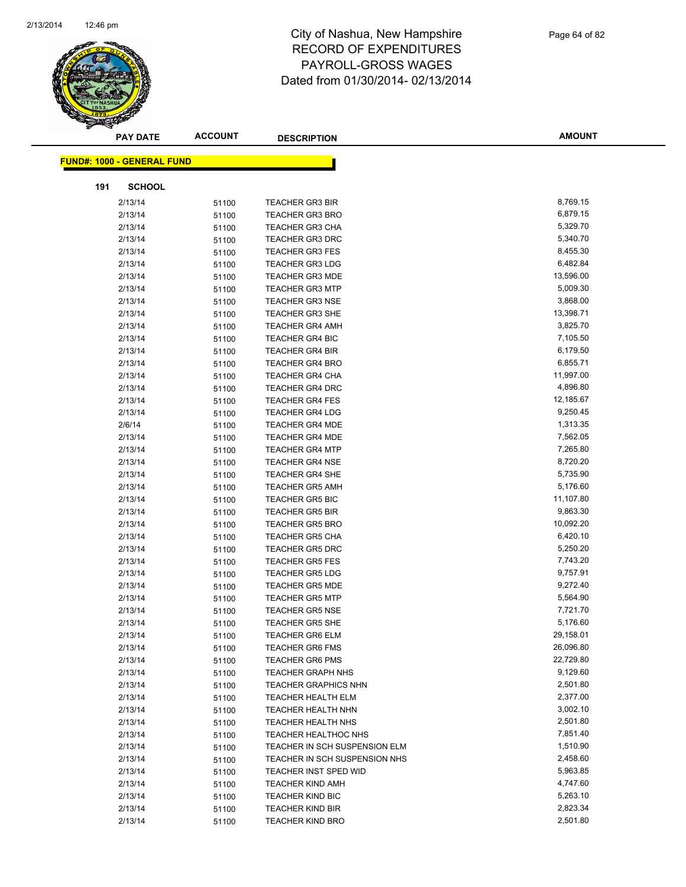

| <b>PAY DATE</b>                   | <b>ACCOUNT</b> | <b>DESCRIPTION</b>                                           | <b>AMOUNT</b>        |
|-----------------------------------|----------------|--------------------------------------------------------------|----------------------|
| <b>FUND#: 1000 - GENERAL FUND</b> |                |                                                              |                      |
|                                   |                |                                                              |                      |
| <b>SCHOOL</b><br>191              |                |                                                              |                      |
| 2/13/14                           | 51100          | <b>TEACHER GR3 BIR</b>                                       | 8,769.15             |
| 2/13/14                           | 51100          | <b>TEACHER GR3 BRO</b>                                       | 6,879.15             |
| 2/13/14                           | 51100          | <b>TEACHER GR3 CHA</b>                                       | 5,329.70             |
| 2/13/14                           | 51100          | <b>TEACHER GR3 DRC</b>                                       | 5,340.70             |
| 2/13/14                           | 51100          | <b>TEACHER GR3 FES</b>                                       | 8,455.30             |
| 2/13/14                           | 51100          | <b>TEACHER GR3 LDG</b>                                       | 6,482.84             |
| 2/13/14                           | 51100          | <b>TEACHER GR3 MDE</b>                                       | 13,596.00            |
| 2/13/14                           | 51100          | <b>TEACHER GR3 MTP</b>                                       | 5,009.30             |
| 2/13/14                           | 51100          | <b>TEACHER GR3 NSE</b>                                       | 3,868.00             |
| 2/13/14                           | 51100          | <b>TEACHER GR3 SHE</b>                                       | 13,398.71            |
| 2/13/14                           | 51100          | <b>TEACHER GR4 AMH</b>                                       | 3,825.70             |
| 2/13/14                           | 51100          | <b>TEACHER GR4 BIC</b>                                       | 7,105.50             |
| 2/13/14                           | 51100          | <b>TEACHER GR4 BIR</b>                                       | 6,179.50             |
| 2/13/14                           | 51100          | <b>TEACHER GR4 BRO</b>                                       | 6,855.71             |
| 2/13/14                           | 51100          | <b>TEACHER GR4 CHA</b>                                       | 11,997.00            |
| 2/13/14                           | 51100          | <b>TEACHER GR4 DRC</b>                                       | 4,896.80             |
| 2/13/14                           | 51100          | <b>TEACHER GR4 FES</b>                                       | 12,185.67            |
| 2/13/14                           | 51100          | <b>TEACHER GR4 LDG</b>                                       | 9,250.45             |
| 2/6/14                            | 51100          | <b>TEACHER GR4 MDE</b>                                       | 1,313.35             |
| 2/13/14                           | 51100          | <b>TEACHER GR4 MDE</b>                                       | 7,562.05             |
| 2/13/14                           | 51100          | <b>TEACHER GR4 MTP</b>                                       | 7,265.80             |
| 2/13/14                           | 51100          | <b>TEACHER GR4 NSE</b>                                       | 8,720.20             |
| 2/13/14                           | 51100          | <b>TEACHER GR4 SHE</b>                                       | 5,735.90             |
| 2/13/14                           | 51100          | <b>TEACHER GR5 AMH</b>                                       | 5,176.60             |
| 2/13/14                           | 51100          | <b>TEACHER GR5 BIC</b>                                       | 11,107.80            |
| 2/13/14                           | 51100          | <b>TEACHER GR5 BIR</b>                                       | 9,863.30             |
| 2/13/14                           | 51100          | <b>TEACHER GR5 BRO</b>                                       | 10,092.20            |
| 2/13/14                           | 51100          | <b>TEACHER GR5 CHA</b>                                       | 6,420.10             |
| 2/13/14                           | 51100          | <b>TEACHER GR5 DRC</b>                                       | 5,250.20             |
| 2/13/14                           | 51100          | <b>TEACHER GR5 FES</b>                                       | 7,743.20             |
| 2/13/14                           | 51100          | <b>TEACHER GR5 LDG</b>                                       | 9,757.91             |
| 2/13/14                           | 51100          | <b>TEACHER GR5 MDE</b>                                       | 9,272.40             |
| 2/13/14                           | 51100          | <b>TEACHER GR5 MTP</b>                                       | 5,564.90             |
| 2/13/14                           | 51100          | <b>TEACHER GR5 NSE</b>                                       | 7,721.70             |
| 2/13/14                           | 51100          | <b>TEACHER GR5 SHE</b>                                       | 5,176.60             |
| 2/13/14                           | 51100          | <b>TEACHER GR6 ELM</b>                                       | 29,158.01            |
| 2/13/14                           | 51100          | <b>TEACHER GR6 FMS</b>                                       | 26,096.80            |
| 2/13/14                           | 51100          | <b>TEACHER GR6 PMS</b>                                       | 22,729.80            |
| 2/13/14                           | 51100          | <b>TEACHER GRAPH NHS</b>                                     | 9,129.60             |
| 2/13/14                           | 51100          | <b>TEACHER GRAPHICS NHN</b>                                  | 2,501.80             |
| 2/13/14                           | 51100          | TEACHER HEALTH ELM                                           | 2,377.00             |
| 2/13/14                           | 51100          | TEACHER HEALTH NHN                                           | 3,002.10             |
| 2/13/14                           | 51100          | TEACHER HEALTH NHS                                           | 2,501.80<br>7,851.40 |
| 2/13/14<br>2/13/14                | 51100          | <b>TEACHER HEALTHOC NHS</b><br>TEACHER IN SCH SUSPENSION ELM | 1,510.90             |
|                                   | 51100          | TEACHER IN SCH SUSPENSION NHS                                | 2,458.60             |
| 2/13/14<br>2/13/14                | 51100          | TEACHER INST SPED WID                                        | 5,963.85             |
| 2/13/14                           | 51100          | <b>TEACHER KIND AMH</b>                                      | 4,747.60             |
| 2/13/14                           | 51100          | <b>TEACHER KIND BIC</b>                                      | 5,263.10             |
| 2/13/14                           | 51100          | <b>TEACHER KIND BIR</b>                                      | 2,823.34             |
| 2/13/14                           | 51100<br>51100 | <b>TEACHER KIND BRO</b>                                      | 2,501.80             |
|                                   |                |                                                              |                      |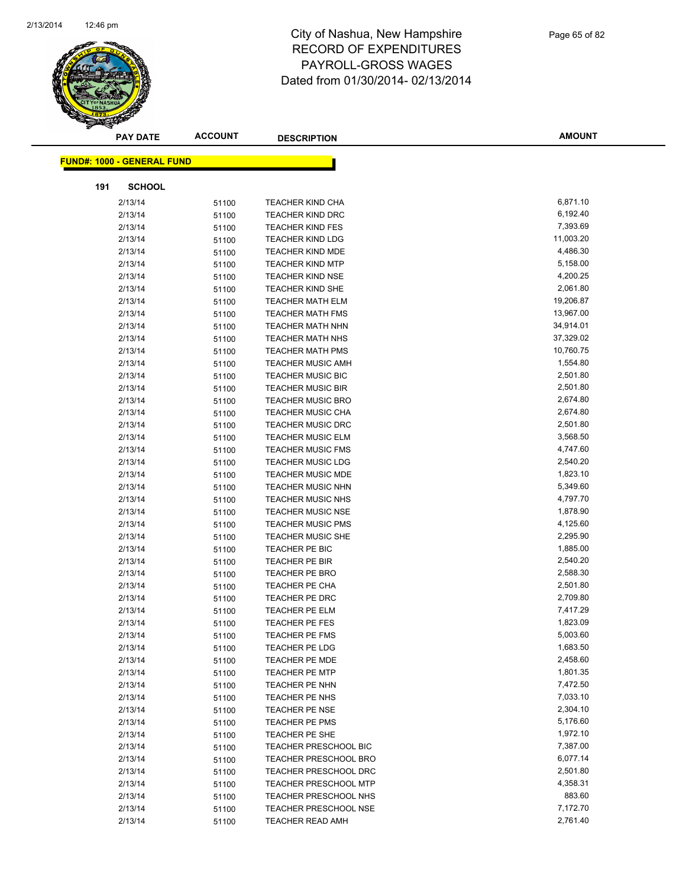

| <b>PAY DATE</b>                   | <b>ACCOUNT</b> | <b>DESCRIPTION</b>                      | <b>AMOUNT</b>        |
|-----------------------------------|----------------|-----------------------------------------|----------------------|
| <b>FUND#: 1000 - GENERAL FUND</b> |                |                                         |                      |
|                                   |                |                                         |                      |
| <b>SCHOOL</b><br>191              |                |                                         |                      |
| 2/13/14                           | 51100          | <b>TEACHER KIND CHA</b>                 | 6,871.10             |
| 2/13/14                           | 51100          | <b>TEACHER KIND DRC</b>                 | 6,192.40             |
| 2/13/14                           | 51100          | <b>TEACHER KIND FES</b>                 | 7,393.69             |
| 2/13/14                           | 51100          | <b>TEACHER KIND LDG</b>                 | 11,003.20            |
| 2/13/14                           | 51100          | <b>TEACHER KIND MDE</b>                 | 4,486.30             |
| 2/13/14                           | 51100          | <b>TEACHER KIND MTP</b>                 | 5,158.00             |
| 2/13/14                           | 51100          | <b>TEACHER KIND NSE</b>                 | 4,200.25             |
| 2/13/14                           | 51100          | <b>TEACHER KIND SHE</b>                 | 2,061.80             |
| 2/13/14                           | 51100          | <b>TEACHER MATH ELM</b>                 | 19,206.87            |
| 2/13/14                           | 51100          | <b>TEACHER MATH FMS</b>                 | 13,967.00            |
| 2/13/14                           | 51100          | TEACHER MATH NHN                        | 34,914.01            |
| 2/13/14                           | 51100          | <b>TEACHER MATH NHS</b>                 | 37,329.02            |
| 2/13/14                           | 51100          | <b>TEACHER MATH PMS</b>                 | 10,760.75            |
| 2/13/14                           | 51100          | <b>TEACHER MUSIC AMH</b>                | 1,554.80             |
| 2/13/14                           | 51100          | <b>TEACHER MUSIC BIC</b>                | 2,501.80             |
| 2/13/14                           | 51100          | <b>TEACHER MUSIC BIR</b>                | 2,501.80             |
| 2/13/14                           | 51100          | <b>TEACHER MUSIC BRO</b>                | 2,674.80             |
| 2/13/14                           | 51100          | TEACHER MUSIC CHA                       | 2,674.80             |
| 2/13/14                           | 51100          | <b>TEACHER MUSIC DRC</b>                | 2,501.80             |
| 2/13/14                           | 51100          | <b>TEACHER MUSIC ELM</b>                | 3,568.50             |
| 2/13/14                           | 51100          | <b>TEACHER MUSIC FMS</b>                | 4,747.60             |
| 2/13/14                           | 51100          | <b>TEACHER MUSIC LDG</b>                | 2,540.20             |
| 2/13/14                           | 51100          | <b>TEACHER MUSIC MDE</b>                | 1,823.10             |
| 2/13/14                           | 51100          | <b>TEACHER MUSIC NHN</b>                | 5,349.60             |
| 2/13/14                           | 51100          | <b>TEACHER MUSIC NHS</b>                | 4,797.70             |
| 2/13/14                           | 51100          | <b>TEACHER MUSIC NSE</b>                | 1,878.90             |
| 2/13/14                           | 51100          | <b>TEACHER MUSIC PMS</b>                | 4,125.60             |
| 2/13/14                           | 51100          | <b>TEACHER MUSIC SHE</b>                | 2,295.90<br>1,885.00 |
| 2/13/14                           | 51100          | TEACHER PE BIC<br><b>TEACHER PE BIR</b> | 2,540.20             |
| 2/13/14<br>2/13/14                | 51100          | <b>TEACHER PE BRO</b>                   | 2,588.30             |
| 2/13/14                           | 51100          | <b>TEACHER PE CHA</b>                   | 2,501.80             |
| 2/13/14                           | 51100          | TEACHER PE DRC                          | 2,709.80             |
| 2/13/14                           | 51100<br>51100 | <b>TEACHER PE ELM</b>                   | 7,417.29             |
| 2/13/14                           | 51100          | <b>TEACHER PE FES</b>                   | 1,823.09             |
| 2/13/14                           | 51100          | <b>TEACHER PE FMS</b>                   | 5,003.60             |
| 2/13/14                           | 51100          | <b>TEACHER PE LDG</b>                   | 1,683.50             |
| 2/13/14                           | 51100          | <b>TEACHER PE MDE</b>                   | 2,458.60             |
| 2/13/14                           | 51100          | <b>TEACHER PE MTP</b>                   | 1,801.35             |
| 2/13/14                           | 51100          | TEACHER PE NHN                          | 7,472.50             |
| 2/13/14                           | 51100          | TEACHER PE NHS                          | 7,033.10             |
| 2/13/14                           | 51100          | <b>TEACHER PE NSE</b>                   | 2,304.10             |
| 2/13/14                           | 51100          | TEACHER PE PMS                          | 5,176.60             |
| 2/13/14                           | 51100          | <b>TEACHER PE SHE</b>                   | 1,972.10             |
| 2/13/14                           | 51100          | <b>TEACHER PRESCHOOL BIC</b>            | 7,387.00             |
| 2/13/14                           | 51100          | <b>TEACHER PRESCHOOL BRO</b>            | 6,077.14             |
| 2/13/14                           | 51100          | <b>TEACHER PRESCHOOL DRC</b>            | 2,501.80             |
| 2/13/14                           | 51100          | <b>TEACHER PRESCHOOL MTP</b>            | 4,358.31             |
| 2/13/14                           | 51100          | TEACHER PRESCHOOL NHS                   | 883.60               |
| 2/13/14                           | 51100          | TEACHER PRESCHOOL NSE                   | 7,172.70             |
| 2/13/14                           | 51100          | TEACHER READ AMH                        | 2,761.40             |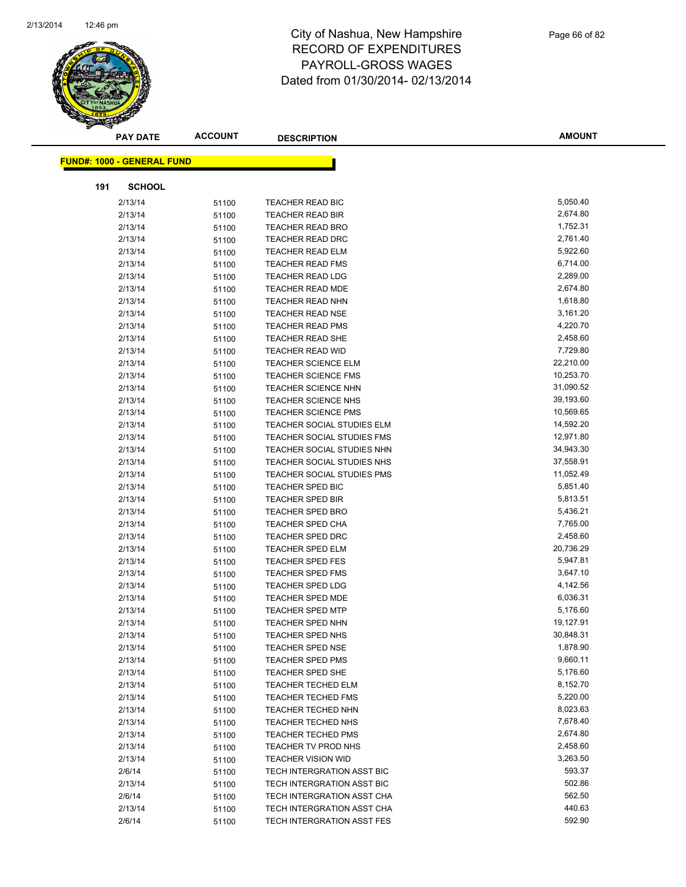

| <b>PAY DATE</b>                   | <b>ACCOUNT</b> | <b>DESCRIPTION</b>         | <b>AMOUNT</b> |
|-----------------------------------|----------------|----------------------------|---------------|
| <b>FUND#: 1000 - GENERAL FUND</b> |                |                            |               |
|                                   |                |                            |               |
| 191<br><b>SCHOOL</b>              |                |                            |               |
| 2/13/14                           | 51100          | TEACHER READ BIC           | 5,050.40      |
| 2/13/14                           | 51100          | TEACHER READ BIR           | 2,674.80      |
| 2/13/14                           | 51100          | <b>TEACHER READ BRO</b>    | 1,752.31      |
| 2/13/14                           | 51100          | <b>TEACHER READ DRC</b>    | 2,761.40      |
| 2/13/14                           | 51100          | <b>TEACHER READ ELM</b>    | 5,922.60      |
| 2/13/14                           | 51100          | <b>TEACHER READ FMS</b>    | 6,714.00      |
| 2/13/14                           | 51100          | <b>TEACHER READ LDG</b>    | 2,289.00      |
| 2/13/14                           | 51100          | TEACHER READ MDE           | 2,674.80      |
| 2/13/14                           | 51100          | TEACHER READ NHN           | 1,618.80      |
| 2/13/14                           | 51100          | <b>TEACHER READ NSE</b>    | 3,161.20      |
| 2/13/14                           | 51100          | <b>TEACHER READ PMS</b>    | 4,220.70      |
| 2/13/14                           | 51100          | <b>TEACHER READ SHE</b>    | 2,458.60      |
| 2/13/14                           | 51100          | <b>TEACHER READ WID</b>    | 7,729.80      |
| 2/13/14                           | 51100          | <b>TEACHER SCIENCE ELM</b> | 22,210.00     |
| 2/13/14                           | 51100          | <b>TEACHER SCIENCE FMS</b> | 10,253.70     |
| 2/13/14                           | 51100          | <b>TEACHER SCIENCE NHN</b> | 31,090.52     |
| 2/13/14                           | 51100          | <b>TEACHER SCIENCE NHS</b> | 39,193.60     |
| 2/13/14                           | 51100          | <b>TEACHER SCIENCE PMS</b> | 10,569.65     |
| 2/13/14                           | 51100          | TEACHER SOCIAL STUDIES ELM | 14,592.20     |
| 2/13/14                           | 51100          | TEACHER SOCIAL STUDIES FMS | 12,971.80     |
| 2/13/14                           | 51100          | TEACHER SOCIAL STUDIES NHN | 34,943.30     |
| 2/13/14                           | 51100          | TEACHER SOCIAL STUDIES NHS | 37,558.91     |
| 2/13/14                           | 51100          | TEACHER SOCIAL STUDIES PMS | 11,052.49     |
| 2/13/14                           | 51100          | <b>TEACHER SPED BIC</b>    | 5,851.40      |
| 2/13/14                           | 51100          | <b>TEACHER SPED BIR</b>    | 5,813.51      |
| 2/13/14                           | 51100          | <b>TEACHER SPED BRO</b>    | 5,436.21      |
| 2/13/14                           | 51100          | <b>TEACHER SPED CHA</b>    | 7,765.00      |
| 2/13/14                           | 51100          | <b>TEACHER SPED DRC</b>    | 2,458.60      |
| 2/13/14                           | 51100          | <b>TEACHER SPED ELM</b>    | 20,736.29     |
| 2/13/14                           | 51100          | <b>TEACHER SPED FES</b>    | 5,947.81      |
| 2/13/14                           | 51100          | <b>TEACHER SPED FMS</b>    | 3,647.10      |
| 2/13/14                           | 51100          | <b>TEACHER SPED LDG</b>    | 4,142.56      |
| 2/13/14                           | 51100          | <b>TEACHER SPED MDE</b>    | 6,036.31      |
| 2/13/14                           | 51100          | <b>TEACHER SPED MTP</b>    | 5,176.60      |
| 2/13/14                           | 51100          | <b>TEACHER SPED NHN</b>    | 19,127.91     |
| 2/13/14                           | 51100          | TEACHER SPED NHS           | 30,848.31     |
| 2/13/14                           | 51100          | <b>TEACHER SPED NSE</b>    | 1,878.90      |
| 2/13/14                           | 51100          | <b>TEACHER SPED PMS</b>    | 9,660.11      |
| 2/13/14                           | 51100          | TEACHER SPED SHE           | 5,176.60      |
| 2/13/14                           | 51100          | <b>TEACHER TECHED ELM</b>  | 8,152.70      |
| 2/13/14                           | 51100          | <b>TEACHER TECHED FMS</b>  | 5,220.00      |
| 2/13/14                           | 51100          | <b>TEACHER TECHED NHN</b>  | 8,023.63      |
| 2/13/14                           | 51100          | <b>TEACHER TECHED NHS</b>  | 7,678.40      |
| 2/13/14                           | 51100          | <b>TEACHER TECHED PMS</b>  | 2,674.80      |
| 2/13/14                           | 51100          | TEACHER TV PROD NHS        | 2,458.60      |
| 2/13/14                           | 51100          | <b>TEACHER VISION WID</b>  | 3,263.50      |
| 2/6/14                            | 51100          | TECH INTERGRATION ASST BIC | 593.37        |
| 2/13/14                           | 51100          | TECH INTERGRATION ASST BIC | 502.86        |
| 2/6/14                            | 51100          | TECH INTERGRATION ASST CHA | 562.50        |
| 2/13/14                           | 51100          | TECH INTERGRATION ASST CHA | 440.63        |
| 2/6/14                            | 51100          | TECH INTERGRATION ASST FES | 592.90        |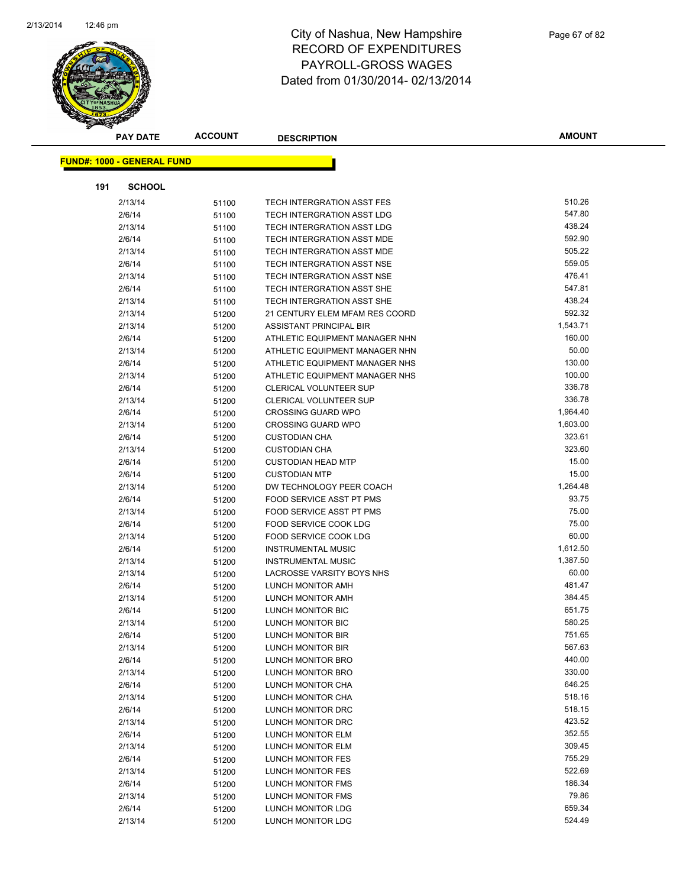

|     | <b>PAY DATE</b>                   | <b>ACCOUNT</b> | <b>DESCRIPTION</b>                            | <b>AMOUNT</b>    |
|-----|-----------------------------------|----------------|-----------------------------------------------|------------------|
|     |                                   |                |                                               |                  |
|     | <b>FUND#: 1000 - GENERAL FUND</b> |                |                                               |                  |
| 191 | <b>SCHOOL</b>                     |                |                                               |                  |
|     | 2/13/14                           | 51100          | TECH INTERGRATION ASST FES                    | 510.26           |
|     | 2/6/14                            | 51100          | TECH INTERGRATION ASST LDG                    | 547.80           |
|     | 2/13/14                           | 51100          | TECH INTERGRATION ASST LDG                    | 438.24           |
|     | 2/6/14                            | 51100          | TECH INTERGRATION ASST MDE                    | 592.90           |
|     | 2/13/14                           | 51100          | TECH INTERGRATION ASST MDE                    | 505.22           |
|     | 2/6/14                            | 51100          | TECH INTERGRATION ASST NSE                    | 559.05           |
|     | 2/13/14                           | 51100          | TECH INTERGRATION ASST NSE                    | 476.41           |
|     | 2/6/14                            | 51100          | TECH INTERGRATION ASST SHE                    | 547.81           |
|     | 2/13/14                           | 51100          | TECH INTERGRATION ASST SHE                    | 438.24           |
|     | 2/13/14                           | 51200          | 21 CENTURY ELEM MFAM RES COORD                | 592.32           |
|     | 2/13/14                           | 51200          | ASSISTANT PRINCIPAL BIR                       | 1,543.71         |
|     | 2/6/14                            | 51200          | ATHLETIC EQUIPMENT MANAGER NHN                | 160.00           |
|     | 2/13/14                           | 51200          | ATHLETIC EQUIPMENT MANAGER NHN                | 50.00            |
|     | 2/6/14                            | 51200          | ATHLETIC EQUIPMENT MANAGER NHS                | 130.00           |
|     | 2/13/14                           | 51200          | ATHLETIC EQUIPMENT MANAGER NHS                | 100.00           |
|     | 2/6/14                            | 51200          | <b>CLERICAL VOLUNTEER SUP</b>                 | 336.78           |
|     | 2/13/14                           | 51200          | CLERICAL VOLUNTEER SUP                        | 336.78           |
|     | 2/6/14                            | 51200          | <b>CROSSING GUARD WPO</b>                     | 1,964.40         |
|     | 2/13/14                           | 51200          | <b>CROSSING GUARD WPO</b>                     | 1,603.00         |
|     | 2/6/14                            | 51200          | <b>CUSTODIAN CHA</b>                          | 323.61           |
|     | 2/13/14                           | 51200          | <b>CUSTODIAN CHA</b>                          | 323.60           |
|     | 2/6/14                            | 51200          | <b>CUSTODIAN HEAD MTP</b>                     | 15.00            |
|     | 2/6/14                            | 51200          | <b>CUSTODIAN MTP</b>                          | 15.00            |
|     | 2/13/14                           | 51200          | DW TECHNOLOGY PEER COACH                      | 1,264.48         |
|     | 2/6/14                            | 51200          | FOOD SERVICE ASST PT PMS                      | 93.75            |
|     | 2/13/14                           | 51200          | FOOD SERVICE ASST PT PMS                      | 75.00            |
|     | 2/6/14                            | 51200          | FOOD SERVICE COOK LDG                         | 75.00            |
|     | 2/13/14                           | 51200          | FOOD SERVICE COOK LDG                         | 60.00            |
|     | 2/6/14                            | 51200          | <b>INSTRUMENTAL MUSIC</b>                     | 1,612.50         |
|     | 2/13/14                           | 51200          | <b>INSTRUMENTAL MUSIC</b>                     | 1,387.50         |
|     | 2/13/14                           | 51200          | LACROSSE VARSITY BOYS NHS                     | 60.00            |
|     | 2/6/14                            | 51200          | LUNCH MONITOR AMH                             | 481.47           |
|     | 2/13/14                           | 51200          | LUNCH MONITOR AMH                             | 384.45           |
|     | 2/6/14                            | 51200          | LUNCH MONITOR BIC                             | 651.75           |
|     | 2/13/14                           | 51200          | LUNCH MONITOR BIC                             | 580.25           |
|     | 2/6/14                            | 51200          | LUNCH MONITOR BIR                             | 751.65           |
|     | 2/13/14                           | 51200          | LUNCH MONITOR BIR                             | 567.63           |
|     | 2/6/14                            | 51200          | LUNCH MONITOR BRO                             | 440.00           |
|     | 2/13/14                           | 51200          | LUNCH MONITOR BRO                             | 330.00           |
|     | 2/6/14                            | 51200          | LUNCH MONITOR CHA                             | 646.25           |
|     | 2/13/14                           | 51200          | LUNCH MONITOR CHA                             | 518.16           |
|     | 2/6/14                            | 51200          | LUNCH MONITOR DRC                             | 518.15           |
|     | 2/13/14                           | 51200          | LUNCH MONITOR DRC                             | 423.52<br>352.55 |
|     | 2/6/14                            | 51200          | LUNCH MONITOR ELM                             |                  |
|     | 2/13/14                           | 51200          | LUNCH MONITOR ELM                             | 309.45<br>755.29 |
|     | 2/6/14                            | 51200          | LUNCH MONITOR FES                             |                  |
|     | 2/13/14                           | 51200          | LUNCH MONITOR FES                             | 522.69<br>186.34 |
|     | 2/6/14                            | 51200          | LUNCH MONITOR FMS                             | 79.86            |
|     | 2/13/14                           | 51200          | LUNCH MONITOR FMS                             | 659.34           |
|     | 2/6/14<br>2/13/14                 | 51200          | LUNCH MONITOR LDG<br><b>LUNCH MONITOR LDG</b> | 524.49           |
|     |                                   | 51200          |                                               |                  |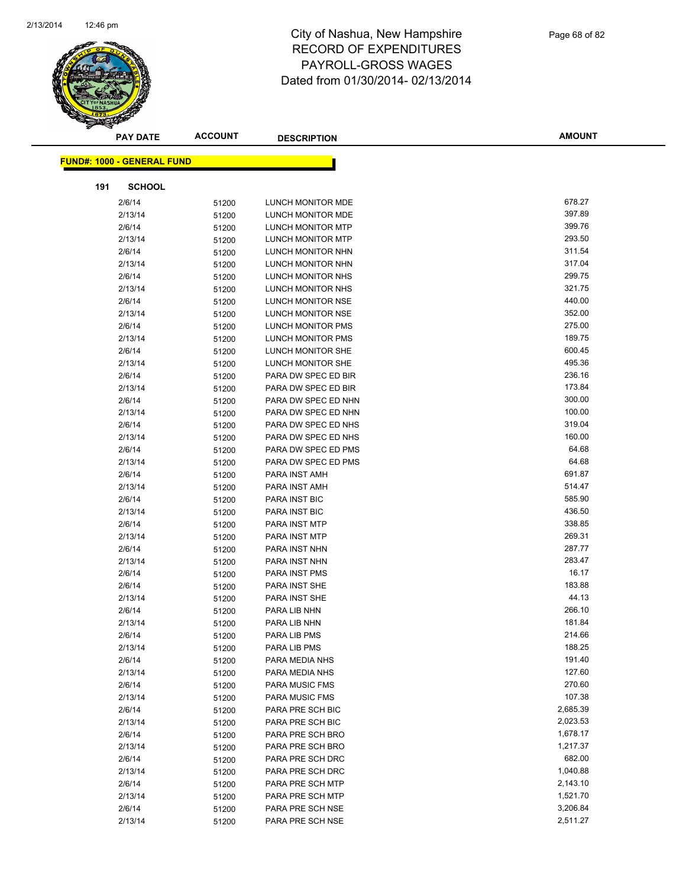

|     | <b>PAY DATE</b>                   | <b>ACCOUNT</b> | <b>DESCRIPTION</b>            | <b>AMOUNT</b>   |
|-----|-----------------------------------|----------------|-------------------------------|-----------------|
|     | <b>FUND#: 1000 - GENERAL FUND</b> |                |                               |                 |
|     |                                   |                |                               |                 |
| 191 | <b>SCHOOL</b>                     |                |                               |                 |
|     | 2/6/14                            | 51200          | LUNCH MONITOR MDE             | 678.27          |
|     | 2/13/14                           | 51200          | LUNCH MONITOR MDE             | 397.89          |
|     | 2/6/14                            | 51200          | LUNCH MONITOR MTP             | 399.76          |
|     | 2/13/14                           | 51200          | <b>LUNCH MONITOR MTP</b>      | 293.50          |
|     | 2/6/14                            | 51200          | LUNCH MONITOR NHN             | 311.54          |
|     | 2/13/14                           | 51200          | LUNCH MONITOR NHN             | 317.04          |
|     | 2/6/14                            | 51200          | LUNCH MONITOR NHS             | 299.75          |
|     | 2/13/14                           | 51200          | LUNCH MONITOR NHS             | 321.75          |
|     | 2/6/14                            | 51200          | LUNCH MONITOR NSE             | 440.00          |
|     | 2/13/14                           | 51200          | LUNCH MONITOR NSE             | 352.00          |
|     | 2/6/14                            | 51200          | LUNCH MONITOR PMS             | 275.00          |
|     | 2/13/14                           | 51200          | LUNCH MONITOR PMS             | 189.75          |
|     | 2/6/14                            | 51200          | LUNCH MONITOR SHE             | 600.45          |
|     | 2/13/14                           | 51200          | LUNCH MONITOR SHE             | 495.36          |
|     | 2/6/14                            | 51200          | PARA DW SPEC ED BIR           | 236.16          |
|     | 2/13/14                           | 51200          | PARA DW SPEC ED BIR           | 173.84          |
|     | 2/6/14                            | 51200          | PARA DW SPEC ED NHN           | 300.00          |
|     | 2/13/14                           | 51200          | PARA DW SPEC ED NHN           | 100.00          |
|     | 2/6/14                            | 51200          | PARA DW SPEC ED NHS           | 319.04          |
|     | 2/13/14                           | 51200          | PARA DW SPEC ED NHS           | 160.00          |
|     | 2/6/14                            | 51200          | PARA DW SPEC ED PMS           | 64.68           |
|     | 2/13/14                           | 51200          | PARA DW SPEC ED PMS           | 64.68           |
|     | 2/6/14                            | 51200          | PARA INST AMH                 | 691.87          |
|     | 2/13/14                           | 51200          | PARA INST AMH                 | 514.47          |
|     | 2/6/14                            | 51200          | PARA INST BIC                 | 585.90          |
|     | 2/13/14                           | 51200          | PARA INST BIC                 | 436.50          |
|     | 2/6/14                            | 51200          | PARA INST MTP                 | 338.85          |
|     | 2/13/14                           | 51200          | PARA INST MTP                 | 269.31          |
|     | 2/6/14                            | 51200          | PARA INST NHN                 | 287.77          |
|     | 2/13/14                           | 51200          | PARA INST NHN                 | 283.47<br>16.17 |
|     | 2/6/14                            | 51200          | <b>PARA INST PMS</b>          | 183.88          |
|     | 2/6/14                            | 51200          | PARA INST SHE                 | 44.13           |
|     | 2/13/14<br>2/6/14                 | 51200          | PARA INST SHE<br>PARA LIB NHN | 266.10          |
|     | 2/13/14                           | 51200          | PARA LIB NHN                  | 181.84          |
|     | 2/6/14                            | 51200<br>51200 | PARA LIB PMS                  | 214.66          |
|     | 2/13/14                           | 51200          | PARA LIB PMS                  | 188.25          |
|     | 2/6/14                            | 51200          | PARA MEDIA NHS                | 191.40          |
|     | 2/13/14                           | 51200          | PARA MEDIA NHS                | 127.60          |
|     | 2/6/14                            | 51200          | PARA MUSIC FMS                | 270.60          |
|     | 2/13/14                           | 51200          | PARA MUSIC FMS                | 107.38          |
|     | 2/6/14                            | 51200          | PARA PRE SCH BIC              | 2,685.39        |
|     | 2/13/14                           | 51200          | PARA PRE SCH BIC              | 2,023.53        |
|     | 2/6/14                            | 51200          | PARA PRE SCH BRO              | 1,678.17        |
|     | 2/13/14                           | 51200          | PARA PRE SCH BRO              | 1,217.37        |
|     | 2/6/14                            | 51200          | PARA PRE SCH DRC              | 682.00          |
|     | 2/13/14                           | 51200          | PARA PRE SCH DRC              | 1,040.88        |
|     | 2/6/14                            | 51200          | PARA PRE SCH MTP              | 2,143.10        |
|     | 2/13/14                           | 51200          | PARA PRE SCH MTP              | 1,521.70        |
|     | 2/6/14                            | 51200          | PARA PRE SCH NSE              | 3,206.84        |
|     | 2/13/14                           | 51200          | PARA PRE SCH NSE              | 2,511.27        |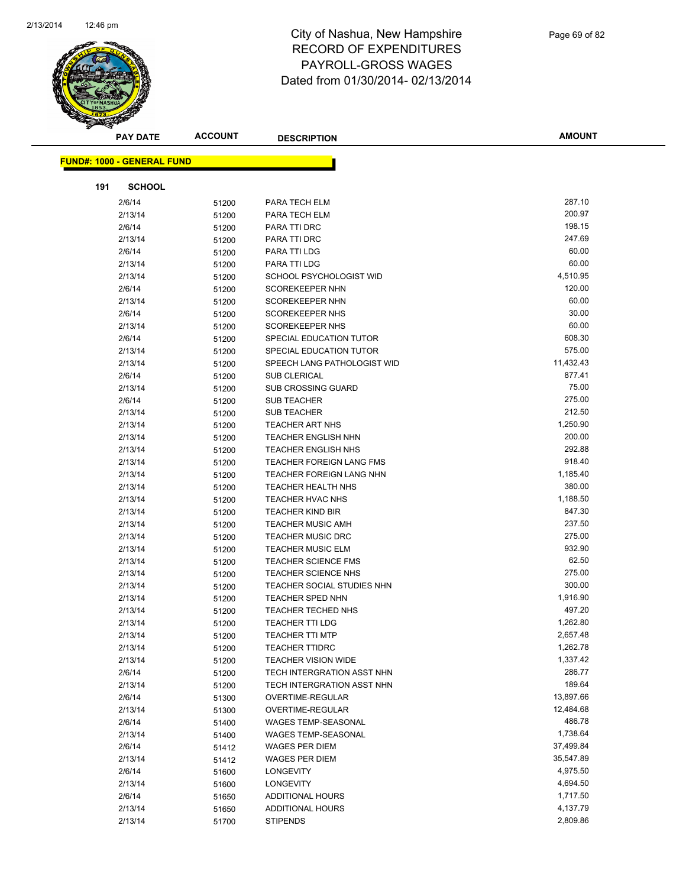

| <b>PAY DATE</b>                   | <b>ACCOUNT</b> | <b>DESCRIPTION</b>                                       | <b>AMOUNT</b>        |
|-----------------------------------|----------------|----------------------------------------------------------|----------------------|
|                                   |                |                                                          |                      |
| <b>FUND#: 1000 - GENERAL FUND</b> |                |                                                          |                      |
| <b>SCHOOL</b><br>191              |                |                                                          |                      |
| 2/6/14                            | 51200          | PARA TECH ELM                                            | 287.10               |
| 2/13/14                           | 51200          | PARA TECH ELM                                            | 200.97               |
| 2/6/14                            | 51200          | PARA TTI DRC                                             | 198.15               |
| 2/13/14                           | 51200          | PARA TTI DRC                                             | 247.69               |
| 2/6/14                            | 51200          | PARA TTI LDG                                             | 60.00                |
| 2/13/14                           | 51200          | PARA TTI LDG                                             | 60.00                |
| 2/13/14                           | 51200          | SCHOOL PSYCHOLOGIST WID                                  | 4,510.95             |
| 2/6/14                            | 51200          | <b>SCOREKEEPER NHN</b>                                   | 120.00               |
| 2/13/14                           | 51200          | <b>SCOREKEEPER NHN</b>                                   | 60.00                |
| 2/6/14                            | 51200          | <b>SCOREKEEPER NHS</b>                                   | 30.00                |
| 2/13/14                           | 51200          | <b>SCOREKEEPER NHS</b>                                   | 60.00                |
| 2/6/14                            | 51200          | SPECIAL EDUCATION TUTOR                                  | 608.30               |
| 2/13/14                           | 51200          | SPECIAL EDUCATION TUTOR                                  | 575.00               |
| 2/13/14                           | 51200          | SPEECH LANG PATHOLOGIST WID                              | 11,432.43            |
| 2/6/14                            | 51200          | <b>SUB CLERICAL</b>                                      | 877.41               |
| 2/13/14                           | 51200          | <b>SUB CROSSING GUARD</b>                                | 75.00                |
| 2/6/14                            | 51200          | <b>SUB TEACHER</b>                                       | 275.00               |
| 2/13/14                           | 51200          | <b>SUB TEACHER</b>                                       | 212.50               |
| 2/13/14                           | 51200          | TEACHER ART NHS                                          | 1,250.90             |
| 2/13/14                           | 51200          | <b>TEACHER ENGLISH NHN</b>                               | 200.00               |
| 2/13/14                           | 51200          | TEACHER ENGLISH NHS                                      | 292.88               |
| 2/13/14                           | 51200          | TEACHER FOREIGN LANG FMS                                 | 918.40               |
| 2/13/14                           | 51200          | TEACHER FOREIGN LANG NHN                                 | 1,185.40             |
| 2/13/14                           | 51200          | TEACHER HEALTH NHS                                       | 380.00               |
| 2/13/14                           | 51200          | <b>TEACHER HVAC NHS</b>                                  | 1,188.50             |
| 2/13/14                           | 51200          | <b>TEACHER KIND BIR</b>                                  | 847.30               |
| 2/13/14                           | 51200          | <b>TEACHER MUSIC AMH</b>                                 | 237.50               |
| 2/13/14                           | 51200          | <b>TEACHER MUSIC DRC</b>                                 | 275.00               |
| 2/13/14                           | 51200          | <b>TEACHER MUSIC ELM</b>                                 | 932.90               |
| 2/13/14                           | 51200          | <b>TEACHER SCIENCE FMS</b>                               | 62.50                |
| 2/13/14                           | 51200          | TEACHER SCIENCE NHS                                      | 275.00               |
| 2/13/14                           | 51200          | TEACHER SOCIAL STUDIES NHN                               | 300.00               |
| 2/13/14                           | 51200          | <b>TEACHER SPED NHN</b>                                  | 1,916.90             |
| 2/13/14                           | 51200          | TEACHER TECHED NHS                                       | 497.20<br>1,262.80   |
| 2/13/14                           | 51200          | <b>TEACHER TTI LDG</b>                                   |                      |
| 2/13/14                           | 51200          | TEACHER TTI MTP                                          | 2,657.48             |
| 2/13/14<br>2/13/14                | 51200          | <b>TEACHER TTIDRC</b>                                    | 1,262.78<br>1,337.42 |
|                                   | 51200          | <b>TEACHER VISION WIDE</b>                               | 286.77               |
| 2/6/14<br>2/13/14                 | 51200          | TECH INTERGRATION ASST NHN<br>TECH INTERGRATION ASST NHN | 189.64               |
| 2/6/14                            | 51200          | OVERTIME-REGULAR                                         | 13,897.66            |
| 2/13/14                           | 51300<br>51300 | OVERTIME-REGULAR                                         | 12,484.68            |
| 2/6/14                            | 51400          | WAGES TEMP-SEASONAL                                      | 486.78               |
| 2/13/14                           | 51400          | <b>WAGES TEMP-SEASONAL</b>                               | 1,738.64             |
| 2/6/14                            | 51412          | <b>WAGES PER DIEM</b>                                    | 37,499.84            |
| 2/13/14                           | 51412          | <b>WAGES PER DIEM</b>                                    | 35,547.89            |
| 2/6/14                            | 51600          | <b>LONGEVITY</b>                                         | 4,975.50             |
| 2/13/14                           | 51600          | <b>LONGEVITY</b>                                         | 4,694.50             |
| 2/6/14                            | 51650          | ADDITIONAL HOURS                                         | 1,717.50             |
| 2/13/14                           | 51650          | ADDITIONAL HOURS                                         | 4,137.79             |
| 2/13/14                           | 51700          | <b>STIPENDS</b>                                          | 2,809.86             |
|                                   |                |                                                          |                      |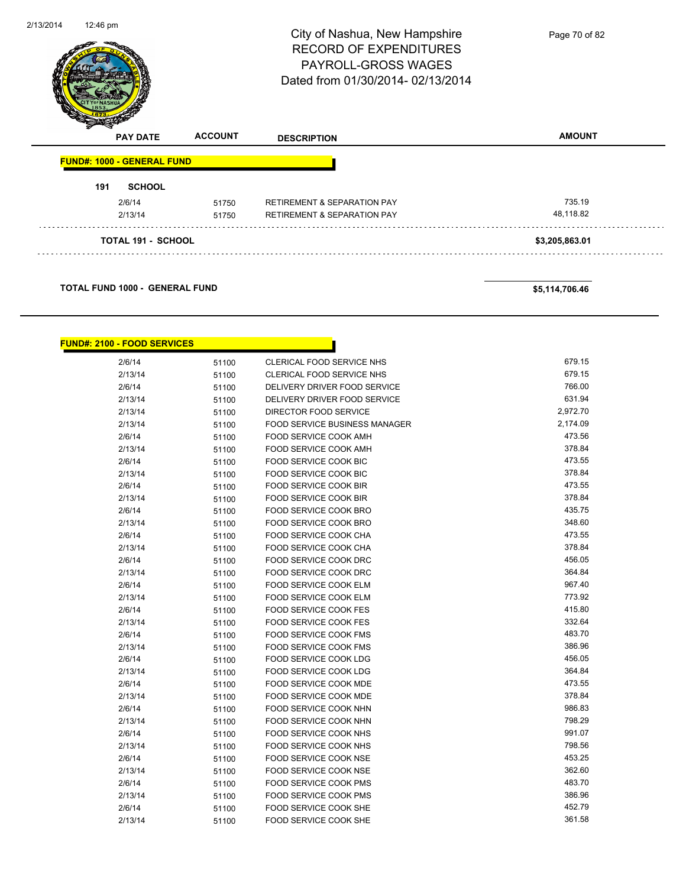| 2/13/2014 | 12:46 pm                          |                | City of Nashua, New Hampshire<br><b>RECORD OF EXPENDITURES</b><br><b>PAYROLL-GROSS WAGES</b><br>Dated from 01/30/2014-02/13/2014 | Page 70 of 82  |
|-----------|-----------------------------------|----------------|----------------------------------------------------------------------------------------------------------------------------------|----------------|
|           | <b>PAY DATE</b>                   | <b>ACCOUNT</b> | <b>DESCRIPTION</b>                                                                                                               | <b>AMOUNT</b>  |
|           | <b>FUND#: 1000 - GENERAL FUND</b> |                |                                                                                                                                  |                |
|           | <b>SCHOOL</b><br>191              |                |                                                                                                                                  |                |
|           | 2/6/14                            | 51750          | <b>RETIREMENT &amp; SEPARATION PAY</b>                                                                                           | 735.19         |
|           | 2/13/14                           | 51750          | <b>RETIREMENT &amp; SEPARATION PAY</b>                                                                                           | 48,118.82      |
|           | <b>TOTAL 191 - SCHOOL</b>         |                |                                                                                                                                  | \$3,205,863.01 |
|           |                                   |                |                                                                                                                                  |                |



| <b>FUND#: 2100 - FOOD SERVICES</b> |       |                                      |          |
|------------------------------------|-------|--------------------------------------|----------|
| 2/6/14                             | 51100 | <b>CLERICAL FOOD SERVICE NHS</b>     | 679.15   |
| 2/13/14                            | 51100 | CLERICAL FOOD SERVICE NHS            | 679.15   |
| 2/6/14                             | 51100 | DELIVERY DRIVER FOOD SERVICE         | 766.00   |
| 2/13/14                            | 51100 | DELIVERY DRIVER FOOD SERVICE         | 631.94   |
| 2/13/14                            | 51100 | DIRECTOR FOOD SERVICE                | 2,972.70 |
| 2/13/14                            | 51100 | <b>FOOD SERVICE BUSINESS MANAGER</b> | 2,174.09 |
| 2/6/14                             | 51100 | <b>FOOD SERVICE COOK AMH</b>         | 473.56   |
| 2/13/14                            | 51100 | FOOD SERVICE COOK AMH                | 378.84   |
| 2/6/14                             | 51100 | <b>FOOD SERVICE COOK BIC</b>         | 473.55   |
| 2/13/14                            | 51100 | <b>FOOD SERVICE COOK BIC</b>         | 378.84   |
| 2/6/14                             | 51100 | <b>FOOD SERVICE COOK BIR</b>         | 473.55   |
| 2/13/14                            | 51100 | <b>FOOD SERVICE COOK BIR</b>         | 378.84   |
| 2/6/14                             | 51100 | <b>FOOD SERVICE COOK BRO</b>         | 435.75   |
| 2/13/14                            | 51100 | <b>FOOD SERVICE COOK BRO</b>         | 348.60   |
| 2/6/14                             | 51100 | <b>FOOD SERVICE COOK CHA</b>         | 473.55   |
| 2/13/14                            | 51100 | FOOD SERVICE COOK CHA                | 378.84   |
| 2/6/14                             | 51100 | FOOD SERVICE COOK DRC                | 456.05   |
| 2/13/14                            | 51100 | FOOD SERVICE COOK DRC                | 364.84   |
| 2/6/14                             | 51100 | FOOD SERVICE COOK ELM                | 967.40   |
| 2/13/14                            | 51100 | <b>FOOD SERVICE COOK ELM</b>         | 773.92   |
| 2/6/14                             | 51100 | <b>FOOD SERVICE COOK FES</b>         | 415.80   |
| 2/13/14                            | 51100 | <b>FOOD SERVICE COOK FES</b>         | 332.64   |
| 2/6/14                             | 51100 | <b>FOOD SERVICE COOK FMS</b>         | 483.70   |
| 2/13/14                            | 51100 | FOOD SERVICE COOK FMS                | 386.96   |
| 2/6/14                             | 51100 | <b>FOOD SERVICE COOK LDG</b>         | 456.05   |
| 2/13/14                            | 51100 | FOOD SERVICE COOK LDG                | 364.84   |
| 2/6/14                             | 51100 | FOOD SERVICE COOK MDE                | 473.55   |
| 2/13/14                            | 51100 | <b>FOOD SERVICE COOK MDE</b>         | 378.84   |
| 2/6/14                             | 51100 | <b>FOOD SERVICE COOK NHN</b>         | 986.83   |
| 2/13/14                            | 51100 | <b>FOOD SERVICE COOK NHN</b>         | 798.29   |
| 2/6/14                             | 51100 | <b>FOOD SERVICE COOK NHS</b>         | 991.07   |
| 2/13/14                            | 51100 | FOOD SERVICE COOK NHS                | 798.56   |
| 2/6/14                             | 51100 | <b>FOOD SERVICE COOK NSE</b>         | 453.25   |
| 2/13/14                            | 51100 | FOOD SERVICE COOK NSE                | 362.60   |
| 2/6/14                             | 51100 | <b>FOOD SERVICE COOK PMS</b>         | 483.70   |
| 2/13/14                            | 51100 | FOOD SERVICE COOK PMS                | 386.96   |
| 2/6/14                             | 51100 | FOOD SERVICE COOK SHE                | 452.79   |
| 2/13/14                            | 51100 | <b>FOOD SERVICE COOK SHE</b>         | 361.58   |
|                                    |       |                                      |          |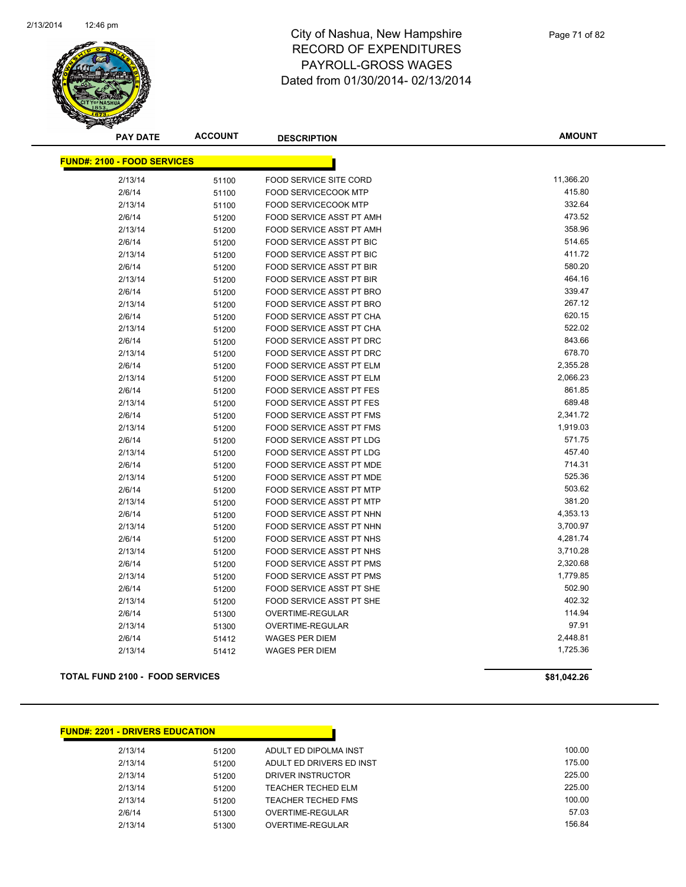

**AMOUNT**

| <b>FUND#: 2100 - FOOD SERVICES</b> |       |                                 |           |
|------------------------------------|-------|---------------------------------|-----------|
| 2/13/14                            | 51100 | FOOD SERVICE SITE CORD          | 11,366.20 |
| 2/6/14                             | 51100 | <b>FOOD SERVICECOOK MTP</b>     | 415.80    |
| 2/13/14                            | 51100 | <b>FOOD SERVICECOOK MTP</b>     | 332.64    |
| 2/6/14                             | 51200 | FOOD SERVICE ASST PT AMH        | 473.52    |
| 2/13/14                            | 51200 | <b>FOOD SERVICE ASST PT AMH</b> | 358.96    |
| 2/6/14                             | 51200 | <b>FOOD SERVICE ASST PT BIC</b> | 514.65    |
| 2/13/14                            | 51200 | FOOD SERVICE ASST PT BIC        | 411.72    |
| 2/6/14                             | 51200 | <b>FOOD SERVICE ASST PT BIR</b> | 580.20    |
| 2/13/14                            | 51200 | FOOD SERVICE ASST PT BIR        | 464.16    |
| 2/6/14                             | 51200 | FOOD SERVICE ASST PT BRO        | 339.47    |
| 2/13/14                            | 51200 | FOOD SERVICE ASST PT BRO        | 267.12    |
| 2/6/14                             | 51200 | FOOD SERVICE ASST PT CHA        | 620.15    |
| 2/13/14                            | 51200 | FOOD SERVICE ASST PT CHA        | 522.02    |
| 2/6/14                             | 51200 | FOOD SERVICE ASST PT DRC        | 843.66    |
| 2/13/14                            | 51200 | FOOD SERVICE ASST PT DRC        | 678.70    |
| 2/6/14                             | 51200 | <b>FOOD SERVICE ASST PT ELM</b> | 2,355.28  |
| 2/13/14                            | 51200 | <b>FOOD SERVICE ASST PT ELM</b> | 2,066.23  |
| 2/6/14                             | 51200 | FOOD SERVICE ASST PT FES        | 861.85    |
| 2/13/14                            | 51200 | <b>FOOD SERVICE ASST PT FES</b> | 689.48    |
| 2/6/14                             | 51200 | FOOD SERVICE ASST PT FMS        | 2,341.72  |
| 2/13/14                            | 51200 | FOOD SERVICE ASST PT FMS        | 1,919.03  |
| 2/6/14                             | 51200 | <b>FOOD SERVICE ASST PT LDG</b> | 571.75    |
| 2/13/14                            | 51200 | FOOD SERVICE ASST PT LDG        | 457.40    |
| 2/6/14                             | 51200 | FOOD SERVICE ASST PT MDE        | 714.31    |
| 2/13/14                            | 51200 | FOOD SERVICE ASST PT MDE        | 525.36    |
| 2/6/14                             | 51200 | <b>FOOD SERVICE ASST PT MTP</b> | 503.62    |
| 2/13/14                            | 51200 | FOOD SERVICE ASST PT MTP        | 381.20    |
| 2/6/14                             | 51200 | FOOD SERVICE ASST PT NHN        | 4,353.13  |
| 2/13/14                            | 51200 | FOOD SERVICE ASST PT NHN        | 3,700.97  |
| 2/6/14                             | 51200 | FOOD SERVICE ASST PT NHS        | 4,281.74  |
| 2/13/14                            | 51200 | FOOD SERVICE ASST PT NHS        | 3,710.28  |
| 2/6/14                             | 51200 | FOOD SERVICE ASST PT PMS        | 2,320.68  |
| 2/13/14                            | 51200 | <b>FOOD SERVICE ASST PT PMS</b> | 1,779.85  |
| 2/6/14                             | 51200 | <b>FOOD SERVICE ASST PT SHE</b> | 502.90    |
| 2/13/14                            | 51200 | FOOD SERVICE ASST PT SHE        | 402.32    |
| 2/6/14                             | 51300 | <b>OVERTIME-REGULAR</b>         | 114.94    |
| 2/13/14                            | 51300 | OVERTIME-REGULAR                | 97.91     |
| 2/6/14                             | 51412 | <b>WAGES PER DIEM</b>           | 2,448.81  |
| 2/13/14                            | 51412 | <b>WAGES PER DIEM</b>           | 1,725.36  |

#### **TOTAL FUND 2100 - FOOD SERVICES \$81,042.26**

**FUND#: 2201 - DRIVERS EDUCATION**

2/13/14 51200 ADULT ED DIPOLMA INST 100.00 2/13/14 51200 ADULT ED DRIVERS ED INST 175.00 2/13/14 51200 DRIVER INSTRUCTOR 225.00 2/13/14 51200 TEACHER TECHED ELM 225.00<br>2/13/14 51200 TEACHER TECHED FMS 2/13/14 100.00 2/13/14 51200 TEACHER TECHED FMS 2/6/14 51300 OVERTIME-REGULAR 57.03 2/13/14 51300 OVERTIME-REGULAR 156.84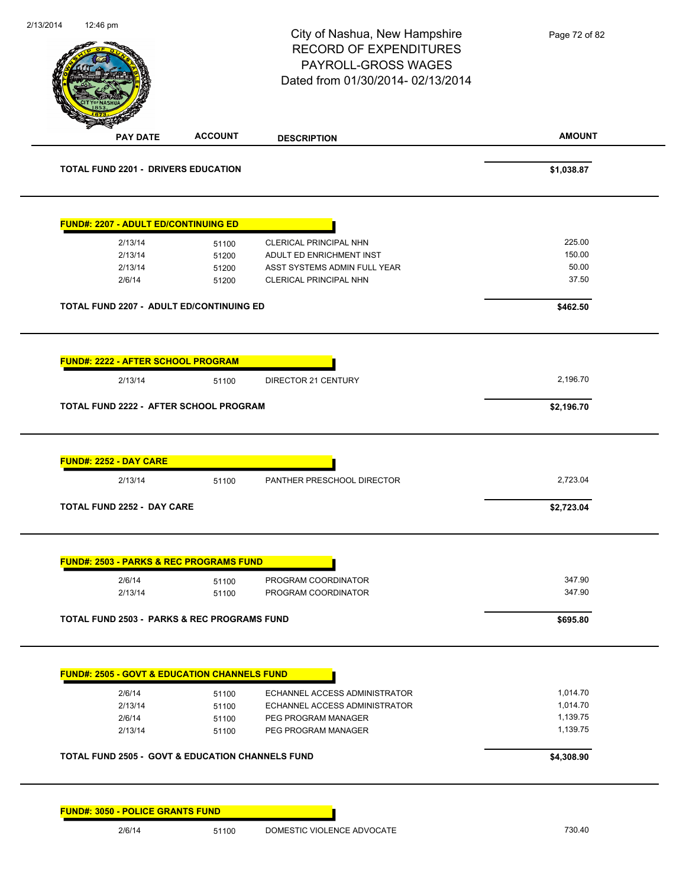|                                                                             |                | City of Nashua, New Hampshire<br><b>RECORD OF EXPENDITURES</b><br>PAYROLL-GROSS WAGES<br>Dated from 01/30/2014-02/13/2014 | Page 72 of 82 |
|-----------------------------------------------------------------------------|----------------|---------------------------------------------------------------------------------------------------------------------------|---------------|
| <b>PAY DATE</b>                                                             | <b>ACCOUNT</b> | <b>DESCRIPTION</b>                                                                                                        | <b>AMOUNT</b> |
| TOTAL FUND 2201 - DRIVERS EDUCATION                                         |                |                                                                                                                           | \$1,038.87    |
| <b>FUND#: 2207 - ADULT ED/CONTINUING ED</b>                                 |                |                                                                                                                           |               |
| 2/13/14                                                                     | 51100          | CLERICAL PRINCIPAL NHN                                                                                                    | 225.00        |
| 2/13/14                                                                     | 51200          | ADULT ED ENRICHMENT INST                                                                                                  | 150.00        |
| 2/13/14                                                                     | 51200          | ASST SYSTEMS ADMIN FULL YEAR                                                                                              | 50.00         |
| 2/6/14                                                                      | 51200          | CLERICAL PRINCIPAL NHN                                                                                                    | 37.50         |
| TOTAL FUND 2207 - ADULT ED/CONTINUING ED                                    |                |                                                                                                                           | \$462.50      |
| <b>FUND#: 2222 - AFTER SCHOOL PROGRAM</b>                                   |                |                                                                                                                           |               |
| 2/13/14                                                                     | 51100          | DIRECTOR 21 CENTURY                                                                                                       | 2,196.70      |
|                                                                             |                |                                                                                                                           |               |
|                                                                             |                |                                                                                                                           | \$2,196.70    |
| TOTAL FUND 2222 - AFTER SCHOOL PROGRAM<br>FUND#: 2252 - DAY CARE<br>2/13/14 | 51100          | PANTHER PRESCHOOL DIRECTOR                                                                                                | 2,723.04      |
| <b>TOTAL FUND 2252 - DAY CARE</b>                                           |                |                                                                                                                           | \$2,723.04    |
| <b>FUND#: 2503 - PARKS &amp; REC PROGRAMS FUND</b>                          |                |                                                                                                                           |               |
| 2/6/14                                                                      | 51100          | PROGRAM COORDINATOR                                                                                                       | 347.90        |
| 2/13/14                                                                     | 51100          | PROGRAM COORDINATOR                                                                                                       | 347.90        |
| <b>TOTAL FUND 2503 - PARKS &amp; REC PROGRAMS FUND</b>                      |                |                                                                                                                           | \$695.80      |
| <b>FUND#: 2505 - GOVT &amp; EDUCATION CHANNELS FUND</b>                     |                |                                                                                                                           |               |
| 2/6/14                                                                      | 51100          | ECHANNEL ACCESS ADMINISTRATOR                                                                                             | 1,014.70      |
| 2/13/14                                                                     | 51100          | ECHANNEL ACCESS ADMINISTRATOR                                                                                             | 1,014.70      |
| 2/6/14                                                                      | 51100          | PEG PROGRAM MANAGER                                                                                                       | 1,139.75      |
| 2/13/14                                                                     | 51100          | PEG PROGRAM MANAGER                                                                                                       | 1,139.75      |
| <b>TOTAL FUND 2505 - GOVT &amp; EDUCATION CHANNELS FUND</b>                 |                |                                                                                                                           | \$4,308.90    |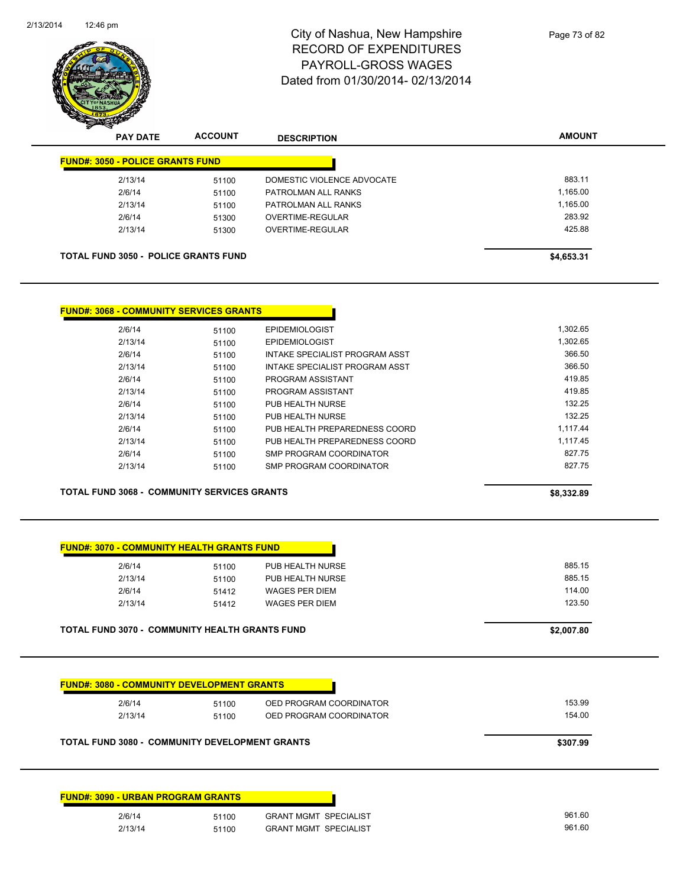

| <b>FUND#: 3050 - POLICE GRANTS FUND</b> |       |                            |          |
|-----------------------------------------|-------|----------------------------|----------|
| 2/13/14                                 | 51100 | DOMESTIC VIOLENCE ADVOCATE | 883.11   |
| 2/6/14                                  | 51100 | PATROLMAN ALL RANKS        | 1,165.00 |
| 2/13/14                                 | 51100 | PATROLMAN ALL RANKS        | 1,165.00 |
| 2/6/14                                  | 51300 | OVERTIME-REGULAR           | 283.92   |
| 2/13/14                                 | 51300 | OVERTIME-REGULAR           | 425.88   |

| <u> FUND#: 3068 - COMMUNITY SERVICES GRANTS</u> |       |                                |
|-------------------------------------------------|-------|--------------------------------|
| 2/6/14                                          | 51100 | <b>EPIDEMIOLOGIST</b>          |
| 2/13/14                                         | 51100 | <b>EPIDEMIOLOGIST</b>          |
| 2/6/14                                          | 51100 | INTAKE SPECIALIST PROGRAM ASST |
| 2/13/14                                         | 51100 | INTAKE SPECIALIST PROGRAM ASST |
| 2/6/14                                          | 51100 | PROGRAM ASSISTANT              |
| 2/13/14                                         | 51100 | PROGRAM ASSISTANT              |
| 2/6/14                                          | 51100 | PUB HEALTH NURSE               |
| 2/13/14                                         | 51100 | PUB HEALTH NURSE               |
| 2/6/14                                          | 51100 | PUB HEALTH PREPAREDNESS COORD  |
| 2/13/14                                         | 51100 | PUB HEALTH PREPAREDNESS COORD  |
| 2/6/14                                          | 51100 | SMP PROGRAM COORDINATOR        |
| 2/13/14                                         | 51100 | SMP PROGRAM COORDINATOR        |

**TOTAL FUND 3068 - COMMUNITY SERVICES GRANTS 58,332.89** 

| 2/6/14  | 51100 | PUB HEALTH NURSE      | 885.15 |
|---------|-------|-----------------------|--------|
| 2/13/14 | 51100 | PUB HEALTH NURSE      | 885.15 |
| 2/6/14  | 51412 | WAGES PER DIEM        | 114.00 |
| 2/13/14 | 51412 | <b>WAGES PER DIEM</b> | 123.50 |

| 2/6/14  | 51100 | OED PROGRAM COORDINATOR | 153.99 |
|---------|-------|-------------------------|--------|
| 2/13/14 | 51100 | OED PROGRAM COORDINATOR | 154.00 |
|         |       |                         |        |
|         |       |                         |        |

| 2/6/14  | 51100<br>. | SPECIALIST<br><b>GRANT MGMT</b> | 961.60 |
|---------|------------|---------------------------------|--------|
| 2/13/14 | 51100      | <b>GRANT MGMT SPECIALIST</b>    | 961.60 |
|         |            |                                 |        |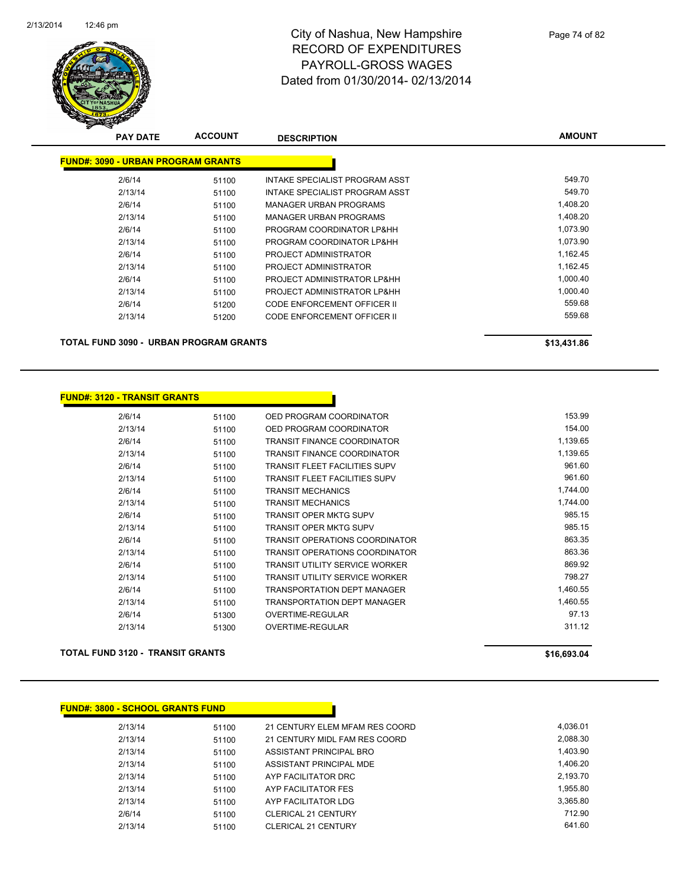

| <b>PAY DATE</b>                           | <b>ACCOUNT</b> | <b>DESCRIPTION</b>                 | <b>AMOUNT</b> |
|-------------------------------------------|----------------|------------------------------------|---------------|
| <b>FUND#: 3090 - URBAN PROGRAM GRANTS</b> |                |                                    |               |
| 2/6/14                                    | 51100          | INTAKE SPECIALIST PROGRAM ASST     | 549.70        |
| 2/13/14                                   | 51100          | INTAKE SPECIALIST PROGRAM ASST     | 549.70        |
| 2/6/14                                    | 51100          | <b>MANAGER URBAN PROGRAMS</b>      | 1,408.20      |
| 2/13/14                                   | 51100          | <b>MANAGER URBAN PROGRAMS</b>      | 1,408.20      |
| 2/6/14                                    | 51100          | PROGRAM COORDINATOR LP&HH          | 1,073.90      |
| 2/13/14                                   | 51100          | PROGRAM COORDINATOR LP&HH          | 1,073.90      |
| 2/6/14                                    | 51100          | PROJECT ADMINISTRATOR              | 1,162.45      |
| 2/13/14                                   | 51100          | PROJECT ADMINISTRATOR              | 1,162.45      |
| 2/6/14                                    | 51100          | PROJECT ADMINISTRATOR LP&HH        | 1,000.40      |
| 2/13/14                                   | 51100          | PROJECT ADMINISTRATOR LP&HH        | 1.000.40      |
| 2/6/14                                    | 51200          | CODE ENFORCEMENT OFFICER II        | 559.68        |
| 2/13/14                                   | 51200          | <b>CODE ENFORCEMENT OFFICER II</b> | 559.68        |
|                                           |                |                                    |               |

**TOTAL FUND 3090 - URBAN PROGRAM GRANTS \$13,431.86** 

#### **FUND#: 3120 - TRANSIT GRANTS**

| 2/6/14  | 51100 | OED PROGRAM COORDINATOR               | 153.99   |
|---------|-------|---------------------------------------|----------|
| 2/13/14 | 51100 | OED PROGRAM COORDINATOR               | 154.00   |
| 2/6/14  | 51100 | <b>TRANSIT FINANCE COORDINATOR</b>    | 1,139.65 |
| 2/13/14 | 51100 | <b>TRANSIT FINANCE COORDINATOR</b>    | 1,139.65 |
| 2/6/14  | 51100 | <b>TRANSIT FLEET FACILITIES SUPV</b>  | 961.60   |
| 2/13/14 | 51100 | <b>TRANSIT FLEET FACILITIES SUPV</b>  | 961.60   |
| 2/6/14  | 51100 | <b>TRANSIT MECHANICS</b>              | 1,744.00 |
| 2/13/14 | 51100 | <b>TRANSIT MECHANICS</b>              | 1,744.00 |
| 2/6/14  | 51100 | <b>TRANSIT OPER MKTG SUPV</b>         | 985.15   |
| 2/13/14 | 51100 | <b>TRANSIT OPER MKTG SUPV</b>         | 985.15   |
| 2/6/14  | 51100 | <b>TRANSIT OPERATIONS COORDINATOR</b> | 863.35   |
| 2/13/14 | 51100 | <b>TRANSIT OPERATIONS COORDINATOR</b> | 863.36   |
| 2/6/14  | 51100 | TRANSIT UTILITY SERVICE WORKER        | 869.92   |
| 2/13/14 | 51100 | <b>TRANSIT UTILITY SERVICE WORKER</b> | 798.27   |
| 2/6/14  | 51100 | <b>TRANSPORTATION DEPT MANAGER</b>    | 1,460.55 |
| 2/13/14 | 51100 | <b>TRANSPORTATION DEPT MANAGER</b>    | 1,460.55 |
| 2/6/14  | 51300 | <b>OVERTIME-REGULAR</b>               | 97.13    |
| 2/13/14 | 51300 | <b>OVERTIME-REGULAR</b>               | 311.12   |
|         |       |                                       |          |

#### **TOTAL FUND 3120 - TRANSIT GRANTS \$16,693.04**

| <b>FUND#: 3800 - SCHOOL GRANTS FUND</b> |       |                                |          |
|-----------------------------------------|-------|--------------------------------|----------|
| 2/13/14                                 | 51100 | 21 CENTURY ELEM MFAM RES COORD | 4.036.01 |
| 2/13/14                                 | 51100 | 21 CENTURY MIDL FAM RES COORD  | 2,088.30 |
| 2/13/14                                 | 51100 | ASSISTANT PRINCIPAL BRO        | 1,403.90 |
| 2/13/14                                 | 51100 | ASSISTANT PRINCIPAL MDE        | 1.406.20 |
| 2/13/14                                 | 51100 | AYP FACILITATOR DRC            | 2,193.70 |
| 2/13/14                                 | 51100 | AYP FACILITATOR FES            | 1,955.80 |
| 2/13/14                                 | 51100 | AYP FACILITATOR LDG            | 3,365.80 |
| 2/6/14                                  | 51100 | <b>CLERICAL 21 CENTURY</b>     | 712.90   |
| 2/13/14                                 | 51100 | <b>CLERICAL 21 CENTURY</b>     | 641.60   |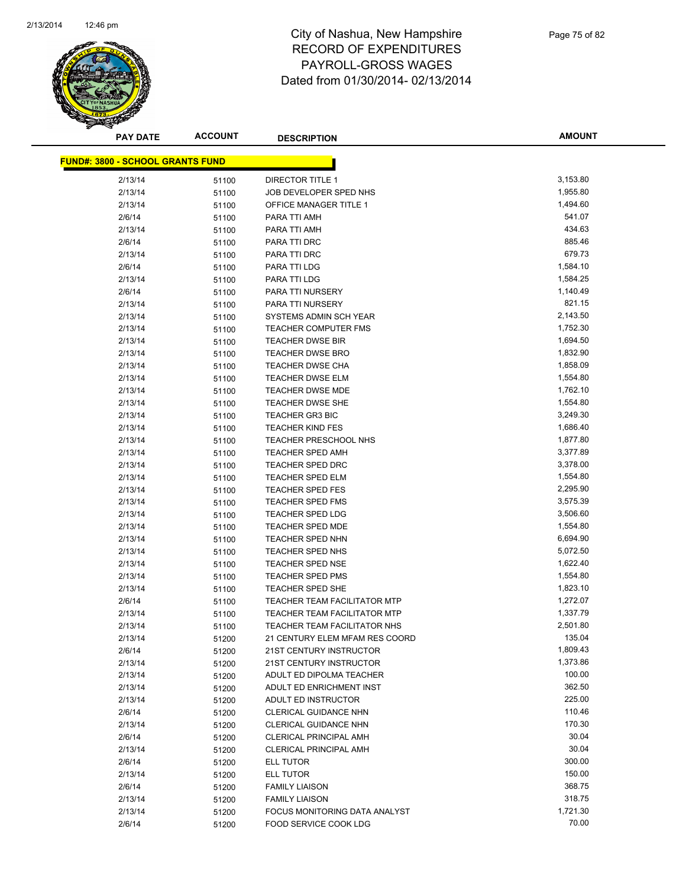

**AMOUNT**

| <b>FUND#: 3800 - SCHOOL GRANTS FUND</b> |       |                                     |          |
|-----------------------------------------|-------|-------------------------------------|----------|
| 2/13/14                                 | 51100 | <b>DIRECTOR TITLE 1</b>             | 3,153.80 |
| 2/13/14                                 | 51100 | JOB DEVELOPER SPED NHS              | 1,955.80 |
| 2/13/14                                 | 51100 | OFFICE MANAGER TITLE 1              | 1,494.60 |
| 2/6/14                                  | 51100 | PARA TTI AMH                        | 541.07   |
| 2/13/14                                 | 51100 | PARA TTI AMH                        | 434.63   |
| 2/6/14                                  | 51100 | PARA TTI DRC                        | 885.46   |
| 2/13/14                                 | 51100 | PARA TTI DRC                        | 679.73   |
| 2/6/14                                  | 51100 | PARA TTI LDG                        | 1,584.10 |
| 2/13/14                                 | 51100 | PARA TTI LDG                        | 1,584.25 |
| 2/6/14                                  | 51100 | PARA TTI NURSERY                    | 1,140.49 |
| 2/13/14                                 | 51100 | PARA TTI NURSERY                    | 821.15   |
| 2/13/14                                 | 51100 | SYSTEMS ADMIN SCH YEAR              | 2,143.50 |
| 2/13/14                                 | 51100 | <b>TEACHER COMPUTER FMS</b>         | 1,752.30 |
| 2/13/14                                 | 51100 | TEACHER DWSE BIR                    | 1,694.50 |
| 2/13/14                                 | 51100 | TEACHER DWSE BRO                    | 1,832.90 |
| 2/13/14                                 | 51100 | <b>TEACHER DWSE CHA</b>             | 1,858.09 |
| 2/13/14                                 | 51100 | <b>TEACHER DWSE ELM</b>             | 1,554.80 |
| 2/13/14                                 | 51100 | <b>TEACHER DWSE MDE</b>             | 1,762.10 |
| 2/13/14                                 | 51100 | <b>TEACHER DWSE SHE</b>             | 1,554.80 |
| 2/13/14                                 | 51100 | <b>TEACHER GR3 BIC</b>              | 3,249.30 |
| 2/13/14                                 | 51100 | <b>TEACHER KIND FES</b>             | 1,686.40 |
| 2/13/14                                 | 51100 | TEACHER PRESCHOOL NHS               | 1,877.80 |
| 2/13/14                                 | 51100 | <b>TEACHER SPED AMH</b>             | 3,377.89 |
| 2/13/14                                 | 51100 | TEACHER SPED DRC                    | 3,378.00 |
| 2/13/14                                 | 51100 | <b>TEACHER SPED ELM</b>             | 1,554.80 |
| 2/13/14                                 | 51100 | <b>TEACHER SPED FES</b>             | 2,295.90 |
| 2/13/14                                 | 51100 | <b>TEACHER SPED FMS</b>             | 3,575.39 |
| 2/13/14                                 | 51100 | TEACHER SPED LDG                    | 3,506.60 |
| 2/13/14                                 | 51100 | <b>TEACHER SPED MDE</b>             | 1,554.80 |
| 2/13/14                                 | 51100 | TEACHER SPED NHN                    | 6,694.90 |
| 2/13/14                                 | 51100 | <b>TEACHER SPED NHS</b>             | 5,072.50 |
| 2/13/14                                 | 51100 | <b>TEACHER SPED NSE</b>             | 1,622.40 |
| 2/13/14                                 | 51100 | <b>TEACHER SPED PMS</b>             | 1,554.80 |
| 2/13/14                                 | 51100 | <b>TEACHER SPED SHE</b>             | 1,823.10 |
| 2/6/14                                  | 51100 | TEACHER TEAM FACILITATOR MTP        | 1,272.07 |
| 2/13/14                                 | 51100 | <b>TEACHER TEAM FACILITATOR MTP</b> | 1,337.79 |
| 2/13/14                                 | 51100 | TEACHER TEAM FACILITATOR NHS        | 2,501.80 |
| 2/13/14                                 | 51200 | 21 CENTURY ELEM MFAM RES COORD      | 135.04   |
| 2/6/14                                  | 51200 | 21ST CENTURY INSTRUCTOR             | 1,809.43 |
| 2/13/14                                 | 51200 | 21ST CENTURY INSTRUCTOR             | 1,373.86 |
| 2/13/14                                 | 51200 | ADULT ED DIPOLMA TEACHER            | 100.00   |
| 2/13/14                                 | 51200 | ADULT ED ENRICHMENT INST            | 362.50   |
| 2/13/14                                 | 51200 | ADULT ED INSTRUCTOR                 | 225.00   |
| 2/6/14                                  | 51200 | CLERICAL GUIDANCE NHN               | 110.46   |
| 2/13/14                                 | 51200 | <b>CLERICAL GUIDANCE NHN</b>        | 170.30   |
| 2/6/14                                  | 51200 | <b>CLERICAL PRINCIPAL AMH</b>       | 30.04    |
| 2/13/14                                 | 51200 | <b>CLERICAL PRINCIPAL AMH</b>       | 30.04    |
| 2/6/14                                  | 51200 | ELL TUTOR                           | 300.00   |
| 2/13/14                                 | 51200 | <b>ELL TUTOR</b>                    | 150.00   |
| 2/6/14                                  | 51200 | <b>FAMILY LIAISON</b>               | 368.75   |
| 2/13/14                                 | 51200 | <b>FAMILY LIAISON</b>               | 318.75   |
| 2/13/14                                 | 51200 | FOCUS MONITORING DATA ANALYST       | 1,721.30 |
| 2/6/14                                  | 51200 | FOOD SERVICE COOK LDG               | 70.00    |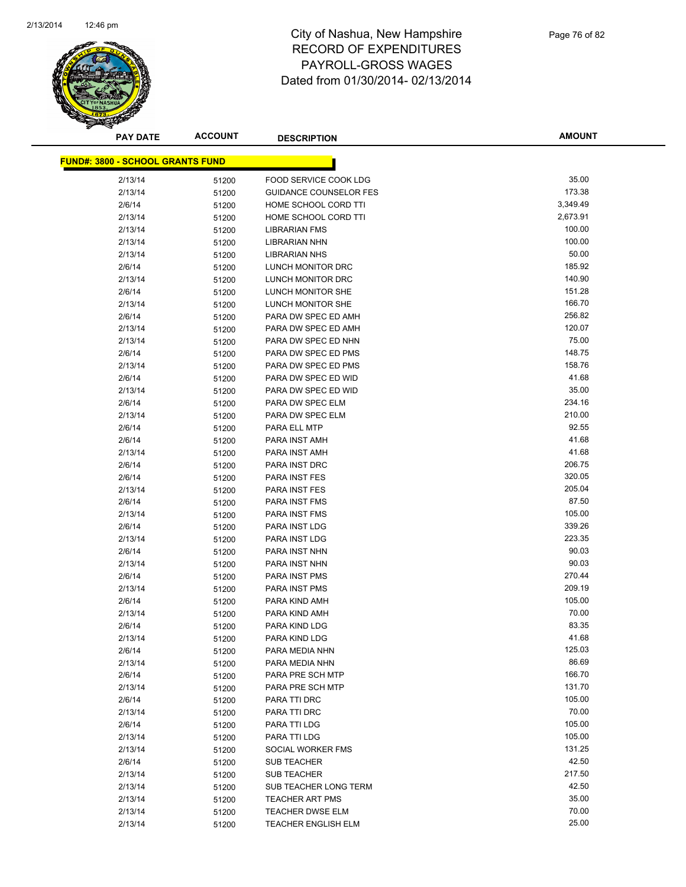

| <b>PAY DATE</b>                         | <b>ACCOUNT</b> | <b>DESCRIPTION</b>            | <b>AMOUNT</b> |
|-----------------------------------------|----------------|-------------------------------|---------------|
| <b>FUND#: 3800 - SCHOOL GRANTS FUND</b> |                |                               |               |
|                                         |                |                               |               |
| 2/13/14                                 | 51200          | FOOD SERVICE COOK LDG         | 35.00         |
| 2/13/14                                 | 51200          | <b>GUIDANCE COUNSELOR FES</b> | 173.38        |
| 2/6/14                                  | 51200          | HOME SCHOOL CORD TTI          | 3,349.49      |
| 2/13/14                                 | 51200          | HOME SCHOOL CORD TTI          | 2,673.91      |
| 2/13/14                                 | 51200          | <b>LIBRARIAN FMS</b>          | 100.00        |
| 2/13/14                                 | 51200          | <b>LIBRARIAN NHN</b>          | 100.00        |
| 2/13/14                                 | 51200          | <b>LIBRARIAN NHS</b>          | 50.00         |
| 2/6/14                                  | 51200          | LUNCH MONITOR DRC             | 185.92        |
| 2/13/14                                 | 51200          | LUNCH MONITOR DRC             | 140.90        |
| 2/6/14                                  | 51200          | LUNCH MONITOR SHE             | 151.28        |
| 2/13/14                                 | 51200          | LUNCH MONITOR SHE             | 166.70        |
| 2/6/14                                  | 51200          | PARA DW SPEC ED AMH           | 256.82        |
| 2/13/14                                 | 51200          | PARA DW SPEC ED AMH           | 120.07        |
| 2/13/14                                 | 51200          | PARA DW SPEC ED NHN           | 75.00         |
| 2/6/14                                  | 51200          | PARA DW SPEC ED PMS           | 148.75        |
| 2/13/14                                 | 51200          | PARA DW SPEC ED PMS           | 158.76        |
| 2/6/14                                  | 51200          | PARA DW SPEC ED WID           | 41.68         |
| 2/13/14                                 | 51200          | PARA DW SPEC ED WID           | 35.00         |
| 2/6/14                                  | 51200          | PARA DW SPEC ELM              | 234.16        |
| 2/13/14                                 | 51200          | PARA DW SPEC ELM              | 210.00        |
| 2/6/14                                  | 51200          | PARA ELL MTP                  | 92.55         |
| 2/6/14                                  | 51200          | PARA INST AMH                 | 41.68         |
| 2/13/14                                 | 51200          | PARA INST AMH                 | 41.68         |
| 2/6/14                                  | 51200          | PARA INST DRC                 | 206.75        |
| 2/6/14                                  | 51200          | PARA INST FES                 | 320.05        |
| 2/13/14                                 | 51200          | PARA INST FES                 | 205.04        |
| 2/6/14                                  | 51200          | PARA INST FMS                 | 87.50         |
| 2/13/14                                 | 51200          | PARA INST FMS                 | 105.00        |
| 2/6/14                                  | 51200          | PARA INST LDG                 | 339.26        |
| 2/13/14                                 | 51200          | PARA INST LDG                 | 223.35        |
| 2/6/14                                  | 51200          | PARA INST NHN                 | 90.03         |
| 2/13/14                                 | 51200          | PARA INST NHN                 | 90.03         |
| 2/6/14                                  | 51200          | PARA INST PMS                 | 270.44        |
| 2/13/14                                 | 51200          | PARA INST PMS                 | 209.19        |
| 2/6/14                                  | 51200          | PARA KIND AMH                 | 105.00        |
| 2/13/14                                 | 51200          | PARA KIND AMH                 | 70.00         |
| 2/6/14                                  | 51200          | PARA KIND LDG                 | 83.35         |
| 2/13/14                                 | 51200          | PARA KIND LDG                 | 41.68         |
| 2/6/14                                  | 51200          | PARA MEDIA NHN                | 125.03        |
| 2/13/14                                 | 51200          | PARA MEDIA NHN                | 86.69         |
| 2/6/14                                  | 51200          | PARA PRE SCH MTP              | 166.70        |
| 2/13/14                                 | 51200          | PARA PRE SCH MTP              | 131.70        |
| 2/6/14                                  | 51200          | PARA TTI DRC                  | 105.00        |
| 2/13/14                                 | 51200          | PARA TTI DRC                  | 70.00         |
| 2/6/14                                  | 51200          | PARA TTI LDG                  | 105.00        |
| 2/13/14                                 | 51200          | PARA TTI LDG                  | 105.00        |
| 2/13/14                                 | 51200          | SOCIAL WORKER FMS             | 131.25        |
| 2/6/14                                  | 51200          | <b>SUB TEACHER</b>            | 42.50         |
| 2/13/14                                 | 51200          | <b>SUB TEACHER</b>            | 217.50        |
| 2/13/14                                 | 51200          | SUB TEACHER LONG TERM         | 42.50         |
| 2/13/14                                 | 51200          | TEACHER ART PMS               | 35.00         |
| 2/13/14                                 | 51200          | <b>TEACHER DWSE ELM</b>       | 70.00         |
| 2/13/14                                 | 51200          | TEACHER ENGLISH ELM           | 25.00         |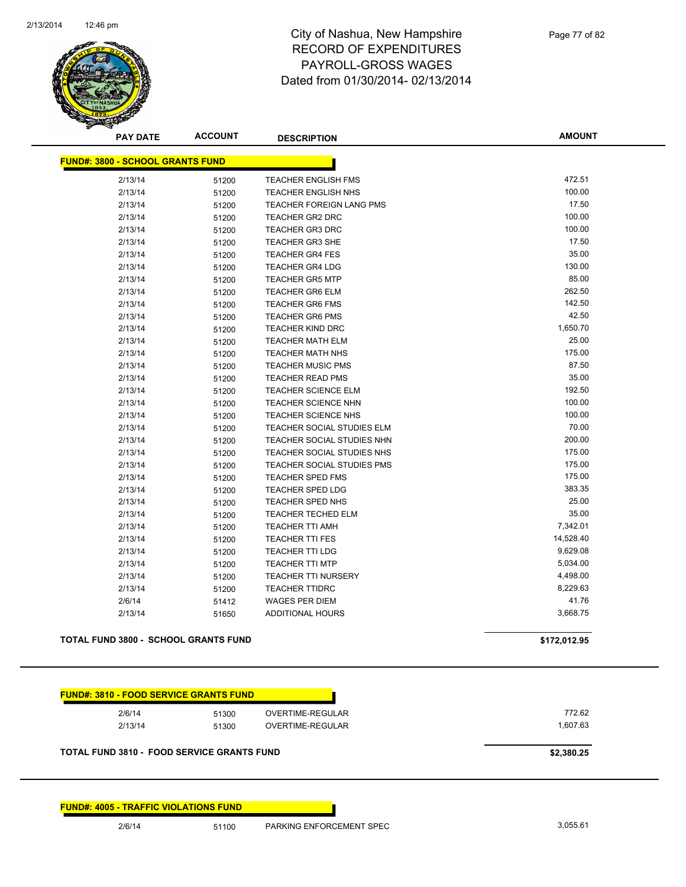

| <b>PAY DATE</b>                             | <b>ACCOUNT</b> | <b>DESCRIPTION</b>                | <b>AMOUNT</b> |
|---------------------------------------------|----------------|-----------------------------------|---------------|
| <b>FUND#: 3800 - SCHOOL GRANTS FUND</b>     |                |                                   |               |
| 2/13/14                                     | 51200          | TEACHER ENGLISH FMS               | 472.51        |
| 2/13/14                                     | 51200          | TEACHER ENGLISH NHS               | 100.00        |
| 2/13/14                                     | 51200          | <b>TEACHER FOREIGN LANG PMS</b>   | 17.50         |
| 2/13/14                                     | 51200          | <b>TEACHER GR2 DRC</b>            | 100.00        |
| 2/13/14                                     | 51200          | <b>TEACHER GR3 DRC</b>            | 100.00        |
| 2/13/14                                     | 51200          | <b>TEACHER GR3 SHE</b>            | 17.50         |
| 2/13/14                                     | 51200          | <b>TEACHER GR4 FES</b>            | 35.00         |
| 2/13/14                                     | 51200          | <b>TEACHER GR4 LDG</b>            | 130.00        |
| 2/13/14                                     | 51200          | <b>TEACHER GR5 MTP</b>            | 85.00         |
| 2/13/14                                     | 51200          | <b>TEACHER GR6 ELM</b>            | 262.50        |
| 2/13/14                                     | 51200          | <b>TEACHER GR6 FMS</b>            | 142.50        |
| 2/13/14                                     | 51200          | <b>TEACHER GR6 PMS</b>            | 42.50         |
| 2/13/14                                     | 51200          | <b>TEACHER KIND DRC</b>           | 1,650.70      |
| 2/13/14                                     | 51200          | <b>TEACHER MATH ELM</b>           | 25.00         |
| 2/13/14                                     | 51200          | <b>TEACHER MATH NHS</b>           | 175.00        |
| 2/13/14                                     | 51200          | <b>TEACHER MUSIC PMS</b>          | 87.50         |
| 2/13/14                                     | 51200          | <b>TEACHER READ PMS</b>           | 35.00         |
| 2/13/14                                     | 51200          | <b>TEACHER SCIENCE ELM</b>        | 192.50        |
| 2/13/14                                     | 51200          | <b>TEACHER SCIENCE NHN</b>        | 100.00        |
| 2/13/14                                     | 51200          | <b>TEACHER SCIENCE NHS</b>        | 100.00        |
| 2/13/14                                     | 51200          | TEACHER SOCIAL STUDIES ELM        | 70.00         |
| 2/13/14                                     | 51200          | TEACHER SOCIAL STUDIES NHN        | 200.00        |
| 2/13/14                                     | 51200          | TEACHER SOCIAL STUDIES NHS        | 175.00        |
| 2/13/14                                     | 51200          | <b>TEACHER SOCIAL STUDIES PMS</b> | 175.00        |
| 2/13/14                                     | 51200          | <b>TEACHER SPED FMS</b>           | 175.00        |
| 2/13/14                                     | 51200          | <b>TEACHER SPED LDG</b>           | 383.35        |
| 2/13/14                                     | 51200          | TEACHER SPED NHS                  | 25.00         |
| 2/13/14                                     | 51200          | <b>TEACHER TECHED ELM</b>         | 35.00         |
| 2/13/14                                     | 51200          | <b>TEACHER TTI AMH</b>            | 7,342.01      |
| 2/13/14                                     | 51200          | <b>TEACHER TTI FES</b>            | 14,528.40     |
| 2/13/14                                     | 51200          | <b>TEACHER TTI LDG</b>            | 9,629.08      |
| 2/13/14                                     | 51200          | <b>TEACHER TTI MTP</b>            | 5,034.00      |
| 2/13/14                                     | 51200          | <b>TEACHER TTI NURSERY</b>        | 4,498.00      |
| 2/13/14                                     | 51200          | <b>TEACHER TTIDRC</b>             | 8,229.63      |
| 2/6/14                                      | 51412          | <b>WAGES PER DIEM</b>             | 41.76         |
| 2/13/14                                     | 51650          | <b>ADDITIONAL HOURS</b>           | 3,668.75      |
| <b>TOTAL FUND 3800 - SCHOOL GRANTS FUND</b> |                |                                   | \$172,012.95  |

| 2/6/14  | 51300                                             | OVERTIME-REGULAR        | 772.62     |
|---------|---------------------------------------------------|-------------------------|------------|
| 2/13/14 | 51300                                             | <b>OVERTIME-REGULAR</b> | 1,607.63   |
|         |                                                   |                         |            |
|         | <b>TOTAL FUND 3810 - FOOD SERVICE GRANTS FUND</b> |                         | \$2,380.25 |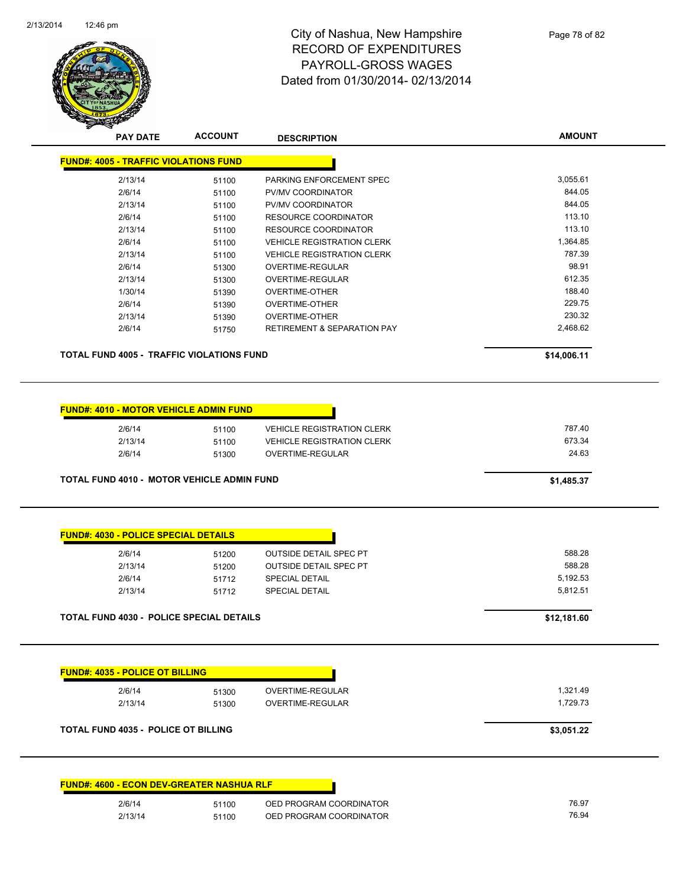

| <b>PAY DATE</b>                                  | <b>ACCOUNT</b> | <b>DESCRIPTION</b>                     | <b>AMOUNT</b> |
|--------------------------------------------------|----------------|----------------------------------------|---------------|
| <b>FUND#: 4005 - TRAFFIC VIOLATIONS FUND</b>     |                |                                        |               |
| 2/13/14                                          | 51100          | PARKING ENFORCEMENT SPEC               | 3,055.61      |
| 2/6/14                                           | 51100          | PV/MV COORDINATOR                      | 844.05        |
| 2/13/14                                          | 51100          | PV/MV COORDINATOR                      | 844.05        |
| 2/6/14                                           | 51100          | RESOURCE COORDINATOR                   | 113.10        |
| 2/13/14                                          | 51100          | RESOURCE COORDINATOR                   | 113.10        |
| 2/6/14                                           | 51100          | <b>VEHICLE REGISTRATION CLERK</b>      | 1,364.85      |
| 2/13/14                                          | 51100          | <b>VEHICLE REGISTRATION CLERK</b>      | 787.39        |
| 2/6/14                                           | 51300          | OVERTIME-REGULAR                       | 98.91         |
| 2/13/14                                          | 51300          | OVERTIME-REGULAR                       | 612.35        |
| 1/30/14                                          | 51390          | <b>OVERTIME-OTHER</b>                  | 188.40        |
| 2/6/14                                           | 51390          | <b>OVERTIME-OTHER</b>                  | 229.75        |
| 2/13/14                                          | 51390          | <b>OVERTIME-OTHER</b>                  | 230.32        |
| 2/6/14                                           | 51750          | <b>RETIREMENT &amp; SEPARATION PAY</b> | 2,468.62      |
|                                                  |                |                                        |               |
| <b>TOTAL FUND 4005 - TRAFFIC VIOLATIONS FUND</b> |                |                                        | \$14,006.11   |

| 2/6/14  | 51100 | <b>VEHICLE REGISTRATION CLERK</b> | 787.40 |
|---------|-------|-----------------------------------|--------|
| 2/13/14 | 51100 | <b>VEHICLE REGISTRATION CLERK</b> | 673.34 |
| 2/6/14  | 51300 | OVERTIME-REGULAR                  | 24.63  |

| 2/6/14  | 51200 | <b>OUTSIDE DETAIL SPEC PT</b> | 588.28   |
|---------|-------|-------------------------------|----------|
| 2/13/14 | 51200 | <b>OUTSIDE DETAIL SPEC PT</b> | 588.28   |
| 2/6/14  | 51712 | <b>SPECIAL DETAIL</b>         | 5,192.53 |
| 2/13/14 | 51712 | <b>SPECIAL DETAIL</b>         | 5.812.51 |

| 2/6/14                                     | 51300 | OVERTIME-REGULAR | 1,321.49   |
|--------------------------------------------|-------|------------------|------------|
| 2/13/14                                    | 51300 | OVERTIME-REGULAR | 1,729.73   |
| <b>TOTAL FUND 4035 - POLICE OT BILLING</b> |       |                  | \$3,051.22 |

|         | <u> FUND#. 4000 - ECON DEV-GREATER NASHUA RLF</u> |
|---------|---------------------------------------------------|
| 2/6/14  | OED PROGRAM COORDINATOR<br>51100                  |
| 2/13/14 | OED PROGRAM COORDINATOR<br>51100                  |

**FUND#: 4600 - ECON DEV-GREATER NASHUA RLF**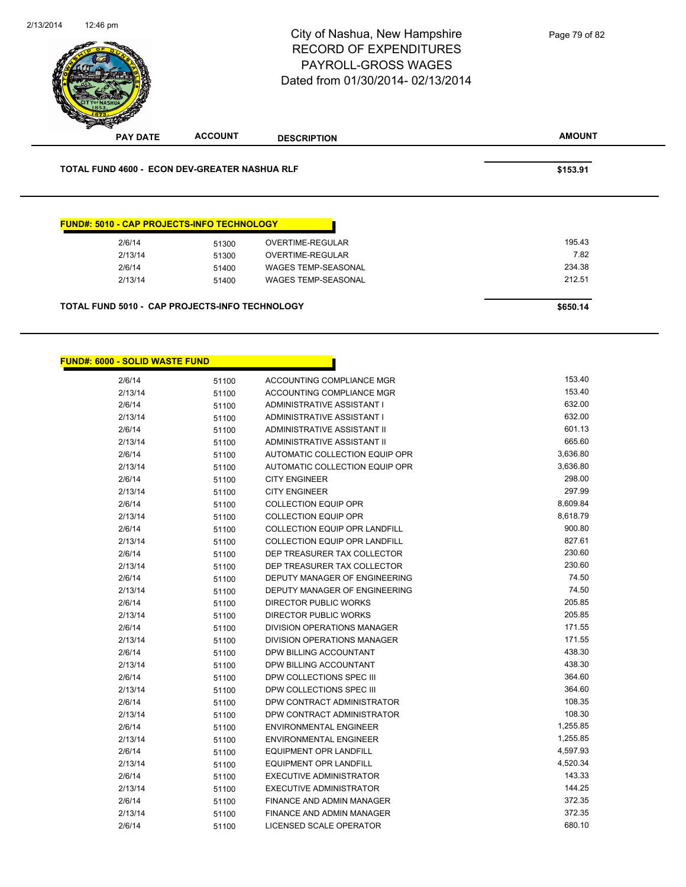

| \$650.14 |
|----------|
|          |

 $FUN$ 

| D#: 6000 - SOLID WASTE FUND |       |                                      |          |
|-----------------------------|-------|--------------------------------------|----------|
| 2/6/14                      | 51100 | ACCOUNTING COMPLIANCE MGR            | 153.40   |
| 2/13/14                     | 51100 | ACCOUNTING COMPLIANCE MGR            | 153.40   |
| 2/6/14                      | 51100 | ADMINISTRATIVE ASSISTANT I           | 632.00   |
| 2/13/14                     | 51100 | ADMINISTRATIVE ASSISTANT I           | 632.00   |
| 2/6/14                      | 51100 | <b>ADMINISTRATIVE ASSISTANT II</b>   | 601.13   |
| 2/13/14                     | 51100 | ADMINISTRATIVE ASSISTANT II          | 665.60   |
| 2/6/14                      | 51100 | AUTOMATIC COLLECTION EQUIP OPR       | 3,636.80 |
| 2/13/14                     | 51100 | AUTOMATIC COLLECTION EQUIP OPR       | 3,636.80 |
| 2/6/14                      | 51100 | <b>CITY ENGINEER</b>                 | 298.00   |
| 2/13/14                     | 51100 | <b>CITY ENGINEER</b>                 | 297.99   |
| 2/6/14                      | 51100 | <b>COLLECTION EQUIP OPR</b>          | 8,609.84 |
| 2/13/14                     | 51100 | <b>COLLECTION EQUIP OPR</b>          | 8,618.79 |
| 2/6/14                      | 51100 | COLLECTION EQUIP OPR LANDFILL        | 900.80   |
| 2/13/14                     | 51100 | <b>COLLECTION EQUIP OPR LANDFILL</b> | 827.61   |
| 2/6/14                      | 51100 | DEP TREASURER TAX COLLECTOR          | 230.60   |
| 2/13/14                     | 51100 | DEP TREASURER TAX COLLECTOR          | 230.60   |
| 2/6/14                      | 51100 | DEPUTY MANAGER OF ENGINEERING        | 74.50    |
| 2/13/14                     | 51100 | DEPUTY MANAGER OF ENGINEERING        | 74.50    |
| 2/6/14                      | 51100 | <b>DIRECTOR PUBLIC WORKS</b>         | 205.85   |
| 2/13/14                     | 51100 | <b>DIRECTOR PUBLIC WORKS</b>         | 205.85   |
| 2/6/14                      | 51100 | <b>DIVISION OPERATIONS MANAGER</b>   | 171.55   |
| 2/13/14                     | 51100 | <b>DIVISION OPERATIONS MANAGER</b>   | 171.55   |
| 2/6/14                      | 51100 | DPW BILLING ACCOUNTANT               | 438.30   |
| 2/13/14                     | 51100 | DPW BILLING ACCOUNTANT               | 438.30   |
| 2/6/14                      | 51100 | DPW COLLECTIONS SPEC III             | 364.60   |
| 2/13/14                     | 51100 | DPW COLLECTIONS SPEC III             | 364.60   |
| 2/6/14                      | 51100 | DPW CONTRACT ADMINISTRATOR           | 108.35   |
| 2/13/14                     | 51100 | DPW CONTRACT ADMINISTRATOR           | 108.30   |
| 2/6/14                      | 51100 | <b>ENVIRONMENTAL ENGINEER</b>        | 1,255.85 |
| 2/13/14                     | 51100 | ENVIRONMENTAL ENGINEER               | 1,255.85 |
| 2/6/14                      | 51100 | <b>EQUIPMENT OPR LANDFILL</b>        | 4,597.93 |
| 2/13/14                     | 51100 | <b>EQUIPMENT OPR LANDFILL</b>        | 4,520.34 |
| 2/6/14                      | 51100 | EXECUTIVE ADMINISTRATOR              | 143.33   |
| 2/13/14                     | 51100 | <b>EXECUTIVE ADMINISTRATOR</b>       | 144.25   |
| 2/6/14                      | 51100 | FINANCE AND ADMIN MANAGER            | 372.35   |
| 2/13/14                     | 51100 | FINANCE AND ADMIN MANAGER            | 372.35   |
| 2/6/14                      | 51100 | LICENSED SCALE OPERATOR              | 680.10   |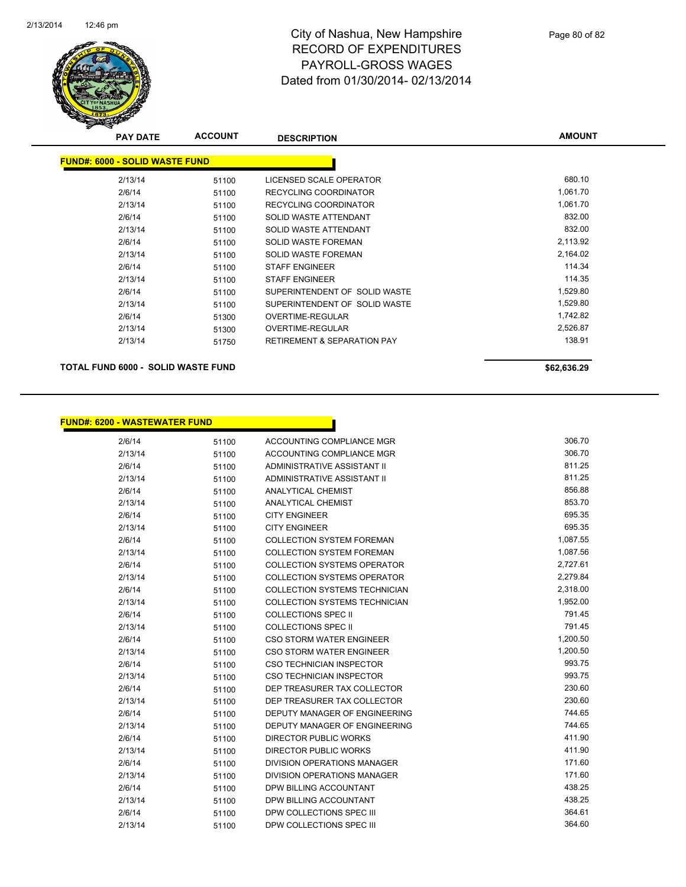

| <b>PAY DATE</b>                       | <b>ACCOUNT</b> | <b>DESCRIPTION</b>                     | <b>AMOUNT</b> |
|---------------------------------------|----------------|----------------------------------------|---------------|
| <b>FUND#: 6000 - SOLID WASTE FUND</b> |                |                                        |               |
| 2/13/14                               | 51100          | LICENSED SCALE OPERATOR                | 680.10        |
| 2/6/14                                | 51100          | <b>RECYCLING COORDINATOR</b>           | 1,061.70      |
| 2/13/14                               | 51100          | <b>RECYCLING COORDINATOR</b>           | 1,061.70      |
| 2/6/14                                | 51100          | SOLID WASTE ATTENDANT                  | 832.00        |
| 2/13/14                               | 51100          | SOLID WASTE ATTENDANT                  | 832.00        |
| 2/6/14                                | 51100          | <b>SOLID WASTE FOREMAN</b>             | 2,113.92      |
| 2/13/14                               | 51100          | <b>SOLID WASTE FOREMAN</b>             | 2,164.02      |
| 2/6/14                                | 51100          | <b>STAFF ENGINEER</b>                  | 114.34        |
| 2/13/14                               | 51100          | <b>STAFF ENGINEER</b>                  | 114.35        |
| 2/6/14                                | 51100          | SUPERINTENDENT OF SOLID WASTE          | 1,529.80      |
| 2/13/14                               | 51100          | SUPERINTENDENT OF SOLID WASTE          | 1,529.80      |
| 2/6/14                                | 51300          | OVERTIME-REGULAR                       | 1,742.82      |
| 2/13/14                               | 51300          | <b>OVERTIME-REGULAR</b>                | 2,526.87      |
| 2/13/14                               | 51750          | <b>RETIREMENT &amp; SEPARATION PAY</b> | 138.91        |
|                                       |                |                                        |               |

**TOTAL FUND 6000 - SOLID WASTE FUND \$62,636.29 \$62,636.29** 

| <b>FUND#: 6200 - WASTEWATER FUND</b> |       |                                      |          |
|--------------------------------------|-------|--------------------------------------|----------|
| 2/6/14                               | 51100 | <b>ACCOUNTING COMPLIANCE MGR</b>     | 306.70   |
| 2/13/14                              | 51100 | ACCOUNTING COMPLIANCE MGR            | 306.70   |
| 2/6/14                               | 51100 | ADMINISTRATIVE ASSISTANT II          | 811.25   |
| 2/13/14                              | 51100 | ADMINISTRATIVE ASSISTANT II          | 811.25   |
| 2/6/14                               | 51100 | <b>ANALYTICAL CHEMIST</b>            | 856.88   |
| 2/13/14                              | 51100 | <b>ANALYTICAL CHEMIST</b>            | 853.70   |
| 2/6/14                               | 51100 | <b>CITY ENGINEER</b>                 | 695.35   |
| 2/13/14                              | 51100 | <b>CITY ENGINEER</b>                 | 695.35   |
| 2/6/14                               | 51100 | <b>COLLECTION SYSTEM FOREMAN</b>     | 1,087.55 |
| 2/13/14                              | 51100 | <b>COLLECTION SYSTEM FOREMAN</b>     | 1,087.56 |
| 2/6/14                               | 51100 | <b>COLLECTION SYSTEMS OPERATOR</b>   | 2,727.61 |
| 2/13/14                              | 51100 | <b>COLLECTION SYSTEMS OPERATOR</b>   | 2,279.84 |
| 2/6/14                               | 51100 | <b>COLLECTION SYSTEMS TECHNICIAN</b> | 2,318.00 |
| 2/13/14                              | 51100 | <b>COLLECTION SYSTEMS TECHNICIAN</b> | 1,952.00 |
| 2/6/14                               | 51100 | <b>COLLECTIONS SPEC II</b>           | 791.45   |
| 2/13/14                              | 51100 | <b>COLLECTIONS SPEC II</b>           | 791.45   |
| 2/6/14                               | 51100 | <b>CSO STORM WATER ENGINEER</b>      | 1,200.50 |
| 2/13/14                              | 51100 | <b>CSO STORM WATER ENGINEER</b>      | 1,200.50 |
| 2/6/14                               | 51100 | <b>CSO TECHNICIAN INSPECTOR</b>      | 993.75   |
| 2/13/14                              | 51100 | <b>CSO TECHNICIAN INSPECTOR</b>      | 993.75   |
| 2/6/14                               | 51100 | DEP TREASURER TAX COLLECTOR          | 230.60   |
| 2/13/14                              | 51100 | DEP TREASURER TAX COLLECTOR          | 230.60   |
| 2/6/14                               | 51100 | DEPUTY MANAGER OF ENGINEERING        | 744.65   |
| 2/13/14                              | 51100 | <b>DEPUTY MANAGER OF ENGINEERING</b> | 744.65   |
| 2/6/14                               | 51100 | <b>DIRECTOR PUBLIC WORKS</b>         | 411.90   |
| 2/13/14                              | 51100 | <b>DIRECTOR PUBLIC WORKS</b>         | 411.90   |
| 2/6/14                               | 51100 | DIVISION OPERATIONS MANAGER          | 171.60   |
| 2/13/14                              | 51100 | DIVISION OPERATIONS MANAGER          | 171.60   |
| 2/6/14                               | 51100 | DPW BILLING ACCOUNTANT               | 438.25   |
| 2/13/14                              | 51100 | DPW BILLING ACCOUNTANT               | 438.25   |
| 2/6/14                               | 51100 | DPW COLLECTIONS SPEC III             | 364.61   |

2/13/14 51100 DPW COLLECTIONS SPEC III 364.60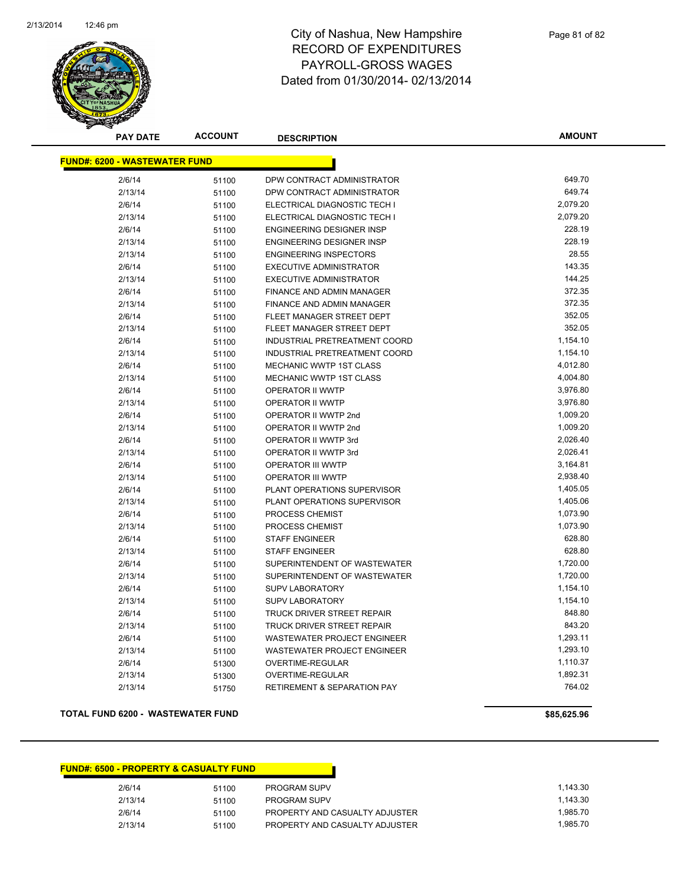

**AMOUNT**

| <b>FUND#: 6200 - WASTEWATER FUND</b> |       |                                        |          |  |  |
|--------------------------------------|-------|----------------------------------------|----------|--|--|
| 2/6/14                               | 51100 | DPW CONTRACT ADMINISTRATOR             | 649.70   |  |  |
| 2/13/14                              | 51100 | DPW CONTRACT ADMINISTRATOR             | 649.74   |  |  |
| 2/6/14                               | 51100 | ELECTRICAL DIAGNOSTIC TECH I           | 2,079.20 |  |  |
| 2/13/14                              | 51100 | ELECTRICAL DIAGNOSTIC TECH I           | 2,079.20 |  |  |
| 2/6/14                               | 51100 | <b>ENGINEERING DESIGNER INSP</b>       | 228.19   |  |  |
| 2/13/14                              | 51100 | <b>ENGINEERING DESIGNER INSP</b>       | 228.19   |  |  |
| 2/13/14                              | 51100 | <b>ENGINEERING INSPECTORS</b>          | 28.55    |  |  |
| 2/6/14                               | 51100 | <b>EXECUTIVE ADMINISTRATOR</b>         | 143.35   |  |  |
| 2/13/14                              | 51100 | <b>EXECUTIVE ADMINISTRATOR</b>         | 144.25   |  |  |
| 2/6/14                               | 51100 | FINANCE AND ADMIN MANAGER              | 372.35   |  |  |
| 2/13/14                              | 51100 | <b>FINANCE AND ADMIN MANAGER</b>       | 372.35   |  |  |
| 2/6/14                               | 51100 | FLEET MANAGER STREET DEPT              | 352.05   |  |  |
| 2/13/14                              | 51100 | FLEET MANAGER STREET DEPT              | 352.05   |  |  |
| 2/6/14                               | 51100 | INDUSTRIAL PRETREATMENT COORD          | 1,154.10 |  |  |
| 2/13/14                              | 51100 | INDUSTRIAL PRETREATMENT COORD          | 1,154.10 |  |  |
| 2/6/14                               | 51100 | <b>MECHANIC WWTP 1ST CLASS</b>         | 4,012.80 |  |  |
| 2/13/14                              | 51100 | MECHANIC WWTP 1ST CLASS                | 4,004.80 |  |  |
| 2/6/14                               | 51100 | OPERATOR II WWTP                       | 3,976.80 |  |  |
| 2/13/14                              | 51100 | OPERATOR II WWTP                       | 3,976.80 |  |  |
| 2/6/14                               | 51100 | OPERATOR II WWTP 2nd                   | 1,009.20 |  |  |
| 2/13/14                              | 51100 | OPERATOR II WWTP 2nd                   | 1,009.20 |  |  |
| 2/6/14                               | 51100 | OPERATOR II WWTP 3rd                   | 2,026.40 |  |  |
| 2/13/14                              | 51100 | OPERATOR II WWTP 3rd                   | 2,026.41 |  |  |
| 2/6/14                               | 51100 | <b>OPERATOR III WWTP</b>               | 3,164.81 |  |  |
| 2/13/14                              | 51100 | OPERATOR III WWTP                      | 2,938.40 |  |  |
| 2/6/14                               | 51100 | PLANT OPERATIONS SUPERVISOR            | 1,405.05 |  |  |
| 2/13/14                              | 51100 | PLANT OPERATIONS SUPERVISOR            | 1,405.06 |  |  |
| 2/6/14                               | 51100 | PROCESS CHEMIST                        | 1,073.90 |  |  |
| 2/13/14                              | 51100 | PROCESS CHEMIST                        | 1,073.90 |  |  |
| 2/6/14                               | 51100 | <b>STAFF ENGINEER</b>                  | 628.80   |  |  |
| 2/13/14                              | 51100 | <b>STAFF ENGINEER</b>                  | 628.80   |  |  |
| 2/6/14                               | 51100 | SUPERINTENDENT OF WASTEWATER           | 1,720.00 |  |  |
| 2/13/14                              | 51100 | SUPERINTENDENT OF WASTEWATER           | 1,720.00 |  |  |
| 2/6/14                               | 51100 | <b>SUPV LABORATORY</b>                 | 1,154.10 |  |  |
| 2/13/14                              | 51100 | <b>SUPV LABORATORY</b>                 | 1,154.10 |  |  |
| 2/6/14                               | 51100 | TRUCK DRIVER STREET REPAIR             | 848.80   |  |  |
| 2/13/14                              | 51100 | TRUCK DRIVER STREET REPAIR             | 843.20   |  |  |
| 2/6/14                               | 51100 | <b>WASTEWATER PROJECT ENGINEER</b>     | 1,293.11 |  |  |
| 2/13/14                              | 51100 | <b>WASTEWATER PROJECT ENGINEER</b>     | 1,293.10 |  |  |
| 2/6/14                               | 51300 | OVERTIME-REGULAR                       | 1,110.37 |  |  |
| 2/13/14                              | 51300 | OVERTIME-REGULAR                       | 1,892.31 |  |  |
| 2/13/14                              | 51750 | <b>RETIREMENT &amp; SEPARATION PAY</b> | 764.02   |  |  |

#### **TOTAL FUND 6200 - WASTEWATER FUND \$85,625.96**

| <b>FUND#: 6500 - PROPERTY &amp; CASUALTY FUND</b> |       |                                |
|---------------------------------------------------|-------|--------------------------------|
| 2/6/14                                            | 51100 | <b>PROGRAM SUPV</b>            |
| 2/13/14                                           | 51100 | <b>PROGRAM SUPV</b>            |
| 2/6/14                                            | 51100 | PROPERTY AND CASUALTY ADJUSTER |
| 2/13/14                                           | 51100 | PROPERTY AND CASUALTY ADJUSTER |